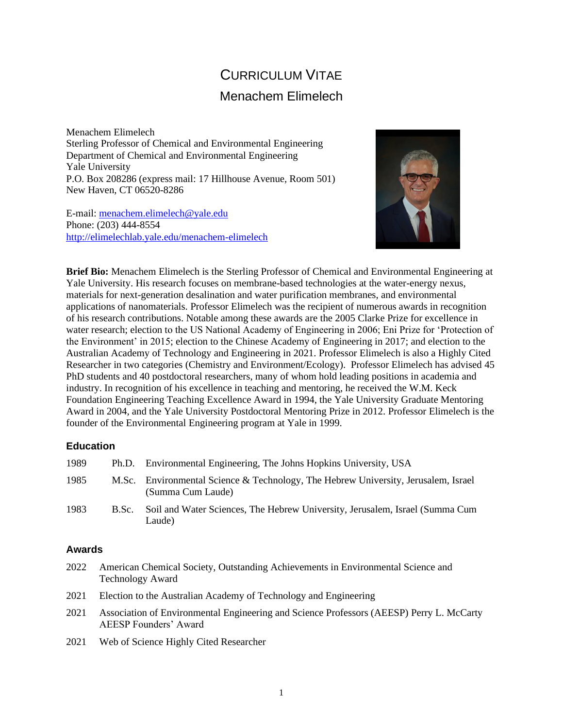# CURRICULUM VITAE Menachem Elimelech

Menachem Elimelech Sterling Professor of Chemical and Environmental Engineering Department of Chemical and Environmental Engineering Yale University P.O. Box 208286 (express mail: 17 Hillhouse Avenue, Room 501) New Haven, CT 06520-8286

E-mail[: menachem.elimelech@yale.edu](mailto:menachem.elimelech@yale.edu) Phone: (203) 444-8554 <http://elimelechlab.yale.edu/menachem-elimelech>



**Brief Bio:** Menachem Elimelech is the Sterling Professor of Chemical and Environmental Engineering at Yale University. His research focuses on membrane-based technologies at the water-energy nexus, materials for next-generation desalination and water purification membranes, and environmental applications of nanomaterials. Professor Elimelech was the recipient of numerous awards in recognition of his research contributions. Notable among these awards are the 2005 Clarke Prize for excellence in water research; election to the US National Academy of Engineering in 2006; Eni Prize for 'Protection of the Environment' in 2015; election to the Chinese Academy of Engineering in 2017; and election to the Australian Academy of Technology and Engineering in 2021. Professor Elimelech is also a Highly Cited Researcher in two categories (Chemistry and Environment/Ecology). Professor Elimelech has advised 45 PhD students and 40 postdoctoral researchers, many of whom hold leading positions in academia and industry. In recognition of his excellence in teaching and mentoring, he received the W.M. Keck Foundation Engineering Teaching Excellence Award in 1994, the Yale University Graduate Mentoring Award in 2004, and the Yale University Postdoctoral Mentoring Prize in 2012. Professor Elimelech is the founder of the Environmental Engineering program at Yale in 1999.

## **Education**

| 1989 |       | Ph.D. Environmental Engineering, The Johns Hopkins University, USA                                      |
|------|-------|---------------------------------------------------------------------------------------------------------|
| 1985 |       | M.Sc. Environmental Science & Technology, The Hebrew University, Jerusalem, Israel<br>(Summa Cum Laude) |
| 1983 | B.Sc. | Soil and Water Sciences, The Hebrew University, Jerusalem, Israel (Summa Cum<br>Laude)                  |

#### **Awards**

- 2022 American Chemical Society, Outstanding Achievements in Environmental Science and Technology Award
- 2021 Election to the Australian Academy of Technology and Engineering
- 2021 Association of Environmental Engineering and Science Professors (AEESP) Perry L. McCarty AEESP Founders' Award
- 2021 Web of Science Highly Cited Researcher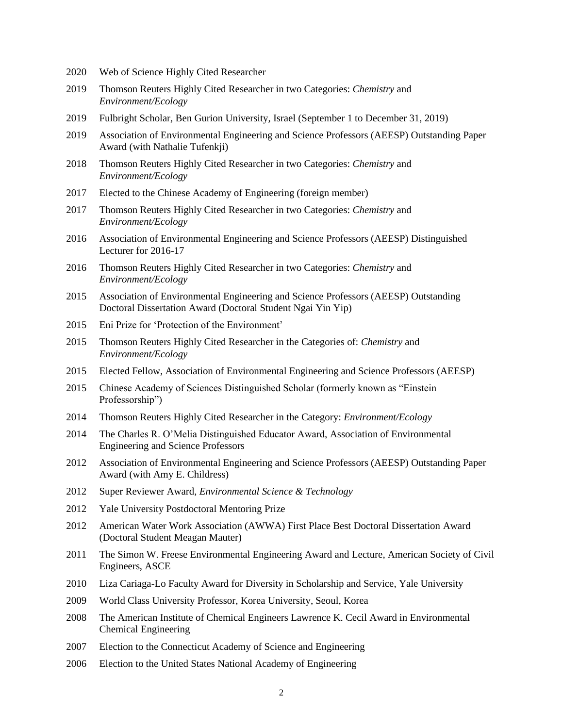- Web of Science Highly Cited Researcher
- Thomson Reuters Highly Cited Researcher in two Categories: *Chemistry* and *Environment/Ecology*
- Fulbright Scholar, Ben Gurion University, Israel (September 1 to December 31, 2019)
- Association of Environmental Engineering and Science Professors (AEESP) Outstanding Paper Award (with Nathalie Tufenkji)
- Thomson Reuters Highly Cited Researcher in two Categories: *Chemistry* and *Environment/Ecology*
- Elected to the Chinese Academy of Engineering (foreign member)
- Thomson Reuters Highly Cited Researcher in two Categories: *Chemistry* and *Environment/Ecology*
- Association of Environmental Engineering and Science Professors (AEESP) Distinguished Lecturer for 2016-17
- Thomson Reuters Highly Cited Researcher in two Categories: *Chemistry* and *Environment/Ecology*
- Association of Environmental Engineering and Science Professors (AEESP) Outstanding Doctoral Dissertation Award (Doctoral Student Ngai Yin Yip)
- Eni Prize for 'Protection of the Environment'
- Thomson Reuters Highly Cited Researcher in the Categories of: *Chemistry* and *Environment/Ecology*
- Elected Fellow, Association of Environmental Engineering and Science Professors (AEESP)
- Chinese Academy of Sciences Distinguished Scholar (formerly known as "Einstein Professorship")
- Thomson Reuters Highly Cited Researcher in the Category: *Environment/Ecology*
- The Charles R. O'Melia Distinguished Educator Award, Association of Environmental Engineering and Science Professors
- Association of Environmental Engineering and Science Professors (AEESP) Outstanding Paper Award (with Amy E. Childress)
- Super Reviewer Award, *Environmental Science & Technology*
- Yale University Postdoctoral Mentoring Prize
- American Water Work Association (AWWA) First Place Best Doctoral Dissertation Award (Doctoral Student Meagan Mauter)
- The Simon W. Freese Environmental Engineering Award and Lecture, American Society of Civil Engineers, ASCE
- Liza Cariaga-Lo Faculty Award for Diversity in Scholarship and Service, Yale University
- World Class University Professor, Korea University, Seoul, Korea
- The American Institute of Chemical Engineers Lawrence K. Cecil Award in Environmental Chemical Engineering
- Election to the Connecticut Academy of Science and Engineering
- Election to the United States National Academy of Engineering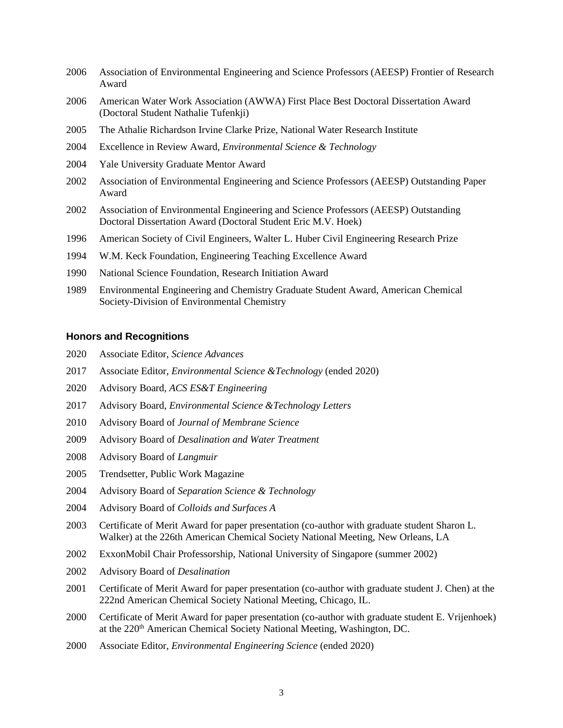- Association of Environmental Engineering and Science Professors (AEESP) Frontier of Research Award
- American Water Work Association (AWWA) First Place Best Doctoral Dissertation Award (Doctoral Student Nathalie Tufenkji)
- The Athalie Richardson Irvine Clarke Prize, National Water Research Institute
- Excellence in Review Award, *Environmental Science & Technology*
- Yale University Graduate Mentor Award
- Association of Environmental Engineering and Science Professors (AEESP) Outstanding Paper Award
- Association of Environmental Engineering and Science Professors (AEESP) Outstanding Doctoral Dissertation Award (Doctoral Student Eric M.V. Hoek)
- American Society of Civil Engineers, Walter L. Huber Civil Engineering Research Prize
- W.M. Keck Foundation, Engineering Teaching Excellence Award
- National Science Foundation, Research Initiation Award
- Environmental Engineering and Chemistry Graduate Student Award, American Chemical Society-Division of Environmental Chemistry

#### **Honors and Recognitions**

- Associate Editor, *Science Advances*
- Associate Editor, *Environmental Science &Technology* (ended 2020)
- Advisory Board, *ACS ES&T Engineering*
- Advisory Board, *Environmental Science &Technology Letters*
- Advisory Board of *Journal of Membrane Science*
- Advisory Board of *Desalination and Water Treatment*
- Advisory Board of *Langmuir*
- Trendsetter, Public Work Magazine
- Advisory Board of *Separation Science & Technology*
- Advisory Board of *Colloids and Surfaces A*
- Certificate of Merit Award for paper presentation (co-author with graduate student Sharon L. Walker) at the 226th American Chemical Society National Meeting, New Orleans, LA
- ExxonMobil Chair Professorship, National University of Singapore (summer 2002)
- Advisory Board of *Desalination*
- Certificate of Merit Award for paper presentation (co-author with graduate student J. Chen) at the 222nd American Chemical Society National Meeting, Chicago, IL.
- Certificate of Merit Award for paper presentation (co-author with graduate student E. Vrijenhoek) at the 220th American Chemical Society National Meeting, Washington, DC.
- Associate Editor, *Environmental Engineering Science* (ended 2020)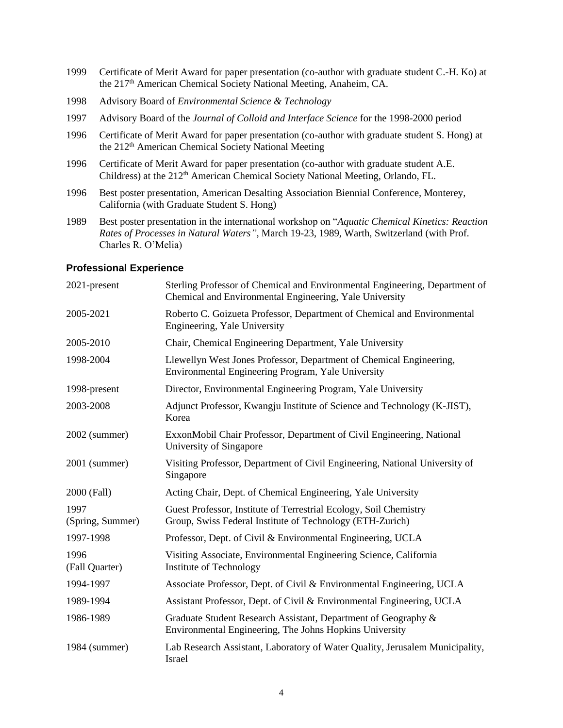- 1999 Certificate of Merit Award for paper presentation (co-author with graduate student C.-H. Ko) at the 217<sup>th</sup> American Chemical Society National Meeting, Anaheim, CA.
- 1998 Advisory Board of *Environmental Science & Technology*
- 1997 Advisory Board of the *Journal of Colloid and Interface Science* for the 1998-2000 period
- 1996 Certificate of Merit Award for paper presentation (co-author with graduate student S. Hong) at the 212<sup>th</sup> American Chemical Society National Meeting
- 1996 Certificate of Merit Award for paper presentation (co-author with graduate student A.E. Childress) at the 212<sup>th</sup> American Chemical Society National Meeting, Orlando, FL.
- 1996 Best poster presentation, American Desalting Association Biennial Conference, Monterey, California (with Graduate Student S. Hong)
- 1989 Best poster presentation in the international workshop on "*Aquatic Chemical Kinetics: Reaction Rates of Processes in Natural Waters"*, March 19-23, 1989, Warth, Switzerland (with Prof. Charles R. O'Melia)

#### **Professional Experience**

| 2021-present             | Sterling Professor of Chemical and Environmental Engineering, Department of<br>Chemical and Environmental Engineering, Yale University |
|--------------------------|----------------------------------------------------------------------------------------------------------------------------------------|
| 2005-2021                | Roberto C. Goizueta Professor, Department of Chemical and Environmental<br>Engineering, Yale University                                |
| 2005-2010                | Chair, Chemical Engineering Department, Yale University                                                                                |
| 1998-2004                | Llewellyn West Jones Professor, Department of Chemical Engineering,<br>Environmental Engineering Program, Yale University              |
| 1998-present             | Director, Environmental Engineering Program, Yale University                                                                           |
| 2003-2008                | Adjunct Professor, Kwangju Institute of Science and Technology (K-JIST),<br>Korea                                                      |
| 2002 (summer)            | ExxonMobil Chair Professor, Department of Civil Engineering, National<br>University of Singapore                                       |
| 2001 (summer)            | Visiting Professor, Department of Civil Engineering, National University of<br>Singapore                                               |
| 2000 (Fall)              | Acting Chair, Dept. of Chemical Engineering, Yale University                                                                           |
| 1997<br>(Spring, Summer) | Guest Professor, Institute of Terrestrial Ecology, Soil Chemistry<br>Group, Swiss Federal Institute of Technology (ETH-Zurich)         |
| 1997-1998                | Professor, Dept. of Civil & Environmental Engineering, UCLA                                                                            |
| 1996<br>(Fall Quarter)   | Visiting Associate, Environmental Engineering Science, California<br><b>Institute of Technology</b>                                    |
| 1994-1997                | Associate Professor, Dept. of Civil & Environmental Engineering, UCLA                                                                  |
| 1989-1994                | Assistant Professor, Dept. of Civil & Environmental Engineering, UCLA                                                                  |
| 1986-1989                | Graduate Student Research Assistant, Department of Geography &<br>Environmental Engineering, The Johns Hopkins University              |
| 1984 (summer)            | Lab Research Assistant, Laboratory of Water Quality, Jerusalem Municipality,<br>Israel                                                 |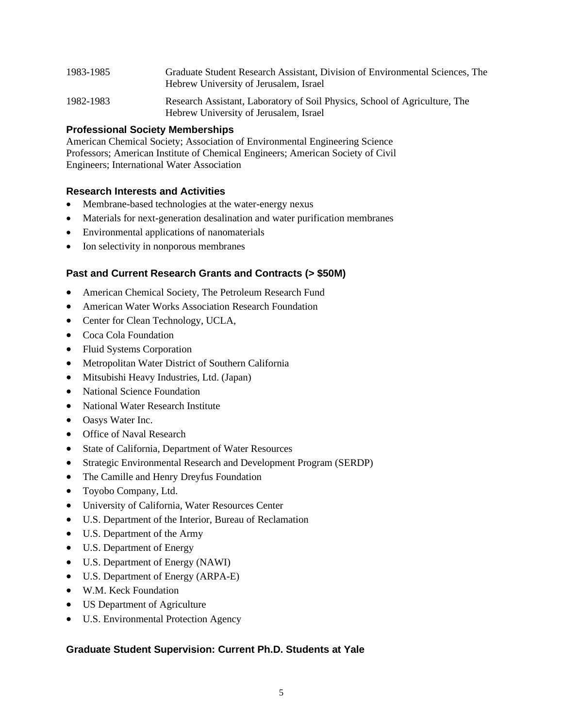| 1983-1985 | Graduate Student Research Assistant, Division of Environmental Sciences, The<br>Hebrew University of Jerusalem, Israel |
|-----------|------------------------------------------------------------------------------------------------------------------------|
| 1982-1983 | Research Assistant, Laboratory of Soil Physics, School of Agriculture, The<br>Hebrew University of Jerusalem, Israel   |

# **Professional Society Memberships**

American Chemical Society; Association of Environmental Engineering Science Professors; American Institute of Chemical Engineers; American Society of Civil Engineers; International Water Association

## **Research Interests and Activities**

- Membrane-based technologies at the water-energy nexus
- Materials for next-generation desalination and water purification membranes
- Environmental applications of nanomaterials
- Ion selectivity in nonporous membranes

# **Past and Current Research Grants and Contracts (> \$50M)**

- American Chemical Society, The Petroleum Research Fund
- American Water Works Association Research Foundation
- Center for Clean Technology, UCLA,
- Coca Cola Foundation
- Fluid Systems Corporation
- Metropolitan Water District of Southern California
- Mitsubishi Heavy Industries, Ltd. (Japan)
- National Science Foundation
- National Water Research Institute
- Oasys Water Inc.
- Office of Naval Research
- State of California, Department of Water Resources
- Strategic Environmental Research and Development Program (SERDP)
- The Camille and Henry Dreyfus Foundation
- Toyobo Company, Ltd.
- University of California, Water Resources Center
- U.S. Department of the Interior, Bureau of Reclamation
- U.S. Department of the Army
- U.S. Department of Energy
- U.S. Department of Energy (NAWI)
- U.S. Department of Energy (ARPA-E)
- W.M. Keck Foundation
- US Department of Agriculture
- U.S. Environmental Protection Agency

## **Graduate Student Supervision: Current Ph.D. Students at Yale**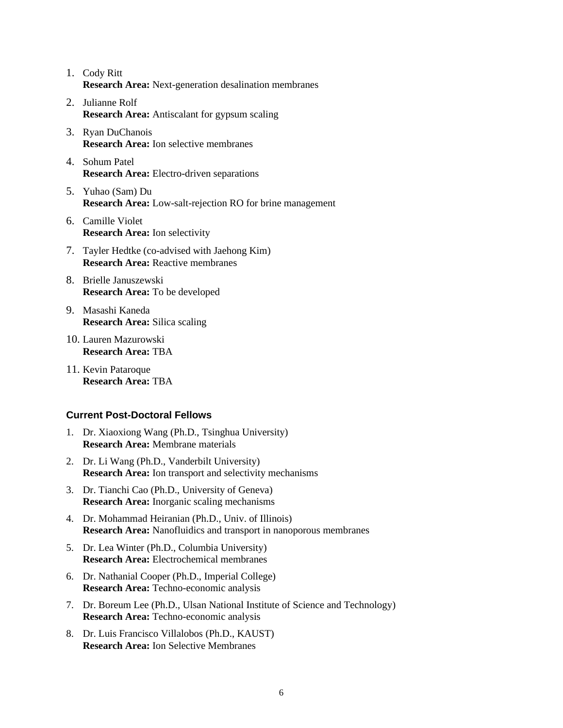- 1. Cody Ritt **Research Area:** Next-generation desalination membranes
- 2. Julianne Rolf **Research Area:** Antiscalant for gypsum scaling
- 3. Ryan DuChanois **Research Area:** Ion selective membranes
- 4. Sohum Patel **Research Area:** Electro-driven separations
- 5. Yuhao (Sam) Du **Research Area:** Low-salt-rejection RO for brine management
- 6. Camille Violet **Research Area:** Ion selectivity
- 7. Tayler Hedtke (co-advised with Jaehong Kim) **Research Area:** Reactive membranes
- 8. Brielle Januszewski **Research Area:** To be developed
- 9. Masashi Kaneda **Research Area:** Silica scaling
- 10. Lauren Mazurowski **Research Area:** TBA
- 11. Kevin Pataroque **Research Area:** TBA

#### **Current Post-Doctoral Fellows**

- 1. Dr. Xiaoxiong Wang (Ph.D., Tsinghua University) **Research Area:** Membrane materials
- 2. Dr. Li Wang (Ph.D., Vanderbilt University) **Research Area:** Ion transport and selectivity mechanisms
- 3. Dr. Tianchi Cao (Ph.D., University of Geneva) **Research Area:** Inorganic scaling mechanisms
- 4. Dr. Mohammad Heiranian (Ph.D., Univ. of Illinois) **Research Area:** Nanofluidics and transport in nanoporous membranes
- 5. Dr. Lea Winter (Ph.D., Columbia University) **Research Area:** Electrochemical membranes
- 6. Dr. Nathanial Cooper (Ph.D., Imperial College) **Research Area:** Techno-economic analysis
- 7. Dr. Boreum Lee (Ph.D., Ulsan National Institute of Science and Technology) **Research Area:** Techno-economic analysis
- 8. Dr. Luis Francisco Villalobos (Ph.D., KAUST) **Research Area:** Ion Selective Membranes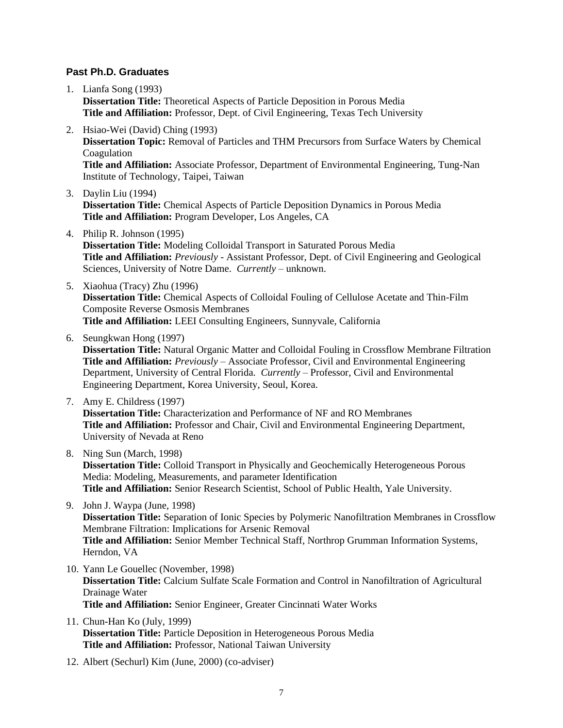#### **Past Ph.D. Graduates**

- 1. Lianfa Song (1993) **Dissertation Title:** Theoretical Aspects of Particle Deposition in Porous Media **Title and Affiliation:** Professor, Dept. of Civil Engineering, Texas Tech University
- 2. Hsiao-Wei (David) Ching (1993) **Dissertation Topic:** Removal of Particles and THM Precursors from Surface Waters by Chemical Coagulation **Title and Affiliation:** Associate Professor, Department of Environmental Engineering, Tung-Nan Institute of Technology, Taipei, Taiwan
- 3. Daylin Liu (1994) **Dissertation Title:** Chemical Aspects of Particle Deposition Dynamics in Porous Media **Title and Affiliation:** Program Developer, Los Angeles, CA
- 4. Philip R. Johnson (1995) **Dissertation Title:** Modeling Colloidal Transport in Saturated Porous Media **Title and Affiliation:** *Previously* - Assistant Professor, Dept. of Civil Engineering and Geological Sciences, University of Notre Dame. *Currently* – unknown.
- 5. Xiaohua (Tracy) Zhu (1996) **Dissertation Title:** Chemical Aspects of Colloidal Fouling of Cellulose Acetate and Thin-Film Composite Reverse Osmosis Membranes **Title and Affiliation:** LEEI Consulting Engineers, Sunnyvale, California
- 6. Seungkwan Hong (1997)

**Dissertation Title:** Natural Organic Matter and Colloidal Fouling in Crossflow Membrane Filtration **Title and Affiliation:** *Previously* – Associate Professor, Civil and Environmental Engineering Department, University of Central Florida. *Currently* – Professor, Civil and Environmental Engineering Department, Korea University, Seoul, Korea.

7. Amy E. Childress (1997)

**Dissertation Title:** Characterization and Performance of NF and RO Membranes **Title and Affiliation:** Professor and Chair, Civil and Environmental Engineering Department, University of Nevada at Reno

- 8. Ning Sun (March, 1998) **Dissertation Title:** Colloid Transport in Physically and Geochemically Heterogeneous Porous Media: Modeling, Measurements, and parameter Identification **Title and Affiliation:** Senior Research Scientist, School of Public Health, Yale University.
- 9. John J. Waypa (June, 1998) **Dissertation Title:** Separation of Ionic Species by Polymeric Nanofiltration Membranes in Crossflow Membrane Filtration: Implications for Arsenic Removal **Title and Affiliation:** Senior Member Technical Staff, Northrop Grumman Information Systems, Herndon, VA
- 10. Yann Le Gouellec (November, 1998) **Dissertation Title:** Calcium Sulfate Scale Formation and Control in Nanofiltration of Agricultural Drainage Water **Title and Affiliation:** Senior Engineer, Greater Cincinnati Water Works
- 11. Chun-Han Ko (July, 1999) **Dissertation Title:** Particle Deposition in Heterogeneous Porous Media **Title and Affiliation:** Professor, National Taiwan University
- 12. Albert (Sechurl) Kim (June, 2000) (co-adviser)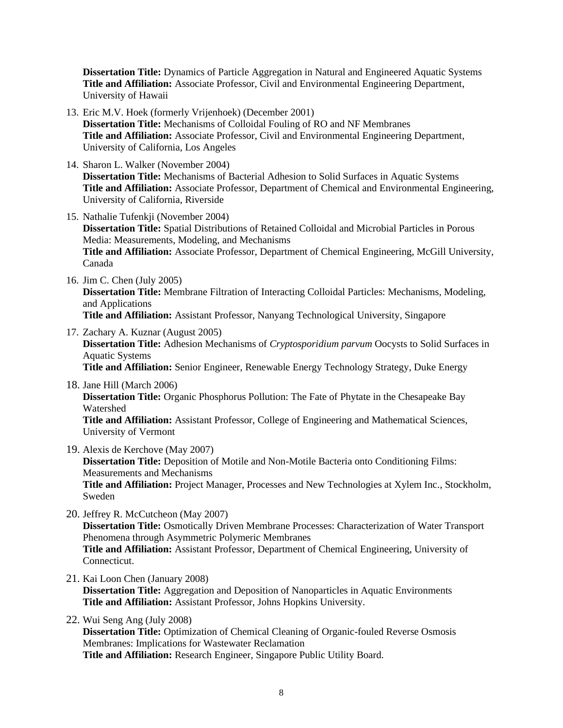**Dissertation Title:** Dynamics of Particle Aggregation in Natural and Engineered Aquatic Systems **Title and Affiliation:** Associate Professor, Civil and Environmental Engineering Department, University of Hawaii

- 13. Eric M.V. Hoek (formerly Vrijenhoek) (December 2001) **Dissertation Title:** Mechanisms of Colloidal Fouling of RO and NF Membranes **Title and Affiliation:** Associate Professor, Civil and Environmental Engineering Department, University of California, Los Angeles
- 14. Sharon L. Walker (November 2004) **Dissertation Title:** Mechanisms of Bacterial Adhesion to Solid Surfaces in Aquatic Systems **Title and Affiliation:** Associate Professor, Department of Chemical and Environmental Engineering, University of California, Riverside
- 15. Nathalie Tufenkji (November 2004) **Dissertation Title:** Spatial Distributions of Retained Colloidal and Microbial Particles in Porous Media: Measurements, Modeling, and Mechanisms **Title and Affiliation:** Associate Professor, Department of Chemical Engineering, McGill University, Canada
- 16. Jim C. Chen (July 2005)

**Dissertation Title:** Membrane Filtration of Interacting Colloidal Particles: Mechanisms, Modeling, and Applications

- **Title and Affiliation:** Assistant Professor, Nanyang Technological University, Singapore
- 17. Zachary A. Kuznar (August 2005) **Dissertation Title:** Adhesion Mechanisms of *Cryptosporidium parvum* Oocysts to Solid Surfaces in Aquatic Systems **Title and Affiliation:** Senior Engineer, Renewable Energy Technology Strategy, Duke Energy
- 18. Jane Hill (March 2006)

**Dissertation Title:** Organic Phosphorus Pollution: The Fate of Phytate in the Chesapeake Bay Watershed

**Title and Affiliation:** Assistant Professor, College of Engineering and Mathematical Sciences, University of Vermont

- 19. Alexis de Kerchove (May 2007) **Dissertation Title:** Deposition of Motile and Non-Motile Bacteria onto Conditioning Films: Measurements and Mechanisms **Title and Affiliation:** Project Manager, Processes and New Technologies at Xylem Inc., Stockholm, Sweden
- 20. Jeffrey R. McCutcheon (May 2007) **Dissertation Title:** Osmotically Driven Membrane Processes: Characterization of Water Transport Phenomena through Asymmetric Polymeric Membranes **Title and Affiliation:** Assistant Professor, Department of Chemical Engineering, University of Connecticut.
- 21. Kai Loon Chen (January 2008) **Dissertation Title:** Aggregation and Deposition of Nanoparticles in Aquatic Environments **Title and Affiliation:** Assistant Professor, Johns Hopkins University.
- 22. Wui Seng Ang (July 2008) **Dissertation Title:** Optimization of Chemical Cleaning of Organic-fouled Reverse Osmosis Membranes: Implications for Wastewater Reclamation **Title and Affiliation:** Research Engineer, Singapore Public Utility Board.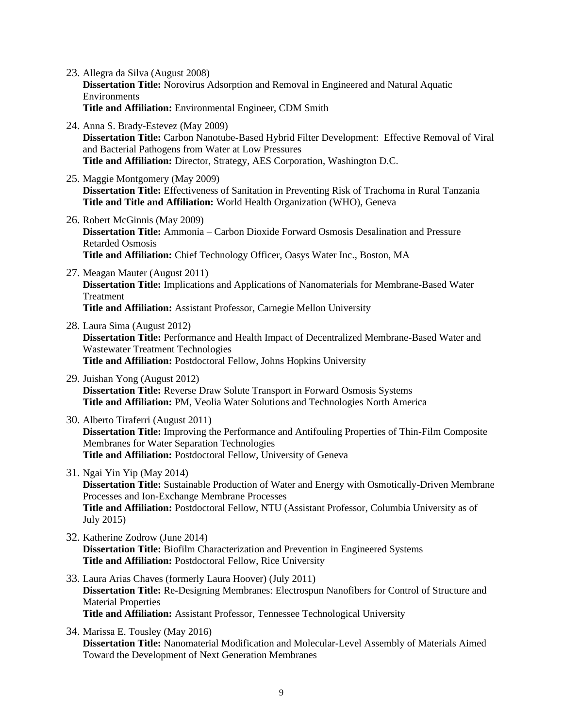23. Allegra da Silva (August 2008)

**Dissertation Title:** Norovirus Adsorption and Removal in Engineered and Natural Aquatic Environments

**Title and Affiliation:** Environmental Engineer, CDM Smith

- 24. Anna S. Brady-Estevez (May 2009) **Dissertation Title:** Carbon Nanotube-Based Hybrid Filter Development: Effective Removal of Viral and Bacterial Pathogens from Water at Low Pressures **Title and Affiliation:** Director, Strategy, AES Corporation, Washington D.C.
- 25. Maggie Montgomery (May 2009) **Dissertation Title:** Effectiveness of Sanitation in Preventing Risk of Trachoma in Rural Tanzania **Title and Title and Affiliation:** World Health Organization (WHO), Geneva
- 26. Robert McGinnis (May 2009) **Dissertation Title:** Ammonia – Carbon Dioxide Forward Osmosis Desalination and Pressure Retarded Osmosis **Title and Affiliation:** Chief Technology Officer, Oasys Water Inc., Boston, MA
- 27. Meagan Mauter (August 2011) **Dissertation Title:** Implications and Applications of Nanomaterials for Membrane-Based Water Treatment **Title and Affiliation:** Assistant Professor, Carnegie Mellon University
- 28. Laura Sima (August 2012) **Dissertation Title:** Performance and Health Impact of Decentralized Membrane-Based Water and Wastewater Treatment Technologies **Title and Affiliation:** Postdoctoral Fellow, Johns Hopkins University
- 29. Juishan Yong (August 2012) **Dissertation Title:** Reverse Draw Solute Transport in Forward Osmosis Systems **Title and Affiliation:** PM, Veolia Water Solutions and Technologies North America
- 30. Alberto Tiraferri (August 2011) **Dissertation Title:** Improving the Performance and Antifouling Properties of Thin-Film Composite Membranes for Water Separation Technologies **Title and Affiliation:** Postdoctoral Fellow, University of Geneva
- 31. Ngai Yin Yip (May 2014) **Dissertation Title:** Sustainable Production of Water and Energy with Osmotically-Driven Membrane Processes and Ion-Exchange Membrane Processes **Title and Affiliation:** Postdoctoral Fellow, NTU (Assistant Professor, Columbia University as of July 2015)
- 32. Katherine Zodrow (June 2014) **Dissertation Title:** Biofilm Characterization and Prevention in Engineered Systems **Title and Affiliation:** Postdoctoral Fellow, Rice University
- 33. Laura Arias Chaves (formerly Laura Hoover) (July 2011) **Dissertation Title:** Re-Designing Membranes: Electrospun Nanofibers for Control of Structure and Material Properties **Title and Affiliation:** Assistant Professor, Tennessee Technological University
- 34. Marissa E. Tousley (May 2016) **Dissertation Title:** Nanomaterial Modification and Molecular-Level Assembly of Materials Aimed Toward the Development of Next Generation Membranes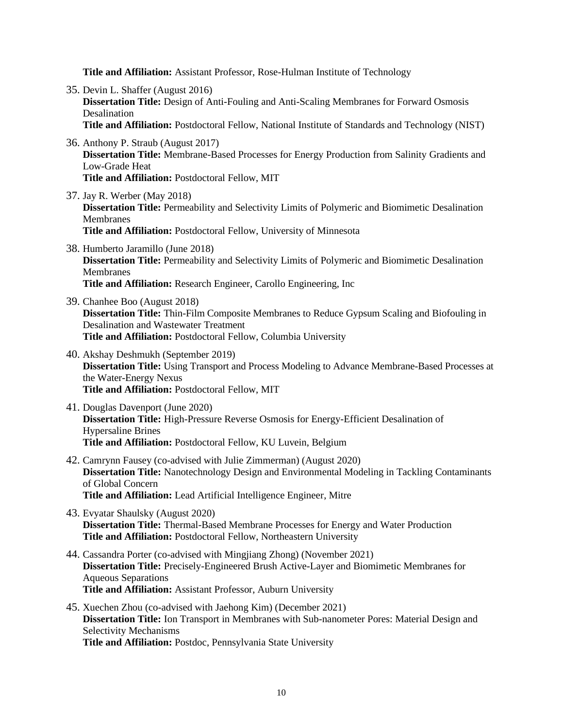**Title and Affiliation:** Assistant Professor, Rose-Hulman Institute of Technology

- 35. Devin L. Shaffer (August 2016) **Dissertation Title:** Design of Anti-Fouling and Anti-Scaling Membranes for Forward Osmosis Desalination **Title and Affiliation:** Postdoctoral Fellow, National Institute of Standards and Technology (NIST)
- 36. Anthony P. Straub (August 2017) **Dissertation Title:** Membrane-Based Processes for Energy Production from Salinity Gradients and Low-Grade Heat **Title and Affiliation:** Postdoctoral Fellow, MIT
- 37. Jay R. Werber (May 2018) **Dissertation Title:** Permeability and Selectivity Limits of Polymeric and Biomimetic Desalination **Membranes Title and Affiliation:** Postdoctoral Fellow, University of Minnesota
- 38. Humberto Jaramillo (June 2018) **Dissertation Title:** Permeability and Selectivity Limits of Polymeric and Biomimetic Desalination Membranes **Title and Affiliation:** Research Engineer, Carollo Engineering, Inc
- 39. Chanhee Boo (August 2018) **Dissertation Title:** Thin-Film Composite Membranes to Reduce Gypsum Scaling and Biofouling in Desalination and Wastewater Treatment **Title and Affiliation:** Postdoctoral Fellow, Columbia University
- 40. Akshay Deshmukh (September 2019) **Dissertation Title:** Using Transport and Process Modeling to Advance Membrane-Based Processes at the Water-Energy Nexus **Title and Affiliation:** Postdoctoral Fellow, MIT
- 41. Douglas Davenport (June 2020) **Dissertation Title:** High-Pressure Reverse Osmosis for Energy-Efficient Desalination of Hypersaline Brines **Title and Affiliation:** Postdoctoral Fellow, KU Luvein, Belgium
- 42. Camrynn Fausey (co-advised with Julie Zimmerman) (August 2020) **Dissertation Title:** Nanotechnology Design and Environmental Modeling in Tackling Contaminants of Global Concern **Title and Affiliation:** Lead Artificial Intelligence Engineer, Mitre
- 43. Evyatar Shaulsky (August 2020) **Dissertation Title:** Thermal-Based Membrane Processes for Energy and Water Production **Title and Affiliation:** Postdoctoral Fellow, Northeastern University
- 44. Cassandra Porter (co-advised with Mingjiang Zhong) (November 2021) **Dissertation Title:** Precisely-Engineered Brush Active-Layer and Biomimetic Membranes for Aqueous Separations **Title and Affiliation:** Assistant Professor, Auburn University
- 45. Xuechen Zhou (co-advised with Jaehong Kim) (December 2021) **Dissertation Title:** Ion Transport in Membranes with Sub-nanometer Pores: Material Design and Selectivity Mechanisms **Title and Affiliation:** Postdoc, Pennsylvania State University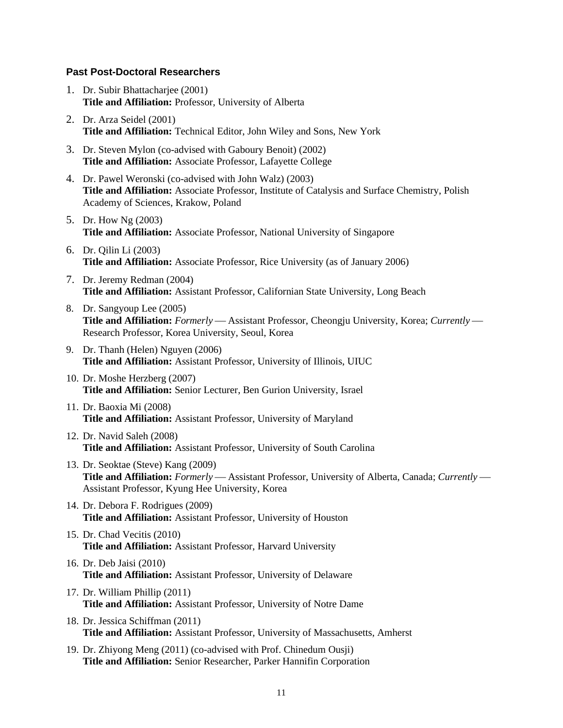#### **Past Post-Doctoral Researchers**

- 1. Dr. Subir Bhattacharjee (2001) **Title and Affiliation:** Professor, University of Alberta
- 2. Dr. Arza Seidel (2001) **Title and Affiliation:** Technical Editor, John Wiley and Sons, New York
- 3. Dr. Steven Mylon (co-advised with Gaboury Benoit) (2002) **Title and Affiliation:** Associate Professor, Lafayette College
- 4. Dr. Pawel Weronski (co-advised with John Walz) (2003) **Title and Affiliation:** Associate Professor, Institute of Catalysis and Surface Chemistry, Polish Academy of Sciences, Krakow, Poland
- 5. Dr. How Ng (2003) **Title and Affiliation:** Associate Professor, National University of Singapore
- 6. Dr. Qilin Li (2003) **Title and Affiliation:** Associate Professor, Rice University (as of January 2006)
- 7. Dr. Jeremy Redman (2004) **Title and Affiliation:** Assistant Professor, Californian State University, Long Beach
- 8. Dr. Sangyoup Lee (2005) Title and Affiliation: *Formerly* - Assistant Professor, Cheongju University, Korea; *Currently* -Research Professor, Korea University, Seoul, Korea
- 9. Dr. Thanh (Helen) Nguyen (2006) **Title and Affiliation:** Assistant Professor, University of Illinois, UIUC
- 10. Dr. Moshe Herzberg (2007) **Title and Affiliation:** Senior Lecturer, Ben Gurion University, Israel
- 11. Dr. Baoxia Mi (2008) **Title and Affiliation:** Assistant Professor, University of Maryland
- 12. Dr. Navid Saleh (2008) **Title and Affiliation:** Assistant Professor, University of South Carolina
- 13. Dr. Seoktae (Steve) Kang (2009) **Title and Affiliation:** *Formerly* — Assistant Professor, University of Alberta, Canada; *Currently* — Assistant Professor, Kyung Hee University, Korea
- 14. Dr. Debora F. Rodrigues (2009) **Title and Affiliation:** Assistant Professor, University of Houston
- 15. Dr. Chad Vecitis (2010) **Title and Affiliation:** Assistant Professor, Harvard University
- 16. Dr. Deb Jaisi (2010) **Title and Affiliation:** Assistant Professor, University of Delaware
- 17. Dr. William Phillip (2011) **Title and Affiliation:** Assistant Professor, University of Notre Dame
- 18. Dr. Jessica Schiffman (2011) **Title and Affiliation:** Assistant Professor, University of Massachusetts, Amherst
- 19. Dr. Zhiyong Meng (2011) (co-advised with Prof. Chinedum Ousji) **Title and Affiliation:** Senior Researcher, Parker Hannifin Corporation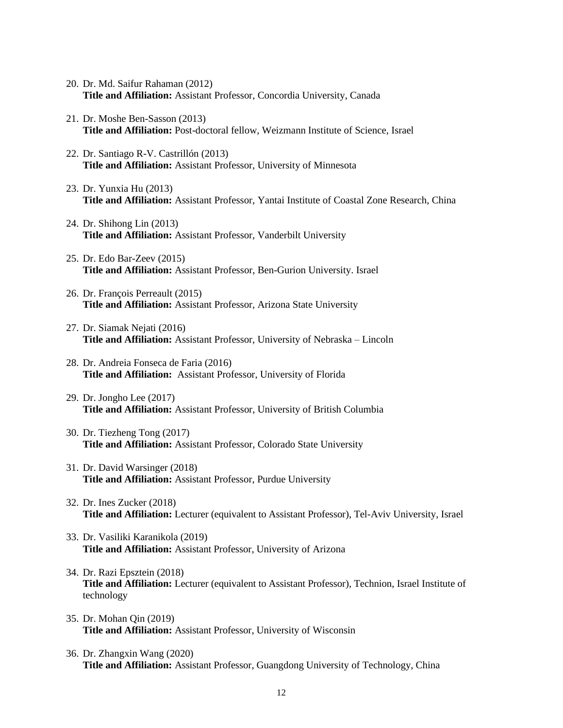- 20. Dr. Md. Saifur Rahaman (2012) **Title and Affiliation:** Assistant Professor, Concordia University, Canada
- 21. Dr. Moshe Ben-Sasson (2013) **Title and Affiliation:** Post-doctoral fellow, Weizmann Institute of Science, Israel
- 22. Dr. Santiago R-V. Castrillón (2013) **Title and Affiliation:** Assistant Professor, University of Minnesota
- 23. Dr. Yunxia Hu (2013) **Title and Affiliation:** Assistant Professor, Yantai Institute of Coastal Zone Research, China
- 24. Dr. Shihong Lin (2013) **Title and Affiliation:** Assistant Professor, Vanderbilt University
- 25. Dr. Edo Bar-Zeev (2015) **Title and Affiliation:** Assistant Professor, Ben-Gurion University. Israel
- 26. Dr. François Perreault (2015) **Title and Affiliation:** Assistant Professor, Arizona State University
- 27. Dr. Siamak Nejati (2016) **Title and Affiliation:** Assistant Professor, University of Nebraska – Lincoln
- 28. Dr. Andreia Fonseca de Faria (2016) **Title and Affiliation:** Assistant Professor, University of Florida
- 29. Dr. Jongho Lee (2017) **Title and Affiliation:** Assistant Professor, University of British Columbia
- 30. Dr. Tiezheng Tong (2017) **Title and Affiliation:** Assistant Professor, Colorado State University
- 31. Dr. David Warsinger (2018) **Title and Affiliation:** Assistant Professor, Purdue University
- 32. Dr. Ines Zucker (2018) **Title and Affiliation:** Lecturer (equivalent to Assistant Professor), Tel-Aviv University, Israel
- 33. Dr. Vasiliki Karanikola (2019) **Title and Affiliation:** Assistant Professor, University of Arizona
- 34. Dr. Razi Epsztein (2018) **Title and Affiliation:** Lecturer (equivalent to Assistant Professor), Technion, Israel Institute of technology
- 35. Dr. Mohan Qin (2019) **Title and Affiliation:** Assistant Professor, University of Wisconsin
- 36. Dr. Zhangxin Wang (2020) **Title and Affiliation:** Assistant Professor, Guangdong University of Technology, China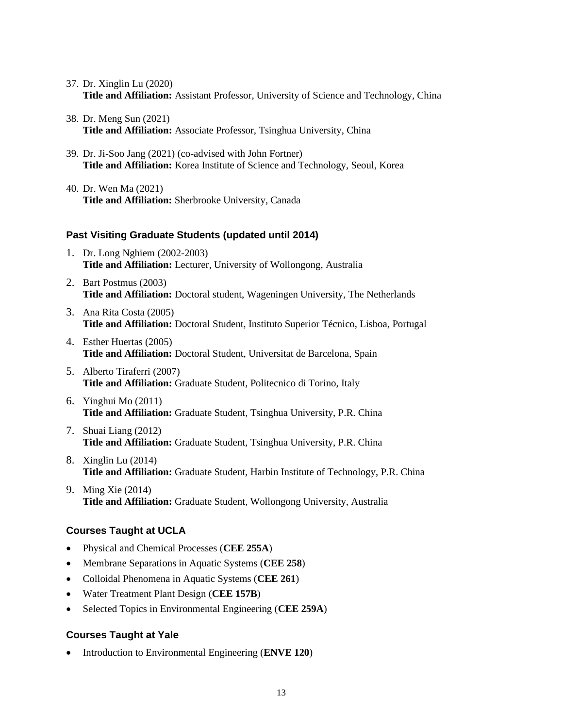- 37. Dr. Xinglin Lu (2020) **Title and Affiliation:** Assistant Professor, University of Science and Technology, China
- 38. Dr. Meng Sun (2021) **Title and Affiliation:** Associate Professor, Tsinghua University, China
- 39. Dr. Ji-Soo Jang (2021) (co-advised with John Fortner) **Title and Affiliation:** Korea Institute of Science and Technology, Seoul, Korea
- 40. Dr. Wen Ma (2021) **Title and Affiliation:** Sherbrooke University, Canada

#### **Past Visiting Graduate Students (updated until 2014)**

- 1. Dr. Long Nghiem (2002-2003) **Title and Affiliation:** Lecturer, University of Wollongong, Australia
- 2. Bart Postmus (2003) **Title and Affiliation:** Doctoral student, Wageningen University, The Netherlands
- 3. Ana Rita Costa (2005) **Title and Affiliation:** Doctoral Student, Instituto Superior Técnico, Lisboa, Portugal
- 4. Esther Huertas (2005) **Title and Affiliation:** Doctoral Student, Universitat de Barcelona, Spain
- 5. Alberto Tiraferri (2007) **Title and Affiliation:** Graduate Student, Politecnico di Torino, Italy
- 6. Yinghui Mo (2011) **Title and Affiliation:** Graduate Student, Tsinghua University, P.R. China
- 7. Shuai Liang (2012) **Title and Affiliation:** Graduate Student, Tsinghua University, P.R. China
- 8. Xinglin Lu (2014) **Title and Affiliation:** Graduate Student, Harbin Institute of Technology, P.R. China
- 9. Ming Xie (2014) **Title and Affiliation:** Graduate Student, Wollongong University, Australia

#### **Courses Taught at UCLA**

- Physical and Chemical Processes (**CEE 255A**)
- Membrane Separations in Aquatic Systems (**CEE 258**)
- Colloidal Phenomena in Aquatic Systems (**CEE 261**)
- Water Treatment Plant Design (**CEE 157B**)
- Selected Topics in Environmental Engineering (**CEE 259A**)

#### **Courses Taught at Yale**

• Introduction to Environmental Engineering (**ENVE 120**)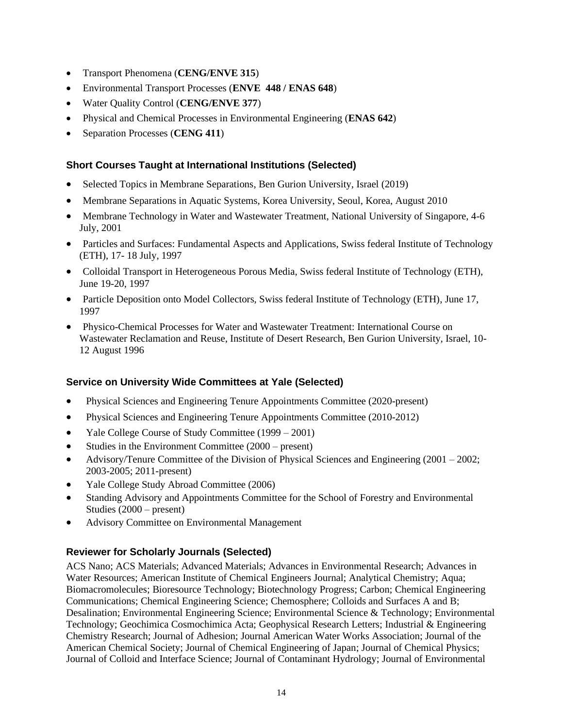- Transport Phenomena (**CENG/ENVE 315**)
- Environmental Transport Processes (**ENVE 448 / ENAS 648**)
- Water Quality Control (**CENG/ENVE 377**)
- Physical and Chemical Processes in Environmental Engineering (**ENAS 642**)
- Separation Processes (**CENG 411**)

# **Short Courses Taught at International Institutions (Selected)**

- Selected Topics in Membrane Separations, Ben Gurion University, Israel (2019)
- Membrane Separations in Aquatic Systems, Korea University, Seoul, Korea, August 2010
- Membrane Technology in Water and Wastewater Treatment, National University of Singapore, 4-6 July, 2001
- Particles and Surfaces: Fundamental Aspects and Applications, Swiss federal Institute of Technology (ETH), 17- 18 July, 1997
- Colloidal Transport in Heterogeneous Porous Media, Swiss federal Institute of Technology (ETH), June 19-20, 1997
- Particle Deposition onto Model Collectors, Swiss federal Institute of Technology (ETH), June 17, 1997
- Physico-Chemical Processes for Water and Wastewater Treatment: International Course on Wastewater Reclamation and Reuse, Institute of Desert Research, Ben Gurion University, Israel, 10- 12 August 1996

# **Service on University Wide Committees at Yale (Selected)**

- Physical Sciences and Engineering Tenure Appointments Committee (2020-present)
- Physical Sciences and Engineering Tenure Appointments Committee (2010-2012)
- Yale College Course of Study Committee (1999 2001)
- Studies in the Environment Committee (2000 present)
- Advisory/Tenure Committee of the Division of Physical Sciences and Engineering (2001 2002; 2003-2005; 2011-present)
- Yale College Study Abroad Committee (2006)
- Standing Advisory and Appointments Committee for the School of Forestry and Environmental Studies (2000 – present)
- Advisory Committee on Environmental Management

# **Reviewer for Scholarly Journals (Selected)**

ACS Nano; ACS Materials; Advanced Materials; Advances in Environmental Research; Advances in Water Resources; American Institute of Chemical Engineers Journal; Analytical Chemistry; Aqua; Biomacromolecules; Bioresource Technology; Biotechnology Progress; Carbon; Chemical Engineering Communications; Chemical Engineering Science; Chemosphere; Colloids and Surfaces A and B; Desalination; Environmental Engineering Science; Environmental Science & Technology; Environmental Technology; Geochimica Cosmochimica Acta; Geophysical Research Letters; Industrial & Engineering Chemistry Research; Journal of Adhesion; Journal American Water Works Association; Journal of the American Chemical Society; Journal of Chemical Engineering of Japan; Journal of Chemical Physics; Journal of Colloid and Interface Science; Journal of Contaminant Hydrology; Journal of Environmental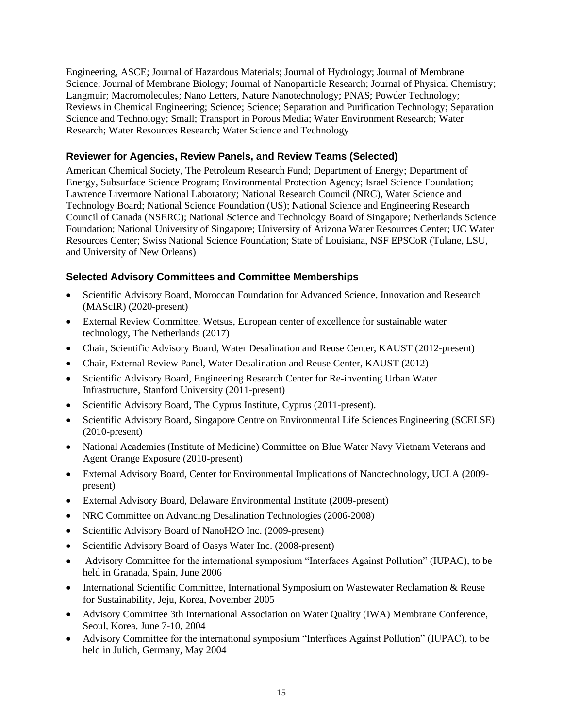Engineering, ASCE; Journal of Hazardous Materials; Journal of Hydrology; Journal of Membrane Science; Journal of Membrane Biology; Journal of Nanoparticle Research; Journal of Physical Chemistry; Langmuir; Macromolecules; Nano Letters, Nature Nanotechnology; PNAS; Powder Technology; Reviews in Chemical Engineering; Science; Science; Separation and Purification Technology; Separation Science and Technology; Small; Transport in Porous Media; Water Environment Research; Water Research; Water Resources Research; Water Science and Technology

# **Reviewer for Agencies, Review Panels, and Review Teams (Selected)**

American Chemical Society, The Petroleum Research Fund; Department of Energy; Department of Energy, Subsurface Science Program; Environmental Protection Agency; Israel Science Foundation; Lawrence Livermore National Laboratory; National Research Council (NRC), Water Science and Technology Board; National Science Foundation (US); National Science and Engineering Research Council of Canada (NSERC); National Science and Technology Board of Singapore; Netherlands Science Foundation; National University of Singapore; University of Arizona Water Resources Center; UC Water Resources Center; Swiss National Science Foundation; State of Louisiana, NSF EPSCoR (Tulane, LSU, and University of New Orleans)

# **Selected Advisory Committees and Committee Memberships**

- Scientific Advisory Board, Moroccan Foundation for Advanced Science, Innovation and Research (MAScIR) (2020-present)
- External Review Committee, Wetsus, European center of excellence for sustainable water technology, The Netherlands (2017)
- Chair, Scientific Advisory Board, Water Desalination and Reuse Center, KAUST (2012-present)
- Chair, External Review Panel, Water Desalination and Reuse Center, KAUST (2012)
- Scientific Advisory Board, Engineering Research Center for Re-inventing Urban Water Infrastructure, Stanford University (2011-present)
- Scientific Advisory Board, The Cyprus Institute, Cyprus (2011-present).
- Scientific Advisory Board, Singapore Centre on Environmental Life Sciences Engineering (SCELSE) (2010-present)
- National Academies (Institute of Medicine) Committee on Blue Water Navy Vietnam Veterans and Agent Orange Exposure (2010-present)
- External Advisory Board, Center for Environmental Implications of Nanotechnology, UCLA (2009 present)
- External Advisory Board, Delaware Environmental Institute (2009-present)
- NRC Committee on Advancing Desalination Technologies (2006-2008)
- Scientific Advisory Board of NanoH2O Inc. (2009-present)
- Scientific Advisory Board of Oasys Water Inc. (2008-present)
- Advisory Committee for the international symposium "Interfaces Against Pollution" (IUPAC), to be held in Granada, Spain, June 2006
- International Scientific Committee, International Symposium on Wastewater Reclamation & Reuse for Sustainability, Jeju, Korea, November 2005
- Advisory Committee 3th International Association on Water Quality (IWA) Membrane Conference, Seoul, Korea, June 7-10, 2004
- Advisory Committee for the international symposium "Interfaces Against Pollution" (IUPAC), to be held in Julich, Germany, May 2004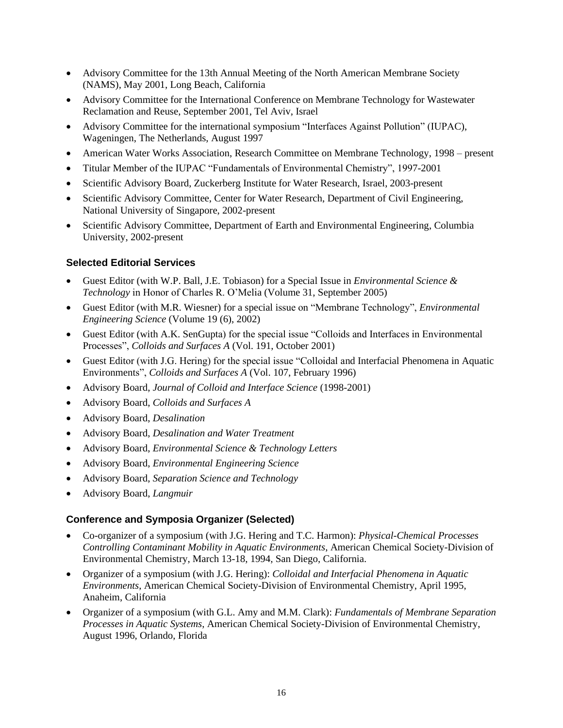- Advisory Committee for the 13th Annual Meeting of the North American Membrane Society (NAMS), May 2001, Long Beach, California
- Advisory Committee for the International Conference on Membrane Technology for Wastewater Reclamation and Reuse, September 2001, Tel Aviv, Israel
- Advisory Committee for the international symposium "Interfaces Against Pollution" (IUPAC), Wageningen, The Netherlands, August 1997
- American Water Works Association, Research Committee on Membrane Technology, 1998 present
- Titular Member of the IUPAC "Fundamentals of Environmental Chemistry", 1997-2001
- Scientific Advisory Board, Zuckerberg Institute for Water Research, Israel, 2003-present
- Scientific Advisory Committee, Center for Water Research, Department of Civil Engineering, National University of Singapore, 2002-present
- Scientific Advisory Committee, Department of Earth and Environmental Engineering, Columbia University, 2002-present

## **Selected Editorial Services**

- Guest Editor (with W.P. Ball, J.E. Tobiason) for a Special Issue in *Environmental Science & Technology* in Honor of Charles R. O'Melia (Volume 31, September 2005)
- Guest Editor (with M.R. Wiesner) for a special issue on "Membrane Technology", *Environmental Engineering Science* (Volume 19 (6), 2002)
- Guest Editor (with A.K. SenGupta) for the special issue "Colloids and Interfaces in Environmental Processes", *Colloids and Surfaces A* (Vol. 191, October 2001)
- Guest Editor (with J.G. Hering) for the special issue "Colloidal and Interfacial Phenomena in Aquatic Environments", *Colloids and Surfaces A* (Vol. 107, February 1996)
- Advisory Board, *Journal of Colloid and Interface Science* (1998-2001)
- Advisory Board, *Colloids and Surfaces A*
- Advisory Board, *Desalination*
- Advisory Board, *Desalination and Water Treatment*
- Advisory Board, *Environmental Science & Technology Letters*
- Advisory Board, *Environmental Engineering Science*
- Advisory Board, *Separation Science and Technology*
- Advisory Board, *Langmuir*

## **Conference and Symposia Organizer (Selected)**

- Co-organizer of a symposium (with J.G. Hering and T.C. Harmon): *Physical-Chemical Processes Controlling Contaminant Mobility in Aquatic Environments*, American Chemical Society-Division of Environmental Chemistry, March 13-18, 1994, San Diego, California.
- Organizer of a symposium (with J.G. Hering): *Colloidal and Interfacial Phenomena in Aquatic Environments*, American Chemical Society-Division of Environmental Chemistry, April 1995, Anaheim, California
- Organizer of a symposium (with G.L. Amy and M.M. Clark): *Fundamentals of Membrane Separation Processes in Aquatic Systems*, American Chemical Society-Division of Environmental Chemistry, August 1996, Orlando, Florida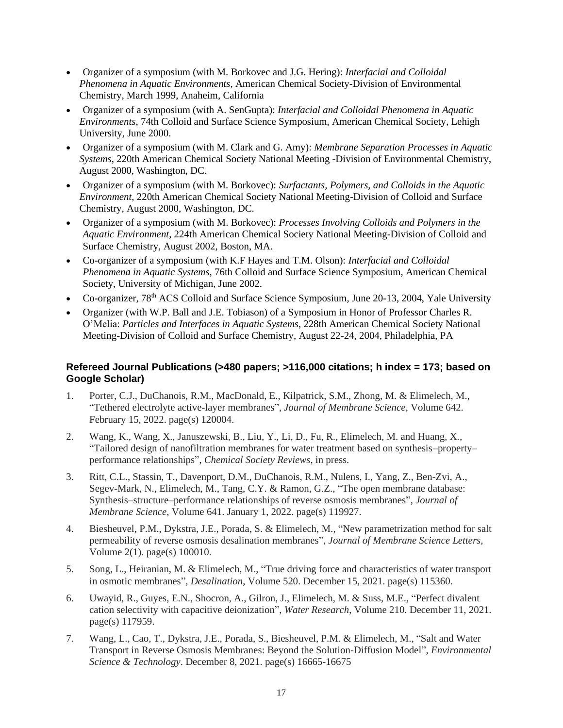- Organizer of a symposium (with M. Borkovec and J.G. Hering): *Interfacial and Colloidal Phenomena in Aquatic Environments*, American Chemical Society-Division of Environmental Chemistry, March 1999, Anaheim, California
- Organizer of a symposium (with A. SenGupta): *Interfacial and Colloidal Phenomena in Aquatic Environments*, 74th Colloid and Surface Science Symposium, American Chemical Society, Lehigh University, June 2000.
- Organizer of a symposium (with M. Clark and G. Amy): *Membrane Separation Processes in Aquatic Systems*, 220th American Chemical Society National Meeting -Division of Environmental Chemistry, August 2000, Washington, DC.
- Organizer of a symposium (with M. Borkovec): *Surfactants, Polymers, and Colloids in the Aquatic Environment*, 220th American Chemical Society National Meeting-Division of Colloid and Surface Chemistry, August 2000, Washington, DC.
- Organizer of a symposium (with M. Borkovec): *Processes Involving Colloids and Polymers in the Aquatic Environment*, 224th American Chemical Society National Meeting-Division of Colloid and Surface Chemistry, August 2002, Boston, MA.
- Co-organizer of a symposium (with K.F Hayes and T.M. Olson): *Interfacial and Colloidal Phenomena in Aquatic Systems*, 76th Colloid and Surface Science Symposium, American Chemical Society, University of Michigan, June 2002.
- Co-organizer, 78<sup>th</sup> ACS Colloid and Surface Science Symposium, June 20-13, 2004, Yale University
- Organizer (with W.P. Ball and J.E. Tobiason) of a Symposium in Honor of Professor Charles R. O'Melia: *Particles and Interfaces in Aquatic Systems*, 228th American Chemical Society National Meeting-Division of Colloid and Surface Chemistry, August 22-24, 2004, Philadelphia, PA

## **Refereed Journal Publications (>480 papers; >116,000 citations; h index = 173; based on Google Scholar)**

- 1. Porter, C.J., DuChanois, R.M., MacDonald, E., Kilpatrick, S.M., Zhong, M. & Elimelech, M., "Tethered electrolyte active-layer membranes", *Journal of Membrane Science*, Volume 642. February 15, 2022. page(s) 120004.
- 2. Wang, K., Wang, X., Januszewski, B., Liu, Y., Li, D., Fu, R., Elimelech, M. and Huang, X., "Tailored design of nanofiltration membranes for water treatment based on synthesis–property– performance relationships", *Chemical Society Reviews,* in press.
- 3. Ritt, C.L., Stassin, T., Davenport, D.M., DuChanois, R.M., Nulens, I., Yang, Z., Ben-Zvi, A., Segev-Mark, N., Elimelech, M., Tang, C.Y. & Ramon, G.Z., "The open membrane database: Synthesis–structure–performance relationships of reverse osmosis membranes", *Journal of Membrane Science*, Volume 641. January 1, 2022. page(s) 119927.
- 4. Biesheuvel, P.M., Dykstra, J.E., Porada, S. & Elimelech, M., "New parametrization method for salt permeability of reverse osmosis desalination membranes", *Journal of Membrane Science Letters,* Volume 2(1). page(s) 100010.
- 5. Song, L., Heiranian, M. & Elimelech, M., "True driving force and characteristics of water transport in osmotic membranes", *Desalination*, Volume 520. December 15, 2021. page(s) 115360.
- 6. Uwayid, R., Guyes, E.N., Shocron, A., Gilron, J., Elimelech, M. & Suss, M.E., "Perfect divalent cation selectivity with capacitive deionization", *Water Research*, Volume 210. December 11, 2021. page(s) 117959.
- 7. Wang, L., Cao, T., Dykstra, J.E., Porada, S., Biesheuvel, P.M. & Elimelech, M., "Salt and Water Transport in Reverse Osmosis Membranes: Beyond the Solution-Diffusion Model", *Environmental Science & Technology*. December 8, 2021. page(s) 16665-16675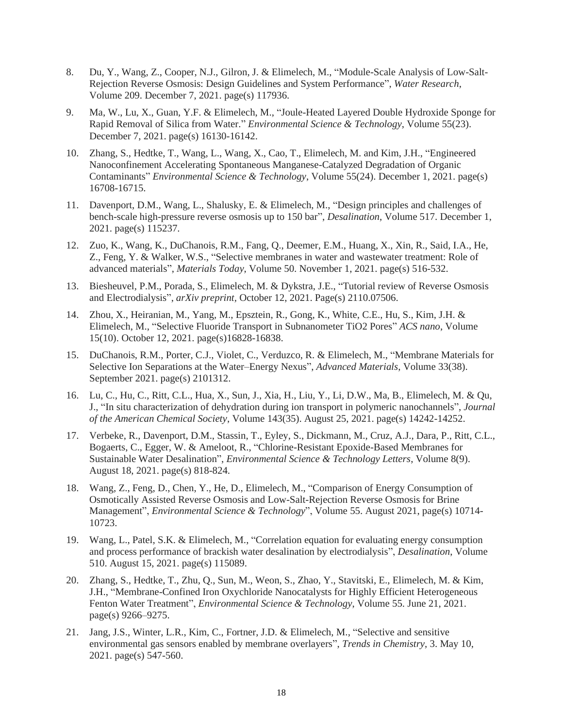- 8. Du, Y., Wang, Z., Cooper, N.J., Gilron, J. & Elimelech, M., "Module-Scale Analysis of Low-Salt-Rejection Reverse Osmosis: Design Guidelines and System Performance", *Water Research*, Volume 209. December 7, 2021. page(s) 117936.
- 9. Ma, W., Lu, X., Guan, Y.F. & Elimelech, M., "Joule-Heated Layered Double Hydroxide Sponge for Rapid Removal of Silica from Water." *Environmental Science & Technology*, Volume 55(23). December 7, 2021. page(s) 16130-16142.
- 10. Zhang, S., Hedtke, T., Wang, L., Wang, X., Cao, T., Elimelech, M. and Kim, J.H., "Engineered Nanoconfinement Accelerating Spontaneous Manganese-Catalyzed Degradation of Organic Contaminants" *Environmental Science & Technology*, Volume 55(24). December 1, 2021. page(s) 16708-16715.
- 11. Davenport, D.M., Wang, L., Shalusky, E. & Elimelech, M., "Design principles and challenges of bench-scale high-pressure reverse osmosis up to 150 bar", *Desalination*, Volume 517. December 1, 2021. page(s) 115237.
- 12. Zuo, K., Wang, K., DuChanois, R.M., Fang, Q., Deemer, E.M., Huang, X., Xin, R., Said, I.A., He, Z., Feng, Y. & Walker, W.S., "Selective membranes in water and wastewater treatment: Role of advanced materials", *Materials Today*, Volume 50. November 1, 2021. page(s) 516-532.
- 13. Biesheuvel, P.M., Porada, S., Elimelech, M. & Dykstra, J.E., "Tutorial review of Reverse Osmosis and Electrodialysis", *arXiv preprint,* October 12, 2021. Page(s) 2110.07506.
- 14. Zhou, X., Heiranian, M., Yang, M., Epsztein, R., Gong, K., White, C.E., Hu, S., Kim, J.H. & Elimelech, M., "Selective Fluoride Transport in Subnanometer TiO2 Pores" *ACS nano*, Volume 15(10). October 12, 2021. page(s)16828-16838.
- 15. DuChanois, R.M., Porter, C.J., Violet, C., Verduzco, R. & Elimelech, M., "Membrane Materials for Selective Ion Separations at the Water–Energy Nexus", *Advanced Materials*, Volume 33(38). September 2021. page(s) 2101312.
- 16. Lu, C., Hu, C., Ritt, C.L., Hua, X., Sun, J., Xia, H., Liu, Y., Li, D.W., Ma, B., Elimelech, M. & Qu, J., "In situ characterization of dehydration during ion transport in polymeric nanochannels", *Journal of the American Chemical Society*, Volume 143(35). August 25, 2021. page(s) 14242-14252.
- 17. Verbeke, R., Davenport, D.M., Stassin, T., Eyley, S., Dickmann, M., Cruz, A.J., Dara, P., Ritt, C.L., Bogaerts, C., Egger, W. & Ameloot, R., "Chlorine-Resistant Epoxide-Based Membranes for Sustainable Water Desalination", *Environmental Science & Technology Letters*, Volume 8(9). August 18, 2021. page(s) 818-824.
- 18. Wang, Z., Feng, D., Chen, Y., He, D., Elimelech, M., "Comparison of Energy Consumption of Osmotically Assisted Reverse Osmosis and Low-Salt-Rejection Reverse Osmosis for Brine Management", *Environmental Science & Technology*", Volume 55. August 2021, page(s) 10714- 10723.
- 19. Wang, L., Patel, S.K. & Elimelech, M., "Correlation equation for evaluating energy consumption and process performance of brackish water desalination by electrodialysis", *Desalination*, Volume 510. August 15, 2021. page(s) 115089.
- 20. Zhang, S., Hedtke, T., Zhu, Q., Sun, M., Weon, S., Zhao, Y., Stavitski, E., Elimelech, M. & Kim, J.H., "Membrane-Confined Iron Oxychloride Nanocatalysts for Highly Efficient Heterogeneous Fenton Water Treatment", *Environmental Science & Technology*, Volume 55. June 21, 2021. page(s) 9266–9275.
- 21. Jang, J.S., Winter, L.R., Kim, C., Fortner, J.D. & Elimelech, M., "Selective and sensitive environmental gas sensors enabled by membrane overlayers", *Trends in Chemistry*, 3. May 10, 2021. page(s) 547-560.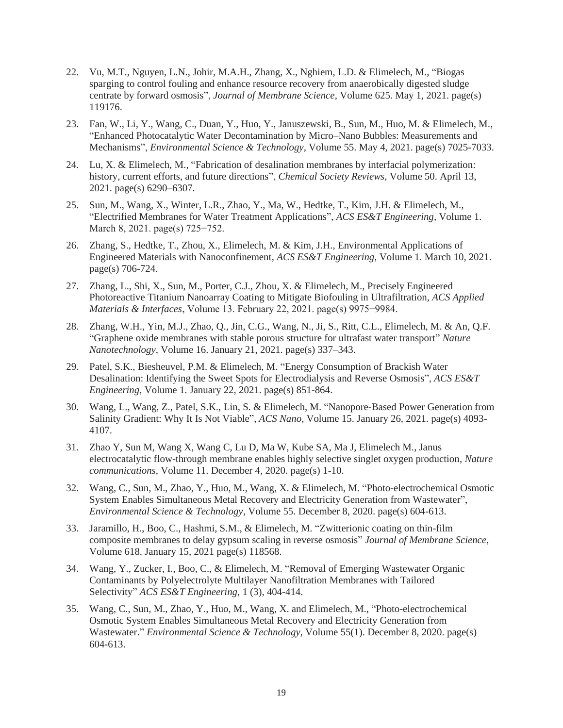- 22. Vu, M.T., Nguyen, L.N., Johir, M.A.H., Zhang, X., Nghiem, L.D. & Elimelech, M., "Biogas sparging to control fouling and enhance resource recovery from anaerobically digested sludge centrate by forward osmosis", *Journal of Membrane Science*, Volume 625. May 1, 2021. page(s) 119176.
- 23. Fan, W., Li, Y., Wang, C., Duan, Y., Huo, Y., Januszewski, B., Sun, M., Huo, M. & Elimelech, M., "Enhanced Photocatalytic Water Decontamination by Micro–Nano Bubbles: Measurements and Mechanisms", *Environmental Science & Technology*, Volume 55. May 4, 2021. page(s) 7025-7033.
- 24. Lu, X. & Elimelech, M., "Fabrication of desalination membranes by interfacial polymerization: history, current efforts, and future directions", *Chemical Society Reviews*, Volume 50. April 13, 2021. page(s) 6290–6307.
- 25. Sun, M., Wang, X., Winter, L.R., Zhao, Y., Ma, W., Hedtke, T., Kim, J.H. & Elimelech, M., "Electrified Membranes for Water Treatment Applications", *ACS ES&T Engineering*, Volume 1. March 8, 2021. page(s) 725−752.
- 26. Zhang, S., Hedtke, T., Zhou, X., Elimelech, M. & Kim, J.H., Environmental Applications of Engineered Materials with Nanoconfinement, *ACS ES&T Engineering*, Volume 1. March 10, 2021. page(s) 706-724.
- 27. Zhang, L., Shi, X., Sun, M., Porter, C.J., Zhou, X. & Elimelech, M., Precisely Engineered Photoreactive Titanium Nanoarray Coating to Mitigate Biofouling in Ultrafiltration, *ACS Applied Materials & Interfaces*, Volume 13. February 22, 2021. page(s) 9975−9984.
- 28. Zhang, W.H., Yin, M.J., Zhao, Q., Jin, C.G., Wang, N., Ji, S., Ritt, C.L., Elimelech, M. & An, Q.F. "Graphene oxide membranes with stable porous structure for ultrafast water transport" *Nature Nanotechnology*, Volume 16. January 21, 2021. page(s) 337–343.
- 29. Patel, S.K., Biesheuvel, P.M. & Elimelech, M. "Energy Consumption of Brackish Water Desalination: Identifying the Sweet Spots for Electrodialysis and Reverse Osmosis", *ACS ES&T Engineering*, Volume 1. January 22, 2021. page(s) 851-864.
- 30. Wang, L., Wang, Z., Patel, S.K., Lin, S. & Elimelech, M. "Nanopore-Based Power Generation from Salinity Gradient: Why It Is Not Viable", *ACS Nano*, Volume 15. January 26, 2021. page(s) 4093- 4107.
- 31. Zhao Y, Sun M, Wang X, Wang C, Lu D, Ma W, Kube SA, Ma J, Elimelech M., Janus electrocatalytic flow-through membrane enables highly selective singlet oxygen production, *Nature communications*, Volume 11. December 4, 2020. page(s) 1-10.
- 32. Wang, C., Sun, M., Zhao, Y., Huo, M., Wang, X. & Elimelech, M. "Photo-electrochemical Osmotic System Enables Simultaneous Metal Recovery and Electricity Generation from Wastewater", *Environmental Science & Technology*, Volume 55. December 8, 2020. page(s) 604-613.
- 33. Jaramillo, H., Boo, C., Hashmi, S.M., & Elimelech, M. "Zwitterionic coating on thin-film composite membranes to delay gypsum scaling in reverse osmosis" *Journal of Membrane Science*, Volume 618. January 15, 2021 page(s) 118568.
- 34. Wang, Y., Zucker, I., Boo, C., & Elimelech, M. "Removal of Emerging Wastewater Organic Contaminants by Polyelectrolyte Multilayer Nanofiltration Membranes with Tailored Selectivity" *ACS ES&T Engineering*, 1 (3), 404-414.
- 35. Wang, C., Sun, M., Zhao, Y., Huo, M., Wang, X. and Elimelech, M., "Photo-electrochemical Osmotic System Enables Simultaneous Metal Recovery and Electricity Generation from Wastewater." *Environmental Science & Technology*, Volume 55(1). December 8, 2020. page(s) 604-613.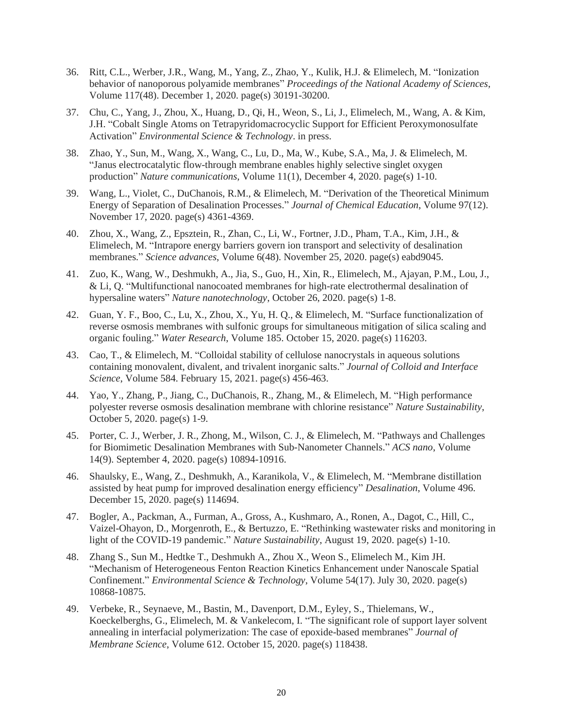- 36. Ritt, C.L., Werber, J.R., Wang, M., Yang, Z., Zhao, Y., Kulik, H.J. & Elimelech, M. "Ionization behavior of nanoporous polyamide membranes" *Proceedings of the National Academy of Sciences*, Volume 117(48). December 1, 2020. page(s) 30191-30200.
- 37. Chu, C., Yang, J., Zhou, X., Huang, D., Qi, H., Weon, S., Li, J., Elimelech, M., Wang, A. & Kim, J.H. "Cobalt Single Atoms on Tetrapyridomacrocyclic Support for Efficient Peroxymonosulfate Activation" *Environmental Science & Technology*. in press.
- 38. Zhao, Y., Sun, M., Wang, X., Wang, C., Lu, D., Ma, W., Kube, S.A., Ma, J. & Elimelech, M. "Janus electrocatalytic flow-through membrane enables highly selective singlet oxygen production" *Nature communications*, Volume 11(1), December 4, 2020. page(s) 1-10.
- 39. Wang, L., Violet, C., DuChanois, R.M., & Elimelech, M. "Derivation of the Theoretical Minimum Energy of Separation of Desalination Processes." *Journal of Chemical Education*, Volume 97(12). November 17, 2020. page(s) 4361-4369.
- 40. Zhou, X., Wang, Z., Epsztein, R., Zhan, C., Li, W., Fortner, J.D., Pham, T.A., Kim, J.H., & Elimelech, M. "Intrapore energy barriers govern ion transport and selectivity of desalination membranes." *Science advances*, Volume 6(48). November 25, 2020. page(s) eabd9045.
- 41. Zuo, K., Wang, W., Deshmukh, A., Jia, S., Guo, H., Xin, R., Elimelech, M., Ajayan, P.M., Lou, J., & Li, Q. "Multifunctional nanocoated membranes for high-rate electrothermal desalination of hypersaline waters" *Nature nanotechnology*, October 26, 2020. page(s) 1-8.
- 42. Guan, Y. F., Boo, C., Lu, X., Zhou, X., Yu, H. Q., & Elimelech, M. "Surface functionalization of reverse osmosis membranes with sulfonic groups for simultaneous mitigation of silica scaling and organic fouling." *Water Research*, Volume 185. October 15, 2020. page(s) 116203.
- 43. Cao, T., & Elimelech, M. "Colloidal stability of cellulose nanocrystals in aqueous solutions containing monovalent, divalent, and trivalent inorganic salts." *Journal of Colloid and Interface Science*, Volume 584. February 15, 2021. page(s) 456-463.
- 44. Yao, Y., Zhang, P., Jiang, C., DuChanois, R., Zhang, M., & Elimelech, M. "High performance polyester reverse osmosis desalination membrane with chlorine resistance" *Nature Sustainability*, October 5, 2020. page(s) 1-9.
- 45. Porter, C. J., Werber, J. R., Zhong, M., Wilson, C. J., & Elimelech, M. "Pathways and Challenges for Biomimetic Desalination Membranes with Sub-Nanometer Channels." *ACS nano*, Volume 14(9). September 4, 2020. page(s) 10894-10916.
- 46. Shaulsky, E., Wang, Z., Deshmukh, A., Karanikola, V., & Elimelech, M. "Membrane distillation assisted by heat pump for improved desalination energy efficiency" *Desalination*, Volume 496. December 15, 2020. page(s) 114694.
- 47. Bogler, A., Packman, A., Furman, A., Gross, A., Kushmaro, A., Ronen, A., Dagot, C., Hill, C., Vaizel-Ohayon, D., Morgenroth, E., & Bertuzzo, E. "Rethinking wastewater risks and monitoring in light of the COVID-19 pandemic." *Nature Sustainability*, August 19, 2020. page(s) 1-10.
- 48. Zhang S., Sun M., Hedtke T., Deshmukh A., Zhou X., Weon S., Elimelech M., Kim JH. "Mechanism of Heterogeneous Fenton Reaction Kinetics Enhancement under Nanoscale Spatial Confinement." *Environmental Science & Technology*, Volume 54(17). July 30, 2020. page(s) 10868-10875.
- 49. Verbeke, R., Seynaeve, M., Bastin, M., Davenport, D.M., Eyley, S., Thielemans, W., Koeckelberghs, G., Elimelech, M. & Vankelecom, I. "The significant role of support layer solvent annealing in interfacial polymerization: The case of epoxide-based membranes" *Journal of Membrane Science*, Volume 612. October 15, 2020. page(s) 118438.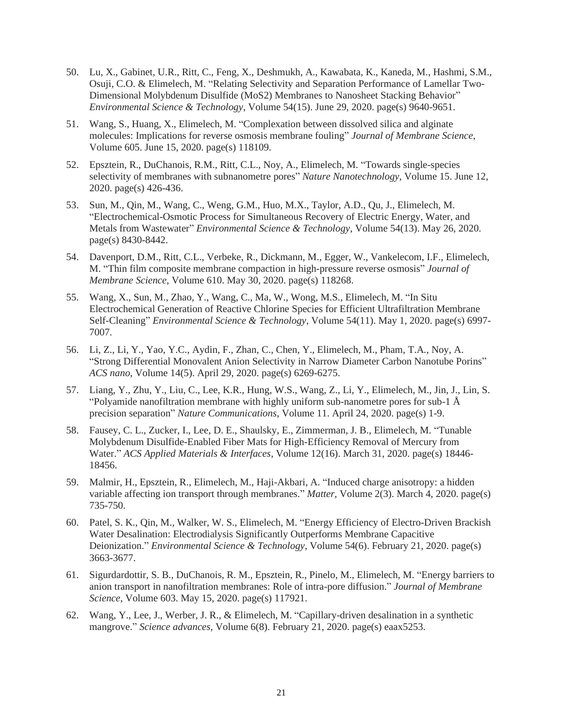- 50. Lu, X., Gabinet, U.R., Ritt, C., Feng, X., Deshmukh, A., Kawabata, K., Kaneda, M., Hashmi, S.M., Osuji, C.O. & Elimelech, M. "Relating Selectivity and Separation Performance of Lamellar Two-Dimensional Molybdenum Disulfide (MoS2) Membranes to Nanosheet Stacking Behavior" *Environmental Science & Technology*, Volume 54(15). June 29, 2020. page(s) 9640-9651.
- 51. Wang, S., Huang, X., Elimelech, M. "Complexation between dissolved silica and alginate molecules: Implications for reverse osmosis membrane fouling" *Journal of Membrane Science*, Volume 605. June 15, 2020. page(s) 118109.
- 52. Epsztein, R., DuChanois, R.M., Ritt, C.L., Noy, A., Elimelech, M. "Towards single-species selectivity of membranes with subnanometre pores" *Nature Nanotechnology*, Volume 15. June 12, 2020. page(s) 426-436.
- 53. Sun, M., Qin, M., Wang, C., Weng, G.M., Huo, M.X., Taylor, A.D., Qu, J., Elimelech, M. "Electrochemical-Osmotic Process for Simultaneous Recovery of Electric Energy, Water, and Metals from Wastewater" *Environmental Science & Technology*, Volume 54(13). May 26, 2020. page(s) 8430-8442.
- 54. Davenport, D.M., Ritt, C.L., Verbeke, R., Dickmann, M., Egger, W., Vankelecom, I.F., Elimelech, M. "Thin film composite membrane compaction in high-pressure reverse osmosis" *Journal of Membrane Science*, Volume 610. May 30, 2020. page(s) 118268.
- 55. Wang, X., Sun, M., Zhao, Y., Wang, C., Ma, W., Wong, M.S., Elimelech, M. "In Situ Electrochemical Generation of Reactive Chlorine Species for Efficient Ultrafiltration Membrane Self-Cleaning" *Environmental Science & Technology*, Volume 54(11). May 1, 2020. page(s) 6997- 7007.
- 56. Li, Z., Li, Y., Yao, Y.C., Aydin, F., Zhan, C., Chen, Y., Elimelech, M., Pham, T.A., Noy, A. "Strong Differential Monovalent Anion Selectivity in Narrow Diameter Carbon Nanotube Porins" *ACS nano*, Volume 14(5). April 29, 2020. page(s) 6269-6275.
- 57. Liang, Y., Zhu, Y., Liu, C., Lee, K.R., Hung, W.S., Wang, Z., Li, Y., Elimelech, M., Jin, J., Lin, S. "Polyamide nanofiltration membrane with highly uniform sub-nanometre pores for sub-1  $\AA$ precision separation" *Nature Communications*, Volume 11. April 24, 2020. page(s) 1-9.
- 58. Fausey, C. L., Zucker, I., Lee, D. E., Shaulsky, E., Zimmerman, J. B., Elimelech, M. "Tunable Molybdenum Disulfide-Enabled Fiber Mats for High-Efficiency Removal of Mercury from Water." *ACS Applied Materials & Interfaces*, Volume 12(16). March 31, 2020. page(s) 18446- 18456.
- 59. Malmir, H., Epsztein, R., Elimelech, M., Haji-Akbari, A. "Induced charge anisotropy: a hidden variable affecting ion transport through membranes." *Matter*, Volume 2(3). March 4, 2020. page(s) 735-750.
- 60. Patel, S. K., Qin, M., Walker, W. S., Elimelech, M. "Energy Efficiency of Electro-Driven Brackish Water Desalination: Electrodialysis Significantly Outperforms Membrane Capacitive Deionization." *Environmental Science & Technology*, Volume 54(6). February 21, 2020. page(s) 3663-3677.
- 61. Sigurdardottir, S. B., DuChanois, R. M., Epsztein, R., Pinelo, M., Elimelech, M. "Energy barriers to anion transport in nanofiltration membranes: Role of intra-pore diffusion." *Journal of Membrane Science*, Volume 603. May 15, 2020. page(s) 117921.
- 62. Wang, Y., Lee, J., Werber, J. R., & Elimelech, M. "Capillary-driven desalination in a synthetic mangrove." *Science advances*, Volume 6(8). February 21, 2020. page(s) eaax5253.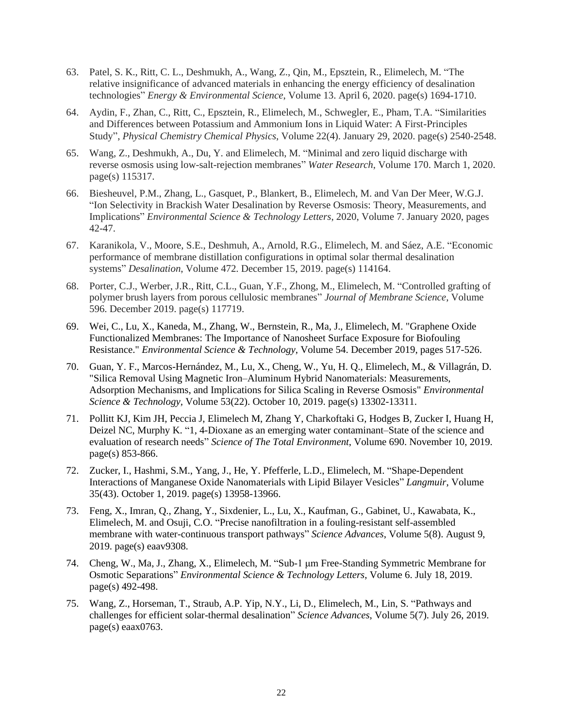- 63. Patel, S. K., Ritt, C. L., Deshmukh, A., Wang, Z., Qin, M., Epsztein, R., Elimelech, M. "The relative insignificance of advanced materials in enhancing the energy efficiency of desalination technologies" *Energy & Environmental Science*, Volume 13. April 6, 2020. page(s) 1694-1710.
- 64. Aydin, F., Zhan, C., Ritt, C., Epsztein, R., Elimelech, M., Schwegler, E., Pham, T.A. "Similarities and Differences between Potassium and Ammonium Ions in Liquid Water: A First-Principles Study", *Physical Chemistry Chemical Physics*, Volume 22(4). January 29, 2020. page(s) 2540-2548.
- 65. Wang, Z., Deshmukh, A., Du, Y. and Elimelech, M. "Minimal and zero liquid discharge with reverse osmosis using low-salt-rejection membranes" *Water Research*, Volume 170. March 1, 2020. page(s) 115317.
- 66. Biesheuvel, P.M., Zhang, L., Gasquet, P., Blankert, B., Elimelech, M. and Van Der Meer, W.G.J. "Ion Selectivity in Brackish Water Desalination by Reverse Osmosis: Theory, Measurements, and Implications" *Environmental Science & Technology Letters*, 2020, Volume 7. January 2020, pages 42-47.
- 67. Karanikola, V., Moore, S.E., Deshmuh, A., Arnold, R.G., Elimelech, M. and Sáez, A.E. "Economic performance of membrane distillation configurations in optimal solar thermal desalination systems" *Desalination*, Volume 472. December 15, 2019. page(s) 114164.
- 68. Porter, C.J., Werber, J.R., Ritt, C.L., Guan, Y.F., Zhong, M., Elimelech, M. "Controlled grafting of polymer brush layers from porous cellulosic membranes" *Journal of Membrane Science*, Volume 596. December 2019. page(s) 117719.
- 69. Wei, C., Lu, X., Kaneda, M., Zhang, W., Bernstein, R., Ma, J., Elimelech, M. "Graphene Oxide Functionalized Membranes: The Importance of Nanosheet Surface Exposure for Biofouling Resistance." *Environmental Science & Technology*, Volume 54. December 2019, pages 517-526.
- 70. Guan, Y. F., Marcos-Hernández, M., Lu, X., Cheng, W., Yu, H. Q., Elimelech, M., & Villagrán, D. "Silica Removal Using Magnetic Iron–Aluminum Hybrid Nanomaterials: Measurements, Adsorption Mechanisms, and Implications for Silica Scaling in Reverse Osmosis" *Environmental Science & Technology,* Volume 53(22). October 10, 2019. page(s) 13302-13311.
- 71. Pollitt KJ, Kim JH, Peccia J, Elimelech M, Zhang Y, Charkoftaki G, Hodges B, Zucker I, Huang H, Deizel NC, Murphy K. "1, 4-Dioxane as an emerging water contaminant–State of the science and evaluation of research needs" *Science of The Total Environment*, Volume 690. November 10, 2019. page(s) 853-866.
- 72. Zucker, I., Hashmi, S.M., Yang, J., He, Y. Pfefferle, L.D., Elimelech, M. "Shape-Dependent Interactions of Manganese Oxide Nanomaterials with Lipid Bilayer Vesicles" *Langmuir*, Volume 35(43). October 1, 2019. page(s) 13958-13966.
- 73. Feng, X., Imran, Q., Zhang, Y., Sixdenier, L., Lu, X., Kaufman, G., Gabinet, U., Kawabata, K., Elimelech, M. and Osuji, C.O. "Precise nanofiltration in a fouling-resistant self-assembled membrane with water-continuous transport pathways" *Science Advances*, Volume 5(8). August 9, 2019. page(s) eaav9308.
- 74. Cheng, W., Ma, J., Zhang, X., Elimelech, M. "Sub-1 μm Free-Standing Symmetric Membrane for Osmotic Separations" *Environmental Science & Technology Letters*, Volume 6. July 18, 2019. page(s) 492-498.
- 75. Wang, Z., Horseman, T., Straub, A.P. Yip, N.Y., Li, D., Elimelech, M., Lin, S. "Pathways and challenges for efficient solar-thermal desalination" *Science Advances*, Volume 5(7). July 26, 2019. page(s) eaax0763.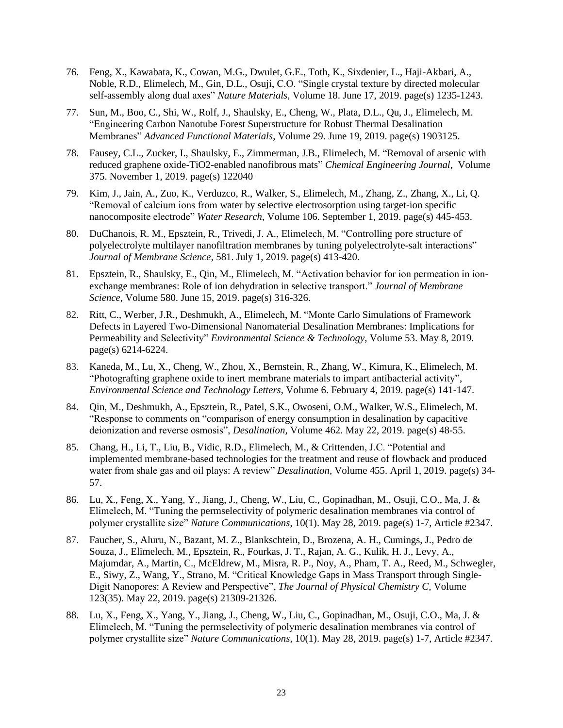- 76. Feng, X., Kawabata, K., Cowan, M.G., Dwulet, G.E., Toth, K., Sixdenier, L., Haji-Akbari, A., Noble, R.D., Elimelech, M., Gin, D.L., Osuji, C.O. "Single crystal texture by directed molecular self-assembly along dual axes" *Nature Materials*, Volume 18. June 17, 2019. page(s) 1235-1243.
- 77. Sun, M., Boo, C., Shi, W., Rolf, J., Shaulsky, E., Cheng, W., Plata, D.L., Qu, J., Elimelech, M. "Engineering Carbon Nanotube Forest Superstructure for Robust Thermal Desalination Membranes" *Advanced Functional Materials*, Volume 29. June 19, 2019. page(s) 1903125.
- 78. Fausey, C.L., Zucker, I., Shaulsky, E., Zimmerman, J.B., Elimelech, M. "Removal of arsenic with reduced graphene oxide-TiO2-enabled nanofibrous mats" *Chemical Engineering Journal*, Volume 375. November 1, 2019. page(s) 122040
- 79. Kim, J., Jain, A., Zuo, K., Verduzco, R., Walker, S., Elimelech, M., Zhang, Z., Zhang, X., Li, Q. "Removal of calcium ions from water by selective electrosorption using target-ion specific nanocomposite electrode" *Water Research*, Volume 106. September 1, 2019. page(s) 445-453.
- 80. DuChanois, R. M., Epsztein, R., Trivedi, J. A., Elimelech, M. "Controlling pore structure of polyelectrolyte multilayer nanofiltration membranes by tuning polyelectrolyte-salt interactions" *Journal of Membrane Science*, 581. July 1, 2019. page(s) 413-420.
- 81. Epsztein, R., Shaulsky, E., Qin, M., Elimelech, M. "Activation behavior for ion permeation in ionexchange membranes: Role of ion dehydration in selective transport." *Journal of Membrane Science*, Volume 580. June 15, 2019. page(s) 316-326.
- 82. Ritt, C., Werber, J.R., Deshmukh, A., Elimelech, M. "Monte Carlo Simulations of Framework Defects in Layered Two-Dimensional Nanomaterial Desalination Membranes: Implications for Permeability and Selectivity" *Environmental Science & Technology*, Volume 53. May 8, 2019. page(s) 6214-6224.
- 83. Kaneda, M., Lu, X., Cheng, W., Zhou, X., Bernstein, R., Zhang, W., Kimura, K., Elimelech, M. "Photografting graphene oxide to inert membrane materials to impart antibacterial activity", *Environmental Science and Technology Letters*, Volume 6. February 4, 2019. page(s) 141-147.
- 84. Qin, M., Deshmukh, A., Epsztein, R., Patel, S.K., Owoseni, O.M., Walker, W.S., Elimelech, M. "Response to comments on "comparison of energy consumption in desalination by capacitive deionization and reverse osmosis", *Desalination*, Volume 462. May 22, 2019. page(s) 48-55.
- 85. Chang, H., Li, T., Liu, B., Vidic, R.D., Elimelech, M., & Crittenden, J.C. "Potential and implemented membrane-based technologies for the treatment and reuse of flowback and produced water from shale gas and oil plays: A review" *Desalination*, Volume 455. April 1, 2019. page(s) 34- 57.
- 86. Lu, X., Feng, X., Yang, Y., Jiang, J., Cheng, W., Liu, C., Gopinadhan, M., Osuji, C.O., Ma, J. & Elimelech, M. "Tuning the permselectivity of polymeric desalination membranes via control of polymer crystallite size" *Nature Communications*, 10(1). May 28, 2019. page(s) 1-7, Article #2347.
- 87. Faucher, S., Aluru, N., Bazant, M. Z., Blankschtein, D., Brozena, A. H., Cumings, J., Pedro de Souza, J., Elimelech, M., Epsztein, R., Fourkas, J. T., Rajan, A. G., Kulik, H. J., Levy, A., Majumdar, A., Martin, C., McEldrew, M., Misra, R. P., Noy, A., Pham, T. A., Reed, M., Schwegler, E., Siwy, Z., Wang, Y., Strano, M. "Critical Knowledge Gaps in Mass Transport through Single-Digit Nanopores: A Review and Perspective", *The Journal of Physical Chemistry C,* Volume 123(35). May 22, 2019. page(s) 21309-21326.
- 88. Lu, X., Feng, X., Yang, Y., Jiang, J., Cheng, W., Liu, C., Gopinadhan, M., Osuji, C.O., Ma, J. & Elimelech, M. "Tuning the permselectivity of polymeric desalination membranes via control of polymer crystallite size" *Nature Communications*, 10(1). May 28, 2019. page(s) 1-7, Article #2347.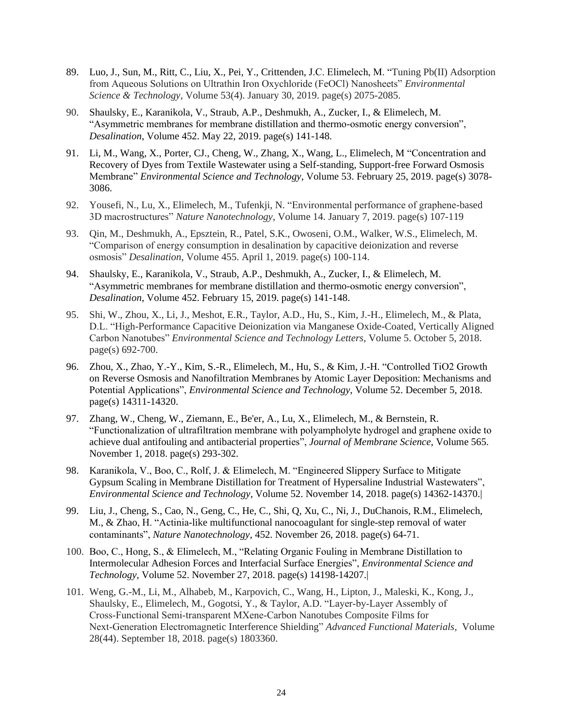- 89. Luo, J., Sun, M., Ritt, C., Liu, X., Pei, Y., Crittenden, J.C. Elimelech, M. "Tuning Pb(II) Adsorption from Aqueous Solutions on Ultrathin Iron Oxychloride (FeOCl) Nanosheets" *Environmental Science & Technology*, Volume 53(4). January 30, 2019. page(s) 2075-2085.
- 90. Shaulsky, E., Karanikola, V., Straub, A.P., Deshmukh, A., Zucker, I., & Elimelech, M. "Asymmetric membranes for membrane distillation and thermo-osmotic energy conversion", *Desalination*, Volume 452. May 22, 2019. page(s) 141-148.
- 91. Li, M., Wang, X., Porter, CJ., Cheng, W., Zhang, X., Wang, L., Elimelech, M "Concentration and Recovery of Dyes from Textile Wastewater using a Self-standing, Support-free Forward Osmosis Membrane" *Environmental Science and Technology*, Volume 53. February 25, 2019. page(s) 3078- 3086.
- 92. Yousefi, N., Lu, X., Elimelech, M., Tufenkji, N. "Environmental performance of graphene-based 3D macrostructures" *Nature Nanotechnology*, Volume 14. January 7, 2019. page(s) 107-119
- 93. Qin, M., Deshmukh, A., Epsztein, R., Patel, S.K., Owoseni, O.M., Walker, W.S., Elimelech, M. "Comparison of energy consumption in desalination by capacitive deionization and reverse osmosis" *Desalination*, Volume 455. April 1, 2019. page(s) 100-114.
- 94. Shaulsky, E., Karanikola, V., Straub, A.P., Deshmukh, A., Zucker, I., & Elimelech, M. "Asymmetric membranes for membrane distillation and thermo-osmotic energy conversion", *Desalination*, Volume 452. February 15, 2019. page(s) 141-148.
- 95. Shi, W., Zhou, X., Li, J., Meshot, E.R., Taylor, A.D., Hu, S., Kim, J.-H., Elimelech, M., & Plata, D.L. "High-Performance Capacitive Deionization via Manganese Oxide-Coated, Vertically Aligned Carbon Nanotubes" *Environmental Science and Technology Letters*, Volume 5. October 5, 2018. page(s) 692-700.
- 96. Zhou, X., Zhao, Y.-Y., Kim, S.-R., Elimelech, M., Hu, S., & Kim, J.-H. "Controlled TiO2 Growth on Reverse Osmosis and Nanofiltration Membranes by Atomic Layer Deposition: Mechanisms and Potential Applications", *Environmental Science and Technology*, Volume 52. December 5, 2018. page(s) 14311-14320.
- 97. Zhang, W., Cheng, W., Ziemann, E., Be'er, A., Lu, X., Elimelech, M., & Bernstein, R. "Functionalization of ultrafiltration membrane with polyampholyte hydrogel and graphene oxide to achieve dual antifouling and antibacterial properties", *Journal of Membrane Science*, Volume 565. November 1, 2018. page(s) 293-302.
- 98. Karanikola, V., Boo, C., Rolf, J. & Elimelech, M. "Engineered Slippery Surface to Mitigate Gypsum Scaling in Membrane Distillation for Treatment of Hypersaline Industrial Wastewaters", *Environmental Science and Technology*, Volume 52. November 14, 2018. page(s) 14362-14370.|
- 99. Liu, J., Cheng, S., Cao, N., Geng, C., He, C., Shi, Q, Xu, C., Ni, J., DuChanois, R.M., Elimelech, M., & Zhao, H. "Actinia-like multifunctional nanocoagulant for single-step removal of water contaminants", *Nature Nanotechnology*, 452. November 26, 2018. page(s) 64-71.
- 100. Boo, C., Hong, S., & Elimelech, M., "Relating Organic Fouling in Membrane Distillation to Intermolecular Adhesion Forces and Interfacial Surface Energies", *Environmental Science and Technology*, Volume 52. November 27, 2018. page(s) 14198-14207.|
- 101. Weng, G.-M., Li, M., Alhabeb, M., Karpovich, C., Wang, H., Lipton, J., Maleski, K., Kong, J., Shaulsky, E., Elimelech, M., Gogotsi, Y., & Taylor, A.D. "Layer‐by‐Layer Assembly of Cross‐Functional Semi‐transparent MXene‐Carbon Nanotubes Composite Films for Next‐Generation Electromagnetic Interference Shielding" *Advanced Functional Materials*, Volume 28(44). September 18, 2018. page(s) 1803360.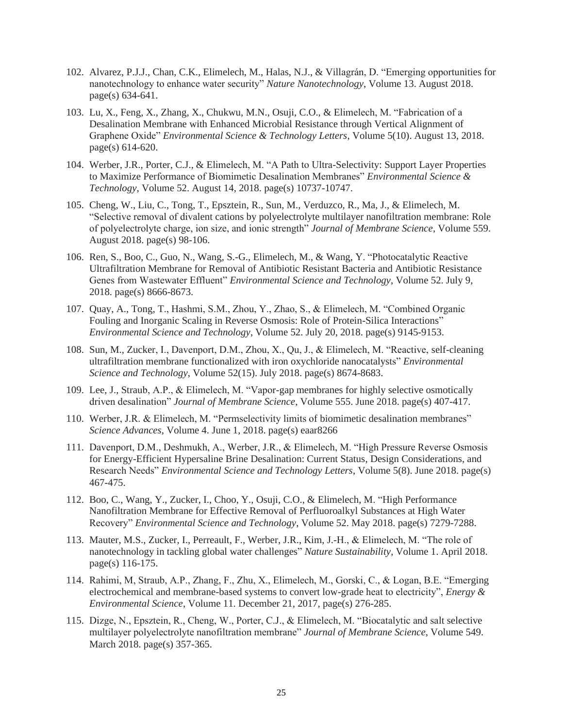- 102. Alvarez, P.J.J., Chan, C.K., Elimelech, M., Halas, N.J., & Villagrán, D. "Emerging opportunities for nanotechnology to enhance water security" *Nature Nanotechnology*, Volume 13. August 2018. page(s) 634-641.
- 103. Lu, X., Feng, X., Zhang, X., Chukwu, M.N., Osuji, C.O., & Elimelech, M. "Fabrication of a Desalination Membrane with Enhanced Microbial Resistance through Vertical Alignment of Graphene Oxide" *Environmental Science & Technology Letters*, Volume 5(10). August 13, 2018. page(s) 614-620.
- 104. Werber, J.R., Porter, C.J., & Elimelech, M. "A Path to Ultra-Selectivity: Support Layer Properties to Maximize Performance of Biomimetic Desalination Membranes" *Environmental Science & Technology*, Volume 52. August 14, 2018. page(s) 10737-10747.
- 105. Cheng, W., Liu, C., Tong, T., Epsztein, R., Sun, M., Verduzco, R., Ma, J., & Elimelech, M. "Selective removal of divalent cations by polyelectrolyte multilayer nanofiltration membrane: Role of polyelectrolyte charge, ion size, and ionic strength" *Journal of Membrane Science*, Volume 559. August 2018. page(s) 98-106.
- 106. Ren, S., Boo, C., Guo, N., Wang, S.-G., Elimelech, M., & Wang, Y. "Photocatalytic Reactive Ultrafiltration Membrane for Removal of Antibiotic Resistant Bacteria and Antibiotic Resistance Genes from Wastewater Effluent" *Environmental Science and Technology*, Volume 52. July 9, 2018. page(s) 8666-8673.
- 107. Quay, A., Tong, T., Hashmi, S.M., Zhou, Y., Zhao, S., & Elimelech, M. "Combined Organic Fouling and Inorganic Scaling in Reverse Osmosis: Role of Protein-Silica Interactions" *Environmental Science and Technology*, Volume 52. July 20, 2018. page(s) 9145-9153.
- 108. Sun, M., Zucker, I., Davenport, D.M., Zhou, X., Qu, J., & Elimelech, M. "Reactive, self-cleaning ultrafiltration membrane functionalized with iron oxychloride nanocatalysts" *Environmental Science and Technology*, Volume 52(15). July 2018. page(s) 8674-8683.
- 109. Lee, J., Straub, A.P., & Elimelech, M. "Vapor-gap membranes for highly selective osmotically driven desalination" *Journal of Membrane Science*, Volume 555. June 2018. page(s) 407-417.
- 110. Werber, J.R. & Elimelech, M. "Permselectivity limits of biomimetic desalination membranes" *Science Advances*, Volume 4. June 1, 2018. page(s) eaar8266
- 111. Davenport, D.M., Deshmukh, A., Werber, J.R., & Elimelech, M. "High Pressure Reverse Osmosis for Energy-Efficient Hypersaline Brine Desalination: Current Status, Design Considerations, and Research Needs" *Environmental Science and Technology Letters*, Volume 5(8). June 2018. page(s) 467-475.
- 112. Boo, C., Wang, Y., Zucker, I., Choo, Y., Osuji, C.O., & Elimelech, M. "High Performance Nanofiltration Membrane for Effective Removal of Perfluoroalkyl Substances at High Water Recovery" *Environmental Science and Technology*, Volume 52. May 2018. page(s) 7279-7288.
- 113. Mauter, M.S., Zucker, I., Perreault, F., Werber, J.R., Kim, J.-H., & Elimelech, M. "The role of nanotechnology in tackling global water challenges" *Nature Sustainability*, Volume 1. April 2018. page(s) 116-175.
- 114. Rahimi, M, Straub, A.P., Zhang, F., Zhu, X., Elimelech, M., Gorski, C., & Logan, B.E. "Emerging electrochemical and membrane-based systems to convert low-grade heat to electricity", *Energy & Environmental Science*, Volume 11. December 21, 2017, page(s) 276-285.
- 115. Dizge, N., Epsztein, R., Cheng, W., Porter, C.J., & Elimelech, M. "Biocatalytic and salt selective multilayer polyelectrolyte nanofiltration membrane" *Journal of Membrane Science*, Volume 549. March 2018. page(s) 357-365.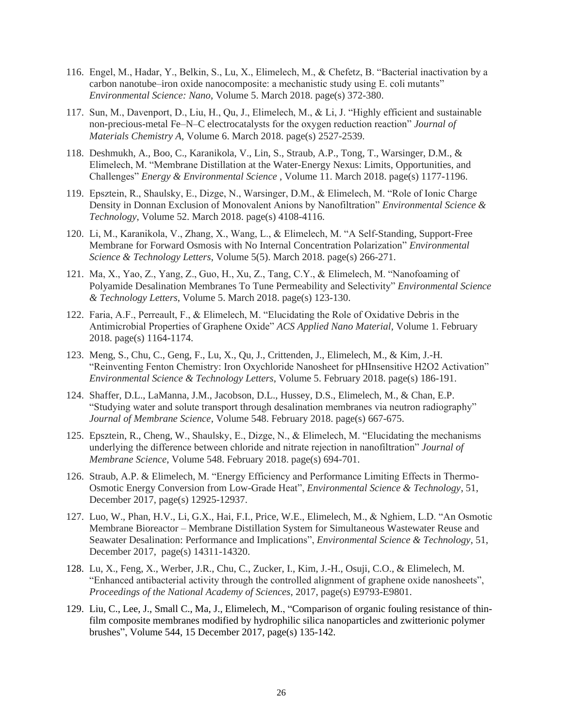- 116. Engel, M., Hadar, Y., Belkin, S., Lu, X., Elimelech, M., & Chefetz, B. "Bacterial inactivation by a carbon nanotube–iron oxide nanocomposite: a mechanistic study using E. coli mutants" *Environmental Science: Nano*, Volume 5. March 2018. page(s) 372-380.
- 117. Sun, M., Davenport, D., Liu, H., Qu, J., Elimelech, M., & Li, J. "Highly efficient and sustainable non-precious-metal Fe–N–C electrocatalysts for the oxygen reduction reaction" *Journal of Materials Chemistry A*, Volume 6. March 2018. page(s) 2527-2539.
- 118. Deshmukh, A., Boo, C., Karanikola, V., Lin, S., Straub, A.P., Tong, T., Warsinger, D.M., & Elimelech, M. "Membrane Distillation at the Water-Energy Nexus: Limits, Opportunities, and Challenges" *Energy & Environmental Science* , Volume 11. March 2018. page(s) 1177-1196.
- 119. Epsztein, R., Shaulsky, E., Dizge, N., Warsinger, D.M., & Elimelech, M. "Role of Ionic Charge Density in Donnan Exclusion of Monovalent Anions by Nanofiltration" *Environmental Science & Technology*, Volume 52. March 2018. page(s) 4108-4116.
- 120. Li, M., Karanikola, V., Zhang, X., Wang, L., & Elimelech, M. "A Self-Standing, Support-Free Membrane for Forward Osmosis with No Internal Concentration Polarization" *Environmental Science & Technology Letters*, Volume 5(5). March 2018. page(s) 266-271.
- 121. Ma, X., Yao, Z., Yang, Z., Guo, H., Xu, Z., Tang, C.Y., & Elimelech, M. "Nanofoaming of Polyamide Desalination Membranes To Tune Permeability and Selectivity" *Environmental Science & Technology Letters*, Volume 5. March 2018. page(s) 123-130.
- 122. Faria, A.F., Perreault, F., & Elimelech, M. "Elucidating the Role of Oxidative Debris in the Antimicrobial Properties of Graphene Oxide" *ACS Applied Nano Material*, Volume 1. February 2018. page(s) 1164-1174.
- 123. Meng, S., Chu, C., Geng, F., Lu, X., Qu, J., Crittenden, J., Elimelech, M., & Kim, J.-H. "Reinventing Fenton Chemistry: Iron Oxychloride Nanosheet for pHInsensitive H2O2 Activation" *Environmental Science & Technology Letters*, Volume 5. February 2018. page(s) 186-191.
- 124. Shaffer, D.L., LaManna, J.M., Jacobson, D.L., Hussey, D.S., Elimelech, M., & Chan, E.P. "Studying water and solute transport through desalination membranes via neutron radiography" *Journal of Membrane Science*, Volume 548. February 2018. page(s) 667-675.
- 125. Epsztein, R., Cheng, W., Shaulsky, E., Dizge, N., & Elimelech, M. "Elucidating the mechanisms underlying the difference between chloride and nitrate rejection in nanofiltration" *Journal of Membrane Science*, Volume 548. February 2018. page(s) 694-701.
- 126. Straub, A.P. & Elimelech, M. "Energy Efficiency and Performance Limiting Effects in Thermo-Osmotic Energy Conversion from Low-Grade Heat", *Environmental Science & Technology*, 51, December 2017, page(s) 12925-12937.
- 127. Luo, W., Phan, H.V., Li, G.X., Hai, F.I., Price, W.E., Elimelech, M., & Nghiem, L.D. "An Osmotic Membrane Bioreactor – Membrane Distillation System for Simultaneous Wastewater Reuse and Seawater Desalination: Performance and Implications", *Environmental Science & Technology*, 51, December 2017, page(s) 14311-14320.
- 128. Lu, X., Feng, X., Werber, J.R., Chu, C., Zucker, I., Kim, J.-H., Osuji, C.O., & Elimelech, M. "Enhanced antibacterial activity through the controlled alignment of graphene oxide nanosheets", *Proceedings of the National Academy of Sciences*, 2017, page(s) E9793-E9801.
- 129. Liu, C., Lee, J., Small C., Ma, J., Elimelech, M., ["Comparison of organic fouling](http://www.sciencedirect.com/science/article/pii/S0376738817313947) resistance of thin[film composite membranes modified by hydrophilic silica nanoparticles and zwitterionic polymer](http://www.sciencedirect.com/science/article/pii/S0376738817313947)  [brushes"](http://www.sciencedirect.com/science/article/pii/S0376738817313947), [Volume 544,](http://www.sciencedirect.com/science/journal/03767388/544/supp/C) 15 December 2017, page(s) 135-142.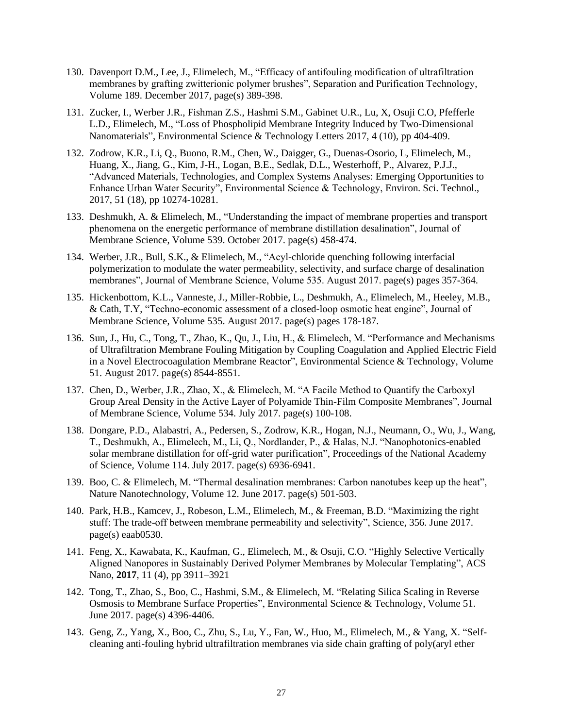- 130. Davenport D.M., Lee, J., Elimelech, M., "Efficacy of antifouling modification of ultrafiltration membranes by grafting zwitterionic polymer brushes", Separation and Purification Technology, Volume 189. December 2017, page(s) 389-398.
- 131. Zucker, I., Werber J.R., Fishman Z.S., Hashmi S.M., Gabinet U.R., Lu, X, Osuji C.O, Pfefferle L.D., Elimelech, M., "Loss of Phospholipid Membrane [Integrity Induced by Two-Dimensional](http://pubs.acs.org/doi/abs/10.1021/acs.estlett.7b00358)  [Nanomaterials"](http://pubs.acs.org/doi/abs/10.1021/acs.estlett.7b00358), Environmental Science & Technology Letters 2017, 4 (10), pp 404-409.
- 132. Zodrow, K.R., Li, Q., Buono, R.M., Chen, W., Daigger, G., Duenas-Osorio, L, Elimelech, M., Huang, X., Jiang, G., Kim, J-H., Logan, B.E., Sedlak, D.L., Westerhoff, P., Alvarez, P.J.J., "Advanced Materials, Technologies, and Complex Systems Analyses: Emerging Opportunities to Enhance Urban Water Security", Environmental Science & Technology, Environ. Sci. Technol., 2017, 51 (18), pp 10274-10281.
- 133. Deshmukh, A. & Elimelech, M., "Understanding the impact of membrane properties and transport phenomena on the energetic performance of membrane distillation desalination", Journal of Membrane Science, Volume 539. October 2017. page(s) 458-474.
- 134. Werber, J.R., Bull, S.K., & Elimelech, M., "Acyl-chloride quenching following interfacial polymerization to modulate the water permeability, selectivity, and surface charge of desalination membranes", Journal of Membrane Science, Volume 535. August 2017. page(s) pages 357-364.
- 135. Hickenbottom, K.L., Vanneste, J., Miller-Robbie, L., Deshmukh, A., Elimelech, M., Heeley, M.B., & Cath, T.Y, "Techno-economic assessment of a closed-loop osmotic heat engine", Journal of Membrane Science, Volume 535. August 2017. page(s) pages 178-187.
- 136. Sun, J., Hu, C., Tong, T., Zhao, K., Qu, J., Liu, H., & Elimelech, M. "Performance and Mechanisms of Ultrafiltration Membrane Fouling Mitigation by Coupling Coagulation and Applied Electric Field in a Novel Electrocoagulation Membrane Reactor", Environmental Science & Technology, Volume 51. August 2017. page(s) 8544-8551.
- 137. Chen, D., Werber, J.R., Zhao, X., & Elimelech, M. "A Facile Method to Quantify the Carboxyl Group Areal Density in the Active Layer of Polyamide Thin-Film Composite Membranes", Journal of Membrane Science, Volume 534. July 2017. page(s) 100-108.
- 138. Dongare, P.D., Alabastri, A., Pedersen, S., Zodrow, K.R., Hogan, N.J., Neumann, O., Wu, J., Wang, T., Deshmukh, A., Elimelech, M., Li, Q., Nordlander, P., & Halas, N.J. "Nanophotonics-enabled solar membrane distillation for off-grid water purification", Proceedings of the National Academy of Science, Volume 114. July 2017. page(s) 6936-6941.
- 139. Boo, C. & Elimelech, M. "Thermal desalination membranes: Carbon nanotubes keep up the heat", Nature Nanotechnology, Volume 12. June 2017. page(s) 501-503.
- 140. Park, H.B., Kamcev, J., Robeson, L.M., Elimelech, M., & Freeman, B.D. "Maximizing the right stuff: The trade-off between membrane permeability and selectivity", Science, 356. June 2017. page(s) eaab0530.
- 141. Feng, X., Kawabata, K., Kaufman, G., Elimelech, M., & Osuji, C.O. "Highly Selective Vertically Aligned Nanopores in Sustainably Derived Polymer Membranes by Molecular Templating", ACS Nano, **2017**, 11 (4), pp 3911–3921
- 142. Tong, T., Zhao, S., Boo, C., Hashmi, S.M., & Elimelech, M. "Relating Silica Scaling in Reverse Osmosis to Membrane Surface Properties", Environmental Science & Technology, Volume 51. June 2017. page(s) 4396-4406.
- 143. Geng, Z., Yang, X., Boo, C., Zhu, S., Lu, Y., Fan, W., Huo, M., Elimelech, M., & Yang, X. "Selfcleaning anti-fouling hybrid ultrafiltration membranes via side chain grafting of poly(aryl ether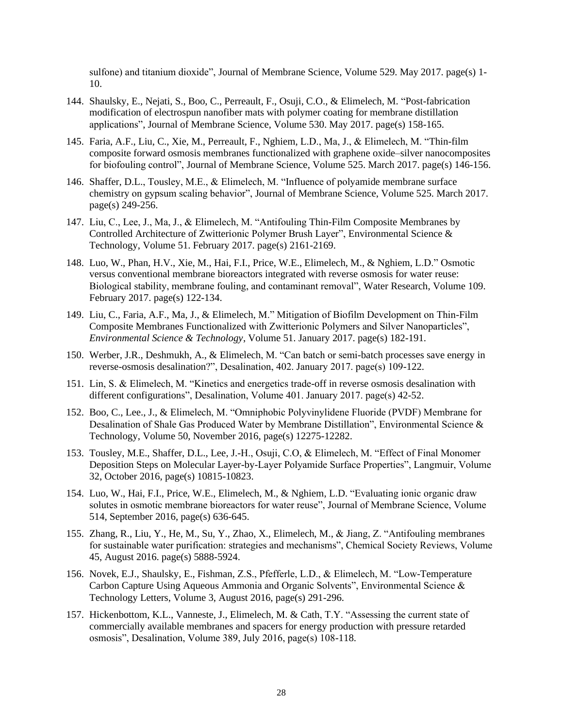sulfone) and titanium dioxide", Journal of Membrane Science, Volume 529. May 2017. page(s) 1- 10.

- 144. Shaulsky, E., Nejati, S., Boo, C., Perreault, F., Osuji, C.O., & Elimelech, M. "Post-fabrication modification of electrospun nanofiber mats with polymer coating for membrane distillation applications", Journal of Membrane Science, Volume 530. May 2017. page(s) 158-165.
- 145. Faria, A.F., Liu, C., Xie, M., Perreault, F., Nghiem, L.D., Ma, J., & Elimelech, M. "Thin-film composite forward osmosis membranes functionalized with graphene oxide–silver nanocomposites for biofouling control", Journal of Membrane Science, Volume 525. March 2017. page(s) 146-156.
- 146. Shaffer, D.L., Tousley, M.E., & Elimelech, M. "Influence of polyamide membrane surface chemistry on gypsum scaling behavior", Journal of Membrane Science, Volume 525. March 2017. page(s) 249-256.
- 147. Liu, C., Lee, J., Ma, J., & Elimelech, M. "Antifouling Thin-Film Composite Membranes by Controlled Architecture of Zwitterionic Polymer Brush Layer", Environmental Science & Technology, Volume 51. February 2017. page(s) 2161-2169.
- 148. Luo, W., Phan, H.V., Xie, M., Hai, F.I., Price, W.E., Elimelech, M., & Nghiem, L.D." Osmotic versus conventional membrane bioreactors integrated with reverse osmosis for water reuse: Biological stability, membrane fouling, and contaminant removal", Water Research, Volume 109. February 2017. page(s) 122-134.
- 149. Liu, C., Faria, A.F., Ma, J., & Elimelech, M." Mitigation of Biofilm Development on Thin-Film Composite Membranes Functionalized with Zwitterionic Polymers and Silver Nanoparticles", *Environmental Science & Technology*, Volume 51. January 2017. page(s) 182-191.
- 150. Werber, J.R., Deshmukh, A., & Elimelech, M. "Can batch or semi-batch processes save energy in reverse-osmosis desalination?", Desalination, 402. January 2017. page(s) 109-122.
- 151. Lin, S. & Elimelech, M. "Kinetics and energetics trade-off in reverse osmosis desalination with different configurations", Desalination, Volume 401. January 2017. page(s) 42-52.
- 152. Boo, C., Lee., J., & Elimelech, M. "Omniphobic Polyvinylidene Fluoride (PVDF) Membrane for Desalination of Shale Gas Produced Water by Membrane Distillation", Environmental Science & Technology, Volume 50, November 2016, page(s) 12275-12282.
- 153. Tousley, M.E., Shaffer, D.L., Lee, J.-H., Osuji, C.O, & Elimelech, M. "Effect of Final Monomer Deposition Steps on Molecular Layer-by-Layer Polyamide Surface Properties", Langmuir, Volume 32, October 2016, page(s) 10815-10823.
- 154. Luo, W., Hai, F.I., Price, W.E., Elimelech, M., & Nghiem, L.D. "Evaluating ionic organic draw solutes in osmotic membrane bioreactors for water reuse", Journal of Membrane Science, Volume 514, September 2016, page(s) 636-645.
- 155. Zhang, R., Liu, Y., He, M., Su, Y., Zhao, X., Elimelech, M., & Jiang, Z. "Antifouling membranes for sustainable water purification: strategies and mechanisms", Chemical Society Reviews, Volume 45, August 2016. page(s) 5888-5924.
- 156. Novek, E.J., Shaulsky, E., Fishman, Z.S., Pfefferle, L.D., & Elimelech, M. "Low-Temperature Carbon Capture Using Aqueous Ammonia and Organic Solvents", Environmental Science & Technology Letters, Volume 3, August 2016, page(s) 291-296.
- 157. Hickenbottom, K.L., Vanneste, J., Elimelech, M. & Cath, T.Y. "Assessing the current state of commercially available membranes and spacers for energy production with pressure retarded osmosis", Desalination, Volume 389, July 2016, page(s) 108-118.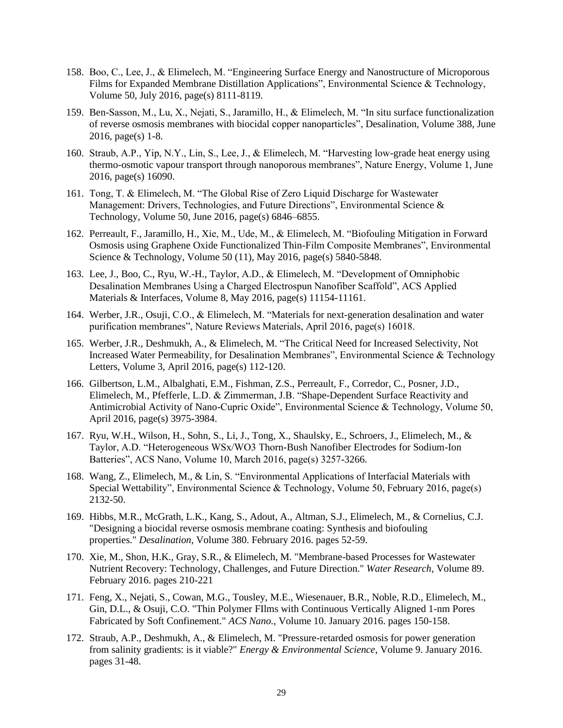- 158. Boo, C., Lee, J., & Elimelech, M. "Engineering Surface Energy and Nanostructure of Microporous Films for Expanded Membrane Distillation Applications", Environmental Science & Technology, Volume 50, July 2016, page(s) 8111-8119.
- 159. Ben-Sasson, M., Lu, X., Nejati, S., Jaramillo, H., & Elimelech, M. "In situ surface functionalization of reverse osmosis membranes with biocidal copper nanoparticles", Desalination, Volume 388, June 2016, page(s) 1-8.
- 160. Straub, A.P., Yip, N.Y., Lin, S., Lee, J., & Elimelech, M. "Harvesting low-grade heat energy using thermo-osmotic vapour transport through nanoporous membranes", Nature Energy, Volume 1, June 2016, page(s) 16090.
- 161. Tong, T. & Elimelech, M. "The Global Rise of Zero Liquid Discharge for Wastewater Management: Drivers, Technologies, and Future Directions", Environmental Science & Technology, Volume 50, June 2016, page(s) 6846–6855.
- 162. Perreault, F., Jaramillo, H., Xie, M., Ude, M., & Elimelech, M. "Biofouling Mitigation in Forward Osmosis using Graphene Oxide Functionalized Thin-Film Composite Membranes", Environmental Science & Technology, Volume 50 (11), May 2016, page(s) 5840-5848.
- 163. Lee, J., Boo, C., Ryu, W.-H., Taylor, A.D., & Elimelech, M. "Development of Omniphobic Desalination Membranes Using a Charged Electrospun Nanofiber Scaffold", ACS Applied Materials & Interfaces, Volume 8, May 2016, page(s) 11154-11161.
- 164. Werber, J.R., Osuji, C.O., & Elimelech, M. "Materials for next-generation desalination and water purification membranes", Nature Reviews Materials, April 2016, page(s) 16018.
- 165. Werber, J.R., Deshmukh, A., & Elimelech, M. "The Critical Need for Increased Selectivity, Not Increased Water Permeability, for Desalination Membranes", Environmental Science & Technology Letters, Volume 3, April 2016, page(s) 112-120.
- 166. Gilbertson, L.M., Albalghati, E.M., Fishman, Z.S., Perreault, F., Corredor, C., Posner, J.D., Elimelech, M., Pfefferle, L.D. & Zimmerman, J.B. "Shape-Dependent Surface Reactivity and Antimicrobial Activity of Nano-Cupric Oxide", Environmental Science & Technology, Volume 50, April 2016, page(s) 3975-3984.
- 167. Ryu, W.H., Wilson, H., Sohn, S., Li, J., Tong, X., Shaulsky, E., Schroers, J., Elimelech, M., & Taylor, A.D. "Heterogeneous WSx/WO3 Thorn-Bush Nanofiber Electrodes for Sodium-Ion Batteries", ACS Nano, Volume 10, March 2016, page(s) 3257-3266.
- 168. Wang, Z., Elimelech, M., & Lin, S. "Environmental Applications of Interfacial Materials with Special Wettability", Environmental Science & Technology, Volume 50, February 2016, page(s) 2132-50.
- 169. Hibbs, M.R., McGrath, L.K., Kang, S., Adout, A., Altman, S.J., Elimelech, M., & Cornelius, C.J. "Designing a biocidal reverse osmosis membrane coating: Synthesis and biofouling properties." *Desalination*, Volume 380. February 2016. pages 52-59.
- 170. Xie, M., Shon, H.K., Gray, S.R., & Elimelech, M. "Membrane-based Processes for Wastewater Nutrient Recovery: Technology, Challenges, and Future Direction." *Water Research*, Volume 89. February 2016. pages 210-221
- 171. Feng, X., Nejati, S., Cowan, M.G., Tousley, M.E., Wiesenauer, B.R., Noble, R.D., Elimelech, M., Gin, D.L., & Osuji, C.O. "Thin Polymer FIlms with Continuous Vertically Aligned 1-nm Pores Fabricated by Soft Confinement." *ACS Nano.*, Volume 10. January 2016. pages 150-158.
- 172. Straub, A.P., Deshmukh, A., & Elimelech, M. "Pressure-retarded osmosis for power generation from salinity gradients: is it viable?" *Energy & Environmental Science*, Volume 9. January 2016. pages 31-48.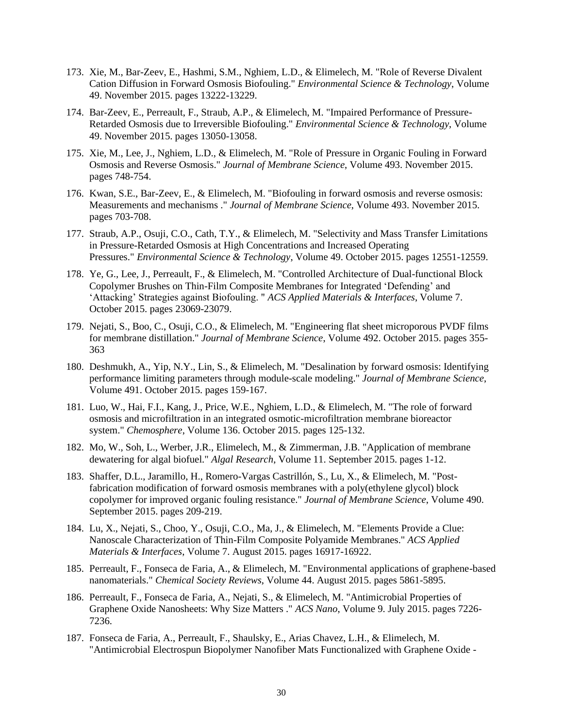- 173. Xie, M., Bar-Zeev, E., Hashmi, S.M., Nghiem, L.D., & Elimelech, M. "Role of Reverse Divalent Cation Diffusion in Forward Osmosis Biofouling." *Environmental Science & Technology*, Volume 49. November 2015. pages 13222-13229.
- 174. Bar-Zeev, E., Perreault, F., Straub, A.P., & Elimelech, M. "Impaired Performance of Pressure-Retarded Osmosis due to Irreversible Biofouling." *Environmental Science & Technology*, Volume 49. November 2015. pages 13050-13058.
- 175. Xie, M., Lee, J., Nghiem, L.D., & Elimelech, M. "Role of Pressure in Organic Fouling in Forward Osmosis and Reverse Osmosis." *Journal of Membrane Science*, Volume 493. November 2015. pages 748-754.
- 176. Kwan, S.E., Bar-Zeev, E., & Elimelech, M. "Biofouling in forward osmosis and reverse osmosis: Measurements and mechanisms ." *Journal of Membrane Science*, Volume 493. November 2015. pages 703-708.
- 177. Straub, A.P., Osuji, C.O., Cath, T.Y., & Elimelech, M. "Selectivity and Mass Transfer Limitations in Pressure-Retarded Osmosis at High Concentrations and Increased Operating Pressures." *Environmental Science & Technology*, Volume 49. October 2015. pages 12551-12559.
- 178. Ye, G., Lee, J., Perreault, F., & Elimelech, M. "Controlled Architecture of Dual-functional Block Copolymer Brushes on Thin-Film Composite Membranes for Integrated 'Defending' and 'Attacking' Strategies against Biofouling. " *ACS Applied Materials & Interfaces*, Volume 7. October 2015. pages 23069-23079.
- 179. Nejati, S., Boo, C., Osuji, C.O., & Elimelech, M. "Engineering flat sheet microporous PVDF films for membrane distillation." *Journal of Membrane Science*, Volume 492. October 2015. pages 355- 363
- 180. Deshmukh, A., Yip, N.Y., Lin, S., & Elimelech, M. "Desalination by forward osmosis: Identifying performance limiting parameters through module-scale modeling." *Journal of Membrane Science*, Volume 491. October 2015. pages 159-167.
- 181. Luo, W., Hai, F.I., Kang, J., Price, W.E., Nghiem, L.D., & Elimelech, M. "The role of forward osmosis and microfiltration in an integrated osmotic-microfiltration membrane bioreactor system." *Chemosphere*, Volume 136. October 2015. pages 125-132.
- 182. Mo, W., Soh, L., Werber, J.R., Elimelech, M., & Zimmerman, J.B. "Application of membrane dewatering for algal biofuel." *Algal Research*, Volume 11. September 2015. pages 1-12.
- 183. Shaffer, D.L., Jaramillo, H., Romero-Vargas Castrillón, S., Lu, X., & Elimelech, M. "Postfabrication modification of forward osmosis membranes with a poly(ethylene glycol) block copolymer for improved organic fouling resistance." *Journal of Membrane Science*, Volume 490. September 2015. pages 209-219.
- 184. Lu, X., Nejati, S., Choo, Y., Osuji, C.O., Ma, J., & Elimelech, M. "Elements Provide a Clue: Nanoscale Characterization of Thin-Film Composite Polyamide Membranes." *ACS Applied Materials & Interfaces*, Volume 7. August 2015. pages 16917-16922.
- 185. Perreault, F., Fonseca de Faria, A., & Elimelech, M. "Environmental applications of graphene-based nanomaterials." *Chemical Society Reviews*, Volume 44. August 2015. pages 5861-5895.
- 186. Perreault, F., Fonseca de Faria, A., Nejati, S., & Elimelech, M. "Antimicrobial Properties of Graphene Oxide Nanosheets: Why Size Matters ." *ACS Nano*, Volume 9. July 2015. pages 7226- 7236.
- 187. Fonseca de Faria, A., Perreault, F., Shaulsky, E., Arias Chavez, L.H., & Elimelech, M. "Antimicrobial Electrospun Biopolymer Nanofiber Mats Functionalized with Graphene Oxide -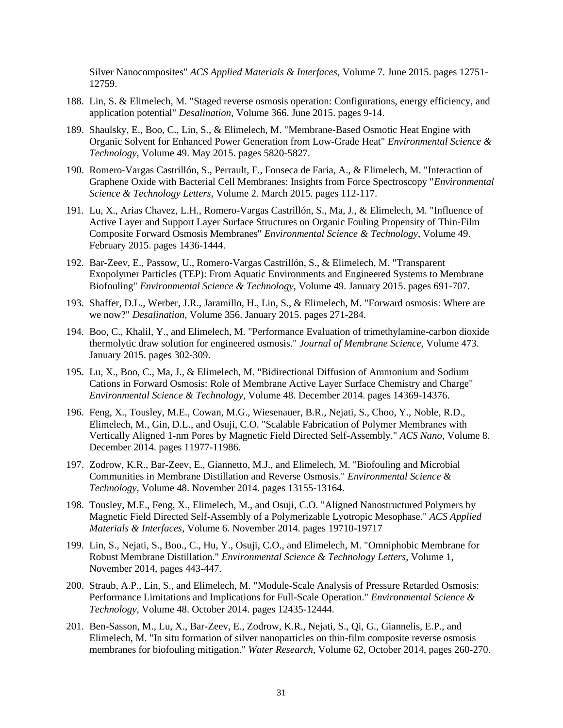Silver Nanocomposites" *ACS Applied Materials & Interfaces*, Volume 7. June 2015. pages 12751- 12759.

- 188. Lin, S. & Elimelech, M. "Staged reverse osmosis operation: Configurations, energy efficiency, and application potential" *Desalination*, Volume 366. June 2015. pages 9-14.
- 189. Shaulsky, E., Boo, C., Lin, S., & Elimelech, M. "Membrane-Based Osmotic Heat Engine with Organic Solvent for Enhanced Power Generation from Low-Grade Heat" *Environmental Science & Technology*, Volume 49. May 2015. pages 5820-5827.
- 190. Romero-Vargas Castrillón, S., Perrault, F., Fonseca de Faria, A., & Elimelech, M. "Interaction of Graphene Oxide with Bacterial Cell Membranes: Insights from Force Spectroscopy "*Environmental Science & Technology Letters*, Volume 2. March 2015. pages 112-117.
- 191. Lu, X., Arias Chavez, L.H., Romero-Vargas Castrillón, S., Ma, J., & Elimelech, M. "Influence of Active Layer and Support Layer Surface Structures on Organic Fouling Propensity of Thin-Film Composite Forward Osmosis Membranes" *Environmental Science & Technology*, Volume 49. February 2015. pages 1436-1444.
- 192. Bar-Zeev, E., Passow, U., Romero-Vargas Castrillón, S., & Elimelech, M. "Transparent Exopolymer Particles (TEP): From Aquatic Environments and Engineered Systems to Membrane Biofouling" *Environmental Science & Technology*, Volume 49. January 2015. pages 691-707.
- 193. Shaffer, D.L., Werber, J.R., Jaramillo, H., Lin, S., & Elimelech, M. "Forward osmosis: Where are we now?" *Desalination*, Volume 356. January 2015. pages 271-284.
- 194. Boo, C., Khalil, Y., and Elimelech, M. "Performance Evaluation of trimethylamine-carbon dioxide thermolytic draw solution for engineered osmosis." *Journal of Membrane Science*, Volume 473. January 2015. pages 302-309.
- 195. Lu, X., Boo, C., Ma, J., & Elimelech, M. "Bidirectional Diffusion of Ammonium and Sodium Cations in Forward Osmosis: Role of Membrane Active Layer Surface Chemistry and Charge" *Environmental Science & Technology*, Volume 48. December 2014. pages 14369-14376.
- 196. Feng, X., Tousley, M.E., Cowan, M.G., Wiesenauer, B.R., Nejati, S., Choo, Y., Noble, R.D., Elimelech, M., Gin, D.L., and Osuji, C.O. "Scalable Fabrication of Polymer Membranes with Vertically Aligned 1-nm Pores by Magnetic Field Directed Self-Assembly." *ACS Nano*, Volume 8. December 2014. pages 11977-11986.
- 197. Zodrow, K.R., Bar-Zeev, E., Giannetto, M.J., and Elimelech, M. "Biofouling and Microbial Communities in Membrane Distillation and Reverse Osmosis." *Environmental Science & Technology*, Volume 48. November 2014. pages 13155-13164.
- 198. Tousley, M.E., Feng, X., Elimelech, M., and Osuji, C.O. "Aligned Nanostructured Polymers by Magnetic Field Directed Self-Assembly of a Polymerizable Lyotropic Mesophase." *ACS Applied Materials & Interfaces*, Volume 6. November 2014. pages 19710-19717
- 199. Lin, S., Nejati, S., Boo., C., Hu, Y., Osuji, C.O., and Elimelech, M. "Omniphobic Membrane for Robust Membrane Distillation." *Environmental Science & Technology Letters*, Volume 1, November 2014, pages 443-447.
- 200. Straub, A.P., Lin, S., and Elimelech, M. "Module-Scale Analysis of Pressure Retarded Osmosis: Performance Limitations and Implications for Full-Scale Operation." *Environmental Science & Technology*, Volume 48. October 2014. pages 12435-12444.
- 201. Ben-Sasson, M., Lu, X., Bar-Zeev, E., Zodrow, K.R., Nejati, S., Qi, G., Giannelis, E.P., and Elimelech, M. "In situ formation of silver nanoparticles on thin-film composite reverse osmosis membranes for biofouling mitigation." *Water Research*, Volume 62, October 2014, pages 260-270.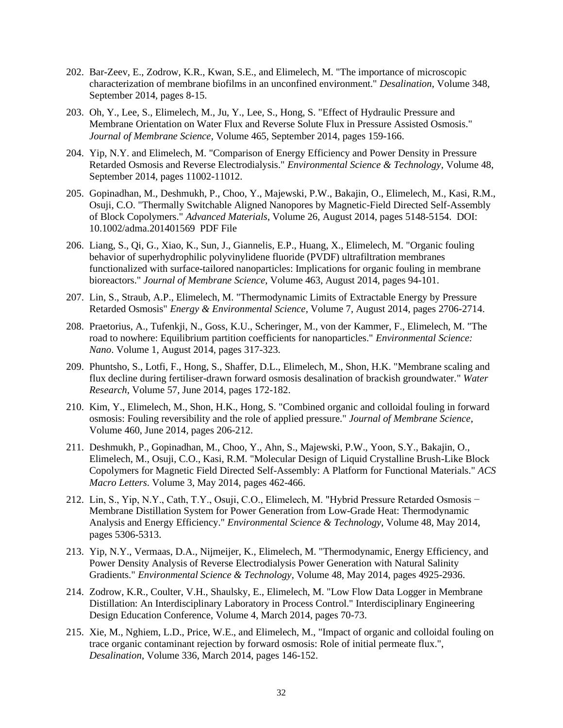- 202. Bar-Zeev, E., Zodrow, K.R., Kwan, S.E., and Elimelech, M. "The importance of microscopic characterization of membrane biofilms in an unconfined environment." *Desalination*, Volume 348, September 2014, pages 8-15.
- 203. Oh, Y., Lee, S., Elimelech, M., Ju, Y., Lee, S., Hong, S. "Effect of Hydraulic Pressure and Membrane Orientation on Water Flux and Reverse Solute Flux in Pressure Assisted Osmosis." *Journal of Membrane Science*, Volume 465, September 2014, pages 159-166.
- 204. Yip, N.Y. and Elimelech, M. "Comparison of Energy Efficiency and Power Density in Pressure Retarded Osmosis and Reverse Electrodialysis." *Environmental Science & Technology*, Volume 48, September 2014, pages 11002-11012.
- 205. Gopinadhan, M., Deshmukh, P., Choo, Y., Majewski, P.W., Bakajin, O., Elimelech, M., Kasi, R.M., Osuji, C.O. "Thermally Switchable Aligned Nanopores by Magnetic-Field Directed Self-Assembly of Block Copolymers." *Advanced Materials*, Volume 26, August 2014, pages 5148-5154. DOI: 10.1002/adma.201401569 PDF File
- 206. Liang, S., Qi, G., Xiao, K., Sun, J., Giannelis, E.P., Huang, X., Elimelech, M. "Organic fouling behavior of superhydrophilic polyvinylidene fluoride (PVDF) ultrafiltration membranes functionalized with surface-tailored nanoparticles: Implications for organic fouling in membrane bioreactors." *Journal of Membrane Science*, Volume 463, August 2014, pages 94-101.
- 207. Lin, S., Straub, A.P., Elimelech, M. "Thermodynamic Limits of Extractable Energy by Pressure Retarded Osmosis" *Energy & Environmental Science,* Volume 7, August 2014, pages 2706-2714.
- 208. Praetorius, A., Tufenkji, N., Goss, K.U., Scheringer, M., von der Kammer, F., Elimelech, M. "The road to nowhere: Equilibrium partition coefficients for nanoparticles." *Environmental Science: Nano*. Volume 1, August 2014, pages 317-323.
- 209. Phuntsho, S., Lotfi, F., Hong, S., Shaffer, D.L., Elimelech, M., Shon, H.K. "Membrane scaling and flux decline during fertiliser-drawn forward osmosis desalination of brackish groundwater." *Water Research*, Volume 57, June 2014, pages 172-182.
- 210. Kim, Y., Elimelech, M., Shon, H.K., Hong, S. "Combined organic and colloidal fouling in forward osmosis: Fouling reversibility and the role of applied pressure." *Journal of Membrane Science*, Volume 460, June 2014, pages 206-212.
- 211. Deshmukh, P., Gopinadhan, M., Choo, Y., Ahn, S., Majewski, P.W., Yoon, S.Y., Bakajin, O., Elimelech, M., Osuji, C.O., Kasi, R.M. "Molecular Design of Liquid Crystalline Brush-Like Block Copolymers for Magnetic Field Directed Self-Assembly: A Platform for Functional Materials." *ACS Macro Letters*. Volume 3, May 2014, pages 462-466.
- 212. Lin, S., Yip, N.Y., Cath, T.Y., Osuji, C.O., Elimelech, M. "Hybrid Pressure Retarded Osmosis − Membrane Distillation System for Power Generation from Low-Grade Heat: Thermodynamic Analysis and Energy Efficiency." *Environmental Science & Technology*, Volume 48, May 2014, pages 5306-5313.
- 213. Yip, N.Y., Vermaas, D.A., Nijmeijer, K., Elimelech, M. "Thermodynamic, Energy Efficiency, and Power Density Analysis of Reverse Electrodialysis Power Generation with Natural Salinity Gradients." *Environmental Science & Technology*, Volume 48, May 2014, pages 4925-2936.
- 214. Zodrow, K.R., Coulter, V.H., Shaulsky, E., Elimelech, M. "Low Flow Data Logger in Membrane Distillation: An Interdisciplinary Laboratory in Process Control." Interdisciplinary Engineering Design Education Conference, Volume 4, March 2014, pages 70-73.
- 215. Xie, M., Nghiem, L.D., Price, W.E., and Elimelech, M., "Impact of organic and colloidal fouling on trace organic contaminant rejection by forward osmosis: Role of initial permeate flux.", *Desalination*, Volume 336, March 2014, pages 146-152.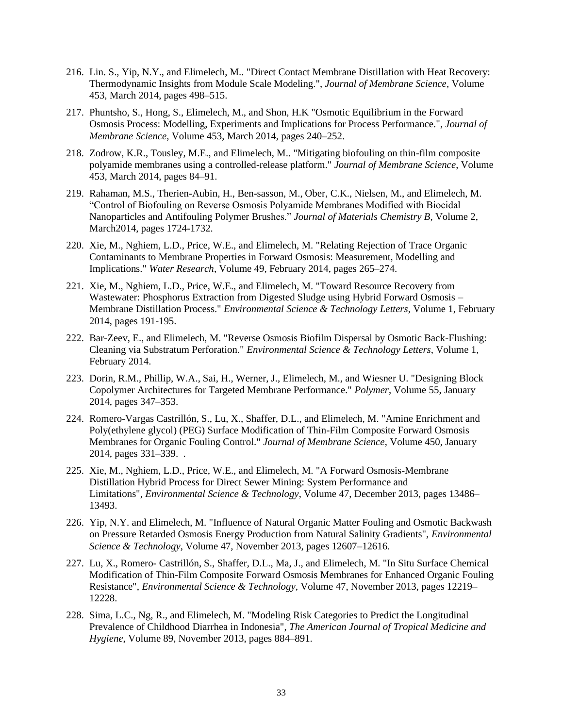- 216. Lin. S., Yip, N.Y., and Elimelech, M.. "Direct Contact Membrane Distillation with Heat Recovery: Thermodynamic Insights from Module Scale Modeling.", *Journal of Membrane Science*, Volume 453, March 2014, pages 498–515.
- 217. Phuntsho, S., Hong, S., Elimelech, M., and Shon, H.K "Osmotic Equilibrium in the Forward Osmosis Process: Modelling, Experiments and Implications for Process Performance.", *Journal of Membrane Science*, Volume 453, March 2014, pages 240–252.
- 218. Zodrow, K.R., Tousley, M.E., and Elimelech, M.. "Mitigating biofouling on thin-film composite polyamide membranes using a controlled-release platform." *Journal of Membrane Science*, Volume 453, March 2014, pages 84–91.
- 219. Rahaman, M.S., Therien-Aubin, H., Ben-sasson, M., Ober, C.K., Nielsen, M., and Elimelech, M. "Control of Biofouling on Reverse Osmosis Polyamide Membranes Modified with Biocidal Nanoparticles and Antifouling Polymer Brushes." *Journal of Materials Chemistry B*, Volume 2, March2014, pages 1724-1732.
- 220. Xie, M., Nghiem, L.D., Price, W.E., and Elimelech, M. "Relating Rejection of Trace Organic Contaminants to Membrane Properties in Forward Osmosis: Measurement, Modelling and Implications." *Water Research*, Volume 49, February 2014, pages 265–274.
- 221. Xie, M., Nghiem, L.D., Price, W.E., and Elimelech, M. "Toward Resource Recovery from Wastewater: Phosphorus Extraction from Digested Sludge using Hybrid Forward Osmosis – Membrane Distillation Process." *Environmental Science & Technology Letters*, Volume 1, February 2014, pages 191-195.
- 222. Bar-Zeev, E., and Elimelech, M. "Reverse Osmosis Biofilm Dispersal by Osmotic Back-Flushing: Cleaning via Substratum Perforation." *Environmental Science & Technology Letters*, Volume 1, February 2014.
- 223. Dorin, R.M., Phillip, W.A., Sai, H., Werner, J., Elimelech, M., and Wiesner U. "Designing Block Copolymer Architectures for Targeted Membrane Performance." *Polymer*, Volume 55, January 2014, pages 347–353.
- 224. Romero-Vargas Castrillón, S., Lu, X., Shaffer, D.L., and Elimelech, M. "Amine Enrichment and Poly(ethylene glycol) (PEG) Surface Modification of Thin-Film Composite Forward Osmosis Membranes for Organic Fouling Control." *Journal of Membrane Science*, Volume 450, January 2014, pages 331–339. .
- 225. Xie, M., Nghiem, L.D., Price, W.E., and Elimelech, M. "A Forward Osmosis-Membrane Distillation Hybrid Process for Direct Sewer Mining: System Performance and Limitations", *Environmental Science & Technology*, Volume 47, December 2013, pages 13486– 13493.
- 226. Yip, N.Y. and Elimelech, M. "Influence of Natural Organic Matter Fouling and Osmotic Backwash on Pressure Retarded Osmosis Energy Production from Natural Salinity Gradients", *Environmental Science & Technology*, Volume 47, November 2013, pages 12607–12616.
- 227. Lu, X., Romero- Castrillón, S., Shaffer, D.L., Ma, J., and Elimelech, M. "In Situ Surface Chemical Modification of Thin-Film Composite Forward Osmosis Membranes for Enhanced Organic Fouling Resistance", *Environmental Science & Technology*, Volume 47, November 2013, pages 12219– 12228.
- 228. Sima, L.C., Ng, R., and Elimelech, M. "Modeling Risk Categories to Predict the Longitudinal Prevalence of Childhood Diarrhea in Indonesia", *The American Journal of Tropical Medicine and Hygiene*, Volume 89, November 2013, pages 884–891.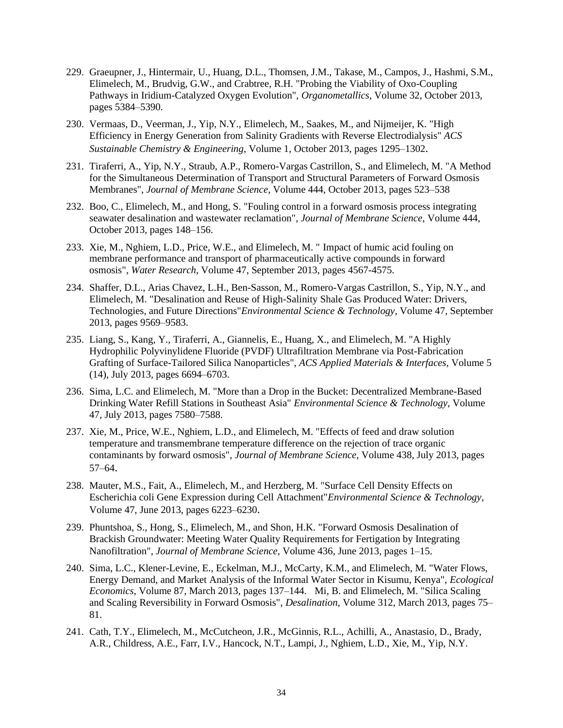- 229. Graeupner, J., Hintermair, U., Huang, D.L., Thomsen, J.M., Takase, M., Campos, J., Hashmi, S.M., Elimelech, M., Brudvig, G.W., and Crabtree, R.H. "Probing the Viability of Oxo-Coupling Pathways in Iridium-Catalyzed Oxygen Evolution", *Organometallics*, Volume 32, October 2013, pages 5384–5390.
- 230. Vermaas, D., Veerman, J., Yip, N.Y., Elimelech, M., Saakes, M., and Nijmeijer, K. "High Efficiency in Energy Generation from Salinity Gradients with Reverse Electrodialysis" *ACS Sustainable Chemistry & Engineering*, Volume 1, October 2013, pages 1295–1302.
- 231. Tiraferri, A., Yip, N.Y., Straub, A.P., Romero-Vargas Castrillon, S., and Elimelech, M. "A Method for the Simultaneous Determination of Transport and Structural Parameters of Forward Osmosis Membranes", *Journal of Membrane Science*, Volume 444, October 2013, pages 523–538
- 232. Boo, C., Elimelech, M., and Hong, S. "Fouling control in a forward osmosis process integrating seawater desalination and wastewater reclamation", *Journal of Membrane Science*, Volume 444, October 2013, pages 148–156.
- 233. Xie, M., Nghiem, L.D., Price, W.E., and Elimelech, M. " Impact of humic acid fouling on membrane performance and transport of pharmaceutically active compounds in forward osmosis", *Water Research*, Volume 47, September 2013, pages 4567-4575.
- 234. Shaffer, D.L., Arias Chavez, L.H., Ben-Sasson, M., Romero-Vargas Castrillon, S., Yip, N.Y., and Elimelech, M. "Desalination and Reuse of High-Salinity Shale Gas Produced Water: Drivers, Technologies, and Future Directions"*Environmental Science & Technology*, Volume 47, September 2013, pages 9569–9583.
- 235. Liang, S., Kang, Y., Tiraferri, A., Giannelis, E., Huang, X., and Elimelech, M. "A Highly Hydrophilic Polyvinylidene Fluoride (PVDF) Ultrafiltration Membrane via Post-Fabrication Grafting of Surface-Tailored Silica Nanoparticles", *ACS Applied Materials & Interfaces*, Volume 5 (14), July 2013, pages 6694–6703.
- 236. Sima, L.C. and Elimelech, M. "More than a Drop in the Bucket: Decentralized Membrane-Based Drinking Water Refill Stations in Southeast Asia" *Environmental Science & Technology*, Volume 47, July 2013, pages 7580–7588.
- 237. Xie, M., Price, W.E., Nghiem, L.D., and Elimelech, M. "Effects of feed and draw solution temperature and transmembrane temperature difference on the rejection of trace organic contaminants by forward osmosis", *Journal of Membrane Science*, Volume 438, July 2013, pages 57–64.
- 238. Mauter, M.S., Fait, A., Elimelech, M., and Herzberg, M. "Surface Cell Density Effects on Escherichia coli Gene Expression during Cell Attachment"*Environmental Science & Technology*, Volume 47, June 2013, pages 6223–6230.
- 239. Phuntshoa, S., Hong, S., Elimelech, M., and Shon, H.K. "Forward Osmosis Desalination of Brackish Groundwater: Meeting Water Quality Requirements for Fertigation by Integrating Nanofiltration", *Journal of Membrane Science*, Volume 436, June 2013, pages 1–15.
- 240. Sima, L.C., Klener-Levine, E., Eckelman, M.J., McCarty, K.M., and Elimelech, M. "Water Flows, Energy Demand, and Market Analysis of the Informal Water Sector in Kisumu, Kenya", *Ecological Economics*, Volume 87, March 2013, pages 137–144. Mi, B. and Elimelech, M. "Silica Scaling and Scaling Reversibility in Forward Osmosis", *Desalination*, Volume 312, March 2013, pages 75– 81.
- 241. Cath, T.Y., Elimelech, M., McCutcheon, J.R., McGinnis, R.L., Achilli, A., Anastasio, D., Brady, A.R., Childress, A.E., Farr, I.V., Hancock, N.T., Lampi, J., Nghiem, L.D., Xie, M., Yip, N.Y.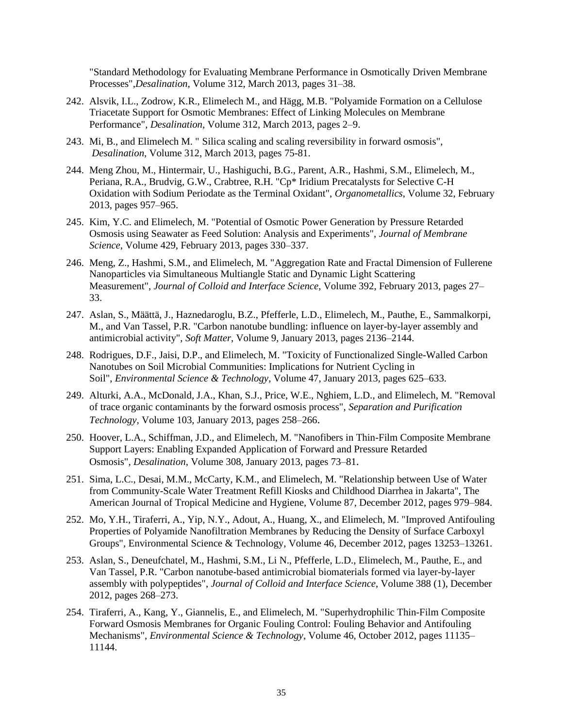"Standard Methodology for Evaluating Membrane Performance in Osmotically Driven Membrane Processes",*Desalination*, Volume 312, March 2013, pages 31–38.

- 242. Alsvik, I.L., Zodrow, K.R., Elimelech M., and Hägg, M.B. "Polyamide Formation on a Cellulose Triacetate Support for Osmotic Membranes: Effect of Linking Molecules on Membrane Performance", *Desalination*, Volume 312, March 2013, pages 2–9.
- 243. Mi, B., and Elimelech M. " Silica scaling and scaling reversibility in forward osmosis", *Desalination*, Volume 312, March 2013, pages 75-81.
- 244. Meng Zhou, M., Hintermair, U., Hashiguchi, B.G., Parent, A.R., Hashmi, S.M., Elimelech, M., Periana, R.A., Brudvig, G.W., Crabtree, R.H. "Cp\* Iridium Precatalysts for Selective C-H Oxidation with Sodium Periodate as the Terminal Oxidant", *Organometallics*, Volume 32, February 2013, pages 957–965.
- 245. Kim, Y.C. and Elimelech, M. "Potential of Osmotic Power Generation by Pressure Retarded Osmosis using Seawater as Feed Solution: Analysis and Experiments", *Journal of Membrane Science*, Volume 429, February 2013, pages 330–337.
- 246. Meng, Z., Hashmi, S.M., and Elimelech, M. "Aggregation Rate and Fractal Dimension of Fullerene Nanoparticles via Simultaneous Multiangle Static and Dynamic Light Scattering Measurement", *Journal of Colloid and Interface Science*, Volume 392, February 2013, pages 27– 33.
- 247. Aslan, S., Määttä, J., Haznedaroglu, B.Z., Pfefferle, L.D., Elimelech, M., Pauthe, E., Sammalkorpi, M., and Van Tassel, P.R. "Carbon nanotube bundling: influence on layer-by-layer assembly and antimicrobial activity", *Soft Matter*, Volume 9, January 2013, pages 2136–2144.
- 248. Rodrigues, D.F., Jaisi, D.P., and Elimelech, M. "Toxicity of Functionalized Single-Walled Carbon Nanotubes on Soil Microbial Communities: Implications for Nutrient Cycling in Soil", *Environmental Science & Technology*, Volume 47, January 2013, pages 625–633.
- 249. Alturki, A.A., McDonald, J.A., Khan, S.J., Price, W.E., Nghiem, L.D., and Elimelech, M. "Removal of trace organic contaminants by the forward osmosis process", *Separation and Purification Technology,* Volume 103, January 2013, pages 258–266.
- 250. Hoover, L.A., Schiffman, J.D., and Elimelech, M. "Nanofibers in Thin-Film Composite Membrane Support Layers: Enabling Expanded Application of Forward and Pressure Retarded Osmosis", *Desalination*, Volume 308, January 2013, pages 73–81.
- 251. Sima, L.C., Desai, M.M., McCarty, K.M., and Elimelech, M. "Relationship between Use of Water from Community-Scale Water Treatment Refill Kiosks and Childhood Diarrhea in Jakarta", The American Journal of Tropical Medicine and Hygiene, Volume 87, December 2012, pages 979–984.
- 252. Mo, Y.H., Tiraferri, A., Yip, N.Y., Adout, A., Huang, X., and Elimelech, M. "Improved Antifouling Properties of Polyamide Nanofiltration Membranes by Reducing the Density of Surface Carboxyl Groups", Environmental Science & Technology, Volume 46, December 2012, pages 13253–13261.
- 253. Aslan, S., Deneufchatel, M., Hashmi, S.M., Li N., Pfefferle, L.D., Elimelech, M., Pauthe, E., and Van Tassel, P.R. "Carbon nanotube-based antimicrobial biomaterials formed via layer-by-layer assembly with polypeptides", *Journal of Colloid and Interface Science*, Volume 388 (1), December 2012, pages 268–273.
- 254. Tiraferri, A., Kang, Y., Giannelis, E., and Elimelech, M. "Superhydrophilic Thin-Film Composite Forward Osmosis Membranes for Organic Fouling Control: Fouling Behavior and Antifouling Mechanisms", *Environmental Science & Technology*, Volume 46, October 2012, pages 11135– 11144.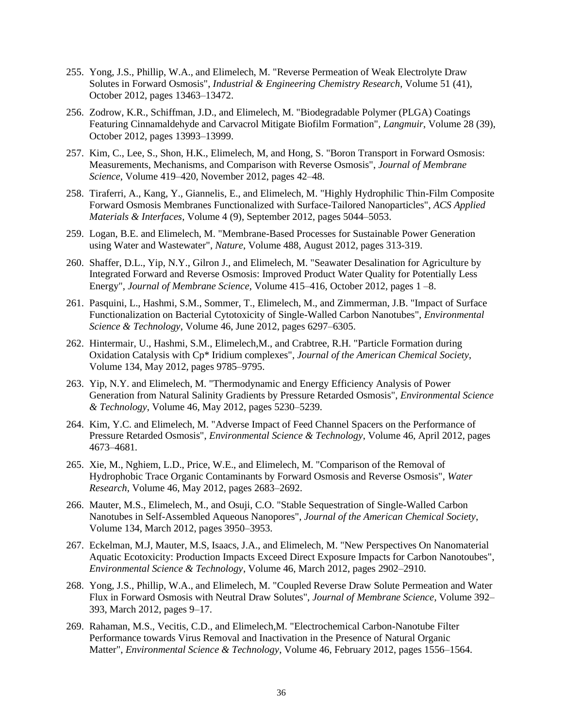- 255. Yong, J.S., Phillip, W.A., and Elimelech, M. "Reverse Permeation of Weak Electrolyte Draw Solutes in Forward Osmosis", *Industrial & Engineering Chemistry Research*, Volume 51 (41), October 2012, pages 13463–13472.
- 256. Zodrow, K.R., Schiffman, J.D., and Elimelech, M. "Biodegradable Polymer (PLGA) Coatings Featuring Cinnamaldehyde and Carvacrol Mitigate Biofilm Formation", *Langmuir*, Volume 28 (39), October 2012, pages 13993–13999.
- 257. Kim, C., Lee, S., Shon, H.K., Elimelech, M, and Hong, S. "Boron Transport in Forward Osmosis: Measurements, Mechanisms, and Comparison with Reverse Osmosis", *Journal of Membrane Science*, Volume 419–420, November 2012, pages 42–48.
- 258. Tiraferri, A., Kang, Y., Giannelis, E., and Elimelech, M. "Highly Hydrophilic Thin-Film Composite Forward Osmosis Membranes Functionalized with Surface-Tailored Nanoparticles", *ACS Applied Materials & Interfaces*, Volume 4 (9), September 2012, pages 5044–5053.
- 259. Logan, B.E. and Elimelech, M. "Membrane-Based Processes for Sustainable Power Generation using Water and Wastewater", *Nature*, Volume 488, August 2012, pages 313-319.
- 260. Shaffer, D.L., Yip, N.Y., Gilron J., and Elimelech, M. "Seawater Desalination for Agriculture by Integrated Forward and Reverse Osmosis: Improved Product Water Quality for Potentially Less Energy", *Journal of Membrane Science*, Volume 415–416, October 2012, pages 1 –8.
- 261. Pasquini, L., Hashmi, S.M., Sommer, T., Elimelech, M., and Zimmerman, J.B. "Impact of Surface Functionalization on Bacterial Cytotoxicity of Single-Walled Carbon Nanotubes", *Environmental Science & Technology*, Volume 46, June 2012, pages 6297–6305.
- 262. Hintermair, U., Hashmi, S.M., Elimelech,M., and Crabtree, R.H. "Particle Formation during Oxidation Catalysis with Cp\* Iridium complexes", *Journal of the American Chemical Society*, Volume 134, May 2012, pages 9785–9795.
- 263. Yip, N.Y. and Elimelech, M. "Thermodynamic and Energy Efficiency Analysis of Power Generation from Natural Salinity Gradients by Pressure Retarded Osmosis", *Environmental Science & Technology*, Volume 46, May 2012, pages 5230–5239.
- 264. Kim, Y.C. and Elimelech, M. "Adverse Impact of Feed Channel Spacers on the Performance of Pressure Retarded Osmosis", *Environmental Science & Technology*, Volume 46, April 2012, pages 4673–4681.
- 265. Xie, M., Nghiem, L.D., Price, W.E., and Elimelech, M. "Comparison of the Removal of Hydrophobic Trace Organic Contaminants by Forward Osmosis and Reverse Osmosis", *Water Research*, Volume 46, May 2012, pages 2683–2692.
- 266. Mauter, M.S., Elimelech, M., and Osuji, C.O. "Stable Sequestration of Single-Walled Carbon Nanotubes in Self-Assembled Aqueous Nanopores", *Journal of the American Chemical Society*, Volume 134, March 2012, pages 3950–3953.
- 267. Eckelman, M.J, Mauter, M.S, Isaacs, J.A., and Elimelech, M. "New Perspectives On Nanomaterial Aquatic Ecotoxicity: Production Impacts Exceed Direct Exposure Impacts for Carbon Nanotoubes", *Environmental Science & Technology*, Volume 46, March 2012, pages 2902–2910.
- 268. Yong, J.S., Phillip, W.A., and Elimelech, M. "Coupled Reverse Draw Solute Permeation and Water Flux in Forward Osmosis with Neutral Draw Solutes", *Journal of Membrane Science*, Volume 392– 393, March 2012, pages 9–17.
- 269. Rahaman, M.S., Vecitis, C.D., and Elimelech,M. "Electrochemical Carbon-Nanotube Filter Performance towards Virus Removal and Inactivation in the Presence of Natural Organic Matter", *Environmental Science & Technology*, Volume 46, February 2012, pages 1556–1564.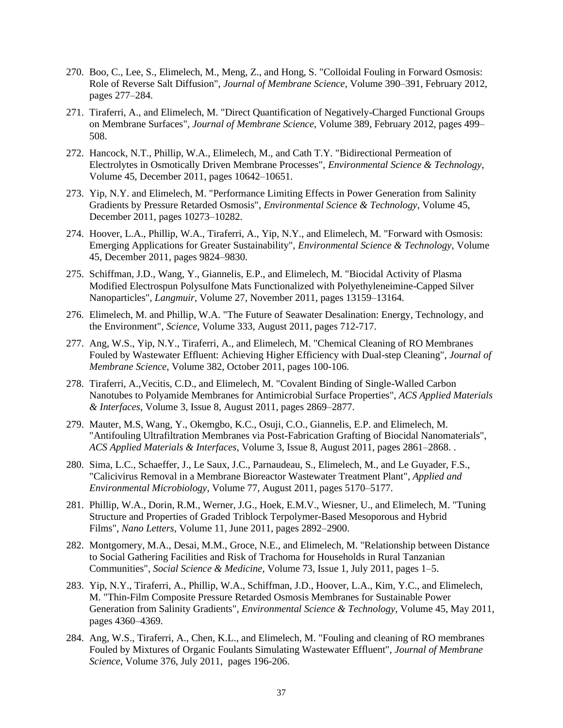- 270. Boo, C., Lee, S., Elimelech, M., Meng, Z., and Hong, S. "Colloidal Fouling in Forward Osmosis: Role of Reverse Salt Diffusion", *Journal of Membrane Science*, Volume 390–391, February 2012, pages 277–284.
- 271. Tiraferri, A., and Elimelech, M. "Direct Quantification of Negatively-Charged Functional Groups on Membrane Surfaces", *Journal of Membrane Science*, Volume 389, February 2012, pages 499– 508.
- 272. Hancock, N.T., Phillip, W.A., Elimelech, M., and Cath T.Y. "Bidirectional Permeation of Electrolytes in Osmotically Driven Membrane Processes", *Environmental Science & Technology*, Volume 45, December 2011, pages 10642–10651.
- 273. Yip, N.Y. and Elimelech, M. "Performance Limiting Effects in Power Generation from Salinity Gradients by Pressure Retarded Osmosis", *Environmental Science & Technology*, Volume 45, December 2011, pages 10273–10282.
- 274. Hoover, L.A., Phillip, W.A., Tiraferri, A., Yip, N.Y., and Elimelech, M. "Forward with Osmosis: Emerging Applications for Greater Sustainability", *Environmental Science & Technology*, Volume 45, December 2011, pages 9824–9830.
- 275. Schiffman, J.D., Wang, Y., Giannelis, E.P., and Elimelech, M. "Biocidal Activity of Plasma Modified Electrospun Polysulfone Mats Functionalized with Polyethyleneimine-Capped Silver Nanoparticles", *Langmuir*, Volume 27, November 2011, pages 13159–13164.
- 276. Elimelech, M. and Phillip, W.A. "The Future of Seawater Desalination: Energy, Technology, and the Environment", *Science*, Volume 333, August 2011, pages 712-717.
- 277. Ang, W.S., Yip, N.Y., Tiraferri, A., and Elimelech, M. "Chemical Cleaning of RO Membranes Fouled by Wastewater Effluent: Achieving Higher Efficiency with Dual-step Cleaning", *Journal of Membrane Science*, Volume 382, October 2011, pages 100-106.
- 278. Tiraferri, A.,Vecitis, C.D., and Elimelech, M. "Covalent Binding of Single-Walled Carbon Nanotubes to Polyamide Membranes for Antimicrobial Surface Properties", *ACS Applied Materials & Interfaces*, Volume 3, Issue 8, August 2011, pages 2869–2877.
- 279. Mauter, M.S, Wang, Y., Okemgbo, K.C., Osuji, C.O., Giannelis, E.P. and Elimelech, M. "Antifouling Ultrafiltration Membranes via Post-Fabrication Grafting of Biocidal Nanomaterials", *ACS Applied Materials & Interfaces*, Volume 3, Issue 8, August 2011, pages 2861–2868. .
- 280. Sima, L.C., Schaeffer, J., Le Saux, J.C., Parnaudeau, S., Elimelech, M., and Le Guyader, F.S., "Calicivirus Removal in a Membrane Bioreactor Wastewater Treatment Plant", *Applied and Environmental Microbiology*, Volume 77, August 2011, pages 5170–5177.
- 281. Phillip, W.A., Dorin, R.M., Werner, J.G., Hoek, E.M.V., Wiesner, U., and Elimelech, M. "Tuning Structure and Properties of Graded Triblock Terpolymer-Based Mesoporous and Hybrid Films", *Nano Letters*, Volume 11, June 2011, pages 2892–2900.
- 282. Montgomery, M.A., Desai, M.M., Groce, N.E., and Elimelech, M. "Relationship between Distance to Social Gathering Facilities and Risk of Trachoma for Households in Rural Tanzanian Communities", *Social Science & Medicine*, Volume 73, Issue 1, July 2011, pages 1–5.
- 283. Yip, N.Y., Tiraferri, A., Phillip, W.A., Schiffman, J.D., Hoover, L.A., Kim, Y.C., and Elimelech, M. "Thin-Film Composite Pressure Retarded Osmosis Membranes for Sustainable Power Generation from Salinity Gradients", *Environmental Science & Technology*, Volume 45, May 2011, pages 4360–4369.
- 284. Ang, W.S., Tiraferri, A., Chen, K.L., and Elimelech, M. "Fouling and cleaning of RO membranes Fouled by Mixtures of Organic Foulants Simulating Wastewater Effluent", *Journal of Membrane Science*, Volume 376, July 2011, pages 196-206.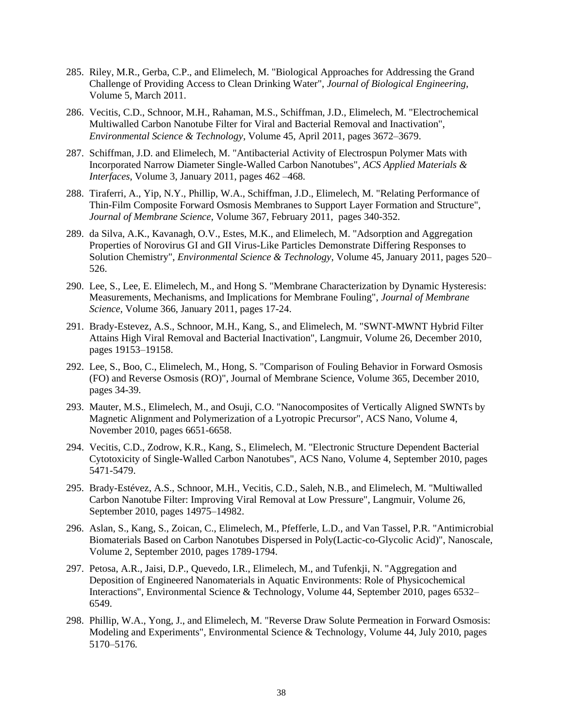- 285. Riley, M.R., Gerba, C.P., and Elimelech, M. "Biological Approaches for Addressing the Grand Challenge of Providing Access to Clean Drinking Water", *Journal of Biological Engineering*, Volume 5, March 2011.
- 286. Vecitis, C.D., Schnoor, M.H., Rahaman, M.S., Schiffman, J.D., Elimelech, M. "Electrochemical Multiwalled Carbon Nanotube Filter for Viral and Bacterial Removal and Inactivation", *Environmental Science & Technology*, Volume 45, April 2011, pages 3672–3679.
- 287. Schiffman, J.D. and Elimelech, M. "Antibacterial Activity of Electrospun Polymer Mats with Incorporated Narrow Diameter Single-Walled Carbon Nanotubes", *ACS Applied Materials & Interfaces*, Volume 3, January 2011, pages 462 –468.
- 288. Tiraferri, A., Yip, N.Y., Phillip, W.A., Schiffman, J.D., Elimelech, M. "Relating Performance of Thin-Film Composite Forward Osmosis Membranes to Support Layer Formation and Structure", *Journal of Membrane Science*, Volume 367, February 2011, pages 340-352.
- 289. da Silva, A.K., Kavanagh, O.V., Estes, M.K., and Elimelech, M. "Adsorption and Aggregation Properties of Norovirus GI and GII Virus-Like Particles Demonstrate Differing Responses to Solution Chemistry", *Environmental Science & Technology*, Volume 45, January 2011, pages 520– 526.
- 290. Lee, S., Lee, E. Elimelech, M., and Hong S. "Membrane Characterization by Dynamic Hysteresis: Measurements, Mechanisms, and Implications for Membrane Fouling", *Journal of Membrane Science*, Volume 366, January 2011, pages 17-24.
- 291. Brady-Estevez, A.S., Schnoor, M.H., Kang, S., and Elimelech, M. "SWNT-MWNT Hybrid Filter Attains High Viral Removal and Bacterial Inactivation", Langmuir, Volume 26, December 2010, pages 19153–19158.
- 292. Lee, S., Boo, C., Elimelech, M., Hong, S. "Comparison of Fouling Behavior in Forward Osmosis (FO) and Reverse Osmosis (RO)", Journal of Membrane Science, Volume 365, December 2010, pages 34-39.
- 293. Mauter, M.S., Elimelech, M., and Osuji, C.O. "Nanocomposites of Vertically Aligned SWNTs by Magnetic Alignment and Polymerization of a Lyotropic Precursor", ACS Nano, Volume 4, November 2010, pages 6651-6658.
- 294. Vecitis, C.D., Zodrow, K.R., Kang, S., Elimelech, M. "Electronic Structure Dependent Bacterial Cytotoxicity of Single-Walled Carbon Nanotubes", ACS Nano, Volume 4, September 2010, pages 5471-5479.
- 295. Brady-Estévez, A.S., Schnoor, M.H., Vecitis, C.D., Saleh, N.B., and Elimelech, M. "Multiwalled Carbon Nanotube Filter: Improving Viral Removal at Low Pressure", Langmuir, Volume 26, September 2010, pages 14975–14982.
- 296. Aslan, S., Kang, S., Zoican, C., Elimelech, M., Pfefferle, L.D., and Van Tassel, P.R. "Antimicrobial Biomaterials Based on Carbon Nanotubes Dispersed in Poly(Lactic-co-Glycolic Acid)", Nanoscale, Volume 2, September 2010, pages 1789-1794.
- 297. Petosa, A.R., Jaisi, D.P., Quevedo, I.R., Elimelech, M., and Tufenkji, N. "Aggregation and Deposition of Engineered Nanomaterials in Aquatic Environments: Role of Physicochemical Interactions", Environmental Science & Technology, Volume 44, September 2010, pages 6532– 6549.
- 298. Phillip, W.A., Yong, J., and Elimelech, M. "Reverse Draw Solute Permeation in Forward Osmosis: Modeling and Experiments", Environmental Science & Technology, Volume 44, July 2010, pages 5170–5176.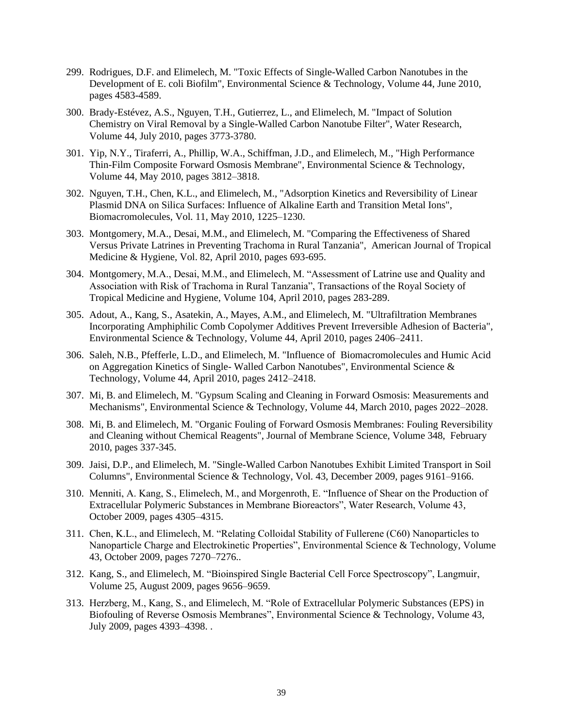- 299. Rodrigues, D.F. and Elimelech, M. "Toxic Effects of Single-Walled Carbon Nanotubes in the Development of E. coli Biofilm", Environmental Science & Technology, Volume 44, June 2010, pages 4583-4589.
- 300. Brady-Estévez, A.S., Nguyen, T.H., Gutierrez, L., and Elimelech, M. "Impact of Solution Chemistry on Viral Removal by a Single-Walled Carbon Nanotube Filter", Water Research, Volume 44, July 2010, pages 3773-3780.
- 301. Yip, N.Y., Tiraferri, A., Phillip, W.A., Schiffman, J.D., and Elimelech, M., "High Performance Thin-Film Composite Forward Osmosis Membrane", Environmental Science & Technology, Volume 44, May 2010, pages 3812–3818.
- 302. Nguyen, T.H., Chen, K.L., and Elimelech, M., "Adsorption Kinetics and Reversibility of Linear Plasmid DNA on Silica Surfaces: Influence of Alkaline Earth and Transition Metal Ions", Biomacromolecules, Vol. 11, May 2010, 1225–1230.
- 303. Montgomery, M.A., Desai, M.M., and Elimelech, M. "Comparing the Effectiveness of Shared Versus Private Latrines in Preventing Trachoma in Rural Tanzania", American Journal of Tropical Medicine & Hygiene, Vol. 82, April 2010, pages 693-695.
- 304. Montgomery, M.A., Desai, M.M., and Elimelech, M. "Assessment of Latrine use and Quality and Association with Risk of Trachoma in Rural Tanzania", Transactions of the Royal Society of Tropical Medicine and Hygiene, Volume 104, April 2010, pages 283-289.
- 305. Adout, A., Kang, S., Asatekin, A., Mayes, A.M., and Elimelech, M. "Ultrafiltration Membranes Incorporating Amphiphilic Comb Copolymer Additives Prevent Irreversible Adhesion of Bacteria", Environmental Science & Technology, Volume 44, April 2010, pages 2406–2411.
- 306. Saleh, N.B., Pfefferle, L.D., and Elimelech, M. "Influence of Biomacromolecules and Humic Acid on Aggregation Kinetics of Single- Walled Carbon Nanotubes", Environmental Science & Technology, Volume 44, April 2010, pages 2412–2418.
- 307. Mi, B. and Elimelech, M. "Gypsum Scaling and Cleaning in Forward Osmosis: Measurements and Mechanisms", Environmental Science & Technology, Volume 44, March 2010, pages 2022–2028.
- 308. Mi, B. and Elimelech, M. "Organic Fouling of Forward Osmosis Membranes: Fouling Reversibility and Cleaning without Chemical Reagents", Journal of Membrane Science, Volume 348, February 2010, pages 337-345.
- 309. Jaisi, D.P., and Elimelech, M. "Single-Walled Carbon Nanotubes Exhibit Limited Transport in Soil Columns", Environmental Science & Technology, Vol. 43, December 2009, pages 9161–9166.
- 310. Menniti, A. Kang, S., Elimelech, M., and Morgenroth, E. "Influence of Shear on the Production of Extracellular Polymeric Substances in Membrane Bioreactors", Water Research, Volume 43, October 2009, pages 4305–4315.
- 311. Chen, K.L., and Elimelech, M. "Relating Colloidal Stability of Fullerene (C60) Nanoparticles to Nanoparticle Charge and Electrokinetic Properties", Environmental Science & Technology, Volume 43, October 2009, pages 7270–7276..
- 312. Kang, S., and Elimelech, M. "Bioinspired Single Bacterial Cell Force Spectroscopy", Langmuir, Volume 25, August 2009, pages 9656–9659.
- 313. Herzberg, M., Kang, S., and Elimelech, M. "Role of Extracellular Polymeric Substances (EPS) in Biofouling of Reverse Osmosis Membranes", Environmental Science & Technology, Volume 43, July 2009, pages 4393–4398. .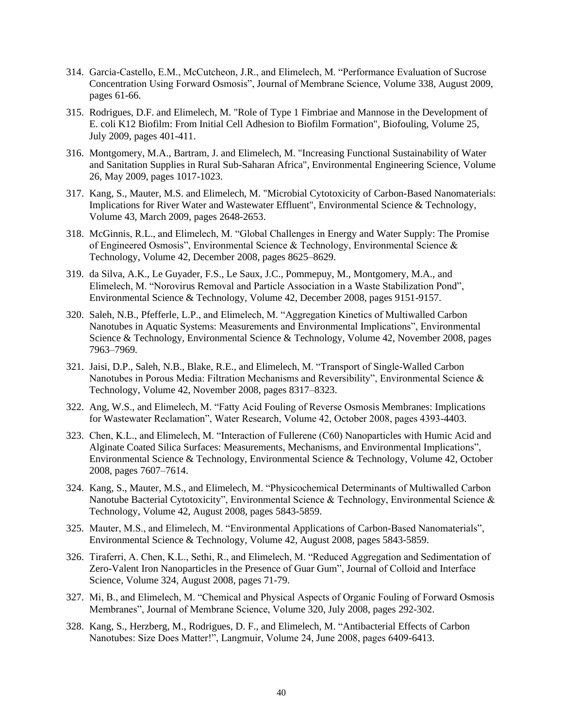- 314. Garcia-Castello, E.M., McCutcheon, J.R., and Elimelech, M. "Performance Evaluation of Sucrose Concentration Using Forward Osmosis", Journal of Membrane Science, Volume 338, August 2009, pages 61-66.
- 315. Rodrigues, D.F. and Elimelech, M. "Role of Type 1 Fimbriae and Mannose in the Development of E. coli K12 Biofilm: From Initial Cell Adhesion to Biofilm Formation", Biofouling, Volume 25, July 2009, pages 401-411.
- 316. Montgomery, M.A., Bartram, J. and Elimelech, M. "Increasing Functional Sustainability of Water and Sanitation Supplies in Rural Sub-Saharan Africa", Environmental Engineering Science, Volume 26, May 2009, pages 1017-1023.
- 317. Kang, S., Mauter, M.S. and Elimelech, M. "Microbial Cytotoxicity of Carbon-Based Nanomaterials: Implications for River Water and Wastewater Effluent", Environmental Science & Technology, Volume 43, March 2009, pages 2648-2653.
- 318. McGinnis, R.L., and Elimelech, M. "Global Challenges in Energy and Water Supply: The Promise of Engineered Osmosis", Environmental Science & Technology, Environmental Science & Technology, Volume 42, December 2008, pages 8625–8629.
- 319. da Silva, A.K., Le Guyader, F.S., Le Saux, J.C., Pommepuy, M., Montgomery, M.A., and Elimelech, M. "Norovirus Removal and Particle Association in a Waste Stabilization Pond", Environmental Science & Technology, Volume 42, December 2008, pages 9151-9157.
- 320. Saleh, N.B., Pfefferle, L.P., and Elimelech, M. "Aggregation Kinetics of Multiwalled Carbon Nanotubes in Aquatic Systems: Measurements and Environmental Implications", Environmental Science & Technology, Environmental Science & Technology, Volume 42, November 2008, pages 7963–7969.
- 321. Jaisi, D.P., Saleh, N.B., Blake, R.E., and Elimelech, M. "Transport of Single-Walled Carbon Nanotubes in Porous Media: Filtration Mechanisms and Reversibility", Environmental Science & Technology, Volume 42, November 2008, pages 8317–8323.
- 322. Ang, W.S., and Elimelech, M. "Fatty Acid Fouling of Reverse Osmosis Membranes: Implications for Wastewater Reclamation", Water Research, Volume 42, October 2008, pages 4393-4403.
- 323. Chen, K.L., and Elimelech, M. "Interaction of Fullerene (C60) Nanoparticles with Humic Acid and Alginate Coated Silica Surfaces: Measurements, Mechanisms, and Environmental Implications", Environmental Science & Technology, Environmental Science & Technology, Volume 42, October 2008, pages 7607–7614.
- 324. Kang, S., Mauter, M.S., and Elimelech, M. "Physicochemical Determinants of Multiwalled Carbon Nanotube Bacterial Cytotoxicity", Environmental Science & Technology, Environmental Science & Technology, Volume 42, August 2008, pages 5843-5859.
- 325. Mauter, M.S., and Elimelech, M. "Environmental Applications of Carbon-Based Nanomaterials", Environmental Science & Technology, Volume 42, August 2008, pages 5843-5859.
- 326. Tiraferri, A. Chen, K.L., Sethi, R., and Elimelech, M. "Reduced Aggregation and Sedimentation of Zero-Valent Iron Nanoparticles in the Presence of Guar Gum", Journal of Colloid and Interface Science, Volume 324, August 2008, pages 71-79.
- 327. Mi, B., and Elimelech, M. "Chemical and Physical Aspects of Organic Fouling of Forward Osmosis Membranes", Journal of Membrane Science, Volume 320, July 2008, pages 292-302.
- 328. Kang, S., Herzberg, M., Rodrigues, D. F., and Elimelech, M. "Antibacterial Effects of Carbon Nanotubes: Size Does Matter!", Langmuir, Volume 24, June 2008, pages 6409-6413.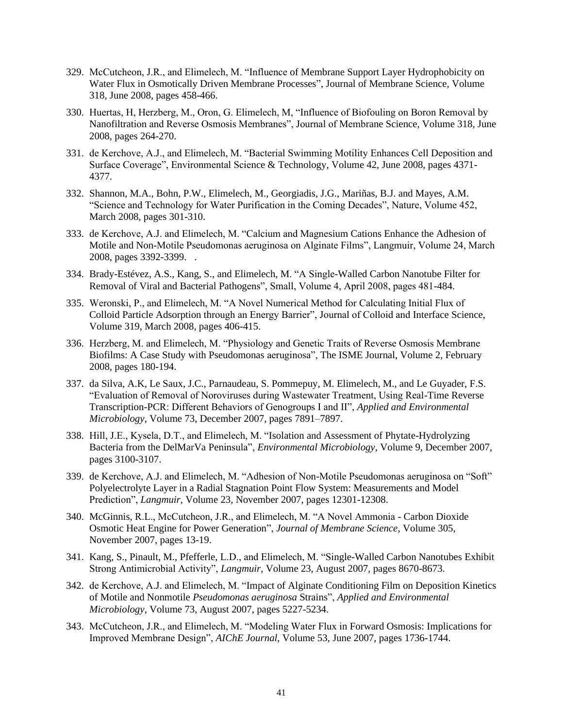- 329. McCutcheon, J.R., and Elimelech, M. "Influence of Membrane Support Layer Hydrophobicity on Water Flux in Osmotically Driven Membrane Processes", Journal of Membrane Science, Volume 318, June 2008, pages 458-466.
- 330. Huertas, H, Herzberg, M., Oron, G. Elimelech, M, "Influence of Biofouling on Boron Removal by Nanofiltration and Reverse Osmosis Membranes", Journal of Membrane Science, Volume 318, June 2008, pages 264-270.
- 331. de Kerchove, A.J., and Elimelech, M. "Bacterial Swimming Motility Enhances Cell Deposition and Surface Coverage", Environmental Science & Technology, Volume 42, June 2008, pages 4371- 4377.
- 332. Shannon, M.A., Bohn, P.W., Elimelech, M., Georgiadis, J.G., Mariñas, B.J. and Mayes, A.M. "Science and Technology for Water Purification in the Coming Decades", Nature, Volume 452, March 2008, pages 301-310.
- 333. de Kerchove, A.J. and Elimelech, M. "Calcium and Magnesium Cations Enhance the Adhesion of Motile and Non-Motile Pseudomonas aeruginosa on Alginate Films", Langmuir, Volume 24, March 2008, pages 3392-3399. .
- 334. Brady-Estévez, A.S., Kang, S., and Elimelech, M. "A Single-Walled Carbon Nanotube Filter for Removal of Viral and Bacterial Pathogens", Small, Volume 4, April 2008, pages 481-484.
- 335. Weronski, P., and Elimelech, M. "A Novel Numerical Method for Calculating Initial Flux of Colloid Particle Adsorption through an Energy Barrier", Journal of Colloid and Interface Science, Volume 319, March 2008, pages 406-415.
- 336. Herzberg, M. and Elimelech, M. "Physiology and Genetic Traits of Reverse Osmosis Membrane Biofilms: A Case Study with Pseudomonas aeruginosa", The ISME Journal, Volume 2, February 2008, pages 180-194.
- 337. da Silva, A.K, Le Saux, J.C., Parnaudeau, S. Pommepuy, M. Elimelech, M., and Le Guyader, F.S. "Evaluation of Removal of Noroviruses during Wastewater Treatment, Using Real-Time Reverse Transcription-PCR: Different Behaviors of Genogroups I and II", *Applied and Environmental Microbiology*, Volume 73, December 2007, pages 7891–7897.
- 338. Hill, J.E., Kysela, D.T., and Elimelech, M. "Isolation and Assessment of Phytate-Hydrolyzing Bacteria from the DelMarVa Peninsula", *Environmental Microbiology*, Volume 9, December 2007, pages 3100-3107.
- 339. de Kerchove, A.J. and Elimelech, M. "Adhesion of Non-Motile Pseudomonas aeruginosa on "Soft" Polyelectrolyte Layer in a Radial Stagnation Point Flow System: Measurements and Model Prediction", *Langmuir*, Volume 23, November 2007, pages 12301-12308.
- 340. McGinnis, R.L., McCutcheon, J.R., and Elimelech, M. "A Novel Ammonia Carbon Dioxide Osmotic Heat Engine for Power Generation", *Journal of Membrane Science*, Volume 305, November 2007, pages 13-19.
- 341. Kang, S., Pinault, M., Pfefferle, L.D., and Elimelech, M. "Single-Walled Carbon Nanotubes Exhibit Strong Antimicrobial Activity", *Langmuir*, Volume 23, August 2007, pages 8670-8673.
- 342. de Kerchove, A.J. and Elimelech, M. "Impact of Alginate Conditioning Film on Deposition Kinetics of Motile and Nonmotile *Pseudomonas aeruginosa* Strains", *Applied and Environmental Microbiology*, Volume 73, August 2007, pages 5227-5234.
- 343. McCutcheon, J.R., and Elimelech, M. "Modeling Water Flux in Forward Osmosis: Implications for Improved Membrane Design", *AIChE Journal*, Volume 53, June 2007, pages 1736-1744.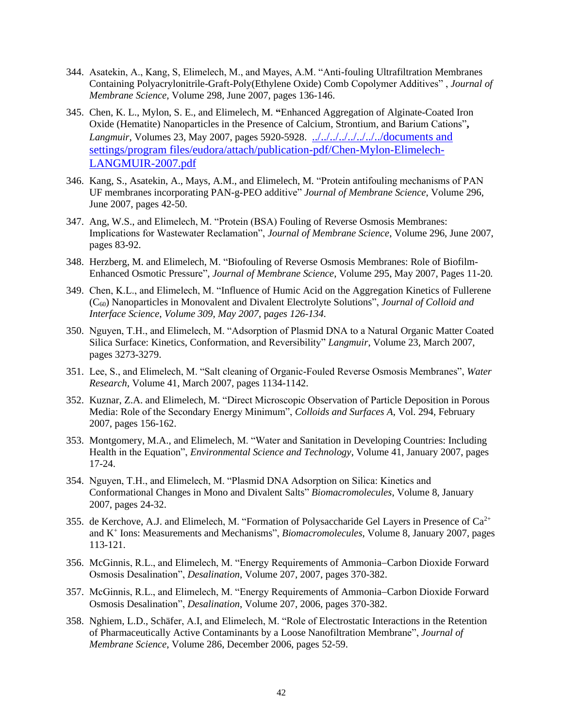- 344. Asatekin, A., Kang, S, Elimelech, M., and Mayes, A.M. "Anti-fouling Ultrafiltration Membranes Containing Polyacrylonitrile-Graft-Poly(Ethylene Oxide) Comb Copolymer Additives" , *Journal of Membrane Science,* Volume 298, June 2007, pages 136-146.
- 345. Chen, K. L., Mylon, S. E., and Elimelech, M. **"**Enhanced Aggregation of Alginate-Coated Iron Oxide (Hematite) Nanoparticles in the Presence of Calcium, Strontium, and Barium Cations"**,**  *Langmuir*, Volumes 23, May 2007, pages 5920-5928. [../../../../../../../../documents and](file:///C:/documents%20and%20settings/program%20files/eudora/attach/publication-pdf/Chen-Mylon-Elimelech-LANGMUIR-2007.pdf)  settings/program [files/eudora/attach/publication-pdf/Chen-Mylon-Elimelech-](file:///C:/documents%20and%20settings/program%20files/eudora/attach/publication-pdf/Chen-Mylon-Elimelech-LANGMUIR-2007.pdf)[LANGMUIR-2007.pdf](file:///C:/documents%20and%20settings/program%20files/eudora/attach/publication-pdf/Chen-Mylon-Elimelech-LANGMUIR-2007.pdf)
- 346. Kang, S., Asatekin, A., Mays, A.M., and Elimelech, M. "Protein antifouling mechanisms of PAN UF membranes incorporating PAN-g-PEO additive" *Journal of Membrane Science*, Volume 296, June 2007, pages 42-50.
- 347. Ang, W.S., and Elimelech, M. "Protein (BSA) Fouling of Reverse Osmosis Membranes: Implications for Wastewater Reclamation", *Journal of Membrane Science*, Volume 296, June 2007, pages 83-92.
- 348. Herzberg, M. and Elimelech, M. "Biofouling of Reverse Osmosis Membranes: Role of Biofilm-Enhanced Osmotic Pressure", *Journal of Membrane Science*, Volume 295, May 2007, Pages 11-20*.*
- 349. Chen, K.L., and Elimelech, M. "Influence of Humic Acid on the Aggregation Kinetics of Fullerene (C60) Nanoparticles in Monovalent and Divalent Electrolyte Solutions", *Journal of Colloid and Interface Science*, *Volume 309, May 2007*, p*ages 126-134*.
- 350. Nguyen, T.H., and Elimelech, M. "Adsorption of Plasmid DNA to a Natural Organic Matter Coated Silica Surface: Kinetics, Conformation, and Reversibility" *Langmuir*, Volume 23, March 2007, pages 3273-3279.
- 351. Lee, S., and Elimelech, M. "Salt cleaning of Organic-Fouled Reverse Osmosis Membranes", *Water Research,* Volume 41, March 2007, pages 1134-1142.
- 352. Kuznar, Z.A. and Elimelech, M. "Direct Microscopic Observation of Particle Deposition in Porous Media: Role of the Secondary Energy Minimum", *Colloids and Surfaces A*, Vol. 294, February 2007, pages 156-162.
- 353. Montgomery, M.A., and Elimelech, M. "Water and Sanitation in Developing Countries: Including Health in the Equation", *Environmental Science and Technology*, Volume 41, January 2007, pages 17-24.
- 354. Nguyen, T.H., and Elimelech, M. "Plasmid DNA Adsorption on Silica: Kinetics and Conformational Changes in Mono and Divalent Salts" *Biomacromolecules*, Volume 8, January 2007, pages 24-32.
- 355. de Kerchove, A.J. and Elimelech, M. "Formation of Polysaccharide Gel Layers in Presence of Ca<sup>2+</sup> and K<sup>+</sup> Ions: Measurements and Mechanisms", *Biomacromolecules*, Volume 8, January 2007, pages 113-121.
- 356. McGinnis, R.L., and Elimelech, M. "Energy Requirements of Ammonia−Carbon Dioxide Forward Osmosis Desalination", *Desalination*, Volume 207, 2007, pages 370-382.
- 357. McGinnis, R.L., and Elimelech, M. "Energy Requirements of Ammonia−Carbon Dioxide Forward Osmosis Desalination", *Desalination*, Volume 207, 2006, pages 370-382.
- 358. Nghiem, L.D., Schäfer, A.I, and Elimelech, M. "Role of Electrostatic Interactions in the Retention of Pharmaceutically Active Contaminants by a Loose Nanofiltration Membrane", *Journal of Membrane Science*, Volume 286, December 2006, pages 52-59.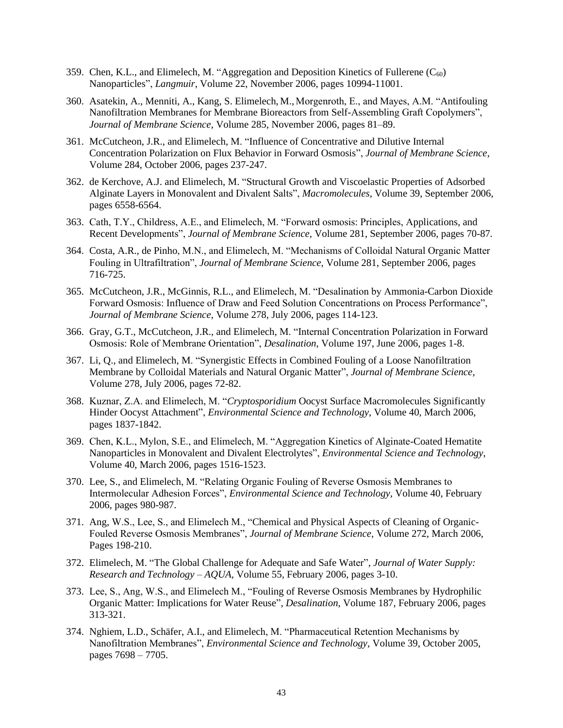- 359. Chen, K.L., and Elimelech, M. "Aggregation and Deposition Kinetics of Fullerene  $(C_{60})$ Nanoparticles", *Langmuir*, Volume 22, November 2006, pages 10994-11001.
- 360. Asatekin, A., Menniti, A., Kang, S. Elimelech, M., Morgenroth, E., and Mayes, A.M. "Antifouling Nanofiltration Membranes for Membrane Bioreactors from Self-Assembling Graft Copolymers", *Journal of Membrane Science*, Volume 285, November 2006, pages 81–89.
- 361. McCutcheon, J.R., and Elimelech, M. "Influence of Concentrative and Dilutive Internal Concentration Polarization on Flux Behavior in Forward Osmosis", *Journal of Membrane Science*, Volume 284, October 2006, pages 237-247.
- 362. de Kerchove, A.J. and Elimelech, M. "Structural Growth and Viscoelastic Properties of Adsorbed Alginate Layers in Monovalent and Divalent Salts", *Macromolecules*, Volume 39, September 2006, pages 6558-6564.
- 363. Cath, T.Y., Childress, A.E., and Elimelech, M. "Forward osmosis: Principles, Applications, and Recent Developments", *Journal of Membrane Science,* Volume 281, September 2006, pages 70-87*.*
- 364. Costa, A.R., de Pinho, M.N., and Elimelech, M. "Mechanisms of Colloidal Natural Organic Matter Fouling in Ultrafiltration", *Journal of Membrane Science*, Volume 281, September 2006, pages 716-725.
- 365. McCutcheon, J.R., McGinnis, R.L., and Elimelech, M. "Desalination by Ammonia-Carbon Dioxide Forward Osmosis: Influence of Draw and Feed Solution Concentrations on Process Performance", *Journal of Membrane Science*, Volume 278, July 2006, pages 114-123.
- 366. Gray, G.T., McCutcheon, J.R., and Elimelech, M. "Internal Concentration Polarization in Forward Osmosis: Role of Membrane Orientation", *Desalination*, Volume 197, June 2006, pages 1-8.
- 367. Li, Q., and Elimelech, M. "Synergistic Effects in Combined Fouling of a Loose Nanofiltration Membrane by Colloidal Materials and Natural Organic Matter", *Journal of Membrane Science*, Volume 278, July 2006, pages 72-82.
- 368. Kuznar, Z.A. and Elimelech, M. "*Cryptosporidium* Oocyst Surface Macromolecules Significantly Hinder Oocyst Attachment", *Environmental Science and Technology*, Volume 40, March 2006, pages 1837-1842.
- 369. Chen, K.L., Mylon, S.E., and Elimelech, M. "Aggregation Kinetics of Alginate-Coated Hematite Nanoparticles in Monovalent and Divalent Electrolytes", *Environmental Science and Technology*, Volume 40, March 2006, pages 1516-1523.
- 370. Lee, S., and Elimelech, M. "Relating Organic Fouling of Reverse Osmosis Membranes to Intermolecular Adhesion Forces", *Environmental Science and Technology*, Volume 40, February 2006, pages 980-987.
- 371. Ang, W.S., Lee, S., and Elimelech M., "Chemical and Physical Aspects of Cleaning of Organic-Fouled Reverse Osmosis Membranes", *Journal of Membrane Science,* Volume 272, March 2006, Pages 198-210.
- 372. Elimelech, M. "The Global Challenge for Adequate and Safe Water", *Journal of Water Supply: Research and Technology – AQUA,* Volume 55*,* February 2006, pages 3-10.
- 373. Lee, S., Ang, W.S., and Elimelech M., "Fouling of Reverse Osmosis Membranes by Hydrophilic Organic Matter: Implications for Water Reuse", *Desalination*, Volume 187, February 2006, pages 313-321.
- 374. Nghiem, L.D., Schäfer, A.I., and Elimelech, M. "Pharmaceutical Retention Mechanisms by Nanofiltration Membranes", *Environmental Science and Technology*, Volume 39, October 2005, pages 7698 – 7705.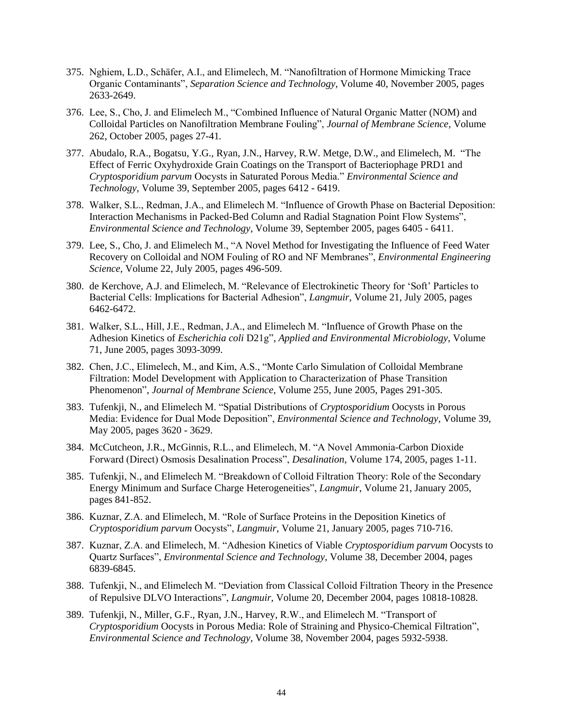- 375. Nghiem, L.D., Schäfer, A.I., and Elimelech, M. "Nanofiltration of Hormone Mimicking Trace Organic Contaminants", *Separation Science and Technology*, Volume 40, November 2005, pages 2633-2649.
- 376. Lee, S., Cho, J. and Elimelech M., "Combined Influence of Natural Organic Matter (NOM) and Colloidal Particles on Nanofiltration Membrane Fouling", *Journal of Membrane Science,* Volume 262, October 2005, pages 27-41*.*
- 377. Abudalo, R.A., Bogatsu, Y.G., Ryan, J.N., Harvey, R.W. Metge, D.W., and Elimelech, M. "The Effect of Ferric Oxyhydroxide Grain Coatings on the Transport of Bacteriophage PRD1 and *Cryptosporidium parvum* Oocysts in Saturated Porous Media." *Environmental Science and Technology*, Volume 39, September 2005, pages 6412 - 6419.
- 378. Walker, S.L., Redman, J.A., and Elimelech M. "Influence of Growth Phase on Bacterial Deposition: Interaction Mechanisms in Packed-Bed Column and Radial Stagnation Point Flow Systems", *Environmental Science and Technology*, Volume 39, September 2005, pages 6405 - 6411.
- 379. Lee, S., Cho, J. and Elimelech M., "A Novel Method for Investigating the Influence of Feed Water Recovery on Colloidal and NOM Fouling of RO and NF Membranes", *Environmental Engineering Science*, Volume 22, July 2005, pages 496-509.
- 380. de Kerchove, A.J. and Elimelech, M. "Relevance of Electrokinetic Theory for 'Soft' Particles to Bacterial Cells: Implications for Bacterial Adhesion", *Langmuir*, Volume 21, July 2005, pages 6462-6472.
- 381. Walker, S.L., Hill, J.E., Redman, J.A., and Elimelech M. "Influence of Growth Phase on the Adhesion Kinetics of *Escherichia coli* D21g", *Applied and Environmental Microbiology*, Volume 71, June 2005, pages 3093-3099.
- 382. Chen, J.C., Elimelech, M., and Kim, A.S., "Monte Carlo Simulation of Colloidal Membrane Filtration: Model Development with Application to Characterization of Phase Transition Phenomenon", *Journal of Membrane Science,* Volume 255, June 2005, Pages 291-305.
- 383. Tufenkji, N., and Elimelech M. "Spatial Distributions of *Cryptosporidium* Oocysts in Porous Media: Evidence for Dual Mode Deposition", *Environmental Science and Technology*, Volume 39, May 2005, pages 3620 - 3629.
- 384. McCutcheon, J.R., McGinnis, R.L., and Elimelech, M. "A Novel Ammonia-Carbon Dioxide Forward (Direct) Osmosis Desalination Process", *Desalination*, Volume 174, 2005, pages 1-11.
- 385. Tufenkji, N., and Elimelech M. "Breakdown of Colloid Filtration Theory: Role of the Secondary Energy Minimum and Surface Charge Heterogeneities", *Langmuir*, Volume 21, January 2005, pages 841-852.
- 386. Kuznar, Z.A. and Elimelech, M. "Role of Surface Proteins in the Deposition Kinetics of *Cryptosporidium parvum* Oocysts", *Langmuir*, Volume 21, January 2005, pages 710-716.
- 387. Kuznar, Z.A. and Elimelech, M. "Adhesion Kinetics of Viable *Cryptosporidium parvum* Oocysts to Quartz Surfaces", *Environmental Science and Technology*, Volume 38, December 2004, pages 6839-6845.
- 388. Tufenkji, N., and Elimelech M. "Deviation from Classical Colloid Filtration Theory in the Presence of Repulsive DLVO Interactions", *Langmuir*, Volume 20, December 2004, pages 10818-10828.
- 389. Tufenkji, N., Miller, G.F., Ryan, J.N., Harvey, R.W., and Elimelech M. "Transport of *Cryptosporidium* Oocysts in Porous Media: Role of Straining and Physico-Chemical Filtration", *Environmental Science and Technology*, Volume 38, November 2004, pages 5932-5938.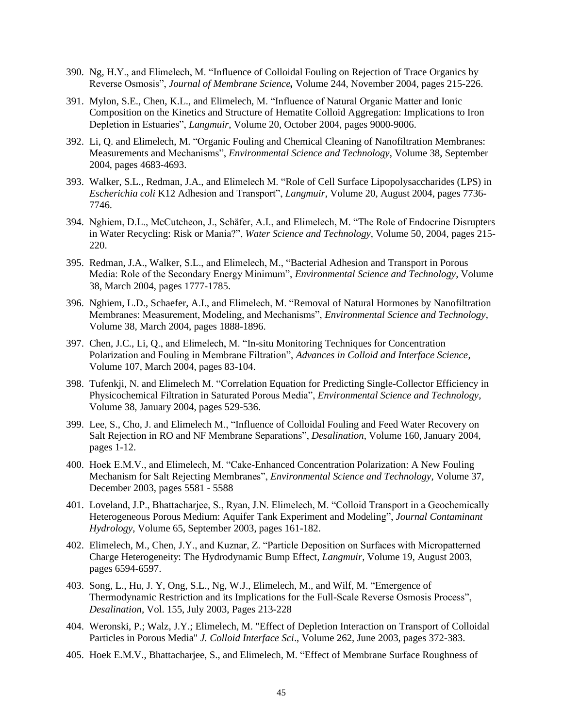- 390. Ng, H.Y., and Elimelech, M. "Influence of Colloidal Fouling on Rejection of Trace Organics by Reverse Osmosis", *Journal of Membrane Science,* Volume 244, November 2004, pages 215-226.
- 391. Mylon, S.E., Chen, K.L., and Elimelech, M. "Influence of Natural Organic Matter and Ionic Composition on the Kinetics and Structure of Hematite Colloid Aggregation: Implications to Iron Depletion in Estuaries", *Langmuir*, Volume 20, October 2004, pages 9000-9006.
- 392. Li, Q. and Elimelech, M. "Organic Fouling and Chemical Cleaning of Nanofiltration Membranes: Measurements and Mechanisms", *Environmental Science and Technology*, Volume 38, September 2004, pages 4683-4693.
- 393. Walker, S.L., Redman, J.A., and Elimelech M. "Role of Cell Surface Lipopolysaccharides (LPS) in *Escherichia coli* K12 Adhesion and Transport", *Langmuir*, Volume 20, August 2004, pages 7736- 7746.
- 394. Nghiem, D.L., McCutcheon, J., Schäfer, A.I., and Elimelech, M. "The Role of Endocrine Disrupters in Water Recycling: Risk or Mania?", *Water Science and Technology*, Volume 50, 2004, pages 215- 220.
- 395. Redman, J.A., Walker, S.L., and Elimelech, M., "Bacterial Adhesion and Transport in Porous Media: Role of the Secondary Energy Minimum", *Environmental Science and Technology*, Volume 38, March 2004, pages 1777-1785.
- 396. Nghiem, L.D., Schaefer, A.I., and Elimelech, M. "Removal of Natural Hormones by Nanofiltration Membranes: Measurement, Modeling, and Mechanisms", *Environmental Science and Technology*, Volume 38, March 2004, pages 1888-1896.
- 397. Chen, J.C., Li, Q., and Elimelech, M. "In-situ Monitoring Techniques for Concentration Polarization and Fouling in Membrane Filtration", *Advances in Colloid and Interface Science*, Volume 107, March 2004, pages 83-104.
- 398. Tufenkji, N. and Elimelech M. "Correlation Equation for Predicting Single-Collector Efficiency in Physicochemical Filtration in Saturated Porous Media", *Environmental Science and Technology*, Volume 38, January 2004, pages 529-536.
- 399. Lee, S., Cho, J. and Elimelech M., "Influence of Colloidal Fouling and Feed Water Recovery on Salt Rejection in RO and NF Membrane Separations", *Desalination*, Volume 160, January 2004, pages 1-12.
- 400. Hoek E.M.V., and Elimelech, M. "Cake-Enhanced Concentration Polarization: A New Fouling Mechanism for Salt Rejecting Membranes", *Environmental Science and Technology*, Volume 37, December 2003, pages 5581 - 5588
- 401. Loveland, J.P., Bhattacharjee, S., Ryan, J.N. Elimelech, M. "Colloid Transport in a Geochemically Heterogeneous Porous Medium: Aquifer Tank Experiment and Modeling", *Journal Contaminant Hydrology*, Volume 65, September 2003, pages 161-182.
- 402. Elimelech, M., Chen, J.Y., and Kuznar, Z. "Particle Deposition on Surfaces with Micropatterned Charge Heterogeneity: The Hydrodynamic Bump Effect, *Langmuir*, Volume 19, August 2003, pages 6594-6597.
- 403. Song, L., Hu, J. Y, Ong, S.L., Ng, W.J., Elimelech, M., and Wilf, M. "Emergence of Thermodynamic Restriction and its Implications for the Full-Scale Reverse Osmosis Process", *Desalination*, Vol. 155, July 2003, Pages 213-228
- 404. Weronski, P.; Walz, J.Y.; Elimelech, M. "Effect of Depletion Interaction on Transport of Colloidal Particles in Porous Media" *J. Colloid Interface Sci*., Volume 262, June 2003, pages 372-383.
- 405. Hoek E.M.V., Bhattacharjee, S., and Elimelech, M. "Effect of Membrane Surface Roughness of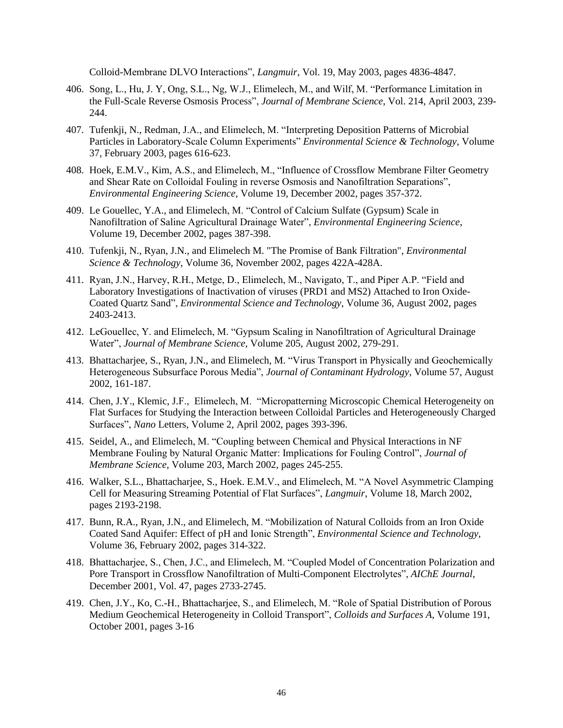Colloid-Membrane DLVO Interactions", *Langmuir*, Vol. 19, May 2003, pages 4836-4847.

- 406. Song, L., Hu, J. Y, Ong, S.L., Ng, W.J., Elimelech, M., and Wilf, M. "Performance Limitation in the Full-Scale Reverse Osmosis Process", *Journal of Membrane Science*, Vol. 214, April 2003, 239- 244.
- 407. Tufenkji, N., Redman, J.A., and Elimelech, M. "Interpreting Deposition Patterns of Microbial Particles in Laboratory-Scale Column Experiments" *Environmental Science & Technology*, Volume 37, February 2003, pages 616-623.
- 408. Hoek, E.M.V., Kim, A.S., and Elimelech, M., "Influence of Crossflow Membrane Filter Geometry and Shear Rate on Colloidal Fouling in reverse Osmosis and Nanofiltration Separations", *Environmental Engineering Science*, Volume 19, December 2002, pages 357-372.
- 409. Le Gouellec, Y.A., and Elimelech, M. "Control of Calcium Sulfate (Gypsum) Scale in Nanofiltration of Saline Agricultural Drainage Water", *Environmental Engineering Science*, Volume 19, December 2002, pages 387-398.
- 410. Tufenkji, N., Ryan, J.N., and Elimelech M. "The Promise of Bank Filtration", *Environmental Science & Technology*, Volume 36, November 2002, pages 422A-428A.
- 411. Ryan, J.N., Harvey, R.H., Metge, D., Elimelech, M., Navigato, T., and Piper A.P. "Field and Laboratory Investigations of Inactivation of viruses (PRD1 and MS2) Attached to Iron Oxide-Coated Quartz Sand", *Environmental Science and Technology*, Volume 36, August 2002, pages 2403-2413.
- 412. LeGouellec, Y. and Elimelech, M. "Gypsum Scaling in Nanofiltration of Agricultural Drainage Water", *Journal of Membrane Science*, Volume 205, August 2002, 279-291.
- 413. Bhattacharjee, S., Ryan, J.N., and Elimelech, M. "Virus Transport in Physically and Geochemically Heterogeneous Subsurface Porous Media", *Journal of Contaminant Hydrology*, Volume 57, August 2002, 161-187.
- 414. Chen, J.Y., Klemic, J.F., Elimelech, M. "Micropatterning Microscopic Chemical Heterogeneity on Flat Surfaces for Studying the Interaction between Colloidal Particles and Heterogeneously Charged Surfaces", *Nano* Letters, Volume 2, April 2002, pages 393-396.
- 415. Seidel, A., and Elimelech, M. "Coupling between Chemical and Physical Interactions in NF Membrane Fouling by Natural Organic Matter: Implications for Fouling Control", *Journal of Membrane Science*, Volume 203, March 2002, pages 245-255.
- 416. Walker, S.L., Bhattacharjee, S., Hoek. E.M.V., and Elimelech, M. "A Novel Asymmetric Clamping Cell for Measuring Streaming Potential of Flat Surfaces", *Langmuir*, Volume 18, March 2002, pages 2193-2198.
- 417. Bunn, R.A., Ryan, J.N., and Elimelech, M. "Mobilization of Natural Colloids from an Iron Oxide Coated Sand Aquifer: Effect of pH and Ionic Strength", *Environmental Science and Technology*, Volume 36, February 2002, pages 314-322.
- 418. Bhattacharjee, S., Chen, J.C., and Elimelech, M. "Coupled Model of Concentration Polarization and Pore Transport in Crossflow Nanofiltration of Multi-Component Electrolytes", *AIChE Journal*, December 2001, Vol. 47, pages 2733-2745.
- 419. Chen, J.Y., Ko, C.-H., Bhattacharjee, S., and Elimelech, M. "Role of Spatial Distribution of Porous Medium Geochemical Heterogeneity in Colloid Transport", *Colloids and Surfaces A*, Volume 191, October 2001, pages 3-16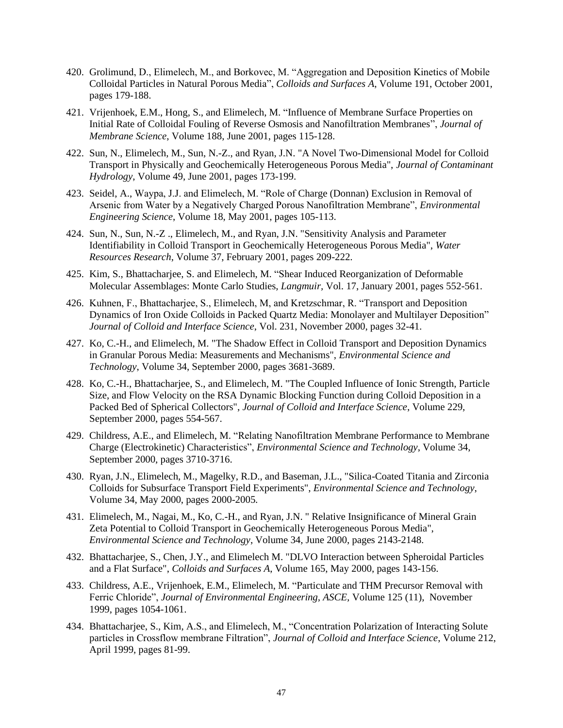- 420. Grolimund, D., Elimelech, M., and Borkovec, M. "Aggregation and Deposition Kinetics of Mobile Colloidal Particles in Natural Porous Media", *Colloids and Surfaces A*, Volume 191, October 2001, pages 179-188.
- 421. Vrijenhoek, E.M., Hong, S., and Elimelech, M. "Influence of Membrane Surface Properties on Initial Rate of Colloidal Fouling of Reverse Osmosis and Nanofiltration Membranes", *Journal of Membrane Science*, Volume 188, June 2001, pages 115-128.
- 422. Sun, N., Elimelech, M., Sun, N.-Z., and Ryan, J.N. "A Novel Two-Dimensional Model for Colloid Transport in Physically and Geochemically Heterogeneous Porous Media", *Journal of Contaminant Hydrology*, Volume 49, June 2001, pages 173-199.
- 423. Seidel, A., Waypa, J.J. and Elimelech, M. "Role of Charge (Donnan) Exclusion in Removal of Arsenic from Water by a Negatively Charged Porous Nanofiltration Membrane", *Environmental Engineering Science*, Volume 18, May 2001, pages 105-113.
- 424. Sun, N., Sun, N.-Z ., Elimelech, M., and Ryan, J.N. "Sensitivity Analysis and Parameter Identifiability in Colloid Transport in Geochemically Heterogeneous Porous Media", *Water Resources Research*, Volume 37, February 2001, pages 209-222.
- 425. Kim, S., Bhattacharjee, S. and Elimelech, M. "Shear Induced Reorganization of Deformable Molecular Assemblages: Monte Carlo Studies, *Langmuir,* Vol. 17, January 2001, pages 552-561.
- 426. Kuhnen, F., Bhattacharjee, S., Elimelech, M, and Kretzschmar, R. "Transport and Deposition Dynamics of Iron Oxide Colloids in Packed Quartz Media: Monolayer and Multilayer Deposition" *Journal of Colloid and Interface Science*, Vol. 231, November 2000, pages 32-41.
- 427. Ko, C.-H., and Elimelech, M. "The Shadow Effect in Colloid Transport and Deposition Dynamics in Granular Porous Media: Measurements and Mechanisms", *Environmental Science and Technology*, Volume 34, September 2000, pages 3681-3689.
- 428. Ko, C.-H., Bhattacharjee, S., and Elimelech, M. "The Coupled Influence of Ionic Strength, Particle Size, and Flow Velocity on the RSA Dynamic Blocking Function during Colloid Deposition in a Packed Bed of Spherical Collectors", *Journal of Colloid and Interface Science*, Volume 229, September 2000, pages 554-567.
- 429. Childress, A.E., and Elimelech, M. "Relating Nanofiltration Membrane Performance to Membrane Charge (Electrokinetic) Characteristics", *Environmental Science and Technology*, Volume 34, September 2000, pages 3710-3716.
- 430. Ryan, J.N., Elimelech, M., Magelky, R.D., and Baseman, J.L., "Silica-Coated Titania and Zirconia Colloids for Subsurface Transport Field Experiments", *Environmental Science and Technology*, Volume 34, May 2000, pages 2000-2005.
- 431. Elimelech, M., Nagai, M., Ko, C.-H., and Ryan, J.N. " Relative Insignificance of Mineral Grain Zeta Potential to Colloid Transport in Geochemically Heterogeneous Porous Media", *Environmental Science and Technology*, Volume 34, June 2000, pages 2143-2148.
- 432. Bhattacharjee, S., Chen, J.Y., and Elimelech M. "DLVO Interaction between Spheroidal Particles and a Flat Surface", *Colloids and Surfaces A*, Volume 165, May 2000, pages 143-156.
- 433. Childress, A.E., Vrijenhoek, E.M., Elimelech, M. "Particulate and THM Precursor Removal with Ferric Chloride", *Journal of Environmental Engineering, ASCE,* Volume 125 (11), November 1999, pages 1054-1061.
- 434. Bhattacharjee, S., Kim, A.S., and Elimelech, M., "Concentration Polarization of Interacting Solute particles in Crossflow membrane Filtration", *Journal of Colloid and Interface Science*, Volume 212, April 1999, pages 81-99.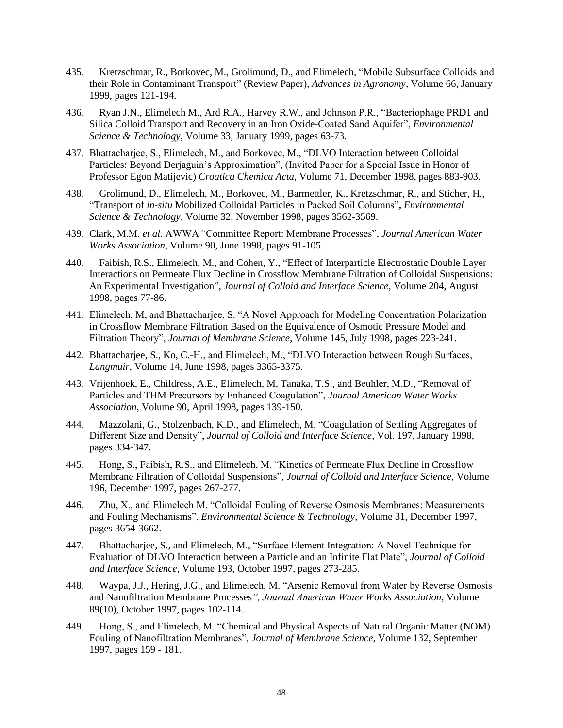- 435. Kretzschmar, R., Borkovec, M., Grolimund, D., and Elimelech, "Mobile Subsurface Colloids and their Role in Contaminant Transport" (Review Paper), *Advances in Agronomy*, Volume 66, January 1999, pages 121-194.
- 436. Ryan J.N., Elimelech M., Ard R.A., Harvey R.W., and Johnson P.R., "Bacteriophage PRD1 and Silica Colloid Transport and Recovery in an Iron Oxide-Coated Sand Aquifer", *Environmental Science & Technology*, Volume 33, January 1999, pages 63-73.
- 437. Bhattacharjee, S., Elimelech, M., and Borkovec, M., "DLVO Interaction between Colloidal Particles: Beyond Derjaguin's Approximation", (Invited Paper for a Special Issue in Honor of Professor Egon Matijevic) *Croatica Chemica Acta*, Volume 71, December 1998, pages 883-903.
- 438. Grolimund, D., Elimelech, M., Borkovec, M., Barmettler, K., Kretzschmar, R., and Sticher, H., "Transport of *in-situ* Mobilized Colloidal Particles in Packed Soil Columns"**,** *Environmental Science & Technology*, Volume 32, November 1998, pages 3562-3569.
- 439. Clark, M.M. *et al*. AWWA "Committee Report: Membrane Processes", *Journal American Water Works Association*, Volume 90, June 1998, pages 91-105.
- 440. Faibish, R.S., Elimelech, M., and Cohen, Y., "Effect of Interparticle Electrostatic Double Layer Interactions on Permeate Flux Decline in Crossflow Membrane Filtration of Colloidal Suspensions: An Experimental Investigation", *Journal of Colloid and Interface Science*, Volume 204, August 1998, pages 77-86.
- 441. Elimelech, M, and Bhattacharjee, S. "A Novel Approach for Modeling Concentration Polarization in Crossflow Membrane Filtration Based on the Equivalence of Osmotic Pressure Model and Filtration Theory", *Journal of Membrane Science*, Volume 145, July 1998, pages 223-241.
- 442. Bhattacharjee, S., Ko, C.-H., and Elimelech, M., "DLVO Interaction between Rough Surfaces, *Langmuir*, Volume 14, June 1998, pages 3365-3375.
- 443. Vrijenhoek, E., Childress, A.E., Elimelech, M, Tanaka, T.S., and Beuhler, M.D., "Removal of Particles and THM Precursors by Enhanced Coagulation", *Journal American Water Works Association*, Volume 90, April 1998, pages 139-150.
- 444. Mazzolani, G., Stolzenbach, K.D., and Elimelech, M. "Coagulation of Settling Aggregates of Different Size and Density", *Journal of Colloid and Interface Science*, Vol. 197, January 1998, pages 334-347.
- 445. Hong, S., Faibish, R.S., and Elimelech, M. "Kinetics of Permeate Flux Decline in Crossflow Membrane Filtration of Colloidal Suspensions", *Journal of Colloid and Interface Science*, Volume 196, December 1997, pages 267-277.
- 446. Zhu, X., and Elimelech M. "Colloidal Fouling of Reverse Osmosis Membranes: Measurements and Fouling Mechanisms", *Environmental Science & Technology*, Volume 31, December 1997, pages 3654-3662.
- 447. Bhattacharjee, S., and Elimelech, M., "Surface Element Integration: A Novel Technique for Evaluation of DLVO Interaction between a Particle and an Infinite Flat Plate", *Journal of Colloid and Interface Science*, Volume 193, October 1997, pages 273-285.
- 448. Waypa, J.J., Hering, J.G., and Elimelech, M. "Arsenic Removal from Water by Reverse Osmosis and Nanofiltration Membrane Processes*", Journal American Water Works Association*, Volume 89(10), October 1997, pages 102-114..
- 449. Hong, S., and Elimelech, M. "Chemical and Physical Aspects of Natural Organic Matter (NOM) Fouling of Nanofiltration Membranes", *Journal of Membrane Science*, Volume 132, September 1997, pages 159 - 181.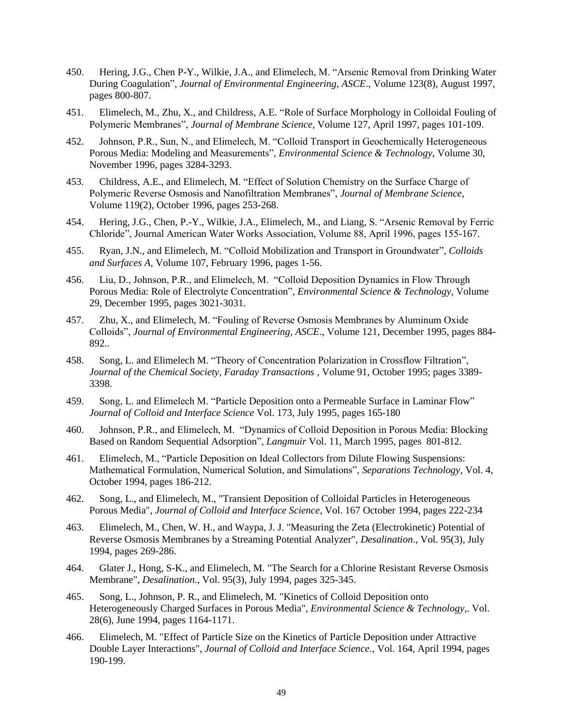- 450. Hering, J.G., Chen P-Y., Wilkie, J.A., and Elimelech, M. "Arsenic Removal from Drinking Water During Coagulation", *Journal of Environmental Engineering, ASCE*., Volume 123(8), August 1997, pages 800-807.
- 451. Elimelech, M., Zhu, X., and Childress, A.E. "Role of Surface Morphology in Colloidal Fouling of Polymeric Membranes", *Journal of Membrane Science*, Volume 127, April 1997, pages 101-109.
- 452. Johnson, P.R., Sun, N., and Elimelech, M. "Colloid Transport in Geochemically Heterogeneous Porous Media: Modeling and Measurements", *Environmental Science & Technology*, Volume 30, November 1996, pages 3284-3293.
- 453. Childress, A.E., and Elimelech, M. "Effect of Solution Chemistry on the Surface Charge of Polymeric Reverse Osmosis and Nanofiltration Membranes", *Journal of Membrane Science*, Volume 119(2), October 1996, pages 253-268.
- 454. Hering, J.G., Chen, P.-Y., Wilkie, J.A., Elimelech, M., and Liang, S. "Arsenic Removal by Ferric Chloride", Journal American Water Works Association, Volume 88, April 1996, pages 155-167.
- 455. Ryan, J.N., and Elimelech, M. "Colloid Mobilization and Transport in Groundwater", *Colloids and Surfaces A*, Volume 107, February 1996, pages 1-56.
- 456. Liu, D., Johnson, P.R., and Elimelech, M. "Colloid Deposition Dynamics in Flow Through Porous Media: Role of Electrolyte Concentration", *Environmental Science & Technology*, Volume 29, December 1995, pages 3021-3031.
- 457. Zhu, X., and Elimelech, M. "Fouling of Reverse Osmosis Membranes by Aluminum Oxide Colloids", *Journal of Environmental Engineering, ASCE*., Volume 121, December 1995, pages 884- 892..
- 458. Song, L. and Elimelech M. "Theory of Concentration Polarization in Crossflow Filtration", *Journal of the Chemical Society, Faraday Transactions* , Volume 91, October 1995; pages 3389- 3398.
- 459. Song, L. and Elimelech M. "Particle Deposition onto a Permeable Surface in Laminar Flow" *Journal of Colloid and Interface Science* Vol. 173, July 1995, pages 165-180
- 460. Johnson, P.R., and Elimelech, M. "Dynamics of Colloid Deposition in Porous Media: Blocking Based on Random Sequential Adsorption", *Langmuir* Vol. 11, March 1995, pages 801-812.
- 461. Elimelech, M., "Particle Deposition on Ideal Collectors from Dilute Flowing Suspensions: Mathematical Formulation, Numerical Solution, and Simulations", *Separations Technology*, Vol. 4, October 1994, pages 186-212.
- 462. Song, L., and Elimelech, M., "Transient Deposition of Colloidal Particles in Heterogeneous Porous Media", *Journal of Colloid and Interface Science,* Vol. 167 October 1994, pages 222-234
- 463. Elimelech, M., Chen, W. H., and Waypa, J. J. "Measuring the Zeta (Electrokinetic) Potential of Reverse Osmosis Membranes by a Streaming Potential Analyzer", *Desalination*., Vol. 95(3), July 1994, pages 269-286.
- 464. Glater J., Hong, S-K., and Elimelech, M. "The Search for a Chlorine Resistant Reverse Osmosis Membrane", *Desalination*., Vol. 95(3), July 1994, pages 325-345.
- 465. Song, L., Johnson, P. R., and Elimelech, M. "Kinetics of Colloid Deposition onto Heterogeneously Charged Surfaces in Porous Media", *Environmental Science & Technology*,. Vol. 28(6), June 1994, pages 1164-1171.
- 466. Elimelech, M. "Effect of Particle Size on the Kinetics of Particle Deposition under Attractive Double Layer Interactions", *Journal of Colloid and Interface Science*., Vol. 164, April 1994, pages 190-199.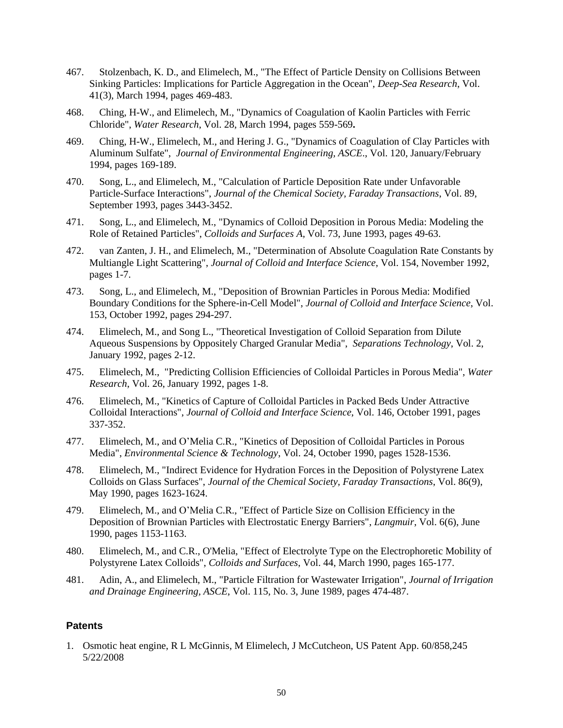- 467. Stolzenbach, K. D., and Elimelech, M., "The Effect of Particle Density on Collisions Between Sinking Particles: Implications for Particle Aggregation in the Ocean", *Deep-Sea Research*, Vol. 41(3), March 1994, pages 469-483.
- 468. Ching, H-W., and Elimelech, M., "Dynamics of Coagulation of Kaolin Particles with Ferric Chloride", *Water Research*, Vol. 28, March 1994, pages 559-569**.**
- 469. Ching, H-W., Elimelech, M., and Hering J. G., "Dynamics of Coagulation of Clay Particles with Aluminum Sulfate", *Journal of Environmental Engineering, ASCE*., Vol. 120, January/February 1994, pages 169-189.
- 470. Song, L., and Elimelech, M., "Calculation of Particle Deposition Rate under Unfavorable Particle-Surface Interactions", *Journal of the Chemical Society, Faraday Transactions*, Vol. 89, September 1993, pages 3443-3452.
- 471. Song, L., and Elimelech, M., "Dynamics of Colloid Deposition in Porous Media: Modeling the Role of Retained Particles", *Colloids and Surfaces A,* Vol. 73, June 1993, pages 49-63.
- 472. van Zanten, J. H., and Elimelech, M., "Determination of Absolute Coagulation Rate Constants by Multiangle Light Scattering", *Journal of Colloid and Interface Science*, Vol. 154, November 1992, pages 1-7.
- 473. Song, L., and Elimelech, M., "Deposition of Brownian Particles in Porous Media: Modified Boundary Conditions for the Sphere-in-Cell Model", *Journal of Colloid and Interface Science*, Vol. 153, October 1992, pages 294-297.
- 474. Elimelech, M., and Song L., "Theoretical Investigation of Colloid Separation from Dilute Aqueous Suspensions by Oppositely Charged Granular Media", *Separations Technology*, Vol. 2, January 1992, pages 2-12.
- 475. Elimelech, M., "Predicting Collision Efficiencies of Colloidal Particles in Porous Media", *Water Research*, Vol. 26, January 1992, pages 1-8.
- 476. Elimelech, M., "Kinetics of Capture of Colloidal Particles in Packed Beds Under Attractive Colloidal Interactions", *Journal of Colloid and Interface Science*, Vol. 146, October 1991, pages 337-352.
- 477. Elimelech, M., and O'Melia C.R., "Kinetics of Deposition of Colloidal Particles in Porous Media", *Environmental Science & Technology*, Vol. 24, October 1990, pages 1528-1536.
- 478. Elimelech, M., "Indirect Evidence for Hydration Forces in the Deposition of Polystyrene Latex Colloids on Glass Surfaces", *Journal of the Chemical Society, Faraday Transactions*, Vol. 86(9), May 1990, pages 1623-1624.
- 479. Elimelech, M., and O'Melia C.R., "Effect of Particle Size on Collision Efficiency in the Deposition of Brownian Particles with Electrostatic Energy Barriers", *Langmuir*, Vol. 6(6), June 1990, pages 1153-1163.
- 480. Elimelech, M., and C.R., O'Melia, "Effect of Electrolyte Type on the Electrophoretic Mobility of Polystyrene Latex Colloids", *Colloids and Surfaces*, Vol. 44, March 1990, pages 165-177.
- 481. Adin, A., and Elimelech, M., "Particle Filtration for Wastewater Irrigation", *Journal of Irrigation and Drainage Engineering, ASCE*, Vol. 115, No. 3, June 1989, pages 474-487.

#### **Patents**

1. Osmotic heat engine, [R L McGinnis,](https://www.google.com/search?tbo=p&tbm=pts&hl=en&q=ininventor:%22Robert+L.+McGinnis%22) [M Elimelech,](https://www.google.com/search?tbo=p&tbm=pts&hl=en&q=ininventor:%22Menachem+Elimelech%22) [J McCutcheon,](https://www.google.com/search?tbo=p&tbm=pts&hl=en&q=ininventor:%22Jeffrey+McCutcheon%22) US Patent App. 60/858,245 5/22/2008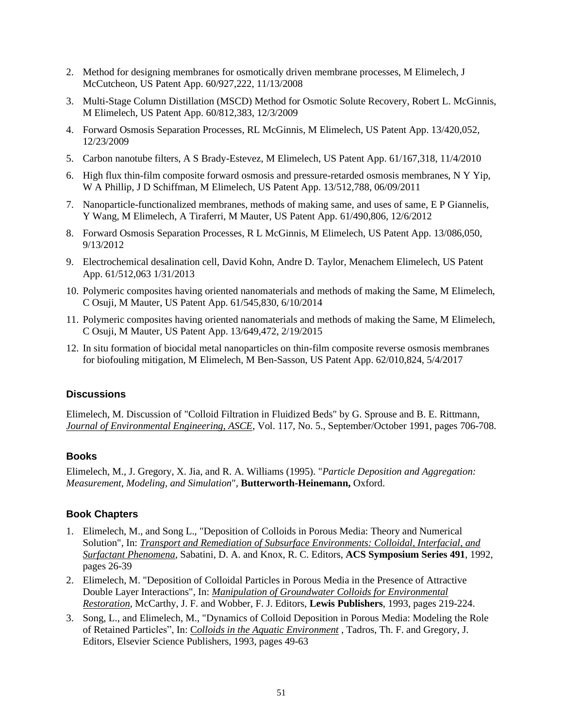- 2. Method for designing membranes for osmotically driven membrane processes, M Elimelech[, J](https://www.google.com/search?tbo=p&tbm=pts&hl=en&q=ininventor:%22Jeffrey+McCutcheon%22)  [McCutcheon,](https://www.google.com/search?tbo=p&tbm=pts&hl=en&q=ininventor:%22Jeffrey+McCutcheon%22) US Patent App. 60/927,222, 11/13/2008
- 3. Multi-Stage Column Distillation (MSCD) Method for Osmotic Solute Recovery, Robert L. McGinnis, M Elimelech, US Patent App. 60/812,383, 12/3/2009
- 4. Forward Osmosis Separation Processes, RL McGinnis, M Elimelech, US Patent App. 13/420,052, 12/23/2009
- 5. Carbon nanotube filters, A S Brady-Estevez, M Elimelech, US Patent App. 61/167,318, 11/4/2010
- 6. High flux thin-film composite forward osmosis and pressure-retarded osmosis membranes, N Y Yip, W A Phillip, J D Schiffman, M Elimelech, US Patent App. 13/512,788, 06/09/2011
- 7. Nanoparticle-functionalized membranes, methods of making same, and uses of same, E P Giannelis, Y Wang, M Elimelech, A Tiraferri, M Mauter, US Patent App. 61/490,806, 12/6/2012
- 8. Forward Osmosis Separation Processes, R L McGinnis, M Elimelech, US Patent App. 13/086,050, 9/13/2012
- 9. Electrochemical desalination cell, David Kohn, Andre D. Taylor, Menachem Elimelech, US Patent App. 61/512,063 1/31/2013
- 10. Polymeric composites having oriented nanomaterials and methods of making the Same, M Elimelech, C Osuji, M Mauter, US Patent App. 61/545,830, 6/10/2014
- 11. Polymeric composites having oriented nanomaterials and methods of making the Same, M Elimelech, C Osuji, M Mauter, US Patent App. 13/649,472, 2/19/2015
- 12. In situ formation of biocidal metal nanoparticles on thin-film composite reverse osmosis membranes for biofouling mitigation, M Elimelech, M Ben-Sasson, US Patent App. 62/010,824, 5/4/2017

### **Discussions**

Elimelech, M. Discussion of "Colloid Filtration in Fluidized Beds" by G. Sprouse and B. E. Rittmann, *Journal of Environmental Engineering, ASCE*, Vol. 117, No. 5., September/October 1991, pages 706-708.

### **Books**

Elimelech, M., J. Gregory, X. Jia, and R. A. Williams (1995). "*Particle Deposition and Aggregation: Measurement, Modeling, and Simulation*", **Butterworth-Heinemann,** Oxford.

# **Book Chapters**

- 1. Elimelech, M., and Song L., "Deposition of Colloids in Porous Media: Theory and Numerical Solution", In: *Transport and Remediation of Subsurface Environments: Colloidal, Interfacial, and Surfactant Phenomena*, Sabatini, D. A. and Knox, R. C. Editors, **ACS Symposium Series 491**, 1992, pages 26-39
- 2. Elimelech, M. "Deposition of Colloidal Particles in Porous Media in the Presence of Attractive Double Layer Interactions", In: *Manipulation of Groundwater Colloids for Environmental Restoration*, McCarthy, J. F. and Wobber, F. J. Editors, **Lewis Publishers**, 1993, pages 219-224.
- 3. Song, L., and Elimelech, M., "Dynamics of Colloid Deposition in Porous Media: Modeling the Role of Retained Particles", In: C*olloids in the Aquatic Environment* , Tadros, Th. F. and Gregory, J. Editors, Elsevier Science Publishers, 1993, pages 49-63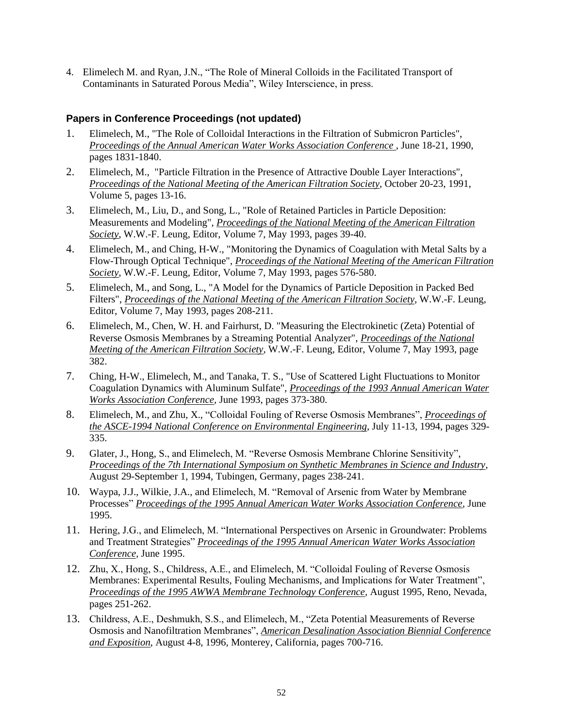4. Elimelech M. and Ryan, J.N., "The Role of Mineral Colloids in the Facilitated Transport of Contaminants in Saturated Porous Media", Wiley Interscience, in press.

### **Papers in Conference Proceedings (not updated)**

- 1. Elimelech, M., "The Role of Colloidal Interactions in the Filtration of Submicron Particles", *Proceedings of the Annual American Water Works Association Conference* , June 18-21, 1990, pages 1831-1840.
- 2. Elimelech, M., "Particle Filtration in the Presence of Attractive Double Layer Interactions", *Proceedings of the National Meeting of the American Filtration Society*, October 20-23, 1991, Volume 5, pages 13-16.
- 3. Elimelech, M., Liu, D., and Song, L., "Role of Retained Particles in Particle Deposition: Measurements and Modeling", *Proceedings of the National Meeting of the American Filtration Society*, W.W.-F. Leung, Editor, Volume 7, May 1993, pages 39-40.
- 4. Elimelech, M., and Ching, H-W., "Monitoring the Dynamics of Coagulation with Metal Salts by a Flow-Through Optical Technique", *Proceedings of the National Meeting of the American Filtration Society*, W.W.-F. Leung, Editor, Volume 7, May 1993, pages 576-580.
- 5. Elimelech, M., and Song, L., "A Model for the Dynamics of Particle Deposition in Packed Bed Filters", *Proceedings of the National Meeting of the American Filtration Society*, W.W.-F. Leung, Editor, Volume 7, May 1993, pages 208-211.
- 6. Elimelech, M., Chen, W. H. and Fairhurst, D. "Measuring the Electrokinetic (Zeta) Potential of Reverse Osmosis Membranes by a Streaming Potential Analyzer", *Proceedings of the National Meeting of the American Filtration Society*, W.W.-F. Leung, Editor, Volume 7, May 1993, page 382.
- 7. Ching, H-W., Elimelech, M., and Tanaka, T. S., "Use of Scattered Light Fluctuations to Monitor Coagulation Dynamics with Aluminum Sulfate", *Proceedings of the 1993 Annual American Water Works Association Conference,* June 1993, pages 373-380.
- 8. Elimelech, M., and Zhu, X., "Colloidal Fouling of Reverse Osmosis Membranes", *Proceedings of the ASCE-1994 National Conference on Environmental Engineering*, July 11-13, 1994, pages 329- 335.
- 9. Glater, J., Hong, S., and Elimelech, M. "Reverse Osmosis Membrane Chlorine Sensitivity", *Proceedings of the 7th International Symposium on Synthetic Membranes in Science and Industry*, August 29-September 1, 1994, Tubingen, Germany, pages 238-241.
- 10. Waypa, J.J., Wilkie, J.A., and Elimelech, M. "Removal of Arsenic from Water by Membrane Processes" *Proceedings of the 1995 Annual American Water Works Association Conference,* June 1995.
- 11. Hering, J.G., and Elimelech, M. "International Perspectives on Arsenic in Groundwater: Problems and Treatment Strategies" *Proceedings of the 1995 Annual American Water Works Association Conference,* June 1995.
- 12. Zhu, X., Hong, S., Childress, A.E., and Elimelech, M. "Colloidal Fouling of Reverse Osmosis Membranes: Experimental Results, Fouling Mechanisms, and Implications for Water Treatment", *Proceedings of the 1995 AWWA Membrane Technology Conference*, August 1995, Reno, Nevada, pages 251-262.
- 13. Childress, A.E., Deshmukh, S.S., and Elimelech, M., "Zeta Potential Measurements of Reverse Osmosis and Nanofiltration Membranes", *American Desalination Association Biennial Conference and Exposition*, August 4-8, 1996, Monterey, California, pages 700-716.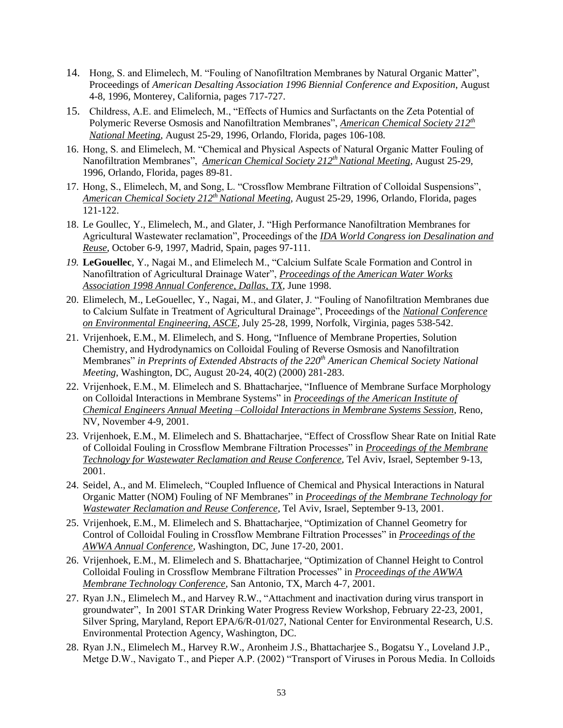- 14. Hong, S. and Elimelech, M. "Fouling of Nanofiltration Membranes by Natural Organic Matter", Proceedings of *American Desalting Association 1996 Biennial Conference and Exposition*, August 4-8, 1996, Monterey, California, pages 717-727.
- 15. Childress, A.E. and Elimelech, M., "Effects of Humics and Surfactants on the Zeta Potential of Polymeric Reverse Osmosis and Nanofiltration Membranes", *American Chemical Society 212th National Meeting*, August 25-29, 1996, Orlando, Florida, pages 106-108.
- 16. Hong, S. and Elimelech, M. "Chemical and Physical Aspects of Natural Organic Matter Fouling of Nanofiltration Membranes", *American Chemical Society 212th National Meeting*, August 25-29, 1996, Orlando, Florida, pages 89-81.
- 17. Hong, S., Elimelech, M, and Song, L. "Crossflow Membrane Filtration of Colloidal Suspensions", *American Chemical Society 212th National Meeting*, August 25-29, 1996, Orlando, Florida, pages 121-122.
- 18. Le Goullec, Y., Elimelech, M., and Glater, J. "High Performance Nanofiltration Membranes for Agricultural Wastewater reclamation", Proceedings of the *IDA World Congress ion Desalination and Reuse*, October 6-9, 1997, Madrid, Spain, pages 97-111.
- *19.* **LeGouellec**, Y., Nagai M., and Elimelech M., "Calcium Sulfate Scale Formation and Control in Nanofiltration of Agricultural Drainage Water", *Proceedings of the American Water Works Association 1998 Annual Conference, Dallas, TX*, June 1998.
- 20. Elimelech, M., LeGouellec, Y., Nagai, M., and Glater, J. "Fouling of Nanofiltration Membranes due to Calcium Sulfate in Treatment of Agricultural Drainage", Proceedings of the *National Conference on Environmental Engineering, ASCE*, July 25-28, 1999, Norfolk, Virginia, pages 538-542.
- 21. Vrijenhoek, E.M., M. Elimelech, and S. Hong, "Influence of Membrane Properties, Solution Chemistry, and Hydrodynamics on Colloidal Fouling of Reverse Osmosis and Nanofiltration Membranes" *in Preprints of Extended Abstracts of the 220th American Chemical Society National Meeting*, Washington, DC, August 20-24, 40(2) (2000) 281-283.
- 22. Vrijenhoek, E.M., M. Elimelech and S. Bhattacharjee, "Influence of Membrane Surface Morphology on Colloidal Interactions in Membrane Systems" in *Proceedings of the American Institute of Chemical Engineers Annual Meeting –Colloidal Interactions in Membrane Systems Session*, Reno, NV, November 4-9, 2001.
- 23. Vrijenhoek, E.M., M. Elimelech and S. Bhattacharjee, "Effect of Crossflow Shear Rate on Initial Rate of Colloidal Fouling in Crossflow Membrane Filtration Processes" in *Proceedings of the Membrane Technology for Wastewater Reclamation and Reuse Conference*, Tel Aviv, Israel, September 9-13, 2001.
- 24. Seidel, A., and M. Elimelech, "Coupled Influence of Chemical and Physical Interactions in Natural Organic Matter (NOM) Fouling of NF Membranes" in *Proceedings of the Membrane Technology for Wastewater Reclamation and Reuse Conference*, Tel Aviv, Israel, September 9-13, 2001.
- 25. Vrijenhoek, E.M., M. Elimelech and S. Bhattacharjee, "Optimization of Channel Geometry for Control of Colloidal Fouling in Crossflow Membrane Filtration Processes" in *Proceedings of the AWWA Annual Conference*, Washington, DC, June 17-20, 2001.
- 26. Vrijenhoek, E.M., M. Elimelech and S. Bhattacharjee, "Optimization of Channel Height to Control Colloidal Fouling in Crossflow Membrane Filtration Processes" in *Proceedings of the AWWA Membrane Technology Conference*, San Antonio, TX, March 4-7, 2001.
- 27. Ryan J.N., Elimelech M., and Harvey R.W., "Attachment and inactivation during virus transport in groundwater", In 2001 STAR Drinking Water Progress Review Workshop, February 22-23, 2001, Silver Spring, Maryland, Report EPA/6/R-01/027, National Center for Environmental Research, U.S. Environmental Protection Agency, Washington, DC.
- 28. Ryan J.N., Elimelech M., Harvey R.W., Aronheim J.S., Bhattacharjee S., Bogatsu Y., Loveland J.P., Metge D.W., Navigato T., and Pieper A.P. (2002) "Transport of Viruses in Porous Media. In Colloids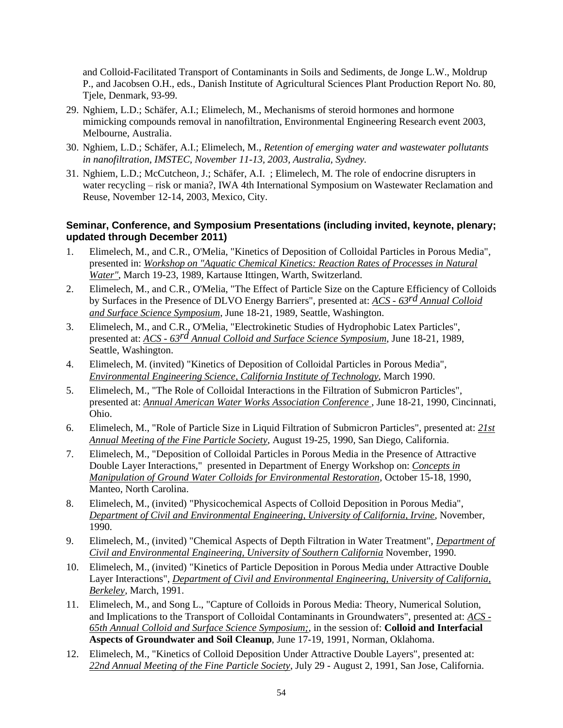and Colloid-Facilitated Transport of Contaminants in Soils and Sediments, de Jonge L.W., Moldrup P., and Jacobsen O.H., eds., Danish Institute of Agricultural Sciences Plant Production Report No. 80, Tjele, Denmark, 93-99.

- 29. Nghiem, L.D.; Schäfer, A.I.; Elimelech, M., Mechanisms of steroid hormones and hormone mimicking compounds removal in nanofiltration, Environmental Engineering Research event 2003, Melbourne, Australia.
- 30. Nghiem, L.D.; Schäfer, A.I.; Elimelech, M., *Retention of emerging water and wastewater pollutants in nanofiltration*, *IMSTEC, November 11-13, 2003, Australia, Sydney.*
- 31. Nghiem, L.D.; McCutcheon, J.; Schäfer, A.I. ; Elimelech, M. The role of endocrine disrupters in water recycling – risk or mania?, IWA 4th International Symposium on Wastewater Reclamation and Reuse, November 12-14, 2003, Mexico, City.

# **Seminar, Conference, and Symposium Presentations (including invited, keynote, plenary; updated through December 2011)**

- 1. Elimelech, M., and C.R., O'Melia, "Kinetics of Deposition of Colloidal Particles in Porous Media", presented in: *Workshop on "Aquatic Chemical Kinetics: Reaction Rates of Processes in Natural Water"*, March 19-23, 1989, Kartause Ittingen, Warth, Switzerland.
- 2. Elimelech, M., and C.R., O'Melia, "The Effect of Particle Size on the Capture Efficiency of Colloids by Surfaces in the Presence of DLVO Energy Barriers", presented at: *ACS - 63rd Annual Colloid and Surface Science Symposium*, June 18-21, 1989, Seattle, Washington.
- 3. Elimelech, M., and C.R., O'Melia, "Electrokinetic Studies of Hydrophobic Latex Particles", presented at: *ACS - 63rd Annual Colloid and Surface Science Symposium*, June 18-21, 1989, Seattle, Washington.
- 4. Elimelech, M. (invited) "Kinetics of Deposition of Colloidal Particles in Porous Media", *Environmental Engineering Science, California Institute of Technology*, March 1990.
- 5. Elimelech, M., "The Role of Colloidal Interactions in the Filtration of Submicron Particles", presented at: *Annual American Water Works Association Conference* , June 18-21, 1990, Cincinnati, Ohio.
- 6. Elimelech, M., "Role of Particle Size in Liquid Filtration of Submicron Particles", presented at: *21st Annual Meeting of the Fine Particle Society*, August 19-25, 1990, San Diego, California.
- 7. Elimelech, M., "Deposition of Colloidal Particles in Porous Media in the Presence of Attractive Double Layer Interactions," presented in Department of Energy Workshop on: *Concepts in Manipulation of Ground Water Colloids for Environmental Restoration*, October 15-18, 1990, Manteo, North Carolina.
- 8. Elimelech, M., (invited) "Physicochemical Aspects of Colloid Deposition in Porous Media", *Department of Civil and Environmental Engineering, University of California, Irvine*, November, 1990.
- 9. Elimelech, M., (invited) "Chemical Aspects of Depth Filtration in Water Treatment", *Department of Civil and Environmental Engineering, University of Southern California* November, 1990.
- 10. Elimelech, M., (invited) "Kinetics of Particle Deposition in Porous Media under Attractive Double Layer Interactions", *Department of Civil and Environmental Engineering, University of California, Berkeley,* March, 1991.
- 11. Elimelech, M., and Song L., "Capture of Colloids in Porous Media: Theory, Numerical Solution, and Implications to the Transport of Colloidal Contaminants in Groundwaters", presented at: *ACS - 65th Annual Colloid and Surface Science Symposium;*, in the session of: **Colloid and Interfacial Aspects of Groundwater and Soil Cleanup**, June 17-19, 1991, Norman, Oklahoma.
- 12. Elimelech, M., "Kinetics of Colloid Deposition Under Attractive Double Layers", presented at: *22nd Annual Meeting of the Fine Particle Society*, July 29 - August 2, 1991, San Jose, California.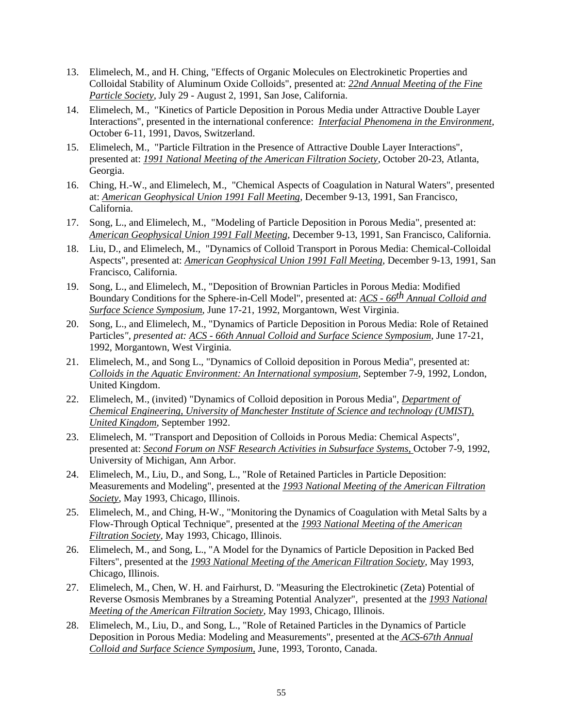- 13. Elimelech, M., and H. Ching, "Effects of Organic Molecules on Electrokinetic Properties and Colloidal Stability of Aluminum Oxide Colloids", presented at: *22nd Annual Meeting of the Fine Particle Society*, July 29 - August 2, 1991, San Jose, California.
- 14. Elimelech, M., "Kinetics of Particle Deposition in Porous Media under Attractive Double Layer Interactions", presented in the international conference: *Interfacial Phenomena in the Environment*, October 6-11, 1991, Davos, Switzerland.
- 15. Elimelech, M., "Particle Filtration in the Presence of Attractive Double Layer Interactions", presented at: *1991 National Meeting of the American Filtration Society*, October 20-23, Atlanta, Georgia.
- 16. Ching, H.-W., and Elimelech, M., "Chemical Aspects of Coagulation in Natural Waters", presented at: *American Geophysical Union 1991 Fall Meeting*, December 9-13, 1991, San Francisco, California.
- 17. Song, L., and Elimelech, M., "Modeling of Particle Deposition in Porous Media", presented at: *American Geophysical Union 1991 Fall Meeting*, December 9-13, 1991, San Francisco, California.
- 18. Liu, D., and Elimelech, M., "Dynamics of Colloid Transport in Porous Media: Chemical-Colloidal Aspects", presented at: *American Geophysical Union 1991 Fall Meeting*, December 9-13, 1991, San Francisco, California.
- 19. Song, L., and Elimelech, M., "Deposition of Brownian Particles in Porous Media: Modified Boundary Conditions for the Sphere-in-Cell Model", presented at: *ACS - 66th Annual Colloid and Surface Science Symposium*, June 17-21, 1992, Morgantown, West Virginia.
- 20. Song, L., and Elimelech, M., "Dynamics of Particle Deposition in Porous Media: Role of Retained Particles*", presented at: ACS - 66th Annual Colloid and Surface Science Symposium*, June 17-21, 1992, Morgantown, West Virginia.
- 21. Elimelech, M., and Song L., "Dynamics of Colloid deposition in Porous Media", presented at: *Colloids in the Aquatic Environment: An International symposium*, September 7-9, 1992, London, United Kingdom.
- 22. Elimelech, M., (invited) "Dynamics of Colloid deposition in Porous Media", *Department of Chemical Engineering, University of Manchester Institute of Science and technology (UMIST), United Kingdom*, September 1992.
- 23. Elimelech, M. "Transport and Deposition of Colloids in Porous Media: Chemical Aspects", presented at: *Second Forum on NSF Research Activities in Subsurface Systems,* October 7-9, 1992, University of Michigan, Ann Arbor.
- 24. Elimelech, M., Liu, D., and Song, L., "Role of Retained Particles in Particle Deposition: Measurements and Modeling", presented at the *1993 National Meeting of the American Filtration Society*, May 1993, Chicago, Illinois.
- 25. Elimelech, M., and Ching, H-W., "Monitoring the Dynamics of Coagulation with Metal Salts by a Flow-Through Optical Technique", presented at the *1993 National Meeting of the American Filtration Society*, May 1993, Chicago, Illinois.
- 26. Elimelech, M., and Song, L., "A Model for the Dynamics of Particle Deposition in Packed Bed Filters", presented at the *1993 National Meeting of the American Filtration Society*, May 1993, Chicago, Illinois.
- 27. Elimelech, M., Chen, W. H. and Fairhurst, D. "Measuring the Electrokinetic (Zeta) Potential of Reverse Osmosis Membranes by a Streaming Potential Analyzer", presented at the *1993 National Meeting of the American Filtration Society*, May 1993, Chicago, Illinois.
- 28. Elimelech, M., Liu, D., and Song, L., "Role of Retained Particles in the Dynamics of Particle Deposition in Porous Media: Modeling and Measurements", presented at the *ACS-67th Annual Colloid and Surface Science Symposium*, June, 1993, Toronto, Canada.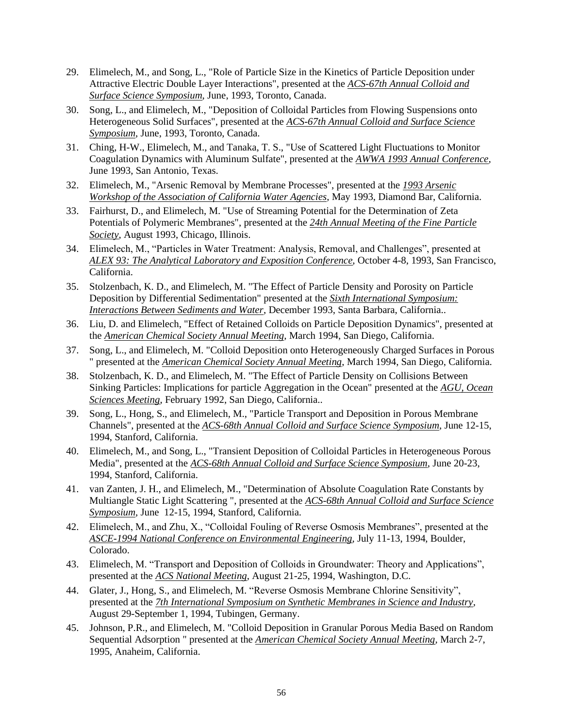- 29. Elimelech, M., and Song, L., "Role of Particle Size in the Kinetics of Particle Deposition under Attractive Electric Double Layer Interactions", presented at the *ACS-67th Annual Colloid and Surface Science Symposium*, June, 1993, Toronto, Canada.
- 30. Song, L., and Elimelech, M., "Deposition of Colloidal Particles from Flowing Suspensions onto Heterogeneous Solid Surfaces", presented at the *ACS-67th Annual Colloid and Surface Science Symposium*, June, 1993, Toronto, Canada.
- 31. Ching, H-W., Elimelech, M., and Tanaka, T. S., "Use of Scattered Light Fluctuations to Monitor Coagulation Dynamics with Aluminum Sulfate", presented at the *AWWA 1993 Annual Conference,* June 1993, San Antonio, Texas.
- 32. Elimelech, M., "Arsenic Removal by Membrane Processes", presented at the *1993 Arsenic Workshop of the Association of California Water Agencies*, May 1993, Diamond Bar, California.
- 33. Fairhurst, D., and Elimelech, M. "Use of Streaming Potential for the Determination of Zeta Potentials of Polymeric Membranes", presented at the *24th Annual Meeting of the Fine Particle Society*, August 1993, Chicago, Illinois.
- 34. Elimelech, M., "Particles in Water Treatment: Analysis, Removal, and Challenges", presented at *ALEX 93: The Analytical Laboratory and Exposition Conference*, October 4-8, 1993, San Francisco, California.
- 35. Stolzenbach, K. D., and Elimelech, M. "The Effect of Particle Density and Porosity on Particle Deposition by Differential Sedimentation" presented at the *Sixth International Symposium: Interactions Between Sediments and Water*, December 1993, Santa Barbara, California..
- 36. Liu, D. and Elimelech, "Effect of Retained Colloids on Particle Deposition Dynamics", presented at the *American Chemical Society Annual Meeting*, March 1994, San Diego, California.
- 37. Song, L., and Elimelech, M. "Colloid Deposition onto Heterogeneously Charged Surfaces in Porous " presented at the *American Chemical Society Annual Meeting*, March 1994, San Diego, California.
- 38. Stolzenbach, K. D., and Elimelech, M. "The Effect of Particle Density on Collisions Between Sinking Particles: Implications for particle Aggregation in the Ocean" presented at the *AGU, Ocean Sciences Meeting*, February 1992, San Diego, California..
- 39. Song, L., Hong, S., and Elimelech, M., "Particle Transport and Deposition in Porous Membrane Channels", presented at the *ACS-68th Annual Colloid and Surface Science Symposium*, June 12-15, 1994, Stanford, California.
- 40. Elimelech, M., and Song, L., "Transient Deposition of Colloidal Particles in Heterogeneous Porous Media", presented at the *ACS-68th Annual Colloid and Surface Science Symposium*, June 20-23, 1994, Stanford, California.
- 41. van Zanten, J. H., and Elimelech, M., "Determination of Absolute Coagulation Rate Constants by Multiangle Static Light Scattering ", presented at the *ACS-68th Annual Colloid and Surface Science Symposium*, June 12-15, 1994, Stanford, California.
- 42. Elimelech, M., and Zhu, X., "Colloidal Fouling of Reverse Osmosis Membranes", presented at the *ASCE-1994 National Conference on Environmental Engineering*, July 11-13, 1994, Boulder, Colorado.
- 43. Elimelech, M. "Transport and Deposition of Colloids in Groundwater: Theory and Applications", presented at the *ACS National Meeting*, August 21-25, 1994, Washington, D.C.
- 44. Glater, J., Hong, S., and Elimelech, M. "Reverse Osmosis Membrane Chlorine Sensitivity", presented at the *7th International Symposium on Synthetic Membranes in Science and Industry*, August 29-September 1, 1994, Tubingen, Germany.
- 45. Johnson, P.R., and Elimelech, M. "Colloid Deposition in Granular Porous Media Based on Random Sequential Adsorption " presented at the *American Chemical Society Annual Meeting*, March 2-7, 1995, Anaheim, California.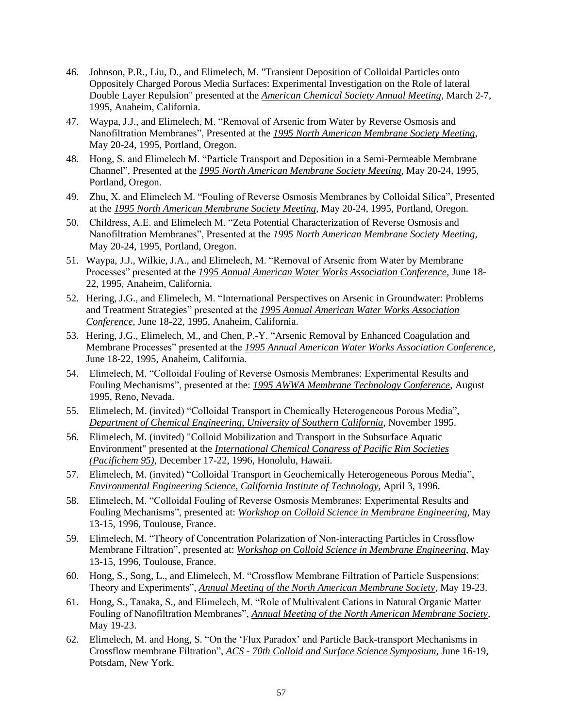- 46. Johnson, P.R., Liu, D., and Elimelech, M. "Transient Deposition of Colloidal Particles onto Oppositely Charged Porous Media Surfaces: Experimental Investigation on the Role of lateral Double Layer Repulsion" presented at the *American Chemical Society Annual Meeting*, March 2-7, 1995, Anaheim, California.
- 47. Waypa, J.J., and Elimelech, M. "Removal of Arsenic from Water by Reverse Osmosis and Nanofiltration Membranes", Presented at the *1995 North American Membrane Society Meeting*, May 20-24, 1995, Portland, Oregon.
- 48. Hong, S. and Elimelech M. "Particle Transport and Deposition in a Semi-Permeable Membrane Channel", Presented at the *1995 North American Membrane Society Meeting*, May 20-24, 1995, Portland, Oregon.
- 49. Zhu, X. and Elimelech M. "Fouling of Reverse Osmosis Membranes by Colloidal Silica", Presented at the *1995 North American Membrane Society Meeting*, May 20-24, 1995, Portland, Oregon.
- 50. Childress, A.E. and Elimelech M. "Zeta Potential Characterization of Reverse Osmosis and Nanofiltration Membranes", Presented at the *1995 North American Membrane Society Meeting*, May 20-24, 1995, Portland, Oregon.
- 51. Waypa, J.J., Wilkie, J.A., and Elimelech, M. "Removal of Arsenic from Water by Membrane Processes" presented at the *1995 Annual American Water Works Association Conference,* June 18- 22, 1995, Anaheim, California.
- 52. Hering, J.G., and Elimelech, M. "International Perspectives on Arsenic in Groundwater: Problems and Treatment Strategies" presented at the *1995 Annual American Water Works Association Conference,* June 18-22, 1995, Anaheim, California.
- 53. Hering, J.G., Elimelech, M., and Chen, P.-Y. "Arsenic Removal by Enhanced Coagulation and Membrane Processes" presented at the *1995 Annual American Water Works Association Conference,* June 18-22, 1995, Anaheim, California.
- 54. Elimelech, M. "Colloidal Fouling of Reverse Osmosis Membranes: Experimental Results and Fouling Mechanisms", presented at the: *1995 AWWA Membrane Technology Conference*, August 1995, Reno, Nevada.
- 55. Elimelech, M. (invited) "Colloidal Transport in Chemically Heterogeneous Porous Media", *Department of Chemical Engineering, University of Southern California*, November 1995.
- 56. Elimelech, M. (invited) "Colloid Mobilization and Transport in the Subsurface Aquatic Environment" presented at the *International Chemical Congress of Pacific Rim Societies (Pacifichem 95)*, December 17-22, 1996, Honolulu, Hawaii.
- 57. Elimelech, M. (invited) "Colloidal Transport in Geochemically Heterogeneous Porous Media", *Environmental Engineering Science, California Institute of Technology*, April 3, 1996.
- 58. Elimelech, M. "Colloidal Fouling of Reverse Osmosis Membranes: Experimental Results and Fouling Mechanisms", presented at: *Workshop on Colloid Science in Membrane Engineering*, May 13-15, 1996, Toulouse, France.
- 59. Elimelech, M. "Theory of Concentration Polarization of Non-interacting Particles in Crossflow Membrane Filtration", presented at: *Workshop on Colloid Science in Membrane Engineering*, May 13-15, 1996, Toulouse, France.
- 60. Hong, S., Song, L., and Elimelech, M. "Crossflow Membrane Filtration of Particle Suspensions: Theory and Experiments", *Annual Meeting of the North American Membrane Society,* May 19-23.
- 61. Hong, S., Tanaka, S., and Elimelech, M. "Role of Multivalent Cations in Natural Organic Matter Fouling of Nanofiltration Membranes", *Annual Meeting of the North American Membrane Society,*  May 19-23.
- 62. Elimelech, M. and Hong, S. "On the 'Flux Paradox' and Particle Back-transport Mechanisms in Crossflow membrane Filtration", *ACS - 70th Colloid and Surface Science Symposium*, June 16-19, Potsdam, New York.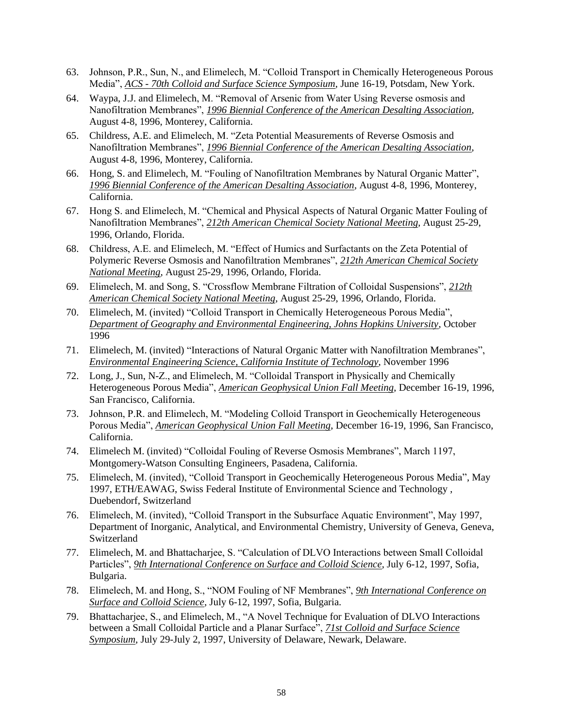- 63. Johnson, P.R., Sun, N., and Elimelech, M. "Colloid Transport in Chemically Heterogeneous Porous Media", *ACS - 70th Colloid and Surface Science Symposium*, June 16-19, Potsdam, New York.
- 64. Waypa, J.J. and Elimelech, M. "Removal of Arsenic from Water Using Reverse osmosis and Nanofiltration Membranes", *1996 Biennial Conference of the American Desalting Association*, August 4-8, 1996, Monterey, California.
- 65. Childress, A.E. and Elimelech, M. "Zeta Potential Measurements of Reverse Osmosis and Nanofiltration Membranes", *1996 Biennial Conference of the American Desalting Association*, August 4-8, 1996, Monterey, California.
- 66. Hong, S. and Elimelech, M. "Fouling of Nanofiltration Membranes by Natural Organic Matter", *1996 Biennial Conference of the American Desalting Association*, August 4-8, 1996, Monterey, California.
- 67. Hong S. and Elimelech, M. "Chemical and Physical Aspects of Natural Organic Matter Fouling of Nanofiltration Membranes", *212th American Chemical Society National Meeting*, August 25-29, 1996, Orlando, Florida.
- 68. Childress, A.E. and Elimelech, M. "Effect of Humics and Surfactants on the Zeta Potential of Polymeric Reverse Osmosis and Nanofiltration Membranes", *212th American Chemical Society National Meeting*, August 25-29, 1996, Orlando, Florida.
- 69. Elimelech, M. and Song, S. "Crossflow Membrane Filtration of Colloidal Suspensions", *212th American Chemical Society National Meeting*, August 25-29, 1996, Orlando, Florida.
- 70. Elimelech, M. (invited) "Colloid Transport in Chemically Heterogeneous Porous Media", *Department of Geography and Environmental Engineering, Johns Hopkins University*, October 1996
- 71. Elimelech, M. (invited) "Interactions of Natural Organic Matter with Nanofiltration Membranes", *Environmental Engineering Science, California Institute of Technology*, November 1996
- 72. Long, J., Sun, N-Z., and Elimelech, M. "Colloidal Transport in Physically and Chemically Heterogeneous Porous Media", *American Geophysical Union Fall Meeting*, December 16-19, 1996, San Francisco, California.
- 73. Johnson, P.R. and Elimelech, M. "Modeling Colloid Transport in Geochemically Heterogeneous Porous Media", *American Geophysical Union Fall Meeting*, December 16-19, 1996, San Francisco, California.
- 74. Elimelech M. (invited) "Colloidal Fouling of Reverse Osmosis Membranes", March 1197, Montgomery-Watson Consulting Engineers, Pasadena, California.
- 75. Elimelech, M. (invited), "Colloid Transport in Geochemically Heterogeneous Porous Media", May 1997, ETH/EAWAG, Swiss Federal Institute of Environmental Science and Technology , Duebendorf, Switzerland
- 76. Elimelech, M. (invited), "Colloid Transport in the Subsurface Aquatic Environment", May 1997, Department of Inorganic, Analytical, and Environmental Chemistry, University of Geneva, Geneva, Switzerland
- 77. Elimelech, M. and Bhattacharjee, S. "Calculation of DLVO Interactions between Small Colloidal Particles", *9th International Conference on Surface and Colloid Science*, July 6-12, 1997, Sofia, Bulgaria.
- 78. Elimelech, M. and Hong, S., "NOM Fouling of NF Membranes", *9th International Conference on Surface and Colloid Science*, July 6-12, 1997, Sofia, Bulgaria.
- 79. Bhattacharjee, S., and Elimelech, M., "A Novel Technique for Evaluation of DLVO Interactions between a Small Colloidal Particle and a Planar Surface", *71st Colloid and Surface Science Symposium*, July 29-July 2, 1997, University of Delaware, Newark, Delaware.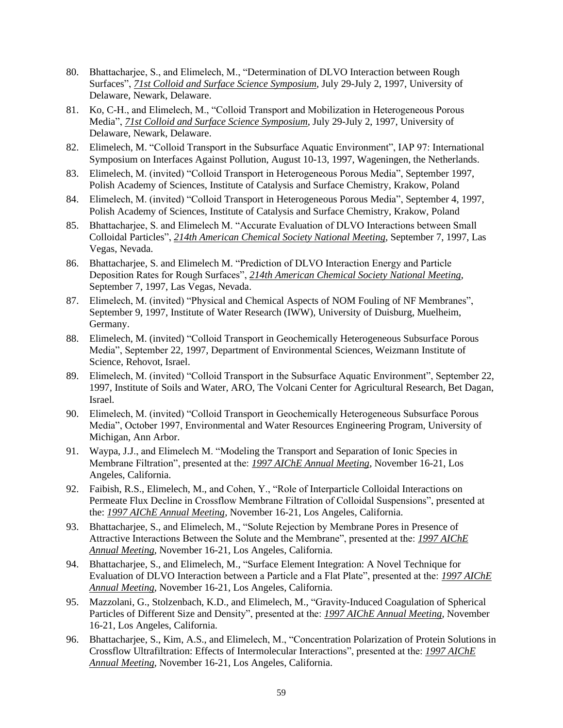- 80. Bhattacharjee, S., and Elimelech, M., "Determination of DLVO Interaction between Rough Surfaces", *71st Colloid and Surface Science Symposium*, July 29-July 2, 1997, University of Delaware, Newark, Delaware.
- 81. Ko, C-H., and Elimelech, M., "Colloid Transport and Mobilization in Heterogeneous Porous Media", *71st Colloid and Surface Science Symposium*, July 29-July 2, 1997, University of Delaware, Newark, Delaware.
- 82. Elimelech, M. "Colloid Transport in the Subsurface Aquatic Environment", IAP 97: International Symposium on Interfaces Against Pollution, August 10-13, 1997, Wageningen, the Netherlands.
- 83. Elimelech, M. (invited) "Colloid Transport in Heterogeneous Porous Media", September 1997, Polish Academy of Sciences, Institute of Catalysis and Surface Chemistry, Krakow, Poland
- 84. Elimelech, M. (invited) "Colloid Transport in Heterogeneous Porous Media", September 4, 1997, Polish Academy of Sciences, Institute of Catalysis and Surface Chemistry, Krakow, Poland
- 85. Bhattacharjee, S. and Elimelech M. "Accurate Evaluation of DLVO Interactions between Small Colloidal Particles", *214th American Chemical Society National Meeting*, September 7, 1997, Las Vegas, Nevada.
- 86. Bhattacharjee, S. and Elimelech M. "Prediction of DLVO Interaction Energy and Particle Deposition Rates for Rough Surfaces", *214th American Chemical Society National Meeting*, September 7, 1997, Las Vegas, Nevada.
- 87. Elimelech, M. (invited) "Physical and Chemical Aspects of NOM Fouling of NF Membranes", September 9, 1997, Institute of Water Research (IWW), University of Duisburg, Muelheim, Germany.
- 88. Elimelech, M. (invited) "Colloid Transport in Geochemically Heterogeneous Subsurface Porous Media", September 22, 1997, Department of Environmental Sciences, Weizmann Institute of Science, Rehovot, Israel.
- 89. Elimelech, M. (invited) "Colloid Transport in the Subsurface Aquatic Environment", September 22, 1997, Institute of Soils and Water, ARO, The Volcani Center for Agricultural Research, Bet Dagan, Israel.
- 90. Elimelech, M. (invited) "Colloid Transport in Geochemically Heterogeneous Subsurface Porous Media", October 1997, Environmental and Water Resources Engineering Program, University of Michigan, Ann Arbor.
- 91. Waypa, J.J., and Elimelech M. "Modeling the Transport and Separation of Ionic Species in Membrane Filtration", presented at the: *1997 AIChE Annual Meeting*, November 16-21, Los Angeles, California.
- 92. Faibish, R.S., Elimelech, M., and Cohen, Y., "Role of Interparticle Colloidal Interactions on Permeate Flux Decline in Crossflow Membrane Filtration of Colloidal Suspensions", presented at the: *1997 AIChE Annual Meeting*, November 16-21, Los Angeles, California.
- 93. Bhattacharjee, S., and Elimelech, M., "Solute Rejection by Membrane Pores in Presence of Attractive Interactions Between the Solute and the Membrane", presented at the: *1997 AIChE Annual Meeting*, November 16-21, Los Angeles, California.
- 94. Bhattacharjee, S., and Elimelech, M., "Surface Element Integration: A Novel Technique for Evaluation of DLVO Interaction between a Particle and a Flat Plate", presented at the: *1997 AIChE Annual Meeting*, November 16-21, Los Angeles, California.
- 95. Mazzolani, G., Stolzenbach, K.D., and Elimelech, M., "Gravity-Induced Coagulation of Spherical Particles of Different Size and Density", presented at the: *1997 AIChE Annual Meeting*, November 16-21, Los Angeles, California.
- 96. Bhattacharjee, S., Kim, A.S., and Elimelech, M., "Concentration Polarization of Protein Solutions in Crossflow Ultrafiltration: Effects of Intermolecular Interactions", presented at the: *1997 AIChE Annual Meeting*, November 16-21, Los Angeles, California.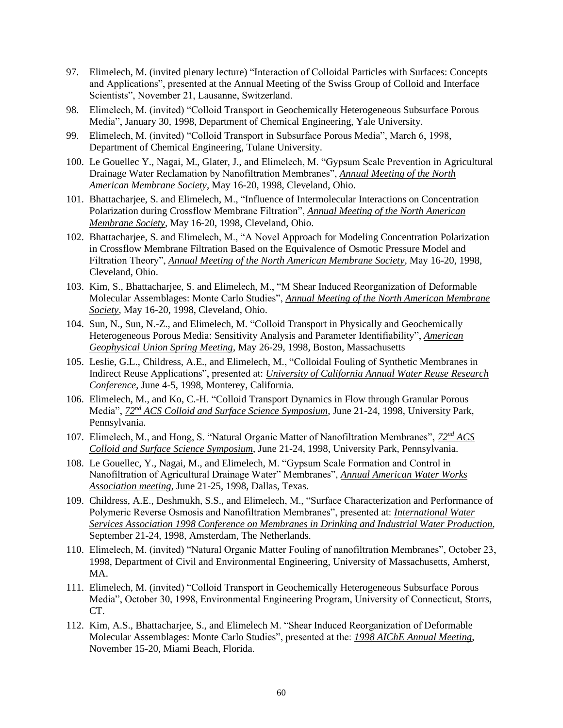- 97. Elimelech, M. (invited plenary lecture) "Interaction of Colloidal Particles with Surfaces: Concepts and Applications", presented at the Annual Meeting of the Swiss Group of Colloid and Interface Scientists", November 21, Lausanne, Switzerland.
- 98. Elimelech, M. (invited) "Colloid Transport in Geochemically Heterogeneous Subsurface Porous Media", January 30, 1998, Department of Chemical Engineering, Yale University.
- 99. Elimelech, M. (invited) "Colloid Transport in Subsurface Porous Media", March 6, 1998, Department of Chemical Engineering, Tulane University.
- 100. Le Gouellec Y., Nagai, M., Glater, J., and Elimelech, M. "Gypsum Scale Prevention in Agricultural Drainage Water Reclamation by Nanofiltration Membranes", *Annual Meeting of the North American Membrane Society,* May 16-20, 1998, Cleveland, Ohio.
- 101. Bhattacharjee, S. and Elimelech, M., "Influence of Intermolecular Interactions on Concentration Polarization during Crossflow Membrane Filtration", *Annual Meeting of the North American Membrane Society,* May 16-20, 1998, Cleveland, Ohio.
- 102. Bhattacharjee, S. and Elimelech, M., "A Novel Approach for Modeling Concentration Polarization in Crossflow Membrane Filtration Based on the Equivalence of Osmotic Pressure Model and Filtration Theory", *Annual Meeting of the North American Membrane Society,* May 16-20, 1998, Cleveland, Ohio.
- 103. Kim, S., Bhattacharjee, S. and Elimelech, M., "M Shear Induced Reorganization of Deformable Molecular Assemblages: Monte Carlo Studies", *Annual Meeting of the North American Membrane Society,* May 16-20, 1998, Cleveland, Ohio.
- 104. Sun, N., Sun, N.-Z., and Elimelech, M. "Colloid Transport in Physically and Geochemically Heterogeneous Porous Media: Sensitivity Analysis and Parameter Identifiability", *American Geophysical Union Spring Meeting*, May 26-29, 1998, Boston, Massachusetts
- 105. Leslie, G.L., Childress, A.E., and Elimelech, M., "Colloidal Fouling of Synthetic Membranes in Indirect Reuse Applications", presented at: *University of California Annual Water Reuse Research Conference*, June 4-5, 1998, Monterey, California.
- 106. Elimelech, M., and Ko, C.-H. "Colloid Transport Dynamics in Flow through Granular Porous Media", *72nd ACS Colloid and Surface Science Symposium*, June 21-24, 1998, University Park, Pennsylvania.
- 107. Elimelech, M., and Hong, S. "Natural Organic Matter of Nanofiltration Membranes", *72nd ACS Colloid and Surface Science Symposium*, June 21-24, 1998, University Park, Pennsylvania.
- 108. Le Gouellec, Y., Nagai, M., and Elimelech, M. "Gypsum Scale Formation and Control in Nanofiltration of Agricultural Drainage Water" Membranes", *Annual American Water Works Association meeting*, June 21-25, 1998, Dallas, Texas.
- 109. Childress, A.E., Deshmukh, S.S., and Elimelech, M., "Surface Characterization and Performance of Polymeric Reverse Osmosis and Nanofiltration Membranes", presented at: *International Water Services Association 1998 Conference on Membranes in Drinking and Industrial Water Production*, September 21-24, 1998, Amsterdam, The Netherlands.
- 110. Elimelech, M. (invited) "Natural Organic Matter Fouling of nanofiltration Membranes", October 23, 1998, Department of Civil and Environmental Engineering, University of Massachusetts, Amherst, MA.
- 111. Elimelech, M. (invited) "Colloid Transport in Geochemically Heterogeneous Subsurface Porous Media", October 30, 1998, Environmental Engineering Program, University of Connecticut, Storrs, CT.
- 112. Kim, A.S., Bhattacharjee, S., and Elimelech M. "Shear Induced Reorganization of Deformable Molecular Assemblages: Monte Carlo Studies", presented at the: *1998 AIChE Annual Meeting*, November 15-20, Miami Beach, Florida.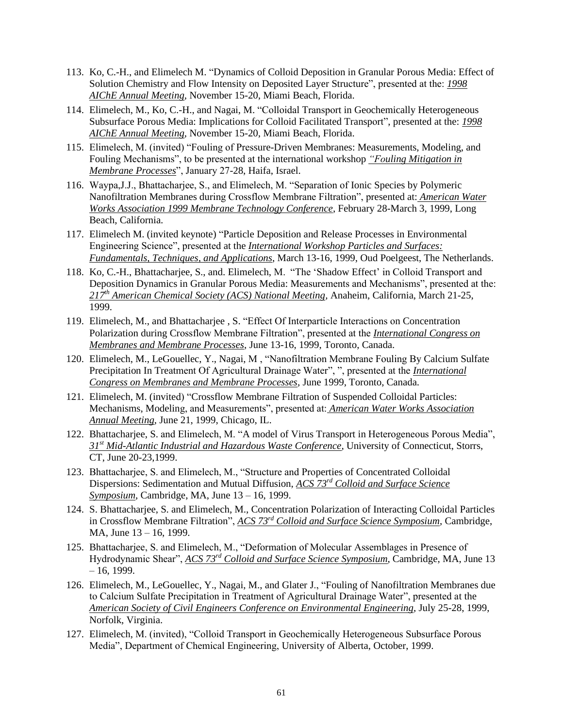- 113. Ko, C.-H., and Elimelech M. "Dynamics of Colloid Deposition in Granular Porous Media: Effect of Solution Chemistry and Flow Intensity on Deposited Layer Structure", presented at the: *1998 AIChE Annual Meeting*, November 15-20, Miami Beach, Florida.
- 114. Elimelech, M., Ko, C.-H., and Nagai, M. "Colloidal Transport in Geochemically Heterogeneous Subsurface Porous Media: Implications for Colloid Facilitated Transport", presented at the: *1998 AIChE Annual Meeting*, November 15-20, Miami Beach, Florida.
- 115. Elimelech, M. (invited) "Fouling of Pressure-Driven Membranes: Measurements, Modeling, and Fouling Mechanisms", to be presented at the international workshop *"Fouling Mitigation in Membrane Processes*", January 27-28, Haifa, Israel.
- 116. Waypa,J.J., Bhattacharjee, S., and Elimelech, M. "Separation of Ionic Species by Polymeric Nanofiltration Membranes during Crossflow Membrane Filtration", presented at: *American Water Works Association 1999 Membrane Technology Conference*, February 28-March 3, 1999, Long Beach, California.
- 117. Elimelech M. (invited keynote) "Particle Deposition and Release Processes in Environmental Engineering Science", presented at the *International Workshop Particles and Surfaces: Fundamentals, Techniques, and Applications*, March 13-16, 1999, Oud Poelgeest, The Netherlands.
- 118. Ko, C.-H., Bhattacharjee, S., and. Elimelech, M. "The 'Shadow Effect' in Colloid Transport and Deposition Dynamics in Granular Porous Media: Measurements and Mechanisms", presented at the: *217th American Chemical Society (ACS) National Meeting,* Anaheim, California, March 21-25, 1999.
- 119. Elimelech, M., and Bhattacharjee , S. "Effect Of Interparticle Interactions on Concentration Polarization during Crossflow Membrane Filtration", presented at the *International Congress on Membranes and Membrane Processes*, June 13-16, 1999, Toronto, Canada.
- 120. Elimelech, M., LeGouellec, Y., Nagai, M , "Nanofiltration Membrane Fouling By Calcium Sulfate Precipitation In Treatment Of Agricultural Drainage Water", ", presented at the *International Congress on Membranes and Membrane Processes*, June 1999, Toronto, Canada.
- 121. Elimelech, M. (invited) "Crossflow Membrane Filtration of Suspended Colloidal Particles: Mechanisms, Modeling, and Measurements", presented at: *American Water Works Association Annual Meeting*, June 21, 1999, Chicago, IL.
- 122. Bhattacharjee, S. and Elimelech, M. "A model of Virus Transport in Heterogeneous Porous Media", *31st Mid-Atlantic Industrial and Hazardous Waste Conference*, University of Connecticut, Storrs, CT, June 20-23,1999.
- 123. Bhattacharjee, S. and Elimelech, M., "Structure and Properties of Concentrated Colloidal Dispersions: Sedimentation and Mutual Diffusion, *ACS 73rd Colloid and Surface Science Symposium*, Cambridge, MA, June 13 – 16, 1999.
- 124. S. Bhattacharjee, S. and Elimelech, M., Concentration Polarization of Interacting Colloidal Particles in Crossflow Membrane Filtration", *ACS 73rd Colloid and Surface Science Symposium*, Cambridge, MA, June 13 – 16, 1999.
- 125. Bhattacharjee, S. and Elimelech, M., "Deformation of Molecular Assemblages in Presence of Hydrodynamic Shear", *ACS 73rd Colloid and Surface Science Symposium*, Cambridge, MA, June 13  $-16, 1999.$
- 126. Elimelech, M., LeGouellec, Y., Nagai, M., and Glater J., "Fouling of Nanofiltration Membranes due to Calcium Sulfate Precipitation in Treatment of Agricultural Drainage Water", presented at the *American Society of Civil Engineers Conference on Environmental Engineering*, July 25-28, 1999, Norfolk, Virginia.
- 127. Elimelech, M. (invited), "Colloid Transport in Geochemically Heterogeneous Subsurface Porous Media", Department of Chemical Engineering, University of Alberta, October, 1999.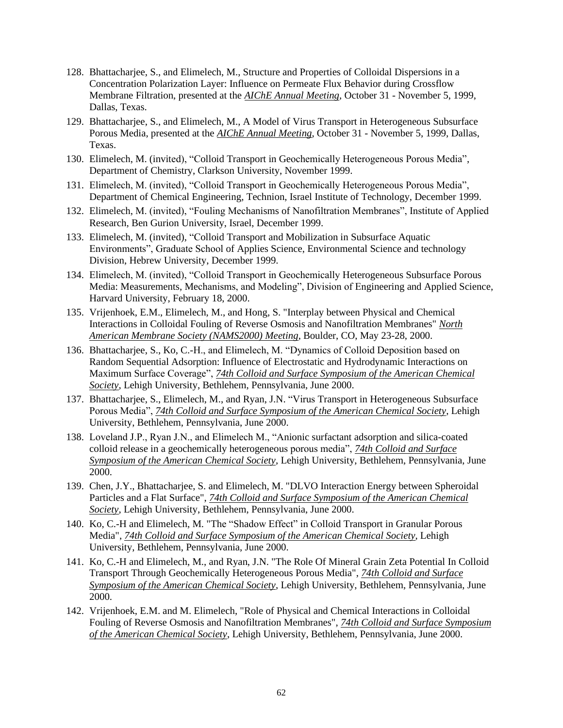- 128. Bhattacharjee, S., and Elimelech, M., Structure and Properties of Colloidal Dispersions in a Concentration Polarization Layer: Influence on Permeate Flux Behavior during Crossflow Membrane Filtration, presented at the *AIChE Annual Meeting*, October 31 - November 5, 1999, Dallas, Texas.
- 129. Bhattacharjee, S., and Elimelech, M., A Model of Virus Transport in Heterogeneous Subsurface Porous Media, presented at the *AIChE Annual Meeting*, October 31 - November 5, 1999, Dallas, Texas.
- 130. Elimelech, M. (invited), "Colloid Transport in Geochemically Heterogeneous Porous Media", Department of Chemistry, Clarkson University, November 1999.
- 131. Elimelech, M. (invited), "Colloid Transport in Geochemically Heterogeneous Porous Media", Department of Chemical Engineering, Technion, Israel Institute of Technology, December 1999.
- 132. Elimelech, M. (invited), "Fouling Mechanisms of Nanofiltration Membranes", Institute of Applied Research, Ben Gurion University, Israel, December 1999.
- 133. Elimelech, M. (invited), "Colloid Transport and Mobilization in Subsurface Aquatic Environments", Graduate School of Applies Science, Environmental Science and technology Division, Hebrew University, December 1999.
- 134. Elimelech, M. (invited), "Colloid Transport in Geochemically Heterogeneous Subsurface Porous Media: Measurements, Mechanisms, and Modeling", Division of Engineering and Applied Science, Harvard University, February 18, 2000.
- 135. Vrijenhoek, E.M., Elimelech, M., and Hong, S. "Interplay between Physical and Chemical Interactions in Colloidal Fouling of Reverse Osmosis and Nanofiltration Membranes" *North American Membrane Society (NAMS2000) Meeting*, Boulder, CO, May 23-28, 2000.
- 136. Bhattacharjee, S., Ko, C.-H., and Elimelech, M. "Dynamics of Colloid Deposition based on Random Sequential Adsorption: Influence of Electrostatic and Hydrodynamic Interactions on Maximum Surface Coverage", *74th Colloid and Surface Symposium of the American Chemical Society*, Lehigh University, Bethlehem, Pennsylvania, June 2000.
- 137. Bhattacharjee, S., Elimelech, M., and Ryan, J.N. "Virus Transport in Heterogeneous Subsurface Porous Media", *74th Colloid and Surface Symposium of the American Chemical Society*, Lehigh University, Bethlehem, Pennsylvania, June 2000.
- 138. Loveland J.P., Ryan J.N., and Elimelech M., "Anionic surfactant adsorption and silica-coated colloid release in a geochemically heterogeneous porous media", *74th Colloid and Surface Symposium of the American Chemical Society*, Lehigh University, Bethlehem, Pennsylvania, June 2000.
- 139. Chen, J.Y., Bhattacharjee, S. and Elimelech, M. "DLVO Interaction Energy between Spheroidal Particles and a Flat Surface", *74th Colloid and Surface Symposium of the American Chemical Society*, Lehigh University, Bethlehem, Pennsylvania, June 2000.
- 140. Ko, C.-H and Elimelech, M. "The "Shadow Effect" in Colloid Transport in Granular Porous Media", *74th Colloid and Surface Symposium of the American Chemical Society*, Lehigh University, Bethlehem, Pennsylvania, June 2000.
- 141. Ko, C.-H and Elimelech, M., and Ryan, J.N. "The Role Of Mineral Grain Zeta Potential In Colloid Transport Through Geochemically Heterogeneous Porous Media", *74th Colloid and Surface Symposium of the American Chemical Society*, Lehigh University, Bethlehem, Pennsylvania, June 2000.
- 142. Vrijenhoek, E.M. and M. Elimelech, "Role of Physical and Chemical Interactions in Colloidal Fouling of Reverse Osmosis and Nanofiltration Membranes", *74th Colloid and Surface Symposium of the American Chemical Society*, Lehigh University, Bethlehem, Pennsylvania, June 2000.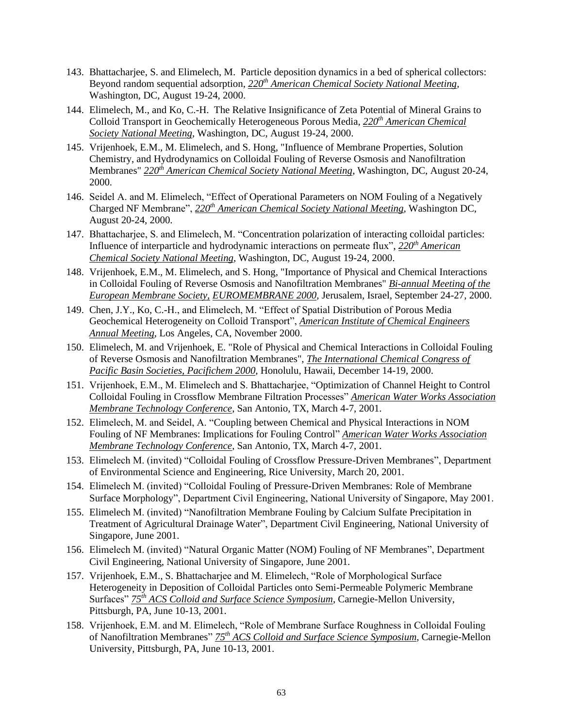- 143. Bhattacharjee, S. and Elimelech, M. Particle deposition dynamics in a bed of spherical collectors: Beyond random sequential adsorption, *220th American Chemical Society National Meeting*, Washington, DC, August 19-24, 2000.
- 144. Elimelech, M., and Ko, C.-H. The Relative Insignificance of Zeta Potential of Mineral Grains to Colloid Transport in Geochemically Heterogeneous Porous Media, *220th American Chemical Society National Meeting*, Washington, DC, August 19-24, 2000.
- 145. Vrijenhoek, E.M., M. Elimelech, and S. Hong, "Influence of Membrane Properties, Solution Chemistry, and Hydrodynamics on Colloidal Fouling of Reverse Osmosis and Nanofiltration Membranes" *220th American Chemical Society National Meeting*, Washington, DC, August 20-24, 2000.
- 146. Seidel A. and M. Elimelech, "Effect of Operational Parameters on NOM Fouling of a Negatively Charged NF Membrane", *220th American Chemical Society National Meeting*, Washington DC, August 20-24, 2000.
- 147. Bhattacharjee, S. and Elimelech, M. "Concentration polarization of interacting colloidal particles: Influence of interparticle and hydrodynamic interactions on permeate flux", *220th American Chemical Society National Meeting*, Washington, DC, August 19-24, 2000.
- 148. Vrijenhoek, E.M., M. Elimelech, and S. Hong, "Importance of Physical and Chemical Interactions in Colloidal Fouling of Reverse Osmosis and Nanofiltration Membranes" *Bi-annual Meeting of the European Membrane Society, EUROMEMBRANE 2000*, Jerusalem, Israel, September 24-27, 2000.
- 149. Chen, J.Y., Ko, C.-H., and Elimelech, M. "Effect of Spatial Distribution of Porous Media Geochemical Heterogeneity on Colloid Transport", *American Institute of Chemical Engineers Annual Meeting*, Los Angeles, CA, November 2000.
- 150. Elimelech, M. and Vrijenhoek, E. "Role of Physical and Chemical Interactions in Colloidal Fouling of Reverse Osmosis and Nanofiltration Membranes", *The International Chemical Congress of Pacific Basin Societies, Pacifichem 2000*, Honolulu, Hawaii, December 14-19, 2000.
- 151. Vrijenhoek, E.M., M. Elimelech and S. Bhattacharjee, "Optimization of Channel Height to Control Colloidal Fouling in Crossflow Membrane Filtration Processes" *American Water Works Association Membrane Technology Conference*, San Antonio, TX, March 4-7, 2001.
- 152. Elimelech, M. and Seidel, A. "Coupling between Chemical and Physical Interactions in NOM Fouling of NF Membranes: Implications for Fouling Control" *American Water Works Association Membrane Technology Conference*, San Antonio, TX, March 4-7, 2001.
- 153. Elimelech M. (invited) "Colloidal Fouling of Crossflow Pressure-Driven Membranes", Department of Environmental Science and Engineering, Rice University, March 20, 2001.
- 154. Elimelech M. (invited) "Colloidal Fouling of Pressure-Driven Membranes: Role of Membrane Surface Morphology", Department Civil Engineering, National University of Singapore, May 2001.
- 155. Elimelech M. (invited) "Nanofiltration Membrane Fouling by Calcium Sulfate Precipitation in Treatment of Agricultural Drainage Water", Department Civil Engineering, National University of Singapore, June 2001.
- 156. Elimelech M. (invited) "Natural Organic Matter (NOM) Fouling of NF Membranes", Department Civil Engineering, National University of Singapore, June 2001.
- 157. Vrijenhoek, E.M., S. Bhattacharjee and M. Elimelech, "Role of Morphological Surface Heterogeneity in Deposition of Colloidal Particles onto Semi-Permeable Polymeric Membrane Surfaces" *75th ACS Colloid and Surface Science Symposium*, Carnegie-Mellon University, Pittsburgh, PA, June 10-13, 2001.
- 158. Vrijenhoek, E.M. and M. Elimelech, "Role of Membrane Surface Roughness in Colloidal Fouling of Nanofiltration Membranes" *75th ACS Colloid and Surface Science Symposium*, Carnegie-Mellon University, Pittsburgh, PA, June 10-13, 2001.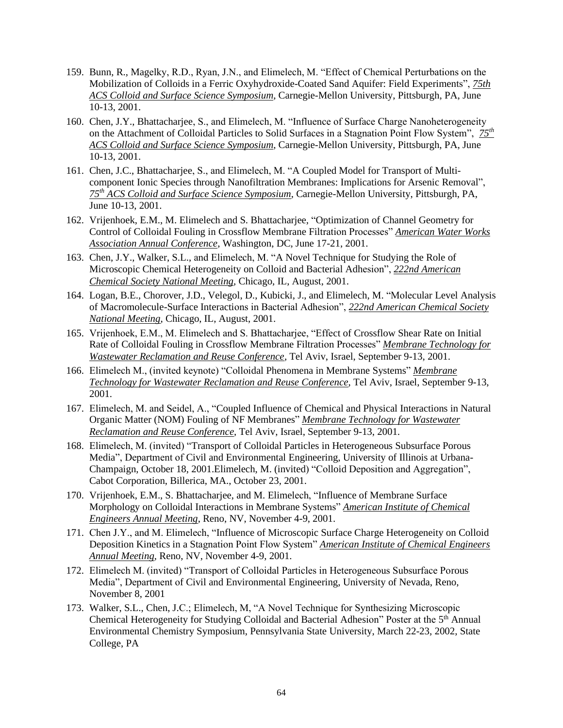- 159. Bunn, R., Magelky, R.D., Ryan, J.N., and Elimelech, M. "Effect of Chemical Perturbations on the Mobilization of Colloids in a Ferric Oxyhydroxide-Coated Sand Aquifer: Field Experiments", *75th ACS Colloid and Surface Science Symposium*, Carnegie-Mellon University, Pittsburgh, PA, June 10-13, 2001.
- 160. Chen, J.Y., Bhattacharjee, S., and Elimelech, M. "Influence of Surface Charge Nanoheterogeneity on the Attachment of Colloidal Particles to Solid Surfaces in a Stagnation Point Flow System", *75th ACS Colloid and Surface Science Symposium*, Carnegie-Mellon University, Pittsburgh, PA, June 10-13, 2001.
- 161. Chen, J.C., Bhattacharjee, S., and Elimelech, M. "A Coupled Model for Transport of Multicomponent Ionic Species through Nanofiltration Membranes: Implications for Arsenic Removal", *75th ACS Colloid and Surface Science Symposium*, Carnegie-Mellon University, Pittsburgh, PA, June 10-13, 2001.
- 162. Vrijenhoek, E.M., M. Elimelech and S. Bhattacharjee, "Optimization of Channel Geometry for Control of Colloidal Fouling in Crossflow Membrane Filtration Processes" *American Water Works Association Annual Conference*, Washington, DC, June 17-21, 2001.
- 163. Chen, J.Y., Walker, S.L., and Elimelech, M. "A Novel Technique for Studying the Role of Microscopic Chemical Heterogeneity on Colloid and Bacterial Adhesion", *222nd American Chemical Society National Meeting*, Chicago, IL, August, 2001.
- 164. Logan, B.E., Chorover, J.D., Velegol, D., Kubicki, J., and Elimelech, M. "Molecular Level Analysis of Macromolecule-Surface Interactions in Bacterial Adhesion", *222nd American Chemical Society National Meeting*, Chicago, IL, August, 2001.
- 165. Vrijenhoek, E.M., M. Elimelech and S. Bhattacharjee, "Effect of Crossflow Shear Rate on Initial Rate of Colloidal Fouling in Crossflow Membrane Filtration Processes" *Membrane Technology for Wastewater Reclamation and Reuse Conference*, Tel Aviv, Israel, September 9-13, 2001.
- 166. Elimelech M., (invited keynote) "Colloidal Phenomena in Membrane Systems" *Membrane Technology for Wastewater Reclamation and Reuse Conference*, Tel Aviv, Israel, September 9-13, 2001.
- 167. Elimelech, M. and Seidel, A., "Coupled Influence of Chemical and Physical Interactions in Natural Organic Matter (NOM) Fouling of NF Membranes" *Membrane Technology for Wastewater Reclamation and Reuse Conference*, Tel Aviv, Israel, September 9-13, 2001.
- 168. Elimelech, M. (invited) "Transport of Colloidal Particles in Heterogeneous Subsurface Porous Media", Department of Civil and Environmental Engineering, University of Illinois at Urbana-Champaign, October 18, 2001.Elimelech, M. (invited) "Colloid Deposition and Aggregation", Cabot Corporation, Billerica, MA., October 23, 2001.
- 170. Vrijenhoek, E.M., S. Bhattacharjee, and M. Elimelech, "Influence of Membrane Surface Morphology on Colloidal Interactions in Membrane Systems" *American Institute of Chemical Engineers Annual Meeting*, Reno, NV, November 4-9, 2001.
- 171. Chen J.Y., and M. Elimelech, "Influence of Microscopic Surface Charge Heterogeneity on Colloid Deposition Kinetics in a Stagnation Point Flow System" *American Institute of Chemical Engineers Annual Meeting*, Reno, NV, November 4-9, 2001.
- 172. Elimelech M. (invited) "Transport of Colloidal Particles in Heterogeneous Subsurface Porous Media", Department of Civil and Environmental Engineering, University of Nevada, Reno, November 8, 2001
- 173. Walker, S.L., Chen, J.C.; Elimelech, M, "A Novel Technique for Synthesizing Microscopic Chemical Heterogeneity for Studying Colloidal and Bacterial Adhesion" Poster at the 5<sup>th</sup> Annual Environmental Chemistry Symposium, Pennsylvania State University, March 22-23, 2002, State College, PA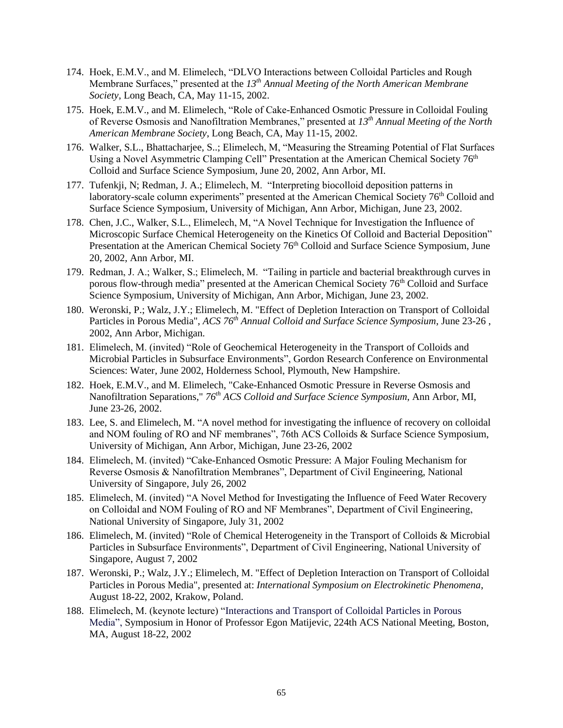- 174. Hoek, E.M.V., and M. Elimelech, "DLVO Interactions between Colloidal Particles and Rough Membrane Surfaces," presented at the *13th Annual Meeting of the North American Membrane Society*, Long Beach, CA, May 11-15, 2002.
- 175. Hoek, E.M.V., and M. Elimelech, "Role of Cake-Enhanced Osmotic Pressure in Colloidal Fouling of Reverse Osmosis and Nanofiltration Membranes," presented at *13 th Annual Meeting of the North American Membrane Society*, Long Beach, CA, May 11-15, 2002.
- 176. Walker, S.L., Bhattacharjee, S..; Elimelech, M, "Measuring the Streaming Potential of Flat Surfaces Using a Novel Asymmetric Clamping Cell" Presentation at the American Chemical Society 76<sup>th</sup> Colloid and Surface Science Symposium, June 20, 2002, Ann Arbor, MI.
- 177. Tufenkji, N; Redman, J. A.; Elimelech, M. "Interpreting biocolloid deposition patterns in laboratory-scale column experiments" presented at the American Chemical Society 76<sup>th</sup> Colloid and Surface Science Symposium, University of Michigan, Ann Arbor, Michigan, June 23, 2002.
- 178. Chen, J.C., Walker, S.L., Elimelech, M, "A Novel Technique for Investigation the Influence of Microscopic Surface Chemical Heterogeneity on the Kinetics Of Colloid and Bacterial Deposition" Presentation at the American Chemical Society 76<sup>th</sup> Colloid and Surface Science Symposium, June 20, 2002, Ann Arbor, MI.
- 179. Redman, J. A.; Walker, S.; Elimelech, M. "Tailing in particle and bacterial breakthrough curves in porous flow-through media" presented at the American Chemical Society 76<sup>th</sup> Colloid and Surface Science Symposium, University of Michigan, Ann Arbor, Michigan, June 23, 2002.
- 180. Weronski, P.; Walz, J.Y.; Elimelech, M. "Effect of Depletion Interaction on Transport of Colloidal Particles in Porous Media", *ACS 76th Annual Colloid and Surface Science Symposium*, June 23-26 , 2002, Ann Arbor, Michigan.
- 181. Elimelech, M. (invited) "Role of Geochemical Heterogeneity in the Transport of Colloids and Microbial Particles in Subsurface Environments", Gordon Research Conference on Environmental Sciences: Water, June 2002, Holderness School, Plymouth, New Hampshire.
- 182. Hoek, E.M.V., and M. Elimelech, "Cake-Enhanced Osmotic Pressure in Reverse Osmosis and Nanofiltration Separations," *76th ACS Colloid and Surface Science Symposium*, Ann Arbor, MI, June 23-26, 2002.
- 183. Lee, S. and Elimelech, M. "A novel method for investigating the influence of recovery on colloidal and NOM fouling of RO and NF membranes", 76th ACS Colloids & Surface Science Symposium, University of Michigan, Ann Arbor, Michigan, June 23-26, 2002
- 184. Elimelech, M. (invited) "Cake-Enhanced Osmotic Pressure: A Major Fouling Mechanism for Reverse Osmosis & Nanofiltration Membranes", Department of Civil Engineering, National University of Singapore, July 26, 2002
- 185. Elimelech, M. (invited) "A Novel Method for Investigating the Influence of Feed Water Recovery on Colloidal and NOM Fouling of RO and NF Membranes", Department of Civil Engineering, National University of Singapore, July 31, 2002
- 186. Elimelech, M. (invited) "Role of Chemical Heterogeneity in the Transport of Colloids & Microbial Particles in Subsurface Environments", Department of Civil Engineering, National University of Singapore, August 7, 2002
- 187. Weronski, P.; Walz, J.Y.; Elimelech, M. "Effect of Depletion Interaction on Transport of Colloidal Particles in Porous Media", presented at: *International Symposium on Electrokinetic Phenomena*, August 18-22, 2002, Krakow, Poland.
- 188. Elimelech, M. (keynote lecture) "Interactions and Transport of Colloidal Particles in Porous Media", Symposium in Honor of Professor Egon Matijevic, 224th ACS National Meeting, Boston, MA, August 18-22, 2002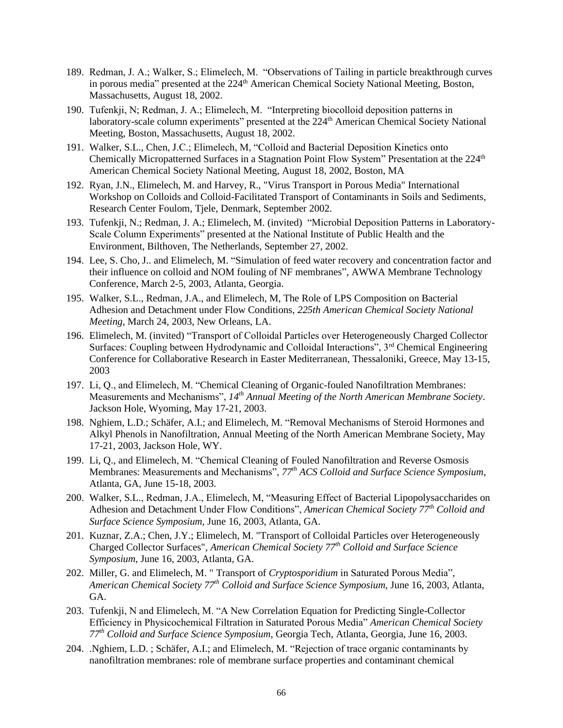- 189. Redman, J. A.; Walker, S.; Elimelech, M. "Observations of Tailing in particle breakthrough curves in porous media" presented at the 224<sup>th</sup> American Chemical Society National Meeting, Boston, Massachusetts, August 18, 2002.
- 190. Tufenkji, N; Redman, J. A.; Elimelech, M. "Interpreting biocolloid deposition patterns in laboratory-scale column experiments" presented at the 224<sup>th</sup> American Chemical Society National Meeting, Boston, Massachusetts, August 18, 2002.
- 191. Walker, S.L., Chen, J.C.; Elimelech, M, "Colloid and Bacterial Deposition Kinetics onto Chemically Micropatterned Surfaces in a Stagnation Point Flow System" Presentation at the 224<sup>th</sup> American Chemical Society National Meeting, August 18, 2002, Boston, MA
- 192. Ryan, J.N., Elimelech, M. and Harvey, R., "Virus Transport in Porous Media" International Workshop on Colloids and Colloid-Facilitated Transport of Contaminants in Soils and Sediments, Research Center Foulom, Tjele, Denmark, September 2002.
- 193. Tufenkji, N.; Redman, J. A.; Elimelech, M. (invited) "Microbial Deposition Patterns in Laboratory-Scale Column Experiments" presented at the National Institute of Public Health and the Environment, Bilthoven, The Netherlands, September 27, 2002.
- 194. Lee, S. Cho, J.. and Elimelech, M. "Simulation of feed water recovery and concentration factor and their influence on colloid and NOM fouling of NF membranes", AWWA Membrane Technology Conference, March 2-5, 2003, Atlanta, Georgia.
- 195. Walker, S.L., Redman, J.A., and Elimelech, M, The Role of LPS Composition on Bacterial Adhesion and Detachment under Flow Conditions, *225th American Chemical Society National Meeting*, March 24, 2003, New Orleans, LA.
- 196. Elimelech, M. (invited) "Transport of Colloidal Particles over Heterogeneously Charged Collector Surfaces: Coupling between Hydrodynamic and Colloidal Interactions", 3<sup>rd</sup> Chemical Engineering Conference for Collaborative Research in Easter Mediterranean, Thessaloniki, Greece, May 13-15, 2003
- 197. Li, Q., and Elimelech, M. "Chemical Cleaning of Organic-fouled Nanofiltration Membranes: Measurements and Mechanisms", *14th Annual Meeting of the North American Membrane Society*. Jackson Hole, Wyoming, May 17-21, 2003.
- 198. Nghiem, L.D.; Schäfer, A.I.; and Elimelech, M. "Removal Mechanisms of Steroid Hormones and Alkyl Phenols in Nanofiltration, Annual Meeting of the North American Membrane Society, May 17-21, 2003, Jackson Hole, WY.
- 199. Li, Q., and Elimelech, M. "Chemical Cleaning of Fouled Nanofiltration and Reverse Osmosis Membranes: Measurements and Mechanisms", *77th ACS Colloid and Surface Science Symposium*, Atlanta, GA, June 15-18, 2003.
- 200. Walker, S.L., Redman, J.A., Elimelech, M, "Measuring Effect of Bacterial Lipopolysaccharides on Adhesion and Detachment Under Flow Conditions", *American Chemical Society 77th Colloid and Surface Science Symposium*, June 16, 2003, Atlanta, GA.
- 201. Kuznar, Z.A.; Chen, J.Y.; Elimelech, M. "Transport of Colloidal Particles over Heterogeneously Charged Collector Surfaces", *American Chemical Society 77th Colloid and Surface Science Symposium*, June 16, 2003, Atlanta, GA.
- 202. Miller, G. and Elimelech, M. " Transport of *Cryptosporidium* in Saturated Porous Media", *American Chemical Society 77th Colloid and Surface Science Symposium*, June 16, 2003, Atlanta, GA.
- 203. Tufenkji, N and Elimelech, M. "A New Correlation Equation for Predicting Single-Collector Efficiency in Physicochemical Filtration in Saturated Porous Media" *American Chemical Society 77th Colloid and Surface Science Symposium*, Georgia Tech, Atlanta, Georgia, June 16, 2003.
- 204. .Nghiem, L.D. ; Schäfer, A.I.; and Elimelech, M. "Rejection of trace organic contaminants by nanofiltration membranes: role of membrane surface properties and contaminant chemical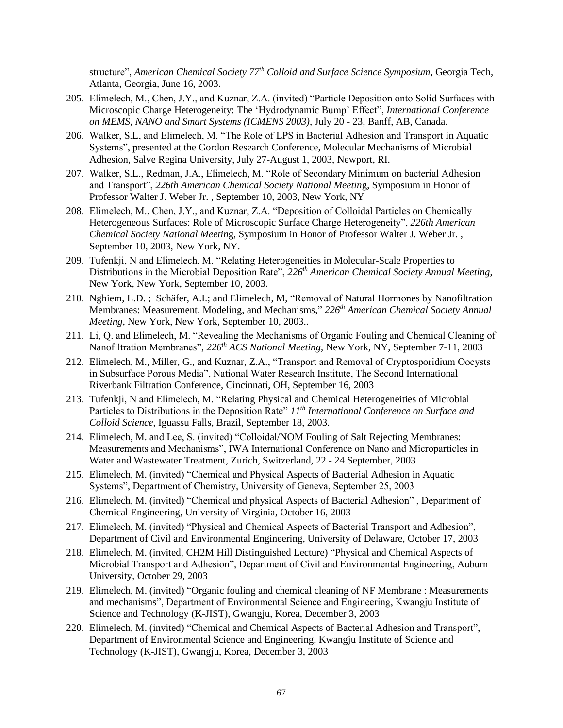structure", *American Chemical Society 77th Colloid and Surface Science Symposium*, Georgia Tech, Atlanta, Georgia, June 16, 2003.

- 205. Elimelech, M., Chen, J.Y., and Kuznar, Z.A. (invited) "Particle Deposition onto Solid Surfaces with Microscopic Charge Heterogeneity: The 'Hydrodynamic Bump' Effect", *International Conference on MEMS, NANO and Smart Systems (ICMENS 2003)*, July 20 - 23, Banff, AB, Canada.
- 206. Walker, S.L, and Elimelech, M. "The Role of LPS in Bacterial Adhesion and Transport in Aquatic Systems", presented at the Gordon Research Conference, Molecular Mechanisms of Microbial Adhesion, Salve Regina University, July 27-August 1, 2003, Newport, RI.
- 207. Walker, S.L., Redman, J.A., Elimelech, M. "Role of Secondary Minimum on bacterial Adhesion and Transport", *226th American Chemical Society National Meetin*g, Symposium in Honor of Professor Walter J. Weber Jr. , September 10, 2003, New York, NY
- 208. Elimelech, M., Chen, J.Y., and Kuznar, Z.A. "Deposition of Colloidal Particles on Chemically Heterogeneous Surfaces: Role of Microscopic Surface Charge Heterogeneity", *226th American Chemical Society National Meetin*g, Symposium in Honor of Professor Walter J. Weber Jr. , September 10, 2003, New York, NY.
- 209. Tufenkji, N and Elimelech, M. "Relating Heterogeneities in Molecular-Scale Properties to Distributions in the Microbial Deposition Rate", *226th American Chemical Society Annual Meeting*, New York, New York, September 10, 2003.
- 210. Nghiem, L.D. ; Schäfer, A.I.; and Elimelech, M, "Removal of Natural Hormones by Nanofiltration Membranes: Measurement, Modeling, and Mechanisms," *226th American Chemical Society Annual Meeting*, New York, New York, September 10, 2003.*.*
- 211. Li, Q. and Elimelech, M. "Revealing the Mechanisms of Organic Fouling and Chemical Cleaning of Nanofiltration Membranes", *226th ACS National Meeting*, New York, NY, September 7-11, 2003
- 212. Elimelech, M., Miller, G., and Kuznar, Z.A., "Transport and Removal of Cryptosporidium Oocysts in Subsurface Porous Media", National Water Research Institute, The Second International Riverbank Filtration Conference, Cincinnati, OH, September 16, 2003
- 213. Tufenkji, N and Elimelech, M. "Relating Physical and Chemical Heterogeneities of Microbial Particles to Distributions in the Deposition Rate" *11th International Conference on Surface and Colloid Science*, Iguassu Falls, Brazil, September 18, 2003.
- 214. Elimelech, M. and Lee, S. (invited) "Colloidal/NOM Fouling of Salt Rejecting Membranes: Measurements and Mechanisms", IWA International Conference on Nano and Microparticles in Water and Wastewater Treatment, Zurich, Switzerland, 22 - 24 September, 2003
- 215. Elimelech, M. (invited) "Chemical and Physical Aspects of Bacterial Adhesion in Aquatic Systems", Department of Chemistry, University of Geneva, September 25, 2003
- 216. Elimelech, M. (invited) "Chemical and physical Aspects of Bacterial Adhesion" , Department of Chemical Engineering, University of Virginia, October 16, 2003
- 217. Elimelech, M. (invited) "Physical and Chemical Aspects of Bacterial Transport and Adhesion", Department of Civil and Environmental Engineering, University of Delaware, October 17, 2003
- 218. Elimelech, M. (invited, CH2M Hill Distinguished Lecture) "Physical and Chemical Aspects of Microbial Transport and Adhesion", Department of Civil and Environmental Engineering, Auburn University, October 29, 2003
- 219. Elimelech, M. (invited) "Organic fouling and chemical cleaning of NF Membrane : Measurements and mechanisms", Department of Environmental Science and Engineering, Kwangju Institute of Science and Technology (K-JIST), Gwangju, Korea, December 3, 2003
- 220. Elimelech, M. (invited) "Chemical and Chemical Aspects of Bacterial Adhesion and Transport", Department of Environmental Science and Engineering, Kwangju Institute of Science and Technology (K-JIST), Gwangju, Korea, December 3, 2003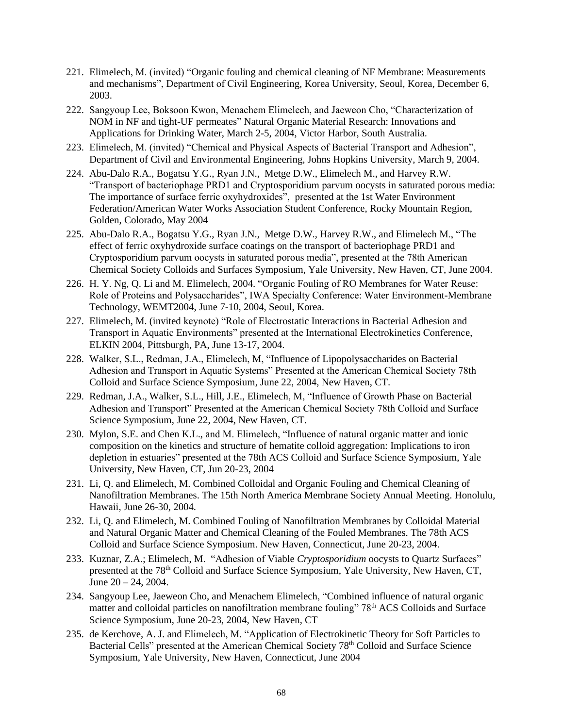- 221. Elimelech, M. (invited) "Organic fouling and chemical cleaning of NF Membrane: Measurements and mechanisms", Department of Civil Engineering, Korea University, Seoul, Korea, December 6, 2003.
- 222. Sangyoup Lee, Boksoon Kwon, Menachem Elimelech, and Jaeweon Cho, "Characterization of NOM in NF and tight-UF permeates" Natural Organic Material Research: Innovations and Applications for Drinking Water, March 2-5, 2004, Victor Harbor, South Australia.
- 223. Elimelech, M. (invited) "Chemical and Physical Aspects of Bacterial Transport and Adhesion", Department of Civil and Environmental Engineering, Johns Hopkins University, March 9, 2004.
- 224. Abu-Dalo R.A., Bogatsu Y.G., Ryan J.N., Metge D.W., Elimelech M., and Harvey R.W. "Transport of bacteriophage PRD1 and Cryptosporidium parvum oocysts in saturated porous media: The importance of surface ferric oxyhydroxides", presented at the 1st Water Environment Federation/American Water Works Association Student Conference, Rocky Mountain Region, Golden, Colorado, May 2004
- 225. Abu-Dalo R.A., Bogatsu Y.G., Ryan J.N., Metge D.W., Harvey R.W., and Elimelech M., "The effect of ferric oxyhydroxide surface coatings on the transport of bacteriophage PRD1 and Cryptosporidium parvum oocysts in saturated porous media", presented at the 78th American Chemical Society Colloids and Surfaces Symposium, Yale University, New Haven, CT, June 2004.
- 226. H. Y. Ng, Q. Li and M. Elimelech, 2004. "Organic Fouling of RO Membranes for Water Reuse: Role of Proteins and Polysaccharides", IWA Specialty Conference: Water Environment-Membrane Technology, WEMT2004, June 7-10, 2004, Seoul, Korea.
- 227. Elimelech, M. (invited keynote) "Role of Electrostatic Interactions in Bacterial Adhesion and Transport in Aquatic Environments" presented at the International Electrokinetics Conference, ELKIN 2004, Pittsburgh, PA, June 13-17, 2004.
- 228. Walker, S.L., Redman, J.A., Elimelech, M, "Influence of Lipopolysaccharides on Bacterial Adhesion and Transport in Aquatic Systems" Presented at the American Chemical Society 78th Colloid and Surface Science Symposium, June 22, 2004, New Haven, CT.
- 229. Redman, J.A., Walker, S.L., Hill, J.E., Elimelech, M, "Influence of Growth Phase on Bacterial Adhesion and Transport" Presented at the American Chemical Society 78th Colloid and Surface Science Symposium, June 22, 2004, New Haven, CT.
- 230. Mylon, S.E. and Chen K.L., and M. Elimelech, "Influence of natural organic matter and ionic composition on the kinetics and structure of hematite colloid aggregation: Implications to iron depletion in estuaries" presented at the 78th ACS Colloid and Surface Science Symposium, Yale University, New Haven, CT, Jun 20-23, 2004
- 231. Li, Q. and Elimelech, M. Combined Colloidal and Organic Fouling and Chemical Cleaning of Nanofiltration Membranes. The 15th North America Membrane Society Annual Meeting. Honolulu, Hawaii, June 26-30, 2004.
- 232. Li, Q. and Elimelech, M. Combined Fouling of Nanofiltration Membranes by Colloidal Material and Natural Organic Matter and Chemical Cleaning of the Fouled Membranes. The 78th ACS Colloid and Surface Science Symposium. New Haven, Connecticut, June 20-23, 2004.
- 233. Kuznar, Z.A.; Elimelech, M. "Adhesion of Viable *Cryptosporidium* oocysts to Quartz Surfaces" presented at the 78th Colloid and Surface Science Symposium, Yale University, New Haven, CT, June  $20 - 24$ , 2004.
- 234. Sangyoup Lee, Jaeweon Cho, and Menachem Elimelech, "Combined influence of natural organic matter and colloidal particles on nanofiltration membrane fouling" 78<sup>th</sup> ACS Colloids and Surface Science Symposium, June 20-23, 2004, New Haven, CT
- 235. de Kerchove, A. J. and Elimelech, M. "Application of Electrokinetic Theory for Soft Particles to Bacterial Cells" presented at the American Chemical Society 78<sup>th</sup> Colloid and Surface Science Symposium, Yale University, New Haven, Connecticut, June 2004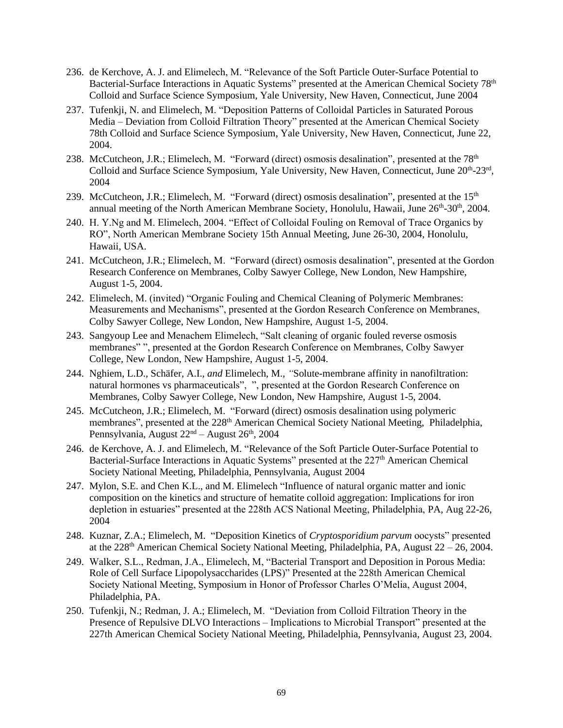- 236. de Kerchove, A. J. and Elimelech, M. "Relevance of the Soft Particle Outer-Surface Potential to Bacterial-Surface Interactions in Aquatic Systems" presented at the American Chemical Society 78<sup>th</sup> Colloid and Surface Science Symposium, Yale University, New Haven, Connecticut, June 2004
- 237. Tufenkji, N. and Elimelech, M. "Deposition Patterns of Colloidal Particles in Saturated Porous Media – Deviation from Colloid Filtration Theory" presented at the American Chemical Society 78th Colloid and Surface Science Symposium, Yale University, New Haven, Connecticut, June 22, 2004.
- 238. McCutcheon, J.R.; Elimelech, M. "Forward (direct) osmosis desalination", presented at the 78<sup>th</sup> Colloid and Surface Science Symposium, Yale University, New Haven, Connecticut, June 20<sup>th</sup>-23<sup>rd</sup>, 2004
- 239. McCutcheon, J.R.; Elimelech, M. "Forward (direct) osmosis desalination", presented at the 15<sup>th</sup> annual meeting of the North American Membrane Society, Honolulu, Hawaii, June 26<sup>th</sup>-30<sup>th</sup>, 2004.
- 240. H. Y.Ng and M. Elimelech, 2004. "Effect of Colloidal Fouling on Removal of Trace Organics by RO", North American Membrane Society 15th Annual Meeting, June 26-30, 2004, Honolulu, Hawaii, USA.
- 241. McCutcheon, J.R.; Elimelech, M. "Forward (direct) osmosis desalination", presented at the Gordon Research Conference on Membranes, Colby Sawyer College, New London, New Hampshire, August 1-5, 2004.
- 242. Elimelech, M. (invited) "Organic Fouling and Chemical Cleaning of Polymeric Membranes: Measurements and Mechanisms", presented at the Gordon Research Conference on Membranes, Colby Sawyer College, New London, New Hampshire, August 1-5, 2004.
- 243. Sangyoup Lee and Menachem Elimelech, "Salt cleaning of organic fouled reverse osmosis membranes" ", presented at the Gordon Research Conference on Membranes, Colby Sawyer College, New London, New Hampshire, August 1-5, 2004.
- 244. Nghiem, L.D.*,* Schäfer, A.I.*, and* Elimelech, M., *"*Solute-membrane affinity in nanofiltration: natural hormones vs pharmaceuticals", ", presented at the Gordon Research Conference on Membranes, Colby Sawyer College, New London, New Hampshire, August 1-5, 2004.
- 245. McCutcheon, J.R.; Elimelech, M. "Forward (direct) osmosis desalination using polymeric membranes", presented at the 228<sup>th</sup> American Chemical Society National Meeting, Philadelphia, Pennsylvania, August  $22<sup>nd</sup>$  – August  $26<sup>th</sup>$ , 2004
- 246. de Kerchove, A. J. and Elimelech, M. "Relevance of the Soft Particle Outer-Surface Potential to Bacterial-Surface Interactions in Aquatic Systems" presented at the 227<sup>th</sup> American Chemical Society National Meeting, Philadelphia, Pennsylvania, August 2004
- 247. Mylon, S.E. and Chen K.L., and M. Elimelech "Influence of natural organic matter and ionic composition on the kinetics and structure of hematite colloid aggregation: Implications for iron depletion in estuaries" presented at the 228th ACS National Meeting, Philadelphia, PA, Aug 22-26, 2004
- 248. Kuznar, Z.A.; Elimelech, M. "Deposition Kinetics of *Cryptosporidium parvum* oocysts" presented at the  $228<sup>th</sup>$  American Chemical Society National Meeting, Philadelphia, PA, August  $22 - 26$ , 2004.
- 249. Walker, S.L., Redman, J.A., Elimelech, M, "Bacterial Transport and Deposition in Porous Media: Role of Cell Surface Lipopolysaccharides (LPS)" Presented at the 228th American Chemical Society National Meeting, Symposium in Honor of Professor Charles O'Melia, August 2004, Philadelphia, PA.
- 250. Tufenkji, N.; Redman, J. A.; Elimelech, M. "Deviation from Colloid Filtration Theory in the Presence of Repulsive DLVO Interactions – Implications to Microbial Transport" presented at the 227th American Chemical Society National Meeting, Philadelphia, Pennsylvania, August 23, 2004.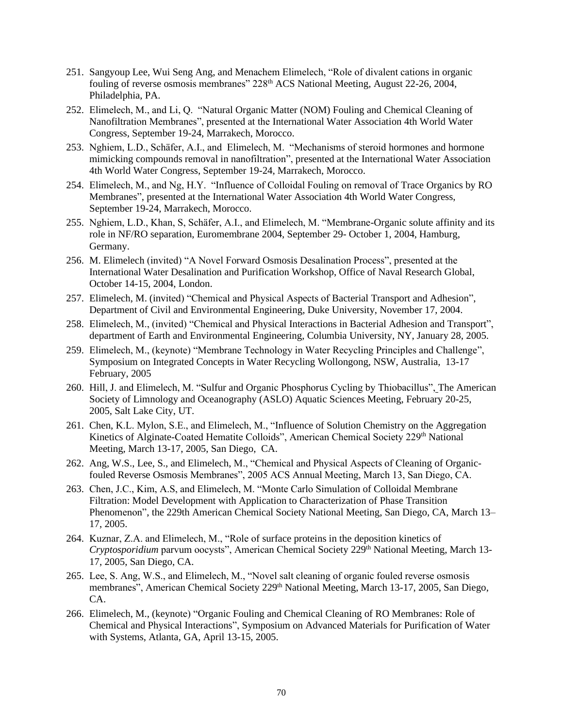- 251. Sangyoup Lee, Wui Seng Ang, and Menachem Elimelech, "Role of divalent cations in organic fouling of reverse osmosis membranes" 228<sup>th</sup> ACS National Meeting, August 22-26, 2004, Philadelphia, PA.
- 252. Elimelech, M., and Li, Q. "Natural Organic Matter (NOM) Fouling and Chemical Cleaning of Nanofiltration Membranes", presented at the International Water Association 4th World Water Congress, September 19-24, Marrakech, Morocco.
- 253. Nghiem, L.D., Schäfer, A.I., and Elimelech, M. "Mechanisms of steroid hormones and hormone mimicking compounds removal in nanofiltration", presented at the International Water Association 4th World Water Congress, September 19-24, Marrakech, Morocco.
- 254. Elimelech, M., and Ng, H.Y. "Influence of Colloidal Fouling on removal of Trace Organics by RO Membranes", presented at the International Water Association 4th World Water Congress, September 19-24, Marrakech, Morocco.
- 255. Nghiem, L.D., Khan, S, Schäfer, A.I., and Elimelech, M. "Membrane-Organic solute affinity and its role in NF/RO separation, Euromembrane 2004, September 29- October 1, 2004, Hamburg, Germany.
- 256. M. Elimelech (invited) "A Novel Forward Osmosis Desalination Process", presented at the International Water Desalination and Purification Workshop, Office of Naval Research Global, October 14-15, 2004, London.
- 257. Elimelech, M. (invited) "Chemical and Physical Aspects of Bacterial Transport and Adhesion", Department of Civil and Environmental Engineering, Duke University, November 17, 2004.
- 258. Elimelech, M., (invited) "Chemical and Physical Interactions in Bacterial Adhesion and Transport", department of Earth and Environmental Engineering, Columbia University, NY, January 28, 2005.
- 259. Elimelech, M., (keynote) "Membrane Technology in Water Recycling Principles and Challenge", Symposium on Integrated Concepts in Water Recycling Wollongong, NSW, Australia, 13-17 February, 2005
- 260. Hill, J. and Elimelech, M. "Sulfur and Organic Phosphorus Cycling by Thiobacillus", The American Society of Limnology and Oceanography (ASLO) Aquatic Sciences Meeting, February 20-25, 2005, Salt Lake City, UT.
- 261. Chen, K.L. Mylon, S.E., and Elimelech, M., "Influence of Solution Chemistry on the Aggregation Kinetics of Alginate-Coated Hematite Colloids", American Chemical Society 229<sup>th</sup> National Meeting, March 13-17, 2005, San Diego, CA.
- 262. Ang, W.S., Lee, S., and Elimelech, M., "Chemical and Physical Aspects of Cleaning of Organicfouled Reverse Osmosis Membranes", 2005 ACS Annual Meeting, March 13, San Diego, CA.
- 263. Chen, J.C., Kim, A.S, and Elimelech, M. "Monte Carlo Simulation of Colloidal Membrane Filtration: Model Development with Application to Characterization of Phase Transition Phenomenon", the 229th American Chemical Society National Meeting, San Diego, CA, March 13– 17, 2005.
- 264. Kuznar, Z.A. and Elimelech, M., "Role of surface proteins in the deposition kinetics of *Cryptosporidium* parvum oocysts", American Chemical Society 229<sup>th</sup> National Meeting, March 13-17, 2005, San Diego, CA.
- 265. Lee, S. Ang, W.S., and Elimelech, M., "Novel salt cleaning of organic fouled reverse osmosis membranes", American Chemical Society 229<sup>th</sup> National Meeting, March 13-17, 2005, San Diego, CA.
- 266. Elimelech, M., (keynote) "Organic Fouling and Chemical Cleaning of RO Membranes: Role of Chemical and Physical Interactions", Symposium on Advanced Materials for Purification of Water with Systems, Atlanta, GA, April 13-15, 2005.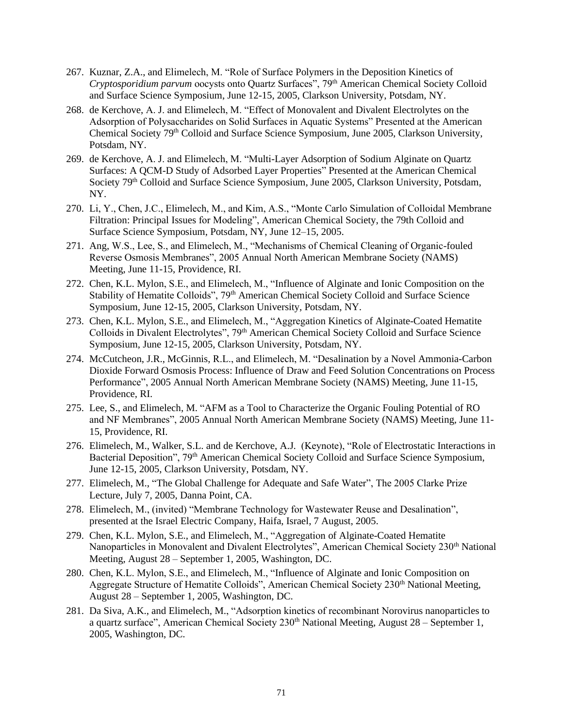- 267. Kuznar, Z.A., and Elimelech, M. "Role of Surface Polymers in the Deposition Kinetics of *Cryptosporidium parvum* oocysts onto Quartz Surfaces", 79th American Chemical Society Colloid and Surface Science Symposium, June 12-15, 2005, Clarkson University, Potsdam, NY.
- 268. de Kerchove, A. J. and Elimelech, M. "Effect of Monovalent and Divalent Electrolytes on the Adsorption of Polysaccharides on Solid Surfaces in Aquatic Systems" Presented at the American Chemical Society 79th Colloid and Surface Science Symposium, June 2005, Clarkson University, Potsdam, NY.
- 269. de Kerchove, A. J. and Elimelech, M. "Multi-Layer Adsorption of Sodium Alginate on Quartz Surfaces: A QCM-D Study of Adsorbed Layer Properties" Presented at the American Chemical Society 79<sup>th</sup> Colloid and Surface Science Symposium, June 2005, Clarkson University, Potsdam, NY.
- 270. Li, Y., Chen, J.C., Elimelech, M., and Kim, A.S., "Monte Carlo Simulation of Colloidal Membrane Filtration: Principal Issues for Modeling", American Chemical Society, the 79th Colloid and Surface Science Symposium, Potsdam, NY, June 12–15, 2005.
- 271. Ang, W.S., Lee, S., and Elimelech, M., "Mechanisms of Chemical Cleaning of Organic-fouled Reverse Osmosis Membranes", 2005 Annual North American Membrane Society (NAMS) Meeting, June 11-15, Providence, RI.
- 272. Chen, K.L. Mylon, S.E., and Elimelech, M., "Influence of Alginate and Ionic Composition on the Stability of Hematite Colloids", 79<sup>th</sup> American Chemical Society Colloid and Surface Science Symposium, June 12-15, 2005, Clarkson University, Potsdam, NY.
- 273. Chen, K.L. Mylon, S.E., and Elimelech, M., "Aggregation Kinetics of Alginate-Coated Hematite Colloids in Divalent Electrolytes", 79<sup>th</sup> American Chemical Society Colloid and Surface Science Symposium, June 12-15, 2005, Clarkson University, Potsdam, NY.
- 274. McCutcheon, J.R., McGinnis, R.L., and Elimelech, M. "Desalination by a Novel Ammonia-Carbon Dioxide Forward Osmosis Process: Influence of Draw and Feed Solution Concentrations on Process Performance", 2005 Annual North American Membrane Society (NAMS) Meeting, June 11-15, Providence, RI.
- 275. Lee, S., and Elimelech, M. "AFM as a Tool to Characterize the Organic Fouling Potential of RO and NF Membranes", 2005 Annual North American Membrane Society (NAMS) Meeting, June 11- 15, Providence, RI.
- 276. Elimelech, M., Walker, S.L. and de Kerchove, A.J. (Keynote), "Role of Electrostatic Interactions in Bacterial Deposition", 79<sup>th</sup> American Chemical Society Colloid and Surface Science Symposium, June 12-15, 2005, Clarkson University, Potsdam, NY.
- 277. Elimelech, M., "The Global Challenge for Adequate and Safe Water", The 2005 Clarke Prize Lecture, July 7, 2005, Danna Point, CA.
- 278. Elimelech, M., (invited) "Membrane Technology for Wastewater Reuse and Desalination", presented at the Israel Electric Company, Haifa, Israel, 7 August, 2005.
- 279. Chen, K.L. Mylon, S.E., and Elimelech, M., "Aggregation of Alginate-Coated Hematite Nanoparticles in Monovalent and Divalent Electrolytes", American Chemical Society 230<sup>th</sup> National Meeting, August 28 – September 1, 2005, Washington, DC.
- 280. Chen, K.L. Mylon, S.E., and Elimelech, M., "Influence of Alginate and Ionic Composition on Aggregate Structure of Hematite Colloids", American Chemical Society 230<sup>th</sup> National Meeting, August 28 – September 1, 2005, Washington, DC.
- 281. Da Siva, A.K., and Elimelech, M., "Adsorption kinetics of recombinant Norovirus nanoparticles to a quartz surface", American Chemical Society  $230<sup>th</sup>$  National Meeting, August  $28$  – September 1, 2005, Washington, DC.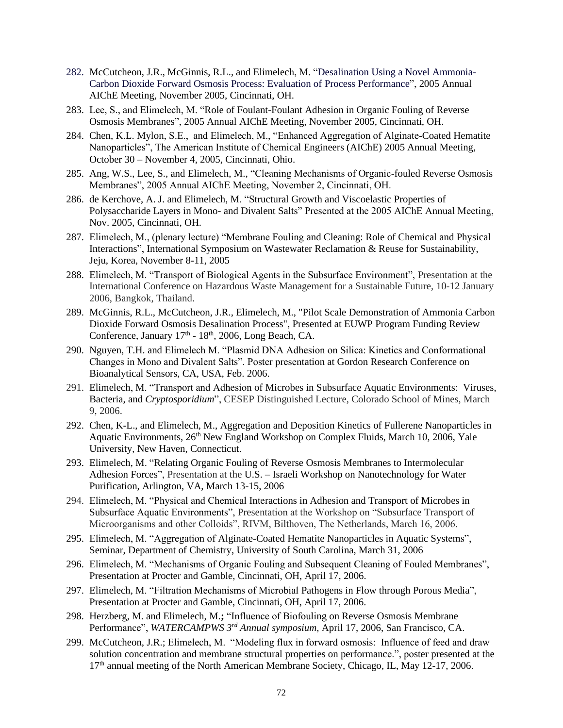- 282. McCutcheon, J.R., McGinnis, R.L., and Elimelech, M. "Desalination Using a Novel Ammonia-Carbon Dioxide Forward Osmosis Process: Evaluation of Process Performance", 2005 Annual AIChE Meeting, November 2005, Cincinnati, OH.
- 283. Lee, S., and Elimelech, M. "Role of Foulant-Foulant Adhesion in Organic Fouling of Reverse Osmosis Membranes", 2005 Annual AIChE Meeting, November 2005, Cincinnati, OH.
- 284. Chen, K.L. Mylon, S.E., and Elimelech, M., "Enhanced Aggregation of Alginate-Coated Hematite Nanoparticles", The American Institute of Chemical Engineers (AIChE) 2005 Annual Meeting, October 30 – November 4, 2005, Cincinnati, Ohio.
- 285. Ang, W.S., Lee, S., and Elimelech, M., "Cleaning Mechanisms of Organic-fouled Reverse Osmosis Membranes", 2005 Annual AIChE Meeting, November 2, Cincinnati, OH.
- 286. de Kerchove, A. J. and Elimelech, M. "Structural Growth and Viscoelastic Properties of Polysaccharide Layers in Mono- and Divalent Salts" Presented at the 2005 AIChE Annual Meeting, Nov. 2005, Cincinnati, OH.
- 287. Elimelech, M., (plenary lecture) "Membrane Fouling and Cleaning: Role of Chemical and Physical Interactions", International Symposium on Wastewater Reclamation & Reuse for Sustainability, Jeju, Korea, November 8-11, 2005
- 288. Elimelech, M. "Transport of Biological Agents in the Subsurface Environment", Presentation at the International Conference on Hazardous Waste Management for a Sustainable Future, 10-12 January 2006, Bangkok, Thailand.
- 289. McGinnis, R.L., McCutcheon, J.R., Elimelech, M., "Pilot Scale Demonstration of Ammonia Carbon Dioxide Forward Osmosis Desalination Process", Presented at EUWP Program Funding Review Conference, January  $17<sup>th</sup>$  -  $18<sup>th</sup>$ , 2006, Long Beach, CA.
- 290. Nguyen, T.H. and Elimelech M. "Plasmid DNA Adhesion on Silica: Kinetics and Conformational Changes in Mono and Divalent Salts". Poster presentation at Gordon Research Conference on Bioanalytical Sensors, CA, USA, Feb. 2006.
- 291. Elimelech, M. "Transport and Adhesion of Microbes in Subsurface Aquatic Environments: Viruses, Bacteria, and *Cryptosporidium*", CESEP Distinguished Lecture, Colorado School of Mines, March 9, 2006.
- 292. Chen, K-L., and Elimelech, M., Aggregation and Deposition Kinetics of Fullerene Nanoparticles in Aquatic Environments, 26<sup>th</sup> New England Workshop on Complex Fluids, March 10, 2006, Yale University, New Haven, Connecticut.
- 293. Elimelech, M. "Relating Organic Fouling of Reverse Osmosis Membranes to Intermolecular Adhesion Forces", Presentation at the U.S. – Israeli Workshop on Nanotechnology for Water Purification, Arlington, VA, March 13-15, 2006
- 294. Elimelech, M. "Physical and Chemical Interactions in Adhesion and Transport of Microbes in Subsurface Aquatic Environments", Presentation at the Workshop on "Subsurface Transport of Microorganisms and other Colloids", RIVM, Bilthoven, The Netherlands, March 16, 2006.
- 295. Elimelech, M. "Aggregation of Alginate-Coated Hematite Nanoparticles in Aquatic Systems", Seminar, Department of Chemistry, University of South Carolina, March 31, 2006
- 296. Elimelech, M. "Mechanisms of Organic Fouling and Subsequent Cleaning of Fouled Membranes", Presentation at Procter and Gamble, Cincinnati, OH, April 17, 2006.
- 297. Elimelech, M. "Filtration Mechanisms of Microbial Pathogens in Flow through Porous Media", Presentation at Procter and Gamble, Cincinnati, OH, April 17, 2006.
- 298. Herzberg, M. and Elimelech, M.**;** "Influence of Biofouling on Reverse Osmosis Membrane Performance", *WATERCAMPWS 3rd Annual symposium*, April 17, 2006, San Francisco, CA.
- 299. McCutcheon, J.R.; Elimelech, M. "Modeling flux in forward osmosis: Influence of feed and draw solution concentration and membrane structural properties on performance.", poster presented at the 17<sup>th</sup> annual meeting of the North American Membrane Society, Chicago, IL, May 12-17, 2006.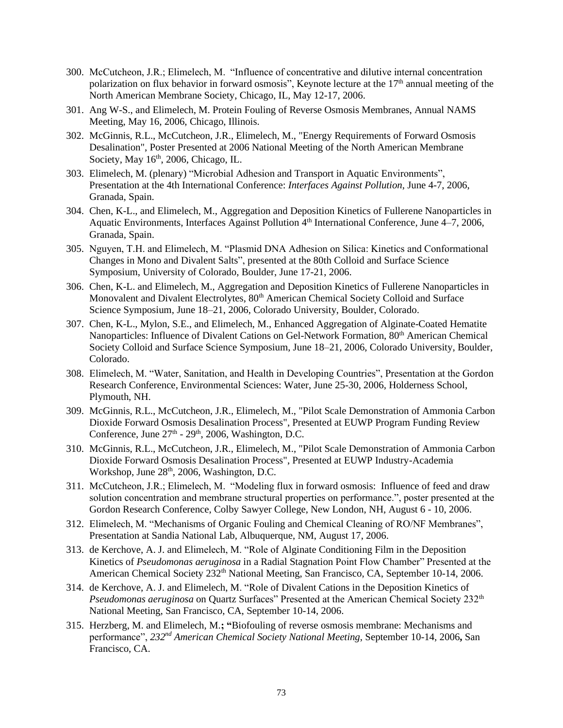- 300. McCutcheon, J.R.; Elimelech, M. "Influence of concentrative and dilutive internal concentration polarization on flux behavior in forward osmosis", Keynote lecture at the  $17<sup>th</sup>$  annual meeting of the North American Membrane Society, Chicago, IL, May 12-17, 2006.
- 301. Ang W-S., and Elimelech, M. Protein Fouling of Reverse Osmosis Membranes, Annual NAMS Meeting, May 16, 2006, Chicago, Illinois.
- 302. McGinnis, R.L., McCutcheon, J.R., Elimelech, M., "Energy Requirements of Forward Osmosis Desalination", Poster Presented at 2006 National Meeting of the North American Membrane Society, May  $16<sup>th</sup>$ , 2006, Chicago, IL.
- 303. Elimelech, M. (plenary) "Microbial Adhesion and Transport in Aquatic Environments", Presentation at the 4th International Conference: *Interfaces Against Pollution*, June 4-7, 2006, Granada, Spain.
- 304. Chen, K-L., and Elimelech, M., Aggregation and Deposition Kinetics of Fullerene Nanoparticles in Aquatic Environments, Interfaces Against Pollution 4<sup>th</sup> International Conference, June 4–7, 2006, Granada, Spain.
- 305. Nguyen, T.H. and Elimelech, M. "Plasmid DNA Adhesion on Silica: Kinetics and Conformational Changes in Mono and Divalent Salts", presented at the 80th Colloid and Surface Science Symposium, University of Colorado, Boulder, June 17-21, 2006.
- 306. Chen, K-L. and Elimelech, M., Aggregation and Deposition Kinetics of Fullerene Nanoparticles in Monovalent and Divalent Electrolytes,  $80<sup>th</sup>$  American Chemical Society Colloid and Surface Science Symposium, June 18–21, 2006, Colorado University, Boulder, Colorado.
- 307. Chen, K-L., Mylon, S.E., and Elimelech, M., Enhanced Aggregation of Alginate-Coated Hematite Nanoparticles: Influence of Divalent Cations on Gel-Network Formation, 80<sup>th</sup> American Chemical Society Colloid and Surface Science Symposium, June 18–21, 2006, Colorado University, Boulder, Colorado.
- 308. Elimelech, M. "Water, Sanitation, and Health in Developing Countries", Presentation at the Gordon Research Conference, Environmental Sciences: Water, June 25-30, 2006, Holderness School, Plymouth, NH.
- 309. McGinnis, R.L., McCutcheon, J.R., Elimelech, M., "Pilot Scale Demonstration of Ammonia Carbon Dioxide Forward Osmosis Desalination Process", Presented at EUWP Program Funding Review Conference, June  $27<sup>th</sup>$  -  $29<sup>th</sup>$ , 2006, Washington, D.C.
- 310. McGinnis, R.L., McCutcheon, J.R., Elimelech, M., "Pilot Scale Demonstration of Ammonia Carbon Dioxide Forward Osmosis Desalination Process", Presented at EUWP Industry-Academia Workshop, June 28<sup>th</sup>, 2006, Washington, D.C.
- 311. McCutcheon, J.R.; Elimelech, M. "Modeling flux in forward osmosis: Influence of feed and draw solution concentration and membrane structural properties on performance.", poster presented at the Gordon Research Conference, Colby Sawyer College, New London, NH, August 6 - 10, 2006.
- 312. Elimelech, M. "Mechanisms of Organic Fouling and Chemical Cleaning of RO/NF Membranes", Presentation at Sandia National Lab, Albuquerque, NM, August 17, 2006.
- 313. de Kerchove, A. J. and Elimelech, M. "Role of Alginate Conditioning Film in the Deposition Kinetics of *Pseudomonas aeruginosa* in a Radial Stagnation Point Flow Chamber" Presented at the American Chemical Society 232<sup>th</sup> National Meeting, San Francisco, CA, September 10-14, 2006.
- 314. de Kerchove, A. J. and Elimelech, M. "Role of Divalent Cations in the Deposition Kinetics of *Pseudomonas aeruginosa* on Quartz Surfaces" Presented at the American Chemical Society 232<sup>th</sup> National Meeting, San Francisco, CA, September 10-14, 2006.
- 315. Herzberg, M. and Elimelech, M.**; "**Biofouling of reverse osmosis membrane: Mechanisms and performance", *232nd American Chemical Society National Meeting*, September 10-14, 2006**,** San Francisco, CA.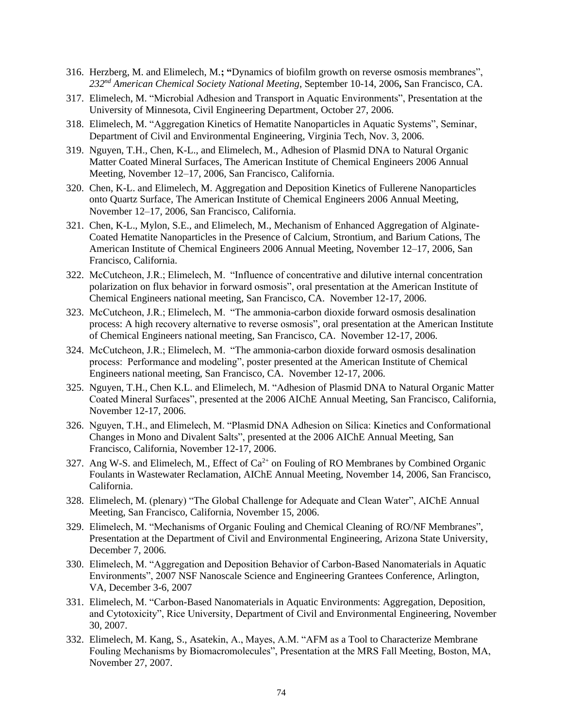- 316. Herzberg, M. and Elimelech, M.**; "**Dynamics of biofilm growth on reverse osmosis membranes", *232nd American Chemical Society National Meeting*, September 10-14, 2006**,** San Francisco, CA.
- 317. Elimelech, M. "Microbial Adhesion and Transport in Aquatic Environments", Presentation at the University of Minnesota, Civil Engineering Department, October 27, 2006.
- 318. Elimelech, M. "Aggregation Kinetics of Hematite Nanoparticles in Aquatic Systems", Seminar, Department of Civil and Environmental Engineering, Virginia Tech, Nov. 3, 2006.
- 319. Nguyen, T.H., Chen, K-L., and Elimelech, M., Adhesion of Plasmid DNA to Natural Organic Matter Coated Mineral Surfaces, The American Institute of Chemical Engineers 2006 Annual Meeting, November 12–17, 2006, San Francisco, California.
- 320. Chen, K-L. and Elimelech, M. Aggregation and Deposition Kinetics of Fullerene Nanoparticles onto Quartz Surface, The American Institute of Chemical Engineers 2006 Annual Meeting, November 12–17, 2006, San Francisco, California.
- 321. Chen, K-L., Mylon, S.E., and Elimelech, M., Mechanism of Enhanced Aggregation of Alginate-Coated Hematite Nanoparticles in the Presence of Calcium, Strontium, and Barium Cations, The American Institute of Chemical Engineers 2006 Annual Meeting, November 12–17, 2006, San Francisco, California.
- 322. McCutcheon, J.R.; Elimelech, M. "Influence of concentrative and dilutive internal concentration polarization on flux behavior in forward osmosis", oral presentation at the American Institute of Chemical Engineers national meeting, San Francisco, CA. November 12-17, 2006.
- 323. McCutcheon, J.R.; Elimelech, M. "The ammonia-carbon dioxide forward osmosis desalination process: A high recovery alternative to reverse osmosis", oral presentation at the American Institute of Chemical Engineers national meeting, San Francisco, CA. November 12-17, 2006.
- 324. McCutcheon, J.R.; Elimelech, M. "The ammonia-carbon dioxide forward osmosis desalination process: Performance and modeling", poster presented at the American Institute of Chemical Engineers national meeting, San Francisco, CA. November 12-17, 2006.
- 325. Nguyen, T.H., Chen K.L. and Elimelech, M. "Adhesion of Plasmid DNA to Natural Organic Matter Coated Mineral Surfaces", presented at the 2006 AIChE Annual Meeting, San Francisco, California, November 12-17, 2006.
- 326. Nguyen, T.H., and Elimelech, M. "Plasmid DNA Adhesion on Silica: Kinetics and Conformational Changes in Mono and Divalent Salts", presented at the 2006 AIChE Annual Meeting, San Francisco, California, November 12-17, 2006.
- 327. Ang W-S. and Elimelech, M., Effect of  $Ca^{2+}$  on Fouling of RO Membranes by Combined Organic Foulants in Wastewater Reclamation, AIChE Annual Meeting, November 14, 2006, San Francisco, California.
- 328. Elimelech, M. (plenary) "The Global Challenge for Adequate and Clean Water", AIChE Annual Meeting, San Francisco, California, November 15, 2006.
- 329. Elimelech, M. "Mechanisms of Organic Fouling and Chemical Cleaning of RO/NF Membranes", Presentation at the Department of Civil and Environmental Engineering, Arizona State University, December 7, 2006.
- 330. Elimelech, M. "Aggregation and Deposition Behavior of Carbon-Based Nanomaterials in Aquatic Environments", 2007 NSF Nanoscale Science and Engineering Grantees Conference, Arlington, VA, December 3-6, 2007
- 331. Elimelech, M. "Carbon-Based Nanomaterials in Aquatic Environments: Aggregation, Deposition, and Cytotoxicity", Rice University, Department of Civil and Environmental Engineering, November 30, 2007.
- 332. Elimelech, M. Kang, S., Asatekin, A., Mayes, A.M. "AFM as a Tool to Characterize Membrane Fouling Mechanisms by Biomacromolecules", Presentation at the MRS Fall Meeting, Boston, MA, November 27, 2007.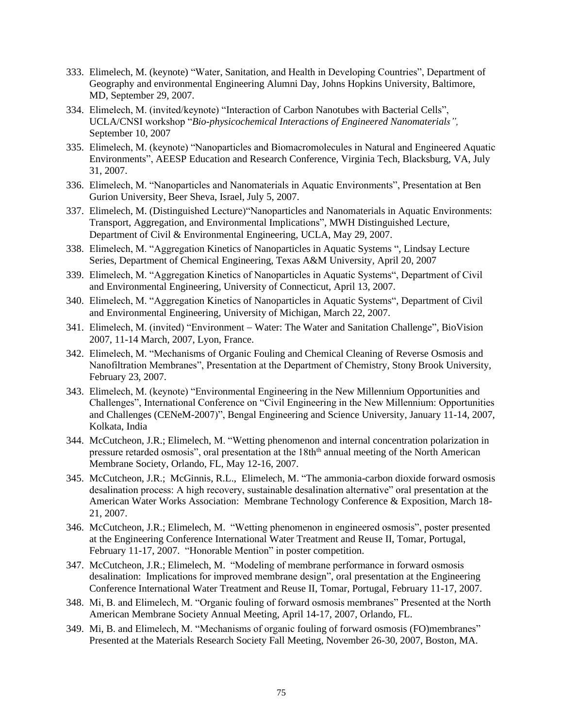- 333. Elimelech, M. (keynote) "Water, Sanitation, and Health in Developing Countries", Department of Geography and environmental Engineering Alumni Day, Johns Hopkins University, Baltimore, MD, September 29, 2007.
- 334. Elimelech, M. (invited/keynote) "Interaction of Carbon Nanotubes with Bacterial Cells", UCLA/CNSI workshop "*Bio-physicochemical Interactions of Engineered Nanomaterials",*  September 10, 2007
- 335. Elimelech, M. (keynote) "Nanoparticles and Biomacromolecules in Natural and Engineered Aquatic Environments", AEESP Education and Research Conference, Virginia Tech, Blacksburg, VA, July 31, 2007.
- 336. Elimelech, M. "Nanoparticles and Nanomaterials in Aquatic Environments", Presentation at Ben Gurion University, Beer Sheva, Israel, July 5, 2007.
- 337. Elimelech, M. (Distinguished Lecture)"Nanoparticles and Nanomaterials in Aquatic Environments: Transport, Aggregation, and Environmental Implications", MWH Distinguished Lecture, Department of Civil & Environmental Engineering, UCLA, May 29, 2007.
- 338. Elimelech, M. "Aggregation Kinetics of Nanoparticles in Aquatic Systems ", Lindsay Lecture Series, Department of Chemical Engineering, Texas A&M University, April 20, 2007
- 339. Elimelech, M. "Aggregation Kinetics of Nanoparticles in Aquatic Systems", Department of Civil and Environmental Engineering, University of Connecticut, April 13, 2007.
- 340. Elimelech, M. "Aggregation Kinetics of Nanoparticles in Aquatic Systems", Department of Civil and Environmental Engineering, University of Michigan, March 22, 2007.
- 341. Elimelech, M. (invited) "Environment − Water: The Water and Sanitation Challenge", BioVision 2007, 11-14 March, 2007, Lyon, France.
- 342. Elimelech, M. "Mechanisms of Organic Fouling and Chemical Cleaning of Reverse Osmosis and Nanofiltration Membranes", Presentation at the Department of Chemistry, Stony Brook University, February 23, 2007.
- 343. Elimelech, M. (keynote) "Environmental Engineering in the New Millennium Opportunities and Challenges", International Conference on "Civil Engineering in the New Millennium: Opportunities and Challenges (CENeM-2007)", Bengal Engineering and Science University, January 11-14, 2007, Kolkata, India
- 344. McCutcheon, J.R.; Elimelech, M. "Wetting phenomenon and internal concentration polarization in pressure retarded osmosis", oral presentation at the 18th<sup>th</sup> annual meeting of the North American Membrane Society, Orlando, FL, May 12-16, 2007.
- 345. McCutcheon, J.R.; McGinnis, R.L., Elimelech, M. "The ammonia-carbon dioxide forward osmosis desalination process: A high recovery, sustainable desalination alternative" oral presentation at the American Water Works Association: Membrane Technology Conference & Exposition, March 18- 21, 2007.
- 346. McCutcheon, J.R.; Elimelech, M. "Wetting phenomenon in engineered osmosis", poster presented at the Engineering Conference International Water Treatment and Reuse II, Tomar, Portugal, February 11-17, 2007. "Honorable Mention" in poster competition.
- 347. McCutcheon, J.R.; Elimelech, M. "Modeling of membrane performance in forward osmosis desalination: Implications for improved membrane design", oral presentation at the Engineering Conference International Water Treatment and Reuse II, Tomar, Portugal, February 11-17, 2007.
- 348. Mi, B. and Elimelech, M. "Organic fouling of forward osmosis membranes" Presented at the North American Membrane Society Annual Meeting, April 14-17, 2007, Orlando, FL.
- 349. Mi, B. and Elimelech, M. "Mechanisms of organic fouling of forward osmosis (FO)membranes" Presented at the Materials Research Society Fall Meeting, November 26-30, 2007, Boston, MA.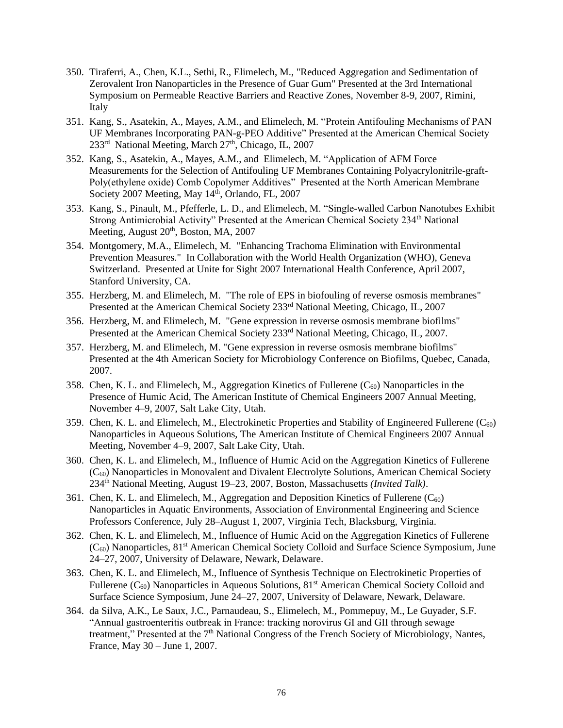- 350. Tiraferri, A., Chen, K.L., Sethi, R., Elimelech, M., "Reduced Aggregation and Sedimentation of Zerovalent Iron Nanoparticles in the Presence of Guar Gum" Presented at the 3rd International Symposium on Permeable Reactive Barriers and Reactive Zones, November 8-9, 2007, Rimini, Italy
- 351. Kang, S., Asatekin, A., Mayes, A.M., and Elimelech, M. "Protein Antifouling Mechanisms of PAN UF Membranes Incorporating PAN-g-PEO Additive" Presented at the American Chemical Society 233<sup>rd</sup> National Meeting, March 27<sup>th</sup>, Chicago, IL, 2007
- 352. Kang, S., Asatekin, A., Mayes, A.M., and Elimelech, M. "Application of AFM Force Measurements for the Selection of Antifouling UF Membranes Containing Polyacrylonitrile-graft-Poly(ethylene oxide) Comb Copolymer Additives" Presented at the North American Membrane Society 2007 Meeting, May  $14<sup>th</sup>$ , Orlando, FL, 2007
- 353. Kang, S., Pinault, M., Pfefferle, L. D., and Elimelech, M. "Single-walled Carbon Nanotubes Exhibit Strong Antimicrobial Activity" Presented at the American Chemical Society 234<sup>th</sup> National Meeting, August  $20<sup>th</sup>$ , Boston, MA, 2007
- 354. Montgomery, M.A., Elimelech, M. "Enhancing Trachoma Elimination with Environmental Prevention Measures." In Collaboration with the World Health Organization (WHO), Geneva Switzerland. Presented at Unite for Sight 2007 International Health Conference, April 2007, Stanford University, CA.
- 355. Herzberg, M. and Elimelech, M. "The role of EPS in biofouling of reverse osmosis membranes" Presented at the American Chemical Society 233rd National Meeting, Chicago, IL, 2007
- 356. Herzberg, M. and Elimelech, M. "Gene expression in reverse osmosis membrane biofilms" Presented at the American Chemical Society 233rd National Meeting, Chicago, IL, 2007.
- 357. Herzberg, M. and Elimelech, M. "Gene expression in reverse osmosis membrane biofilms" Presented at the 4th American Society for Microbiology Conference on Biofilms, Quebec, Canada, 2007.
- 358. Chen, K. L. and Elimelech, M., Aggregation Kinetics of Fullerene (C60) Nanoparticles in the Presence of Humic Acid, The American Institute of Chemical Engineers 2007 Annual Meeting, November 4–9, 2007, Salt Lake City, Utah.
- 359. Chen, K. L. and Elimelech, M., Electrokinetic Properties and Stability of Engineered Fullerene ( $C_{60}$ ) Nanoparticles in Aqueous Solutions, The American Institute of Chemical Engineers 2007 Annual Meeting, November 4–9, 2007, Salt Lake City, Utah.
- 360. Chen, K. L. and Elimelech, M., Influence of Humic Acid on the Aggregation Kinetics of Fullerene (C60) Nanoparticles in Monovalent and Divalent Electrolyte Solutions, American Chemical Society 234th National Meeting, August 19–23, 2007, Boston, Massachusetts *(Invited Talk)*.
- 361. Chen, K. L. and Elimelech, M., Aggregation and Deposition Kinetics of Fullerene  $(C_{60})$ Nanoparticles in Aquatic Environments, Association of Environmental Engineering and Science Professors Conference, July 28–August 1, 2007, Virginia Tech, Blacksburg, Virginia.
- 362. Chen, K. L. and Elimelech, M., Influence of Humic Acid on the Aggregation Kinetics of Fullerene  $(C_{60})$  Nanoparticles,  $81<sup>st</sup>$  American Chemical Society Colloid and Surface Science Symposium, June 24–27, 2007, University of Delaware, Newark, Delaware.
- 363. Chen, K. L. and Elimelech, M., Influence of Synthesis Technique on Electrokinetic Properties of Fullerene  $(C_{60})$  Nanoparticles in Aqueous Solutions,  $81<sup>st</sup>$  American Chemical Society Colloid and Surface Science Symposium, June 24–27, 2007, University of Delaware, Newark, Delaware.
- 364. da Silva, A.K., Le Saux, J.C., Parnaudeau, S., Elimelech, M., Pommepuy, M., Le Guyader, S.F. "Annual gastroenteritis outbreak in France: tracking norovirus GI and GII through sewage treatment," Presented at the 7<sup>th</sup> National Congress of the French Society of Microbiology, Nantes, France, May 30 – June 1, 2007.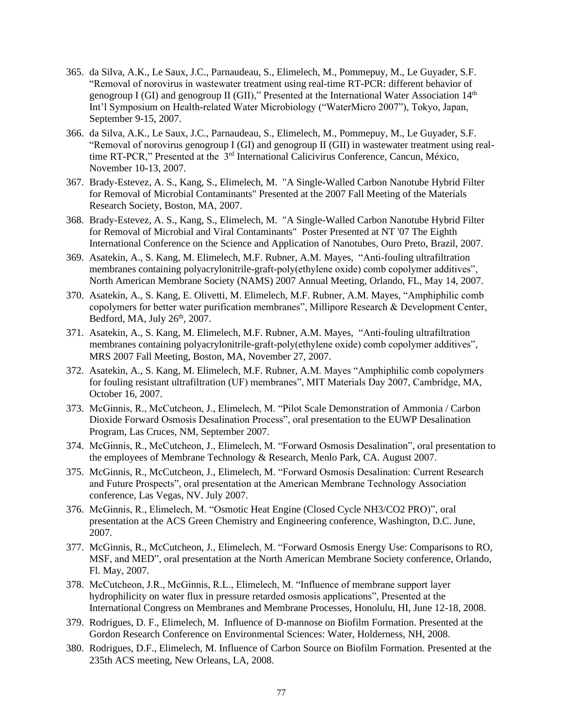- 365. da Silva, A.K., Le Saux, J.C., Parnaudeau, S., Elimelech, M., Pommepuy, M., Le Guyader, S.F. "Removal of norovirus in wastewater treatment using real-time RT-PCR: different behavior of genogroup I (GI) and genogroup II (GII)," Presented at the International Water Association  $14<sup>th</sup>$ Int'l Symposium on Health-related Water Microbiology ("WaterMicro 2007"), Tokyo, Japan, September 9-15, 2007.
- 366. da Silva, A.K., Le Saux, J.C., Parnaudeau, S., Elimelech, M., Pommepuy, M., Le Guyader, S.F. "Removal of norovirus genogroup I (GI) and genogroup II (GII) in wastewater treatment using realtime RT-PCR," Presented at the 3<sup>rd</sup> International Calicivirus Conference, Cancun, México, November 10-13, 2007.
- 367. Brady-Estevez, A. S., Kang, S., Elimelech, M. "A Single-Walled Carbon Nanotube Hybrid Filter for Removal of Microbial Contaminants" Presented at the 2007 Fall Meeting of the Materials Research Society, Boston, MA, 2007.
- 368. Brady-Estevez, A. S., Kang, S., Elimelech, M. "A Single-Walled Carbon Nanotube Hybrid Filter for Removal of Microbial and Viral Contaminants" Poster Presented at NT '07 The Eighth International Conference on the Science and Application of Nanotubes, Ouro Preto, Brazil, 2007.
- 369. Asatekin, A., S. Kang, M. Elimelech, M.F. Rubner, A.M. Mayes, "Anti-fouling ultrafiltration membranes containing polyacrylonitrile-graft-poly(ethylene oxide) comb copolymer additives", North American Membrane Society (NAMS) 2007 Annual Meeting, Orlando, FL, May 14, 2007.
- 370. Asatekin, A., S. Kang, E. Olivetti, M. Elimelech, M.F. Rubner, A.M. Mayes, "Amphiphilic comb copolymers for better water purification membranes", Millipore Research & Development Center, Bedford, MA, July  $26<sup>th</sup>$ ,  $2007$ .
- 371. Asatekin, A., S. Kang, M. Elimelech, M.F. Rubner, A.M. Mayes, "Anti-fouling ultrafiltration membranes containing polyacrylonitrile-graft-poly(ethylene oxide) comb copolymer additives", MRS 2007 Fall Meeting, Boston, MA, November 27, 2007.
- 372. Asatekin, A., S. Kang, M. Elimelech, M.F. Rubner, A.M. Mayes "Amphiphilic comb copolymers for fouling resistant ultrafiltration (UF) membranes", MIT Materials Day 2007, Cambridge, MA, October 16, 2007.
- 373. McGinnis, R., McCutcheon, J., Elimelech, M. "Pilot Scale Demonstration of Ammonia / Carbon Dioxide Forward Osmosis Desalination Process", oral presentation to the EUWP Desalination Program, Las Cruces, NM, September 2007.
- 374. McGinnis, R., McCutcheon, J., Elimelech, M. "Forward Osmosis Desalination", oral presentation to the employees of Membrane Technology & Research, Menlo Park, CA. August 2007.
- 375. McGinnis, R., McCutcheon, J., Elimelech, M. "Forward Osmosis Desalination: Current Research and Future Prospects", oral presentation at the American Membrane Technology Association conference, Las Vegas, NV. July 2007.
- 376. McGinnis, R., Elimelech, M. "Osmotic Heat Engine (Closed Cycle NH3/CO2 PRO)", oral presentation at the ACS Green Chemistry and Engineering conference, Washington, D.C. June, 2007.
- 377. McGinnis, R., McCutcheon, J., Elimelech, M. "Forward Osmosis Energy Use: Comparisons to RO, MSF, and MED", oral presentation at the North American Membrane Society conference, Orlando, Fl. May, 2007.
- 378. McCutcheon, J.R., McGinnis, R.L., Elimelech, M. "Influence of membrane support layer hydrophilicity on water flux in pressure retarded osmosis applications", Presented at the International Congress on Membranes and Membrane Processes, Honolulu, HI, June 12-18, 2008.
- 379. Rodrigues, D. F., Elimelech, M. Influence of D-mannose on Biofilm Formation. Presented at the Gordon Research Conference on Environmental Sciences: Water, Holderness, NH, 2008.
- 380. Rodrigues, D.F., Elimelech, M. Influence of Carbon Source on Biofilm Formation. Presented at the 235th ACS meeting, New Orleans, LA, 2008.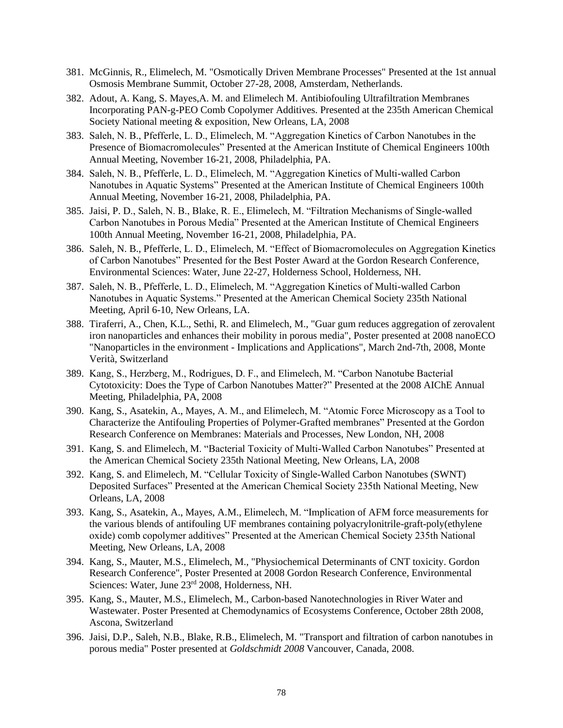- 381. McGinnis, R., Elimelech, M. "Osmotically Driven Membrane Processes" Presented at the 1st annual Osmosis Membrane Summit, October 27-28, 2008, Amsterdam, Netherlands.
- 382. Adout, A. Kang, S. Mayes,A. M. and Elimelech M. Antibiofouling Ultrafiltration Membranes Incorporating PAN-g-PEO Comb Copolymer Additives. Presented at the 235th American Chemical Society National meeting & exposition, New Orleans, LA, 2008
- 383. Saleh, N. B., Pfefferle, L. D., Elimelech, M. "Aggregation Kinetics of Carbon Nanotubes in the Presence of Biomacromolecules" Presented at the American Institute of Chemical Engineers 100th Annual Meeting, November 16-21, 2008, Philadelphia, PA.
- 384. Saleh, N. B., Pfefferle, L. D., Elimelech, M. "Aggregation Kinetics of Multi-walled Carbon Nanotubes in Aquatic Systems" Presented at the American Institute of Chemical Engineers 100th Annual Meeting, November 16-21, 2008, Philadelphia, PA.
- 385. Jaisi, P. D., Saleh, N. B., Blake, R. E., Elimelech, M. "Filtration Mechanisms of Single-walled Carbon Nanotubes in Porous Media" Presented at the American Institute of Chemical Engineers 100th Annual Meeting, November 16-21, 2008, Philadelphia, PA.
- 386. Saleh, N. B., Pfefferle, L. D., Elimelech, M. "Effect of Biomacromolecules on Aggregation Kinetics of Carbon Nanotubes" Presented for the Best Poster Award at the Gordon Research Conference, Environmental Sciences: Water, June 22-27, Holderness School, Holderness, NH.
- 387. Saleh, N. B., Pfefferle, L. D., Elimelech, M. "Aggregation Kinetics of Multi-walled Carbon Nanotubes in Aquatic Systems." Presented at the American Chemical Society 235th National Meeting, April 6-10, New Orleans, LA.
- 388. Tiraferri, A., Chen, K.L., Sethi, R. and Elimelech, M., "Guar gum reduces aggregation of zerovalent iron nanoparticles and enhances their mobility in porous media", Poster presented at 2008 nanoECO "Nanoparticles in the environment - Implications and Applications", March 2nd-7th, 2008, Monte Verità, Switzerland
- 389. Kang, S., Herzberg, M., Rodrigues, D. F., and Elimelech, M. "Carbon Nanotube Bacterial Cytotoxicity: Does the Type of Carbon Nanotubes Matter?" Presented at the 2008 AIChE Annual Meeting, Philadelphia, PA, 2008
- 390. Kang, S., Asatekin, A., Mayes, A. M., and Elimelech, M. "Atomic Force Microscopy as a Tool to Characterize the Antifouling Properties of Polymer-Grafted membranes" Presented at the Gordon Research Conference on Membranes: Materials and Processes, New London, NH, 2008
- 391. Kang, S. and Elimelech, M. "Bacterial Toxicity of Multi-Walled Carbon Nanotubes" Presented at the American Chemical Society 235th National Meeting, New Orleans, LA, 2008
- 392. Kang, S. and Elimelech, M. "Cellular Toxicity of Single-Walled Carbon Nanotubes (SWNT) Deposited Surfaces" Presented at the American Chemical Society 235th National Meeting, New Orleans, LA, 2008
- 393. Kang, S., Asatekin, A., Mayes, A.M., Elimelech, M. "Implication of AFM force measurements for the various blends of antifouling UF membranes containing polyacrylonitrile-graft-poly(ethylene oxide) comb copolymer additives" Presented at the American Chemical Society 235th National Meeting, New Orleans, LA, 2008
- 394. Kang, S., Mauter, M.S., Elimelech, M., "Physiochemical Determinants of CNT toxicity. Gordon Research Conference", Poster Presented at 2008 Gordon Research Conference, Environmental Sciences: Water, June 23rd 2008, Holderness, NH.
- 395. Kang, S., Mauter, M.S., Elimelech, M., Carbon-based Nanotechnologies in River Water and Wastewater. Poster Presented at Chemodynamics of Ecosystems Conference, October 28th 2008, Ascona, Switzerland
- 396. Jaisi, D.P., Saleh, N.B., Blake, R.B., Elimelech, M. "Transport and filtration of carbon nanotubes in porous media" Poster presented at *Goldschmidt 2008* Vancouver, Canada, 2008.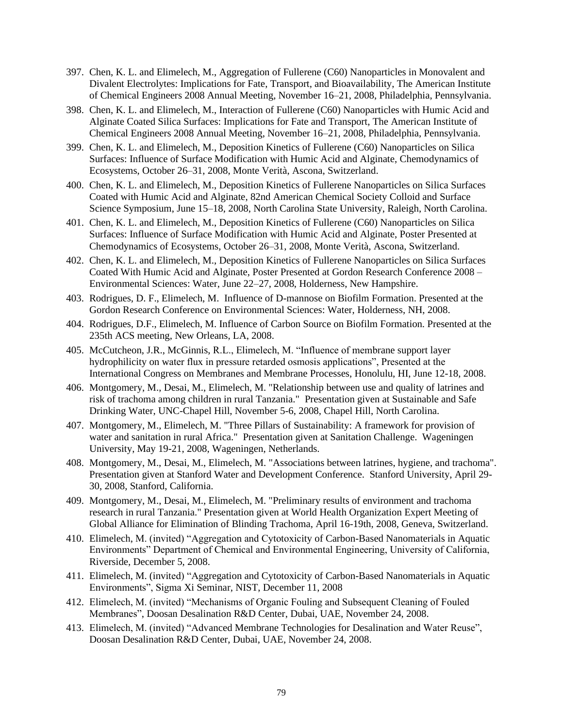- 397. Chen, K. L. and Elimelech, M., Aggregation of Fullerene (C60) Nanoparticles in Monovalent and Divalent Electrolytes: Implications for Fate, Transport, and Bioavailability, The American Institute of Chemical Engineers 2008 Annual Meeting, November 16–21, 2008, Philadelphia, Pennsylvania.
- 398. Chen, K. L. and Elimelech, M., Interaction of Fullerene (C60) Nanoparticles with Humic Acid and Alginate Coated Silica Surfaces: Implications for Fate and Transport, The American Institute of Chemical Engineers 2008 Annual Meeting, November 16–21, 2008, Philadelphia, Pennsylvania.
- 399. Chen, K. L. and Elimelech, M., Deposition Kinetics of Fullerene (C60) Nanoparticles on Silica Surfaces: Influence of Surface Modification with Humic Acid and Alginate, Chemodynamics of Ecosystems, October 26–31, 2008, Monte Verità, Ascona, Switzerland.
- 400. Chen, K. L. and Elimelech, M., Deposition Kinetics of Fullerene Nanoparticles on Silica Surfaces Coated with Humic Acid and Alginate, 82nd American Chemical Society Colloid and Surface Science Symposium, June 15–18, 2008, North Carolina State University, Raleigh, North Carolina.
- 401. Chen, K. L. and Elimelech, M., Deposition Kinetics of Fullerene (C60) Nanoparticles on Silica Surfaces: Influence of Surface Modification with Humic Acid and Alginate, Poster Presented at Chemodynamics of Ecosystems, October 26–31, 2008, Monte Verità, Ascona, Switzerland.
- 402. Chen, K. L. and Elimelech, M., Deposition Kinetics of Fullerene Nanoparticles on Silica Surfaces Coated With Humic Acid and Alginate, Poster Presented at Gordon Research Conference 2008 – Environmental Sciences: Water, June 22–27, 2008, Holderness, New Hampshire.
- 403. Rodrigues, D. F., Elimelech, M. Influence of D-mannose on Biofilm Formation. Presented at the Gordon Research Conference on Environmental Sciences: Water, Holderness, NH, 2008.
- 404. Rodrigues, D.F., Elimelech, M. Influence of Carbon Source on Biofilm Formation. Presented at the 235th ACS meeting, New Orleans, LA, 2008.
- 405. McCutcheon, J.R., McGinnis, R.L., Elimelech, M. "Influence of membrane support layer hydrophilicity on water flux in pressure retarded osmosis applications", Presented at the International Congress on Membranes and Membrane Processes, Honolulu, HI, June 12-18, 2008.
- 406. Montgomery, M., Desai, M., Elimelech, M. "Relationship between use and quality of latrines and risk of trachoma among children in rural Tanzania." Presentation given at Sustainable and Safe Drinking Water, UNC-Chapel Hill, November 5-6, 2008, Chapel Hill, North Carolina.
- 407. Montgomery, M., Elimelech, M. "Three Pillars of Sustainability: A framework for provision of water and sanitation in rural Africa." Presentation given at Sanitation Challenge. Wageningen University, May 19-21, 2008, Wageningen, Netherlands.
- 408. Montgomery, M., Desai, M., Elimelech, M. "Associations between latrines, hygiene, and trachoma". Presentation given at Stanford Water and Development Conference. Stanford University, April 29- 30, 2008, Stanford, California.
- 409. Montgomery, M., Desai, M., Elimelech, M. "Preliminary results of environment and trachoma research in rural Tanzania." Presentation given at World Health Organization Expert Meeting of Global Alliance for Elimination of Blinding Trachoma, April 16-19th, 2008, Geneva, Switzerland.
- 410. Elimelech, M. (invited) "Aggregation and Cytotoxicity of Carbon-Based Nanomaterials in Aquatic Environments" Department of Chemical and Environmental Engineering, University of California, Riverside, December 5, 2008.
- 411. Elimelech, M. (invited) "Aggregation and Cytotoxicity of Carbon-Based Nanomaterials in Aquatic Environments", Sigma Xi Seminar, NIST, December 11, 2008
- 412. Elimelech, M. (invited) "Mechanisms of Organic Fouling and Subsequent Cleaning of Fouled Membranes", Doosan Desalination R&D Center, Dubai, UAE, November 24, 2008.
- 413. Elimelech, M. (invited) "Advanced Membrane Technologies for Desalination and Water Reuse", Doosan Desalination R&D Center, Dubai, UAE, November 24, 2008.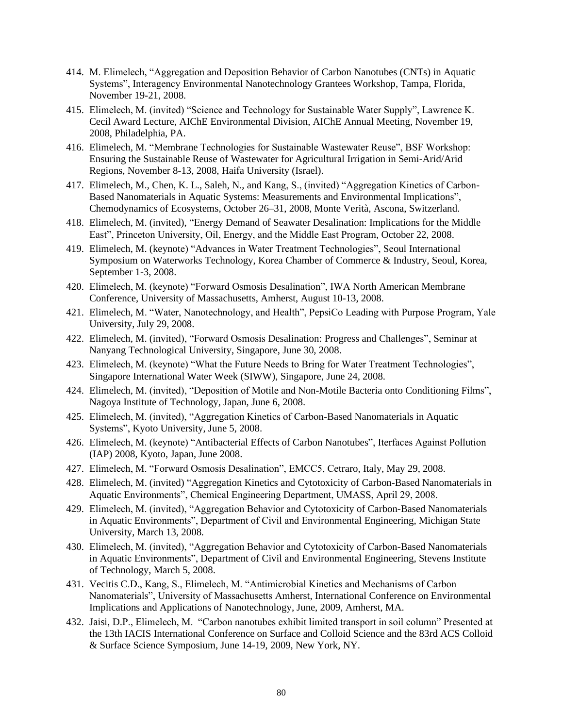- 414. M. Elimelech, "Aggregation and Deposition Behavior of Carbon Nanotubes (CNTs) in Aquatic Systems", Interagency Environmental Nanotechnology Grantees Workshop, Tampa, Florida, November 19-21, 2008.
- 415. Elimelech, M. (invited) "Science and Technology for Sustainable Water Supply", Lawrence K. Cecil Award Lecture, AIChE Environmental Division, AIChE Annual Meeting, November 19, 2008, Philadelphia, PA.
- 416. Elimelech, M. "Membrane Technologies for Sustainable Wastewater Reuse", BSF Workshop: Ensuring the Sustainable Reuse of Wastewater for Agricultural Irrigation in Semi-Arid/Arid Regions, November 8-13, 2008, Haifa University (Israel).
- 417. Elimelech, M., Chen, K. L., Saleh, N., and Kang, S., (invited) "Aggregation Kinetics of Carbon-Based Nanomaterials in Aquatic Systems: Measurements and Environmental Implications", Chemodynamics of Ecosystems, October 26–31, 2008, Monte Verità, Ascona, Switzerland.
- 418. Elimelech, M. (invited), "Energy Demand of Seawater Desalination: Implications for the Middle East", Princeton University, Oil, Energy, and the Middle East Program, October 22, 2008.
- 419. Elimelech, M. (keynote) "Advances in Water Treatment Technologies", Seoul International Symposium on Waterworks Technology, Korea Chamber of Commerce & Industry, Seoul, Korea, September 1-3, 2008.
- 420. Elimelech, M. (keynote) "Forward Osmosis Desalination", IWA North American Membrane Conference, University of Massachusetts, Amherst, August 10-13, 2008.
- 421. Elimelech, M. "Water, Nanotechnology, and Health", PepsiCo Leading with Purpose Program, Yale University, July 29, 2008.
- 422. Elimelech, M. (invited), "Forward Osmosis Desalination: Progress and Challenges", Seminar at Nanyang Technological University, Singapore, June 30, 2008.
- 423. Elimelech, M. (keynote) "What the Future Needs to Bring for Water Treatment Technologies", Singapore International Water Week (SIWW), Singapore, June 24, 2008.
- 424. Elimelech, M. (invited), "Deposition of Motile and Non-Motile Bacteria onto Conditioning Films", Nagoya Institute of Technology, Japan, June 6, 2008.
- 425. Elimelech, M. (invited), "Aggregation Kinetics of Carbon-Based Nanomaterials in Aquatic Systems", Kyoto University, June 5, 2008.
- 426. Elimelech, M. (keynote) "Antibacterial Effects of Carbon Nanotubes", Iterfaces Against Pollution (IAP) 2008, Kyoto, Japan, June 2008.
- 427. Elimelech, M. "Forward Osmosis Desalination", EMCC5, Cetraro, Italy, May 29, 2008.
- 428. Elimelech, M. (invited) "Aggregation Kinetics and Cytotoxicity of Carbon-Based Nanomaterials in Aquatic Environments", Chemical Engineering Department, UMASS, April 29, 2008.
- 429. Elimelech, M. (invited), "Aggregation Behavior and Cytotoxicity of Carbon-Based Nanomaterials in Aquatic Environments", Department of Civil and Environmental Engineering, Michigan State University, March 13, 2008.
- 430. Elimelech, M. (invited), "Aggregation Behavior and Cytotoxicity of Carbon-Based Nanomaterials in Aquatic Environments", Department of Civil and Environmental Engineering, Stevens Institute of Technology, March 5, 2008.
- 431. Vecitis C.D., Kang, S., Elimelech, M. "Antimicrobial Kinetics and Mechanisms of Carbon Nanomaterials", University of Massachusetts Amherst, International Conference on Environmental Implications and Applications of Nanotechnology, June, 2009, Amherst, MA.
- 432. Jaisi, D.P., Elimelech, M. "Carbon nanotubes exhibit limited transport in soil column" Presented at the 13th IACIS International Conference on Surface and Colloid Science and the 83rd ACS Colloid & Surface Science Symposium, June 14-19, 2009, New York, NY.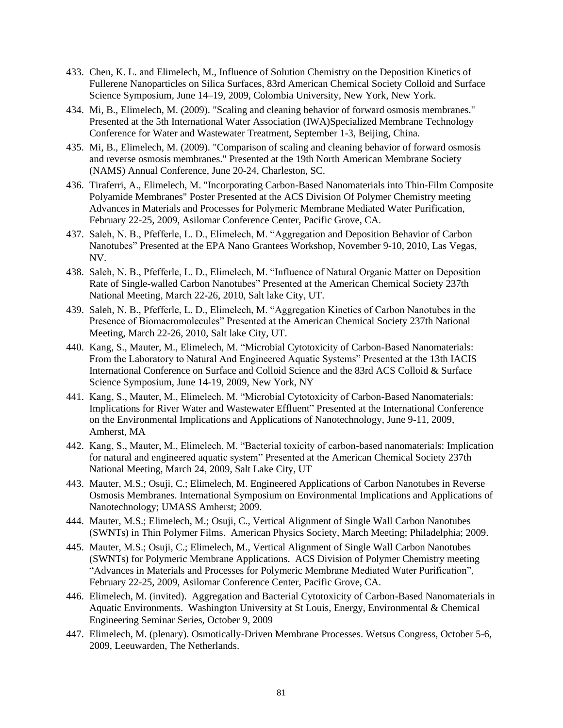- 433. Chen, K. L. and Elimelech, M., Influence of Solution Chemistry on the Deposition Kinetics of Fullerene Nanoparticles on Silica Surfaces, 83rd American Chemical Society Colloid and Surface Science Symposium, June 14–19, 2009, Colombia University, New York, New York.
- 434. Mi, B., Elimelech, M. (2009). "Scaling and cleaning behavior of forward osmosis membranes." Presented at the 5th International Water Association (IWA)Specialized Membrane Technology Conference for Water and Wastewater Treatment, September 1-3, Beijing, China.
- 435. Mi, B., Elimelech, M. (2009). "Comparison of scaling and cleaning behavior of forward osmosis and reverse osmosis membranes." Presented at the 19th North American Membrane Society (NAMS) Annual Conference, June 20-24, Charleston, SC.
- 436. Tiraferri, A., Elimelech, M. "Incorporating Carbon-Based Nanomaterials into Thin-Film Composite Polyamide Membranes" Poster Presented at the ACS Division Of Polymer Chemistry meeting Advances in Materials and Processes for Polymeric Membrane Mediated Water Purification, February 22-25, 2009, Asilomar Conference Center, Pacific Grove, CA.
- 437. Saleh, N. B., Pfefferle, L. D., Elimelech, M. "Aggregation and Deposition Behavior of Carbon Nanotubes" Presented at the EPA Nano Grantees Workshop, November 9-10, 2010, Las Vegas, NV.
- 438. Saleh, N. B., Pfefferle, L. D., Elimelech, M. "Influence of Natural Organic Matter on Deposition Rate of Single-walled Carbon Nanotubes" Presented at the American Chemical Society 237th National Meeting, March 22-26, 2010, Salt lake City, UT.
- 439. Saleh, N. B., Pfefferle, L. D., Elimelech, M. "Aggregation Kinetics of Carbon Nanotubes in the Presence of Biomacromolecules" Presented at the American Chemical Society 237th National Meeting, March 22-26, 2010, Salt lake City, UT.
- 440. Kang, S., Mauter, M., Elimelech, M. "Microbial Cytotoxicity of Carbon-Based Nanomaterials: From the Laboratory to Natural And Engineered Aquatic Systems" Presented at the 13th IACIS International Conference on Surface and Colloid Science and the 83rd ACS Colloid & Surface Science Symposium, June 14-19, 2009, New York, NY
- 441. Kang, S., Mauter, M., Elimelech, M. "Microbial Cytotoxicity of Carbon-Based Nanomaterials: Implications for River Water and Wastewater Effluent" Presented at the International Conference on the Environmental Implications and Applications of Nanotechnology, June 9-11, 2009, Amherst, MA
- 442. Kang, S., Mauter, M., Elimelech, M. "Bacterial toxicity of carbon-based nanomaterials: Implication for natural and engineered aquatic system" Presented at the American Chemical Society 237th National Meeting, March 24, 2009, Salt Lake City, UT
- 443. Mauter, M.S.; Osuji, C.; Elimelech, M. Engineered Applications of Carbon Nanotubes in Reverse Osmosis Membranes. International Symposium on Environmental Implications and Applications of Nanotechnology; UMASS Amherst; 2009.
- 444. Mauter, M.S.; Elimelech, M.; Osuji, C., Vertical Alignment of Single Wall Carbon Nanotubes (SWNTs) in Thin Polymer Films. American Physics Society, March Meeting; Philadelphia; 2009.
- 445. Mauter, M.S.; Osuji, C.; Elimelech, M., Vertical Alignment of Single Wall Carbon Nanotubes (SWNTs) for Polymeric Membrane Applications. ACS Division of Polymer Chemistry meeting "Advances in Materials and Processes for Polymeric Membrane Mediated Water Purification", February 22-25, 2009, Asilomar Conference Center, Pacific Grove, CA.
- 446. Elimelech, M. (invited). Aggregation and Bacterial Cytotoxicity of Carbon-Based Nanomaterials in Aquatic Environments. Washington University at St Louis, Energy, Environmental & Chemical Engineering Seminar Series, October 9, 2009
- 447. Elimelech, M. (plenary). Osmotically-Driven Membrane Processes. Wetsus Congress, October 5-6, 2009, Leeuwarden, The Netherlands.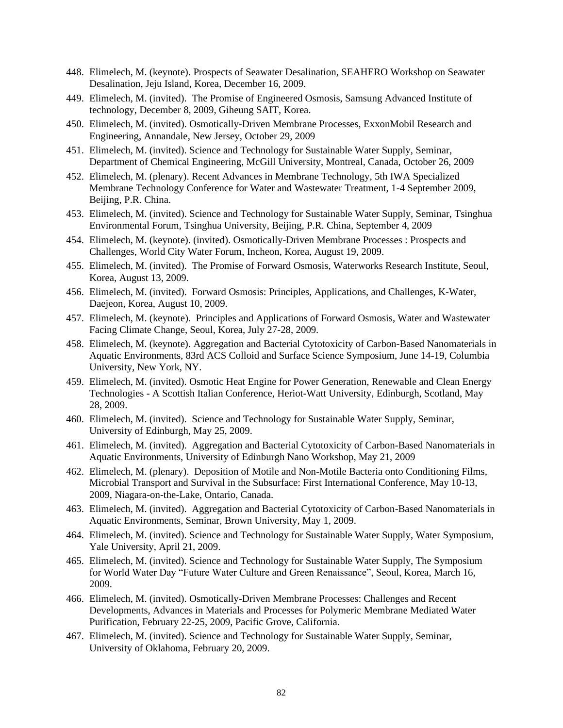- 448. Elimelech, M. (keynote). Prospects of Seawater Desalination, SEAHERO Workshop on Seawater Desalination, Jeju Island, Korea, December 16, 2009.
- 449. Elimelech, M. (invited). The Promise of Engineered Osmosis, Samsung Advanced Institute of technology, December 8, 2009, Giheung SAIT, Korea.
- 450. Elimelech, M. (invited). Osmotically-Driven Membrane Processes, ExxonMobil Research and Engineering, Annandale, New Jersey, October 29, 2009
- 451. Elimelech, M. (invited). Science and Technology for Sustainable Water Supply, Seminar, Department of Chemical Engineering, McGill University, Montreal, Canada, October 26, 2009
- 452. Elimelech, M. (plenary). Recent Advances in Membrane Technology, 5th IWA Specialized Membrane Technology Conference for Water and Wastewater Treatment, 1-4 September 2009, Beijing, P.R. China.
- 453. Elimelech, M. (invited). Science and Technology for Sustainable Water Supply, Seminar, Tsinghua Environmental Forum, Tsinghua University, Beijing, P.R. China, September 4, 2009
- 454. Elimelech, M. (keynote). (invited). Osmotically-Driven Membrane Processes : Prospects and Challenges, World City Water Forum, Incheon, Korea, August 19, 2009.
- 455. Elimelech, M. (invited). The Promise of Forward Osmosis, Waterworks Research Institute, Seoul, Korea, August 13, 2009.
- 456. Elimelech, M. (invited). Forward Osmosis: Principles, Applications, and Challenges, K-Water, Daejeon, Korea, August 10, 2009.
- 457. Elimelech, M. (keynote). Principles and Applications of Forward Osmosis, Water and Wastewater Facing Climate Change, Seoul, Korea, July 27-28, 2009.
- 458. Elimelech, M. (keynote). Aggregation and Bacterial Cytotoxicity of Carbon-Based Nanomaterials in Aquatic Environments, 83rd ACS Colloid and Surface Science Symposium, June 14-19, Columbia University, New York, NY.
- 459. Elimelech, M. (invited). Osmotic Heat Engine for Power Generation, Renewable and Clean Energy Technologies - A Scottish Italian Conference, Heriot-Watt University, Edinburgh, Scotland, May 28, 2009.
- 460. Elimelech, M. (invited). Science and Technology for Sustainable Water Supply, Seminar, University of Edinburgh, May 25, 2009.
- 461. Elimelech, M. (invited). Aggregation and Bacterial Cytotoxicity of Carbon-Based Nanomaterials in Aquatic Environments, University of Edinburgh Nano Workshop, May 21, 2009
- 462. Elimelech, M. (plenary). Deposition of Motile and Non-Motile Bacteria onto Conditioning Films, Microbial Transport and Survival in the Subsurface: First International Conference, May 10-13, 2009, Niagara-on-the-Lake, Ontario, Canada.
- 463. Elimelech, M. (invited). Aggregation and Bacterial Cytotoxicity of Carbon-Based Nanomaterials in Aquatic Environments, Seminar, Brown University, May 1, 2009.
- 464. Elimelech, M. (invited). Science and Technology for Sustainable Water Supply, Water Symposium, Yale University, April 21, 2009.
- 465. Elimelech, M. (invited). Science and Technology for Sustainable Water Supply, The Symposium for World Water Day "Future Water Culture and Green Renaissance", Seoul, Korea, March 16, 2009.
- 466. Elimelech, M. (invited). Osmotically-Driven Membrane Processes: Challenges and Recent Developments, Advances in Materials and Processes for Polymeric Membrane Mediated Water Purification, February 22-25, 2009, Pacific Grove, California.
- 467. Elimelech, M. (invited). Science and Technology for Sustainable Water Supply, Seminar, University of Oklahoma, February 20, 2009.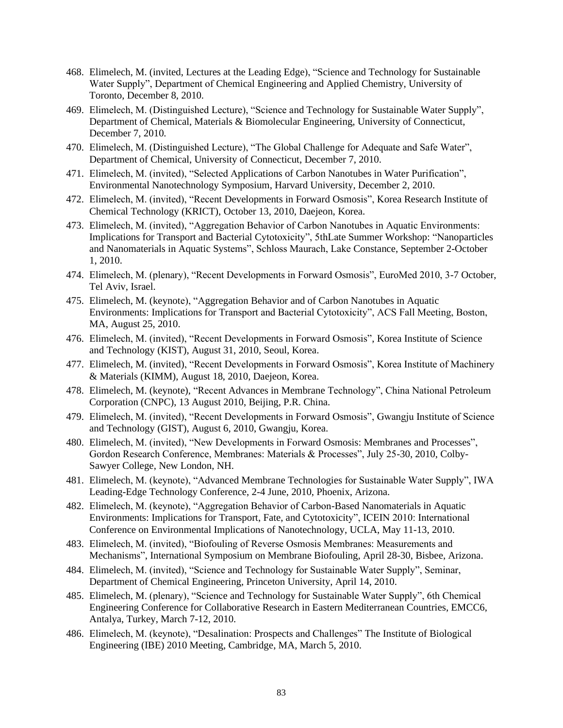- 468. Elimelech, M. (invited, Lectures at the Leading Edge), "Science and Technology for Sustainable Water Supply", Department of Chemical Engineering and Applied Chemistry, University of Toronto, December 8, 2010.
- 469. Elimelech, M. (Distinguished Lecture), "Science and Technology for Sustainable Water Supply", Department of Chemical, Materials & Biomolecular Engineering, University of Connecticut, December 7, 2010.
- 470. Elimelech, M. (Distinguished Lecture), "The Global Challenge for Adequate and Safe Water", Department of Chemical, University of Connecticut, December 7, 2010.
- 471. Elimelech, M. (invited), "Selected Applications of Carbon Nanotubes in Water Purification", Environmental Nanotechnology Symposium, Harvard University, December 2, 2010.
- 472. Elimelech, M. (invited), "Recent Developments in Forward Osmosis", Korea Research Institute of Chemical Technology (KRICT), October 13, 2010, Daejeon, Korea.
- 473. Elimelech, M. (invited), "Aggregation Behavior of Carbon Nanotubes in Aquatic Environments: Implications for Transport and Bacterial Cytotoxicity", 5thLate Summer Workshop: "Nanoparticles and Nanomaterials in Aquatic Systems", Schloss Maurach, Lake Constance, September 2-October 1, 2010.
- 474. Elimelech, M. (plenary), "Recent Developments in Forward Osmosis", EuroMed 2010, 3-7 October, Tel Aviv, Israel.
- 475. Elimelech, M. (keynote), "Aggregation Behavior and of Carbon Nanotubes in Aquatic Environments: Implications for Transport and Bacterial Cytotoxicity", ACS Fall Meeting, Boston, MA, August 25, 2010.
- 476. Elimelech, M. (invited), "Recent Developments in Forward Osmosis", Korea Institute of Science and Technology (KIST), August 31, 2010, Seoul, Korea.
- 477. Elimelech, M. (invited), "Recent Developments in Forward Osmosis", Korea Institute of Machinery & Materials (KIMM), August 18, 2010, Daejeon, Korea.
- 478. Elimelech, M. (keynote), "Recent Advances in Membrane Technology", China National Petroleum Corporation (CNPC), 13 August 2010, Beijing, P.R. China.
- 479. Elimelech, M. (invited), "Recent Developments in Forward Osmosis", Gwangju Institute of Science and Technology (GIST), August 6, 2010, Gwangju, Korea.
- 480. Elimelech, M. (invited), "New Developments in Forward Osmosis: Membranes and Processes", Gordon Research Conference, Membranes: Materials & Processes", July 25-30, 2010, Colby-Sawyer College, New London, NH.
- 481. Elimelech, M. (keynote), "Advanced Membrane Technologies for Sustainable Water Supply", IWA Leading-Edge Technology Conference, 2-4 June, 2010, Phoenix, Arizona.
- 482. Elimelech, M. (keynote), "Aggregation Behavior of Carbon-Based Nanomaterials in Aquatic Environments: Implications for Transport, Fate, and Cytotoxicity", ICEIN 2010: International Conference on Environmental Implications of Nanotechnology, UCLA, May 11-13, 2010.
- 483. Elimelech, M. (invited), "Biofouling of Reverse Osmosis Membranes: Measurements and Mechanisms", International Symposium on Membrane Biofouling, April 28-30, Bisbee, Arizona.
- 484. Elimelech, M. (invited), "Science and Technology for Sustainable Water Supply", Seminar, Department of Chemical Engineering, Princeton University, April 14, 2010.
- 485. Elimelech, M. (plenary), "Science and Technology for Sustainable Water Supply", 6th Chemical Engineering Conference for Collaborative Research in Eastern Mediterranean Countries, EMCC6, Antalya, Turkey, March 7-12, 2010.
- 486. Elimelech, M. (keynote), "Desalination: Prospects and Challenges" The Institute of Biological Engineering (IBE) 2010 Meeting, Cambridge, MA, March 5, 2010.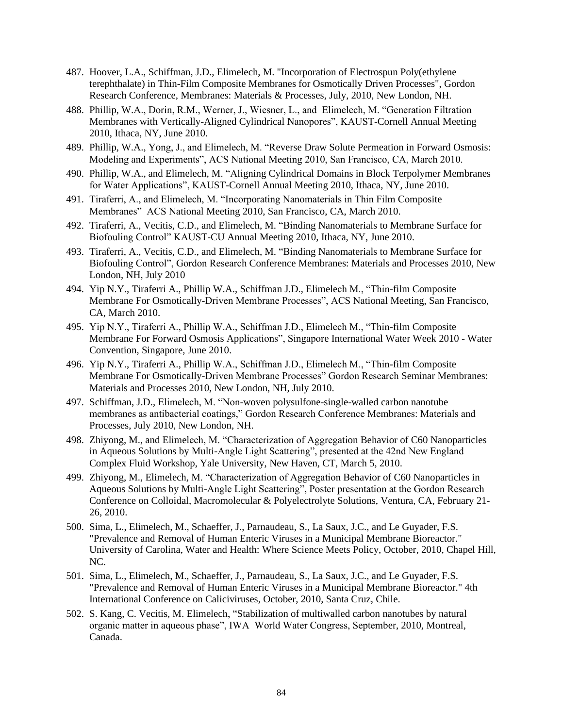- 487. Hoover, L.A., Schiffman, J.D., Elimelech, M. "Incorporation of Electrospun Poly(ethylene terephthalate) in Thin-Film Composite Membranes for Osmotically Driven Processes", Gordon Research Conference, Membranes: Materials & Processes, July, 2010, New London, NH.
- 488. Phillip, W.A., Dorin, R.M., Werner, J., Wiesner, L., and Elimelech, M. "Generation Filtration Membranes with Vertically-Aligned Cylindrical Nanopores", KAUST-Cornell Annual Meeting 2010, Ithaca, NY, June 2010.
- 489. Phillip, W.A., Yong, J., and Elimelech, M. "Reverse Draw Solute Permeation in Forward Osmosis: Modeling and Experiments", ACS National Meeting 2010, San Francisco, CA, March 2010.
- 490. Phillip, W.A., and Elimelech, M. "Aligning Cylindrical Domains in Block Terpolymer Membranes for Water Applications", KAUST-Cornell Annual Meeting 2010, Ithaca, NY, June 2010.
- 491. Tiraferri, A., and Elimelech, M. "Incorporating Nanomaterials in Thin Film Composite Membranes" ACS National Meeting 2010, San Francisco, CA, March 2010.
- 492. Tiraferri, A., Vecitis, C.D., and Elimelech, M. "Binding Nanomaterials to Membrane Surface for Biofouling Control" KAUST-CU Annual Meeting 2010, Ithaca, NY, June 2010.
- 493. Tiraferri, A., Vecitis, C.D., and Elimelech, M. "Binding Nanomaterials to Membrane Surface for Biofouling Control", Gordon Research Conference Membranes: Materials and Processes 2010, New London, NH, July 2010
- 494. Yip N.Y., Tiraferri A., Phillip W.A., Schiffman J.D., Elimelech M., "Thin-film Composite Membrane For Osmotically-Driven Membrane Processes", ACS National Meeting, San Francisco, CA, March 2010.
- 495. Yip N.Y., Tiraferri A., Phillip W.A., Schiffman J.D., Elimelech M., "Thin-film Composite Membrane For Forward Osmosis Applications", Singapore International Water Week 2010 - Water Convention, Singapore, June 2010.
- 496. Yip N.Y., Tiraferri A., Phillip W.A., Schiffman J.D., Elimelech M., "Thin-film Composite Membrane For Osmotically-Driven Membrane Processes" Gordon Research Seminar Membranes: Materials and Processes 2010, New London, NH, July 2010.
- 497. Schiffman, J.D., Elimelech, M. "Non-woven polysulfone-single-walled carbon nanotube membranes as antibacterial coatings," Gordon Research Conference Membranes: Materials and Processes, July 2010, New London, NH.
- 498. Zhiyong, M., and Elimelech, M. "Characterization of Aggregation Behavior of C60 Nanoparticles in Aqueous Solutions by Multi-Angle Light Scattering", presented at the 42nd New England Complex Fluid Workshop, Yale University, New Haven, CT, March 5, 2010.
- 499. Zhiyong, M., Elimelech, M. "Characterization of Aggregation Behavior of C60 Nanoparticles in Aqueous Solutions by Multi-Angle Light Scattering", Poster presentation at the Gordon Research Conference on Colloidal, Macromolecular & Polyelectrolyte Solutions, Ventura, CA, February 21- 26, 2010.
- 500. Sima, L., Elimelech, M., Schaeffer, J., Parnaudeau, S., La Saux, J.C., and Le Guyader, F.S. "Prevalence and Removal of Human Enteric Viruses in a Municipal Membrane Bioreactor." University of Carolina, Water and Health: Where Science Meets Policy, October, 2010, Chapel Hill, NC.
- 501. Sima, L., Elimelech, M., Schaeffer, J., Parnaudeau, S., La Saux, J.C., and Le Guyader, F.S. "Prevalence and Removal of Human Enteric Viruses in a Municipal Membrane Bioreactor." 4th International Conference on Caliciviruses, October, 2010, Santa Cruz, Chile.
- 502. S. Kang, C. Vecitis, M. Elimelech, "Stabilization of multiwalled carbon nanotubes by natural organic matter in aqueous phase", IWA World Water Congress, September, 2010, Montreal, Canada.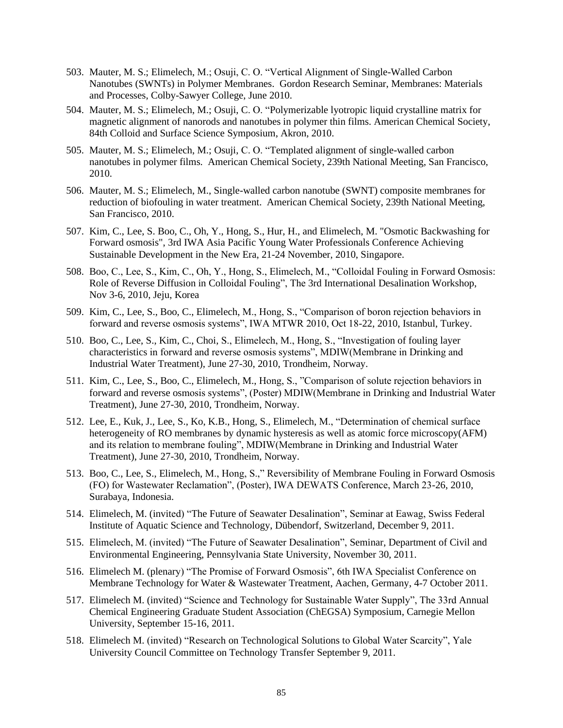- 503. Mauter, M. S.; Elimelech, M.; Osuji, C. O. "Vertical Alignment of Single-Walled Carbon Nanotubes (SWNTs) in Polymer Membranes. Gordon Research Seminar, Membranes: Materials and Processes, Colby-Sawyer College, June 2010.
- 504. Mauter, M. S.; Elimelech, M.; Osuji, C. O. "Polymerizable lyotropic liquid crystalline matrix for magnetic alignment of nanorods and nanotubes in polymer thin films. American Chemical Society, 84th Colloid and Surface Science Symposium, Akron, 2010.
- 505. Mauter, M. S.; Elimelech, M.; Osuji, C. O. "Templated alignment of single-walled carbon nanotubes in polymer films. American Chemical Society, 239th National Meeting, San Francisco, 2010.
- 506. Mauter, M. S.; Elimelech, M., Single-walled carbon nanotube (SWNT) composite membranes for reduction of biofouling in water treatment. American Chemical Society, 239th National Meeting, San Francisco, 2010.
- 507. Kim, C., Lee, S. Boo, C., Oh, Y., Hong, S., Hur, H., and Elimelech, M. "Osmotic Backwashing for Forward osmosis", 3rd IWA Asia Pacific Young Water Professionals Conference Achieving Sustainable Development in the New Era, 21-24 November, 2010, Singapore.
- 508. Boo, C., Lee, S., Kim, C., Oh, Y., Hong, S., Elimelech, M., "Colloidal Fouling in Forward Osmosis: Role of Reverse Diffusion in Colloidal Fouling", The 3rd International Desalination Workshop, Nov 3-6, 2010, Jeju, Korea
- 509. Kim, C., Lee, S., Boo, C., Elimelech, M., Hong, S., "Comparison of boron rejection behaviors in forward and reverse osmosis systems", IWA MTWR 2010, Oct 18-22, 2010, Istanbul, Turkey.
- 510. Boo, C., Lee, S., Kim, C., Choi, S., Elimelech, M., Hong, S., "Investigation of fouling layer characteristics in forward and reverse osmosis systems", MDIW(Membrane in Drinking and Industrial Water Treatment), June 27-30, 2010, Trondheim, Norway.
- 511. Kim, C., Lee, S., Boo, C., Elimelech, M., Hong, S., "Comparison of solute rejection behaviors in forward and reverse osmosis systems", (Poster) MDIW(Membrane in Drinking and Industrial Water Treatment), June 27-30, 2010, Trondheim, Norway.
- 512. Lee, E., Kuk, J., Lee, S., Ko, K.B., Hong, S., Elimelech, M., "Determination of chemical surface heterogeneity of RO membranes by dynamic hysteresis as well as atomic force microscopy(AFM) and its relation to membrane fouling", MDIW(Membrane in Drinking and Industrial Water Treatment), June 27-30, 2010, Trondheim, Norway.
- 513. Boo, C., Lee, S., Elimelech, M., Hong, S.," Reversibility of Membrane Fouling in Forward Osmosis (FO) for Wastewater Reclamation", (Poster), IWA DEWATS Conference, March 23-26, 2010, Surabaya, Indonesia.
- 514. Elimelech, M. (invited) "The Future of Seawater Desalination", Seminar at Eawag, Swiss Federal Institute of Aquatic Science and Technology, Dübendorf, Switzerland, December 9, 2011.
- 515. Elimelech, M. (invited) "The Future of Seawater Desalination", Seminar, Department of Civil and Environmental Engineering, Pennsylvania State University, November 30, 2011.
- 516. Elimelech M. (plenary) "The Promise of Forward Osmosis", 6th IWA Specialist Conference on Membrane Technology for Water & Wastewater Treatment, Aachen, Germany, 4-7 October 2011.
- 517. Elimelech M. (invited) "Science and Technology for Sustainable Water Supply", The 33rd Annual Chemical Engineering Graduate Student Association (ChEGSA) Symposium, Carnegie Mellon University, September 15-16, 2011.
- 518. Elimelech M. (invited) "Research on Technological Solutions to Global Water Scarcity", Yale University Council Committee on Technology Transfer September 9, 2011.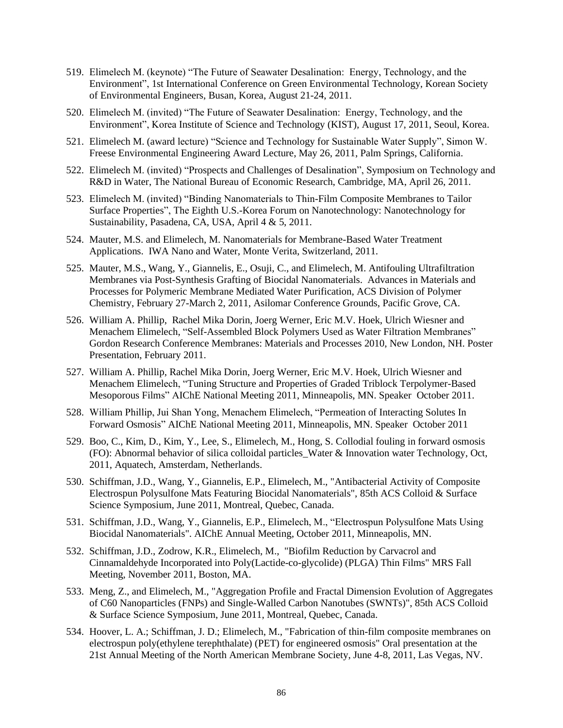- 519. Elimelech M. (keynote) "The Future of Seawater Desalination: Energy, Technology, and the Environment", 1st International Conference on Green Environmental Technology, Korean Society of Environmental Engineers, Busan, Korea, August 21-24, 2011.
- 520. Elimelech M. (invited) "The Future of Seawater Desalination: Energy, Technology, and the Environment", Korea Institute of Science and Technology (KIST), August 17, 2011, Seoul, Korea.
- 521. Elimelech M. (award lecture) "Science and Technology for Sustainable Water Supply", Simon W. Freese Environmental Engineering Award Lecture, May 26, 2011, Palm Springs, California.
- 522. Elimelech M. (invited) "Prospects and Challenges of Desalination", Symposium on Technology and R&D in Water, The National Bureau of Economic Research, Cambridge, MA, April 26, 2011.
- 523. Elimelech M. (invited) "Binding Nanomaterials to Thin-Film Composite Membranes to Tailor Surface Properties", The Eighth U.S.-Korea Forum on Nanotechnology: Nanotechnology for Sustainability, Pasadena, CA, USA, April 4 & 5, 2011.
- 524. Mauter, M.S. and Elimelech, M. Nanomaterials for Membrane-Based Water Treatment Applications. IWA Nano and Water, Monte Verita, Switzerland, 2011.
- 525. Mauter, M.S., Wang, Y., Giannelis, E., Osuji, C., and Elimelech, M. Antifouling Ultrafiltration Membranes via Post-Synthesis Grafting of Biocidal Nanomaterials. Advances in Materials and Processes for Polymeric Membrane Mediated Water Purification, ACS Division of Polymer Chemistry, February 27-March 2, 2011, Asilomar Conference Grounds, Pacific Grove, CA.
- 526. William A. Phillip, Rachel Mika Dorin, Joerg Werner, Eric M.V. Hoek, Ulrich Wiesner and Menachem Elimelech, "Self-Assembled Block Polymers Used as Water Filtration Membranes" Gordon Research Conference Membranes: Materials and Processes 2010, New London, NH. Poster Presentation, February 2011.
- 527. William A. Phillip, Rachel Mika Dorin, Joerg Werner, Eric M.V. Hoek, Ulrich Wiesner and Menachem Elimelech, "Tuning Structure and Properties of Graded Triblock Terpolymer-Based Mesoporous Films" AIChE National Meeting 2011, Minneapolis, MN. Speaker October 2011.
- 528. William Phillip, Jui Shan Yong, Menachem Elimelech, "Permeation of Interacting Solutes In Forward Osmosis" AIChE National Meeting 2011, Minneapolis, MN. Speaker October 2011
- 529. Boo, C., Kim, D., Kim, Y., Lee, S., Elimelech, M., Hong, S. Collodial fouling in forward osmosis (FO): Abnormal behavior of silica colloidal particles\_Water & Innovation water Technology, Oct, 2011, Aquatech, Amsterdam, Netherlands.
- 530. Schiffman, J.D., Wang, Y., Giannelis, E.P., Elimelech, M., "Antibacterial Activity of Composite Electrospun Polysulfone Mats Featuring Biocidal Nanomaterials", 85th ACS Colloid & Surface Science Symposium, June 2011, Montreal, Quebec, Canada.
- 531. Schiffman, J.D., Wang, Y., Giannelis, E.P., Elimelech, M., "Electrospun Polysulfone Mats Using Biocidal Nanomaterials". AIChE Annual Meeting, October 2011, Minneapolis, MN.
- 532. Schiffman, J.D., Zodrow, K.R., Elimelech, M., "Biofilm Reduction by Carvacrol and Cinnamaldehyde Incorporated into Poly(Lactide-co-glycolide) (PLGA) Thin Films" MRS Fall Meeting, November 2011, Boston, MA.
- 533. Meng, Z., and Elimelech, M., "Aggregation Profile and Fractal Dimension Evolution of Aggregates of C60 Nanoparticles (FNPs) and Single-Walled Carbon Nanotubes (SWNTs)", 85th ACS Colloid & Surface Science Symposium, June 2011, Montreal, Quebec, Canada.
- 534. Hoover, L. A.; Schiffman, J. D.; Elimelech, M., "Fabrication of thin-film composite membranes on electrospun poly(ethylene terephthalate) (PET) for engineered osmosis" Oral presentation at the 21st Annual Meeting of the North American Membrane Society, June 4-8, 2011, Las Vegas, NV.